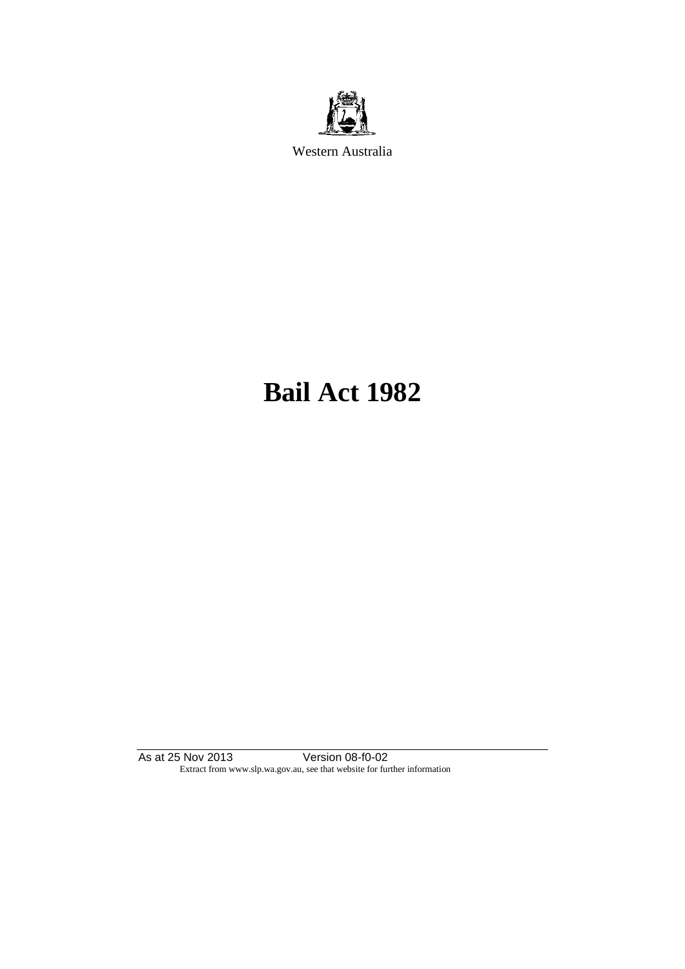

Western Australia

# **Bail Act 1982**

As at 25 Nov 2013 Version 08-f0-02 Extract from www.slp.wa.gov.au, see that website for further information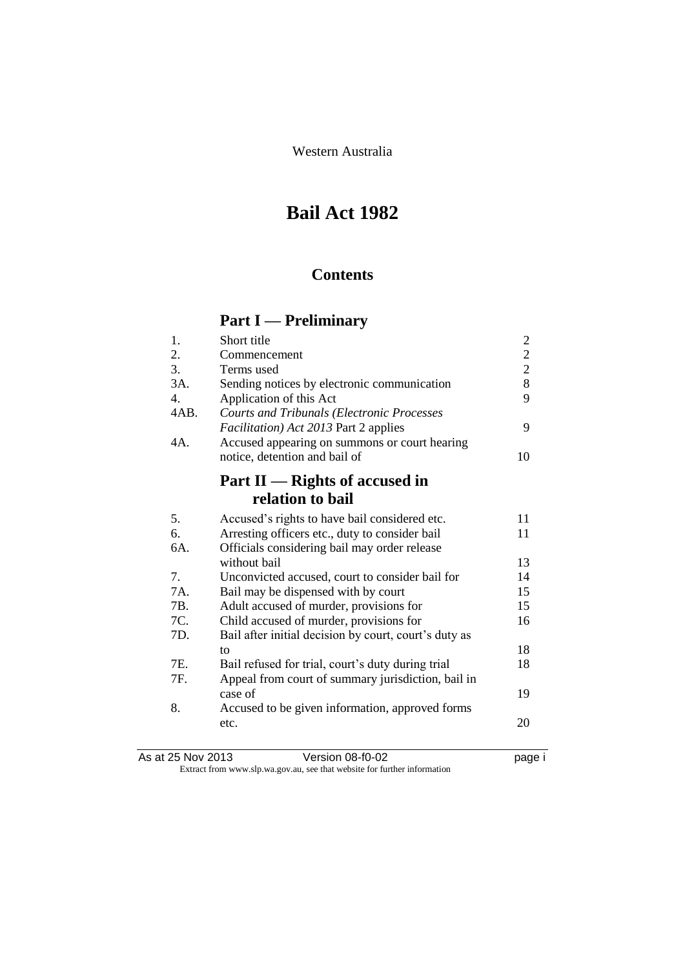Western Australia

# **Bail Act 1982**

### **Contents**

### **Part I — Preliminary**

| 1.   | Short title                                           | $\overline{c}$ |
|------|-------------------------------------------------------|----------------|
| 2.   | Commencement                                          | $\overline{2}$ |
| 3.   | Terms used                                            | $\overline{2}$ |
| 3A.  | Sending notices by electronic communication           | 8              |
| 4.   | Application of this Act                               | 9              |
| 4AB. | <b>Courts and Tribunals (Electronic Processes</b>     |                |
|      | <i>Facilitation</i> ) Act 2013 Part 2 applies         | 9              |
| 4A.  | Accused appearing on summons or court hearing         |                |
|      | notice, detention and bail of                         | 10             |
|      |                                                       |                |
|      | Part II — Rights of accused in                        |                |
|      | relation to bail                                      |                |
| 5.   | Accused's rights to have bail considered etc.         | 11             |
| 6.   | Arresting officers etc., duty to consider bail        | 11             |
| 6A.  | Officials considering bail may order release          |                |
|      | without bail                                          | 13             |
| 7.   | Unconvicted accused, court to consider bail for       | 14             |
| 7A.  | Bail may be dispensed with by court                   | 15             |
| 7B.  | Adult accused of murder, provisions for               | 15             |
| 7C.  | Child accused of murder, provisions for               | 16             |
| 7D.  | Bail after initial decision by court, court's duty as |                |
|      | to                                                    | 18             |
| 7E.  | Bail refused for trial, court's duty during trial     | 18             |
| 7F.  | Appeal from court of summary jurisdiction, bail in    |                |
|      | case of                                               | 19             |
| 8.   | Accused to be given information, approved forms       |                |
|      | etc.                                                  | 20             |

| As at 25 Nov 2013 | Version 08-f0-02                                                         | page i |
|-------------------|--------------------------------------------------------------------------|--------|
|                   | Extract from www.slp.wa.gov.au, see that website for further information |        |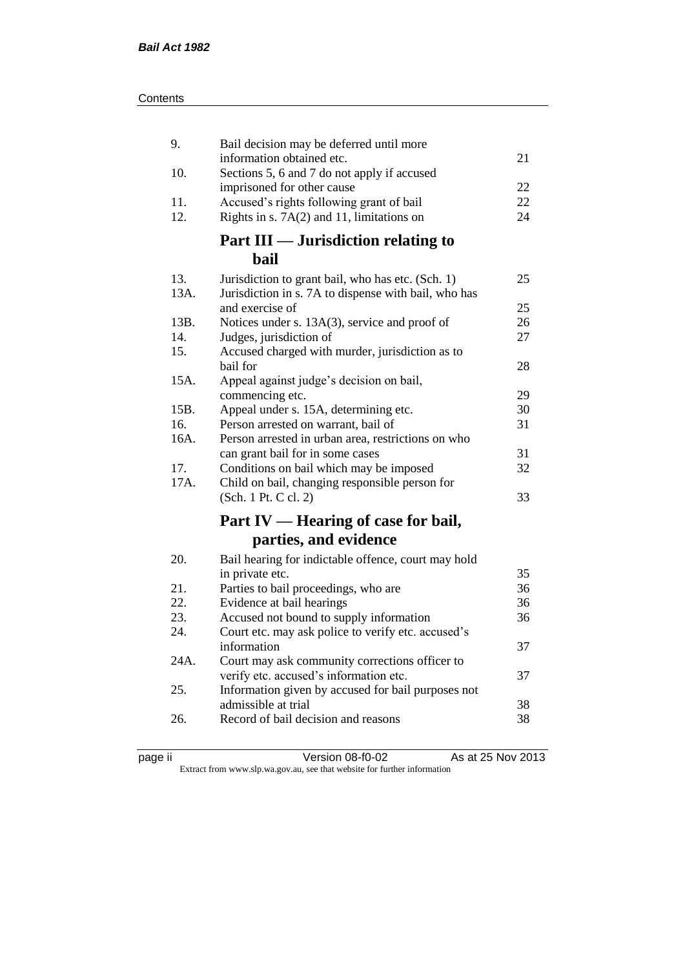| 9.   | Bail decision may be deferred until more                                                 |    |
|------|------------------------------------------------------------------------------------------|----|
| 10.  | information obtained etc.<br>Sections 5, 6 and 7 do not apply if accused                 | 21 |
|      | imprisoned for other cause                                                               | 22 |
| 11.  | Accused's rights following grant of bail                                                 | 22 |
| 12.  | Rights in s. $7A(2)$ and 11, limitations on                                              | 24 |
|      | Part III — Jurisdiction relating to                                                      |    |
|      | bail                                                                                     |    |
| 13.  | Jurisdiction to grant bail, who has etc. (Sch. 1)                                        | 25 |
| 13A. | Jurisdiction in s. 7A to dispense with bail, who has                                     |    |
|      | and exercise of                                                                          | 25 |
| 13B. | Notices under s. 13A(3), service and proof of                                            | 26 |
| 14.  | Judges, jurisdiction of                                                                  | 27 |
| 15.  | Accused charged with murder, jurisdiction as to                                          |    |
|      | bail for                                                                                 | 28 |
| 15A. | Appeal against judge's decision on bail,<br>commencing etc.                              | 29 |
| 15B. | Appeal under s. 15A, determining etc.                                                    | 30 |
| 16.  | Person arrested on warrant, bail of                                                      | 31 |
| 16A. | Person arrested in urban area, restrictions on who                                       |    |
|      | can grant bail for in some cases                                                         | 31 |
| 17.  | Conditions on bail which may be imposed                                                  | 32 |
| 17A. | Child on bail, changing responsible person for                                           |    |
|      | (Sch. 1 Pt. C cl. 2)                                                                     | 33 |
|      | Part IV — Hearing of case for bail,                                                      |    |
|      | parties, and evidence                                                                    |    |
| 20.  | Bail hearing for indictable offence, court may hold                                      |    |
|      | in private etc.                                                                          | 35 |
| 21.  | Parties to bail proceedings, who are                                                     | 36 |
| 22.  | Evidence at bail hearings                                                                | 36 |
| 23.  | Accused not bound to supply information                                                  | 36 |
| 24.  | Court etc. may ask police to verify etc. accused's                                       |    |
|      | information                                                                              | 37 |
| 24A. | Court may ask community corrections officer to<br>verify etc. accused's information etc. | 37 |
| 25.  | Information given by accused for bail purposes not                                       |    |
|      | admissible at trial                                                                      | 38 |
| 26.  | Record of bail decision and reasons                                                      | 38 |
|      |                                                                                          |    |

page ii Version 08-f0-02 As at 25 Nov 2013

Extract from www.slp.wa.gov.au, see that website for further information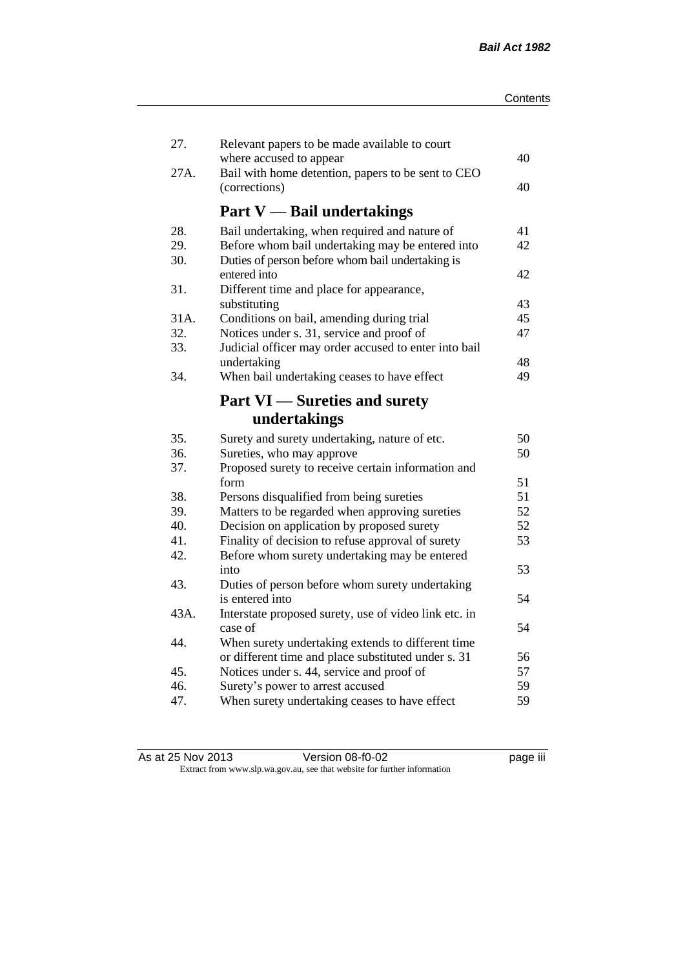| 27.  | Relevant papers to be made available to court                                 |    |
|------|-------------------------------------------------------------------------------|----|
| 27A. | where accused to appear<br>Bail with home detention, papers to be sent to CEO | 40 |
|      | (corrections)                                                                 | 40 |
|      | <b>Part V</b> — Bail undertakings                                             |    |
| 28.  | Bail undertaking, when required and nature of                                 | 41 |
| 29.  | Before whom bail undertaking may be entered into                              | 42 |
| 30.  | Duties of person before whom bail undertaking is                              |    |
| 31.  | entered into<br>Different time and place for appearance,                      | 42 |
|      | substituting                                                                  | 43 |
| 31A. | Conditions on bail, amending during trial                                     | 45 |
| 32.  | Notices under s. 31, service and proof of                                     | 47 |
| 33.  | Judicial officer may order accused to enter into bail                         |    |
|      | undertaking                                                                   | 48 |
| 34.  | When bail undertaking ceases to have effect                                   | 49 |
|      |                                                                               |    |
|      | <b>Part VI</b> — Sureties and surety                                          |    |
|      | undertakings                                                                  |    |
| 35.  | Surety and surety undertaking, nature of etc.                                 | 50 |
| 36.  | Sureties, who may approve                                                     | 50 |
| 37.  | Proposed surety to receive certain information and                            |    |
|      | form                                                                          | 51 |
| 38.  | Persons disqualified from being sureties                                      | 51 |
| 39.  | Matters to be regarded when approving sureties                                | 52 |
| 40.  | Decision on application by proposed surety                                    | 52 |
| 41.  | Finality of decision to refuse approval of surety                             | 53 |
| 42.  | Before whom surety undertaking may be entered                                 |    |
|      | into                                                                          | 53 |
| 43.  | Duties of person before whom surety undertaking                               |    |
|      | is entered into                                                               | 54 |
| 43A. | Interstate proposed surety, use of video link etc. in                         |    |
|      | case of                                                                       | 54 |
| 44.  | When surety undertaking extends to different time                             |    |
|      | or different time and place substituted under s. 31                           | 56 |
| 45.  | Notices under s. 44, service and proof of                                     | 57 |
| 46.  | Surety's power to arrest accused                                              | 59 |
| 47.  | When surety undertaking ceases to have effect                                 | 59 |
|      |                                                                               |    |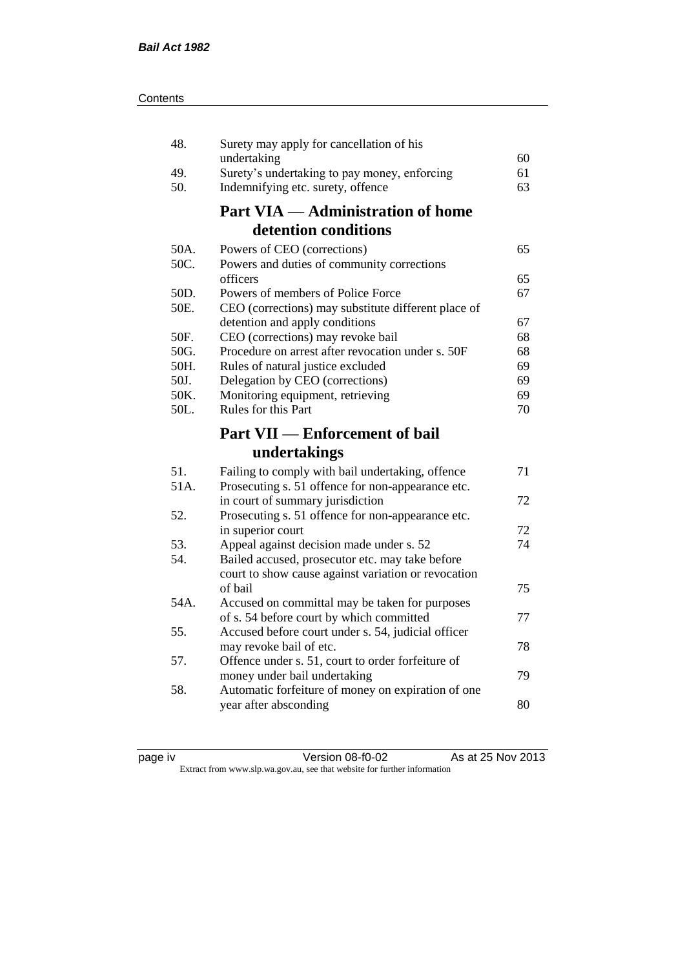| 48.  | Surety may apply for cancellation of his                                                              |    |
|------|-------------------------------------------------------------------------------------------------------|----|
|      | undertaking                                                                                           | 60 |
| 49.  | Surety's undertaking to pay money, enforcing                                                          | 61 |
| 50.  | Indemnifying etc. surety, offence                                                                     | 63 |
|      | <b>Part VIA — Administration of home</b>                                                              |    |
|      | detention conditions                                                                                  |    |
| 50A. | Powers of CEO (corrections)                                                                           | 65 |
| 50C. | Powers and duties of community corrections                                                            |    |
|      | officers                                                                                              | 65 |
| 50D. | Powers of members of Police Force                                                                     | 67 |
| 50E. | CEO (corrections) may substitute different place of                                                   |    |
|      | detention and apply conditions                                                                        | 67 |
| 50F. | CEO (corrections) may revoke bail                                                                     | 68 |
| 50G. | Procedure on arrest after revocation under s. 50F                                                     | 68 |
| 50H. | Rules of natural justice excluded                                                                     | 69 |
| 50J. | Delegation by CEO (corrections)                                                                       | 69 |
| 50K. | Monitoring equipment, retrieving                                                                      | 69 |
| 50L. | Rules for this Part                                                                                   | 70 |
|      |                                                                                                       |    |
|      | <b>Part VII — Enforcement of bail</b>                                                                 |    |
|      | undertakings                                                                                          |    |
| 51.  |                                                                                                       | 71 |
| 51A. | Failing to comply with bail undertaking, offence<br>Prosecuting s. 51 offence for non-appearance etc. |    |
|      | in court of summary jurisdiction                                                                      | 72 |
| 52.  | Prosecuting s. 51 offence for non-appearance etc.                                                     |    |
|      | in superior court                                                                                     | 72 |
| 53.  | Appeal against decision made under s. 52                                                              | 74 |
| 54.  | Bailed accused, prosecutor etc. may take before                                                       |    |
|      | court to show cause against variation or revocation                                                   |    |
|      | of bail                                                                                               | 75 |
| 54A. | Accused on committal may be taken for purposes                                                        |    |
|      | of s. 54 before court by which committed                                                              | 77 |
| 55.  | Accused before court under s. 54, judicial officer                                                    |    |
|      | may revoke bail of etc.                                                                               | 78 |
| 57.  | Offence under s. 51, court to order forfeiture of                                                     |    |
|      | money under bail undertaking                                                                          | 79 |
| 58.  | Automatic forfeiture of money on expiration of one                                                    |    |
|      | year after absconding                                                                                 | 80 |

page iv Version 08-f0-02 As at 25 Nov 2013 Extract from www.slp.wa.gov.au, see that website for further information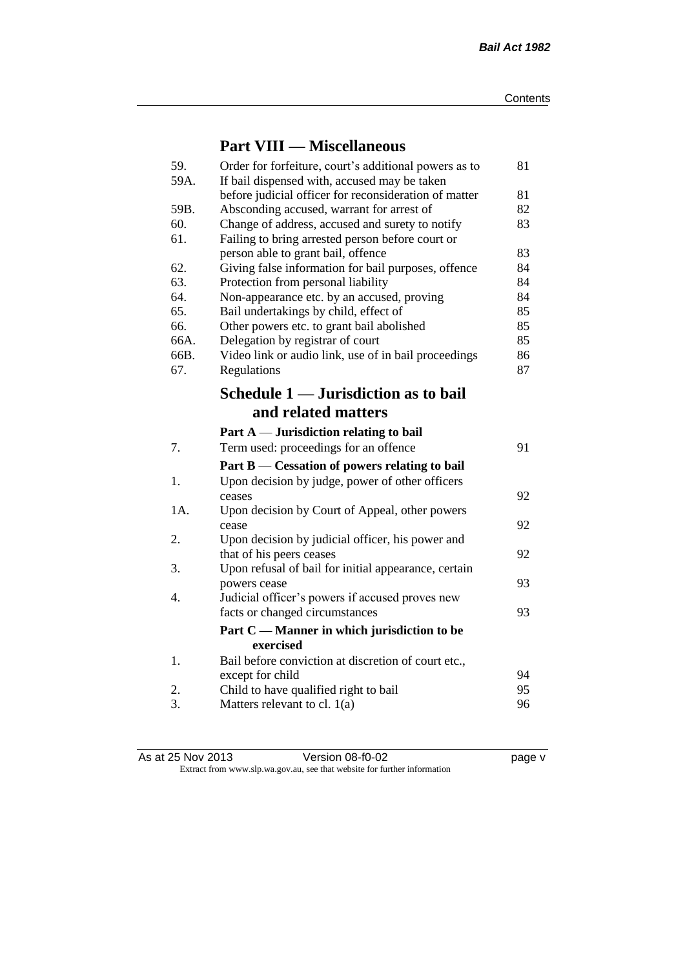### **Part VIII — Miscellaneous**

| 59.<br>59A. | Order for forfeiture, court's additional powers as to<br>If bail dispensed with, accused may be taken | 81 |
|-------------|-------------------------------------------------------------------------------------------------------|----|
|             | before judicial officer for reconsideration of matter                                                 | 81 |
| 59B.        | Absconding accused, warrant for arrest of                                                             | 82 |
| 60.         | Change of address, accused and surety to notify                                                       | 83 |
| 61.         | Failing to bring arrested person before court or                                                      |    |
|             | person able to grant bail, offence                                                                    | 83 |
| 62.         | Giving false information for bail purposes, offence                                                   | 84 |
| 63.         | Protection from personal liability                                                                    | 84 |
| 64.         | Non-appearance etc. by an accused, proving                                                            | 84 |
| 65.         | Bail undertakings by child, effect of                                                                 | 85 |
| 66.         | Other powers etc. to grant bail abolished                                                             | 85 |
| 66A.        | Delegation by registrar of court                                                                      | 85 |
| 66B.        | Video link or audio link, use of in bail proceedings                                                  | 86 |
| 67.         | Regulations                                                                                           | 87 |
|             | Schedule 1 — Jurisdiction as to bail                                                                  |    |
|             | and related matters                                                                                   |    |
|             | Part $A$ — Jurisdiction relating to bail                                                              |    |
| 7.          | Term used: proceedings for an offence                                                                 | 91 |
|             | Part B — Cessation of powers relating to bail                                                         |    |
| 1.          | Upon decision by judge, power of other officers                                                       |    |
|             | ceases                                                                                                | 92 |
| 1A.         | Upon decision by Court of Appeal, other powers                                                        |    |
|             | cease                                                                                                 | 92 |
| 2.          | Upon decision by judicial officer, his power and                                                      |    |
|             | that of his peers ceases                                                                              | 92 |
| 3.          | Upon refusal of bail for initial appearance, certain                                                  |    |
|             | powers cease                                                                                          | 93 |
| 4.          | Judicial officer's powers if accused proves new                                                       |    |
|             | facts or changed circumstances                                                                        | 93 |
|             | Part C — Manner in which jurisdiction to be                                                           |    |
|             | exercised                                                                                             |    |
| 1.          | Bail before conviction at discretion of court etc.,                                                   |    |
|             | except for child                                                                                      | 94 |
| 2.          | Child to have qualified right to bail                                                                 | 95 |
| 3.          | Matters relevant to cl. $1(a)$                                                                        | 96 |

As at 25 Nov 2013 Version 08-f0-02 page v Extract from www.slp.wa.gov.au, see that website for further information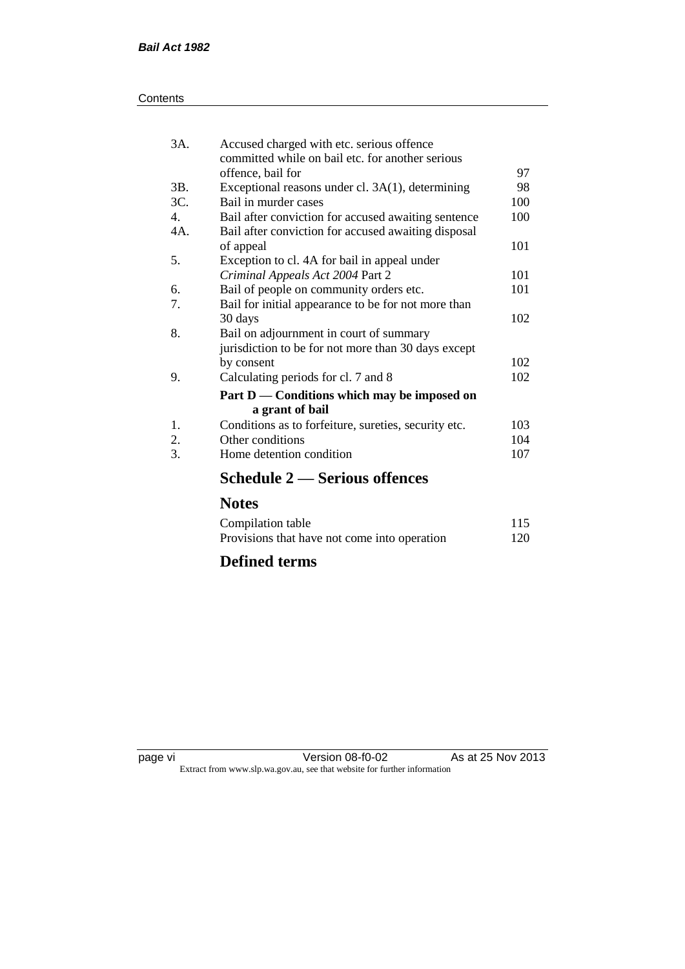| Contents |
|----------|
|----------|

| 3A.            | Accused charged with etc. serious offence<br>committed while on bail etc. for another serious |     |
|----------------|-----------------------------------------------------------------------------------------------|-----|
|                | offence, bail for                                                                             | 97  |
| 3B.            | Exceptional reasons under cl. 3A(1), determining                                              | 98  |
| 3C.            | Bail in murder cases                                                                          | 100 |
| $\mathbf{4}$ . | Bail after conviction for accused awaiting sentence                                           | 100 |
| 4A.            | Bail after conviction for accused awaiting disposal                                           |     |
|                | of appeal                                                                                     | 101 |
| 5.             | Exception to cl. 4A for bail in appeal under                                                  |     |
|                | Criminal Appeals Act 2004 Part 2                                                              | 101 |
| 6.             | Bail of people on community orders etc.                                                       | 101 |
| 7.             | Bail for initial appearance to be for not more than                                           |     |
|                | 30 days                                                                                       | 102 |
| 8.             | Bail on adjournment in court of summary                                                       |     |
|                | jurisdiction to be for not more than 30 days except                                           |     |
|                | by consent                                                                                    | 102 |
| 9.             | Calculating periods for cl. 7 and 8                                                           | 102 |
|                | Part D — Conditions which may be imposed on                                                   |     |
|                | a grant of bail                                                                               |     |
| 1.             | Conditions as to forfeiture, sureties, security etc.                                          | 103 |
| 2.             | Other conditions                                                                              | 104 |
| 3.             | Home detention condition                                                                      | 107 |
|                | <b>Schedule 2 – Serious offences</b>                                                          |     |

### **Notes**

| Compilation table                            | 115 |
|----------------------------------------------|-----|
| Provisions that have not come into operation | 120 |

### **Defined terms**

page vi Version 08-f0-02 As at 25 Nov 2013 Extract from www.slp.wa.gov.au, see that website for further information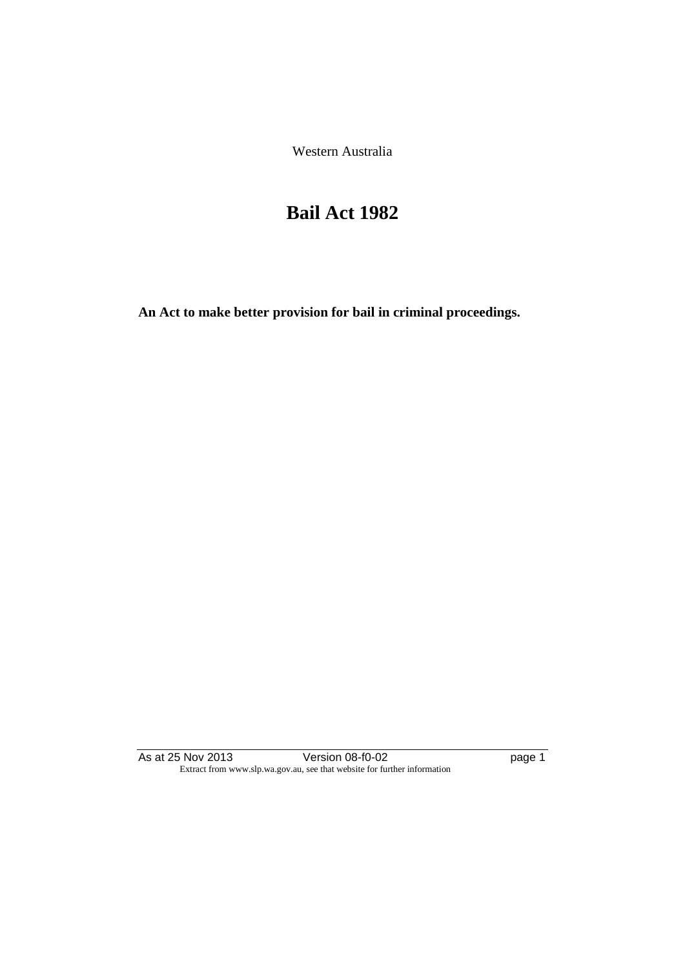Western Australia

## **Bail Act 1982**

**An Act to make better provision for bail in criminal proceedings.** 

As at 25 Nov 2013 **Details Access 12 October 108-f0-02 page 1** Extract from www.slp.wa.gov.au, see that website for further information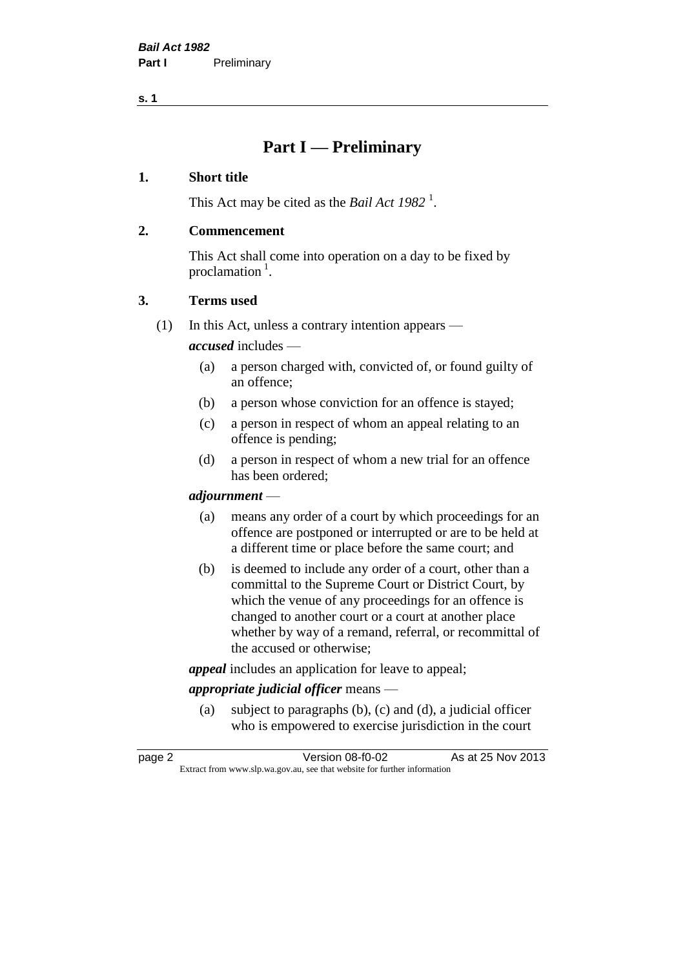**s. 1**

### **Part I — Preliminary**

#### **1. Short title**

This Act may be cited as the *Bail Act* 1982<sup>1</sup>.

#### **2. Commencement**

This Act shall come into operation on a day to be fixed by proclamation  $<sup>1</sup>$ .</sup>

#### **3. Terms used**

(1) In this Act, unless a contrary intention appears —

*accused* includes —

- (a) a person charged with, convicted of, or found guilty of an offence;
- (b) a person whose conviction for an offence is stayed;
- (c) a person in respect of whom an appeal relating to an offence is pending;
- (d) a person in respect of whom a new trial for an offence has been ordered;

#### *adjournment* —

- (a) means any order of a court by which proceedings for an offence are postponed or interrupted or are to be held at a different time or place before the same court; and
- (b) is deemed to include any order of a court, other than a committal to the Supreme Court or District Court, by which the venue of any proceedings for an offence is changed to another court or a court at another place whether by way of a remand, referral, or recommittal of the accused or otherwise;

*appeal* includes an application for leave to appeal;

#### *appropriate judicial officer* means —

(a) subject to paragraphs (b), (c) and (d), a judicial officer who is empowered to exercise jurisdiction in the court

| page 2 | Version 08-f0-02                                                         | As at 25 Nov 2013 |
|--------|--------------------------------------------------------------------------|-------------------|
|        | Extract from www.slp.wa.gov.au, see that website for further information |                   |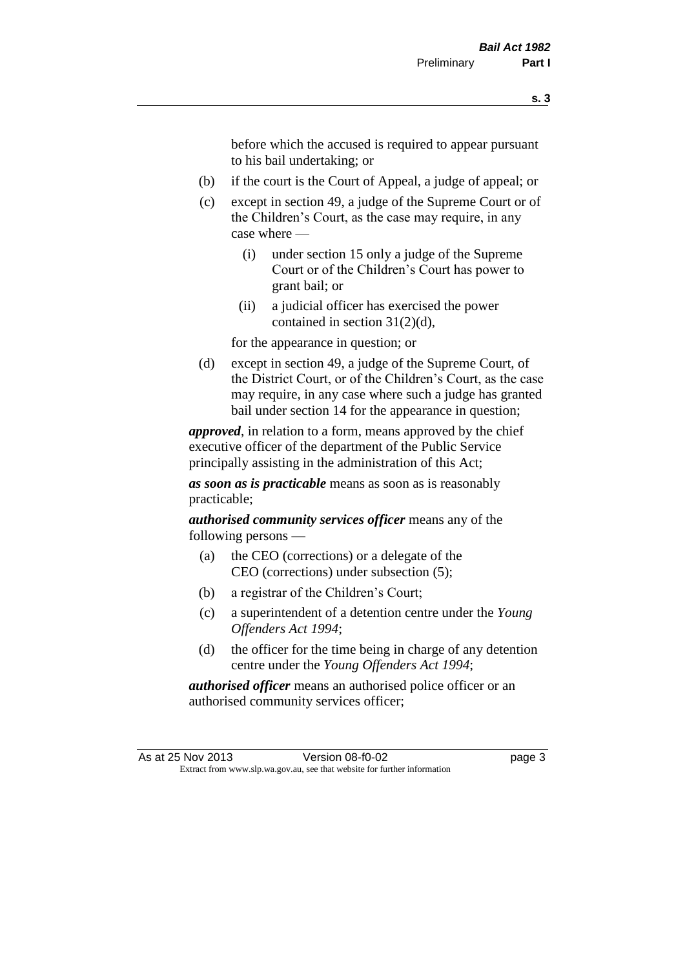before which the accused is required to appear pursuant to his bail undertaking; or

- (b) if the court is the Court of Appeal, a judge of appeal; or
- (c) except in section 49, a judge of the Supreme Court or of the Children's Court, as the case may require, in any case where —
	- (i) under section 15 only a judge of the Supreme Court or of the Children's Court has power to grant bail; or
	- (ii) a judicial officer has exercised the power contained in section 31(2)(d),

for the appearance in question; or

(d) except in section 49, a judge of the Supreme Court, of the District Court, or of the Children's Court, as the case may require, in any case where such a judge has granted bail under section 14 for the appearance in question;

*approved*, in relation to a form, means approved by the chief executive officer of the department of the Public Service principally assisting in the administration of this Act;

*as soon as is practicable* means as soon as is reasonably practicable;

*authorised community services officer* means any of the following persons —

- (a) the CEO (corrections) or a delegate of the CEO (corrections) under subsection (5);
- (b) a registrar of the Children's Court;
- (c) a superintendent of a detention centre under the *Young Offenders Act 1994*;
- (d) the officer for the time being in charge of any detention centre under the *Young Offenders Act 1994*;

*authorised officer* means an authorised police officer or an authorised community services officer;

As at 25 Nov 2013 Version 08-f0-02 page 3 Extract from www.slp.wa.gov.au, see that website for further information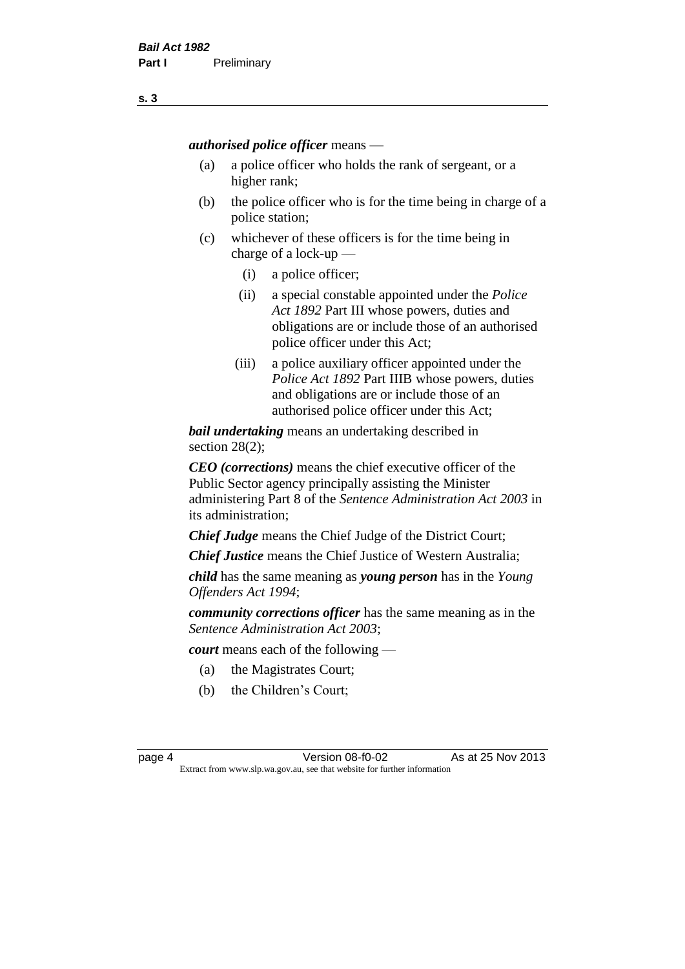*authorised police officer* means —

- (a) a police officer who holds the rank of sergeant, or a higher rank;
- (b) the police officer who is for the time being in charge of a police station;
- (c) whichever of these officers is for the time being in charge of a lock-up —
	- (i) a police officer;
	- (ii) a special constable appointed under the *Police Act 1892* Part III whose powers, duties and obligations are or include those of an authorised police officer under this Act;
	- (iii) a police auxiliary officer appointed under the *Police Act 1892* Part IIIB whose powers, duties and obligations are or include those of an authorised police officer under this Act;

*bail undertaking* means an undertaking described in section 28(2);

*CEO (corrections)* means the chief executive officer of the Public Sector agency principally assisting the Minister administering Part 8 of the *Sentence Administration Act 2003* in its administration;

*Chief Judge* means the Chief Judge of the District Court;

*Chief Justice* means the Chief Justice of Western Australia;

*child* has the same meaning as *young person* has in the *Young Offenders Act 1994*;

*community corrections officer* has the same meaning as in the *Sentence Administration Act 2003*;

*court* means each of the following —

- (a) the Magistrates Court;
- (b) the Children's Court;

page 4 Version 08-f0-02 As at 25 Nov 2013 Extract from www.slp.wa.gov.au, see that website for further information

**s. 3**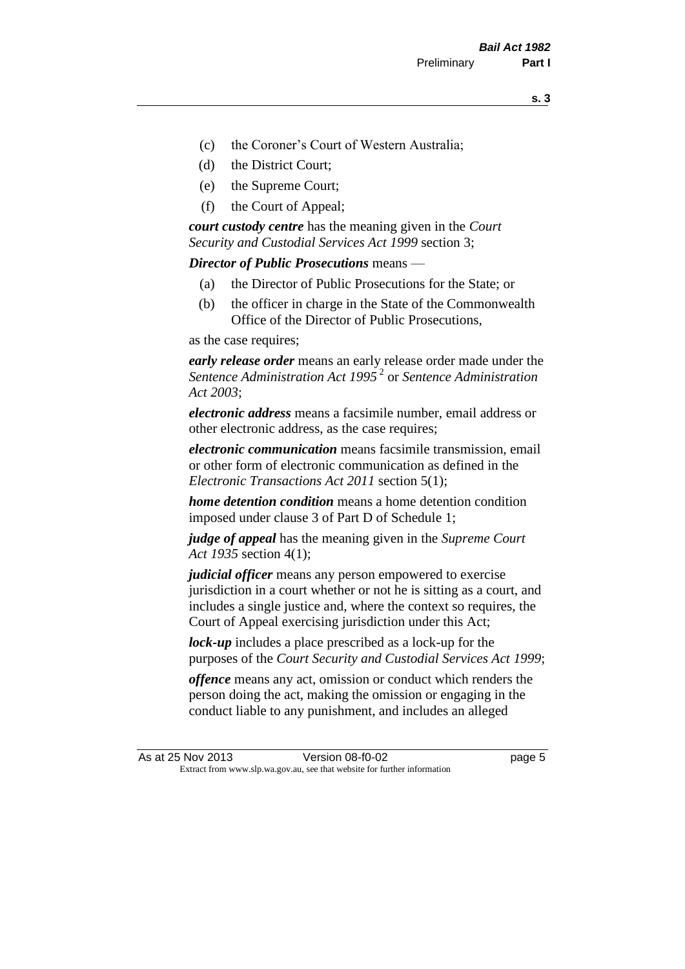- (c) the Coroner's Court of Western Australia;
- (d) the District Court;
- (e) the Supreme Court;
- (f) the Court of Appeal;

*court custody centre* has the meaning given in the *Court Security and Custodial Services Act 1999* section 3;

*Director of Public Prosecutions* means —

- (a) the Director of Public Prosecutions for the State; or
- (b) the officer in charge in the State of the Commonwealth Office of the Director of Public Prosecutions,

as the case requires;

*early release order* means an early release order made under the *Sentence Administration Act 1995* <sup>2</sup> or *Sentence Administration Act 2003*;

*electronic address* means a facsimile number, email address or other electronic address, as the case requires;

*electronic communication* means facsimile transmission, email or other form of electronic communication as defined in the *Electronic Transactions Act 2011* section 5(1);

*home detention condition* means a home detention condition imposed under clause 3 of Part D of Schedule 1;

*judge of appeal* has the meaning given in the *Supreme Court Act 1935* section 4(1);

*judicial officer* means any person empowered to exercise jurisdiction in a court whether or not he is sitting as a court, and includes a single justice and, where the context so requires, the Court of Appeal exercising jurisdiction under this Act;

*lock-up* includes a place prescribed as a lock-up for the purposes of the *Court Security and Custodial Services Act 1999*;

*offence* means any act, omission or conduct which renders the person doing the act, making the omission or engaging in the conduct liable to any punishment, and includes an alleged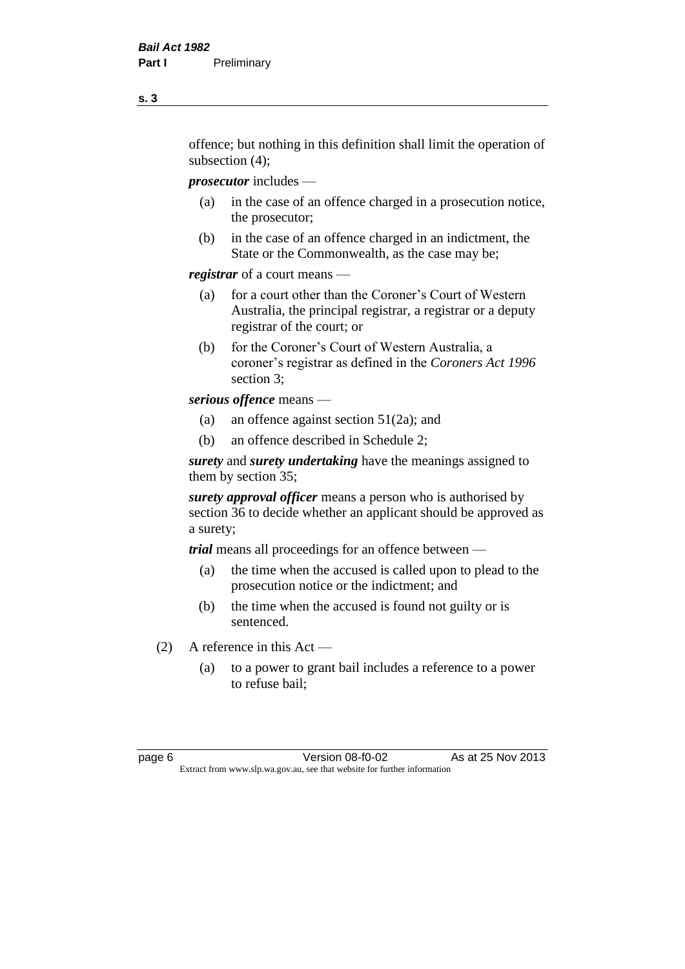offence; but nothing in this definition shall limit the operation of subsection (4);

*prosecutor* includes —

- (a) in the case of an offence charged in a prosecution notice, the prosecutor;
- (b) in the case of an offence charged in an indictment, the State or the Commonwealth, as the case may be;

*registrar* of a court means —

- (a) for a court other than the Coroner's Court of Western Australia, the principal registrar, a registrar or a deputy registrar of the court; or
- (b) for the Coroner's Court of Western Australia, a coroner's registrar as defined in the *Coroners Act 1996* section 3;

*serious offence* means —

- (a) an offence against section 51(2a); and
- (b) an offence described in Schedule 2;

*surety* and *surety undertaking* have the meanings assigned to them by section 35;

*surety approval officer* means a person who is authorised by section 36 to decide whether an applicant should be approved as a surety;

*trial* means all proceedings for an offence between —

- (a) the time when the accused is called upon to plead to the prosecution notice or the indictment; and
- (b) the time when the accused is found not guilty or is sentenced.
- (2) A reference in this Act
	- (a) to a power to grant bail includes a reference to a power to refuse bail;

page 6 **Version 08-f0-02** As at 25 Nov 2013 Extract from www.slp.wa.gov.au, see that website for further information

**s. 3**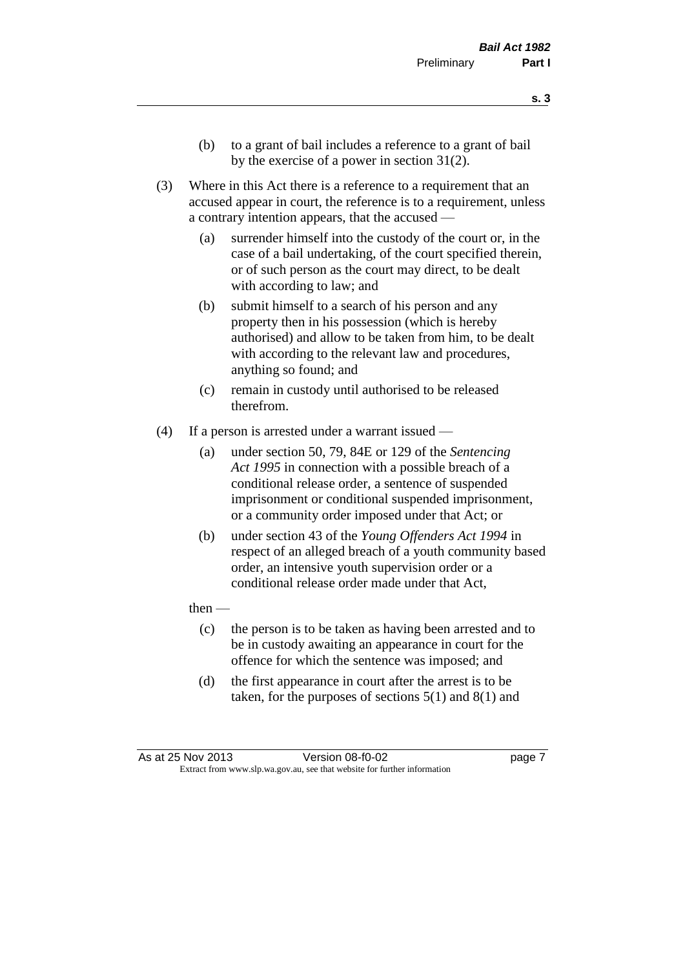- **s. 3**
- (b) to a grant of bail includes a reference to a grant of bail by the exercise of a power in section 31(2).
- (3) Where in this Act there is a reference to a requirement that an accused appear in court, the reference is to a requirement, unless a contrary intention appears, that the accused —
	- (a) surrender himself into the custody of the court or, in the case of a bail undertaking, of the court specified therein, or of such person as the court may direct, to be dealt with according to law; and
	- (b) submit himself to a search of his person and any property then in his possession (which is hereby authorised) and allow to be taken from him, to be dealt with according to the relevant law and procedures, anything so found; and
	- (c) remain in custody until authorised to be released therefrom.
- (4) If a person is arrested under a warrant issued
	- (a) under section 50, 79, 84E or 129 of the *Sentencing Act 1995* in connection with a possible breach of a conditional release order, a sentence of suspended imprisonment or conditional suspended imprisonment, or a community order imposed under that Act; or
	- (b) under section 43 of the *Young Offenders Act 1994* in respect of an alleged breach of a youth community based order, an intensive youth supervision order or a conditional release order made under that Act,
	- then
		- (c) the person is to be taken as having been arrested and to be in custody awaiting an appearance in court for the offence for which the sentence was imposed; and
		- (d) the first appearance in court after the arrest is to be taken, for the purposes of sections  $5(1)$  and  $8(1)$  and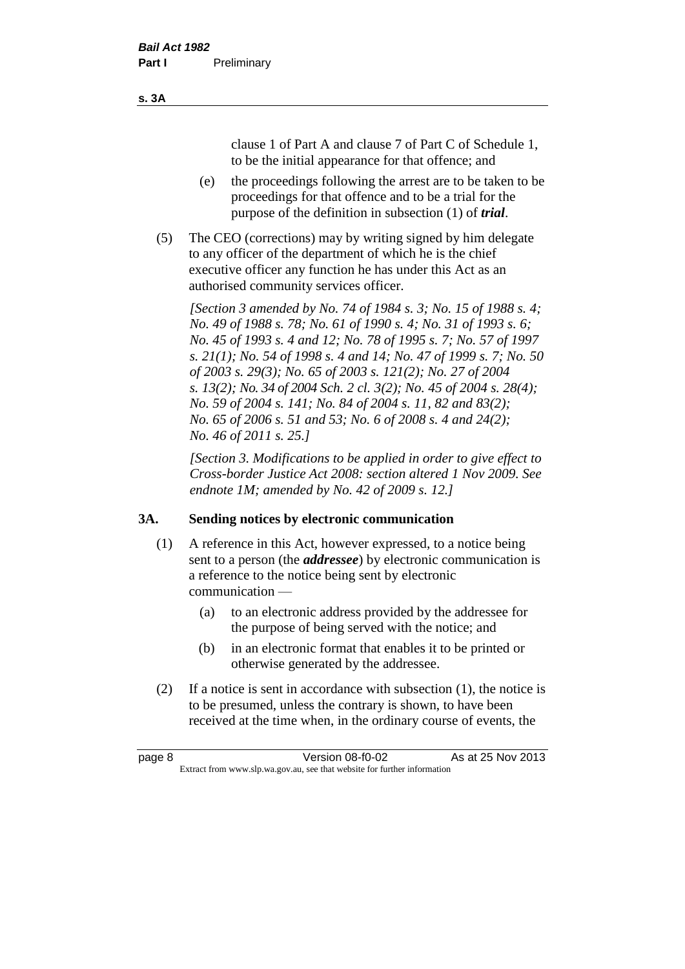clause 1 of Part A and clause 7 of Part C of Schedule 1, to be the initial appearance for that offence; and

- (e) the proceedings following the arrest are to be taken to be proceedings for that offence and to be a trial for the purpose of the definition in subsection (1) of *trial*.
- (5) The CEO (corrections) may by writing signed by him delegate to any officer of the department of which he is the chief executive officer any function he has under this Act as an authorised community services officer.

*[Section 3 amended by No. 74 of 1984 s. 3; No. 15 of 1988 s. 4; No. 49 of 1988 s. 78; No. 61 of 1990 s. 4; No. 31 of 1993 s. 6; No. 45 of 1993 s. 4 and 12; No. 78 of 1995 s. 7; No. 57 of 1997 s. 21(1); No. 54 of 1998 s. 4 and 14; No. 47 of 1999 s. 7; No. 50 of 2003 s. 29(3); No. 65 of 2003 s. 121(2); No. 27 of 2004 s. 13(2); No. 34 of 2004 Sch. 2 cl. 3(2); No. 45 of 2004 s. 28(4); No. 59 of 2004 s. 141; No. 84 of 2004 s. 11, 82 and 83(2); No. 65 of 2006 s. 51 and 53; No. 6 of 2008 s. 4 and 24(2); No. 46 of 2011 s. 25.]* 

*[Section 3. Modifications to be applied in order to give effect to Cross-border Justice Act 2008: section altered 1 Nov 2009. See endnote 1M; amended by No. 42 of 2009 s. 12.]*

#### **3A. Sending notices by electronic communication**

- (1) A reference in this Act, however expressed, to a notice being sent to a person (the *addressee*) by electronic communication is a reference to the notice being sent by electronic communication —
	- (a) to an electronic address provided by the addressee for the purpose of being served with the notice; and
	- (b) in an electronic format that enables it to be printed or otherwise generated by the addressee.
- (2) If a notice is sent in accordance with subsection (1), the notice is to be presumed, unless the contrary is shown, to have been received at the time when, in the ordinary course of events, the

| page 8 | Version 08-f0-02                                                         | As at 25 Nov 2013 |
|--------|--------------------------------------------------------------------------|-------------------|
|        | Extract from www.slp.wa.gov.au, see that website for further information |                   |

#### **s. 3A**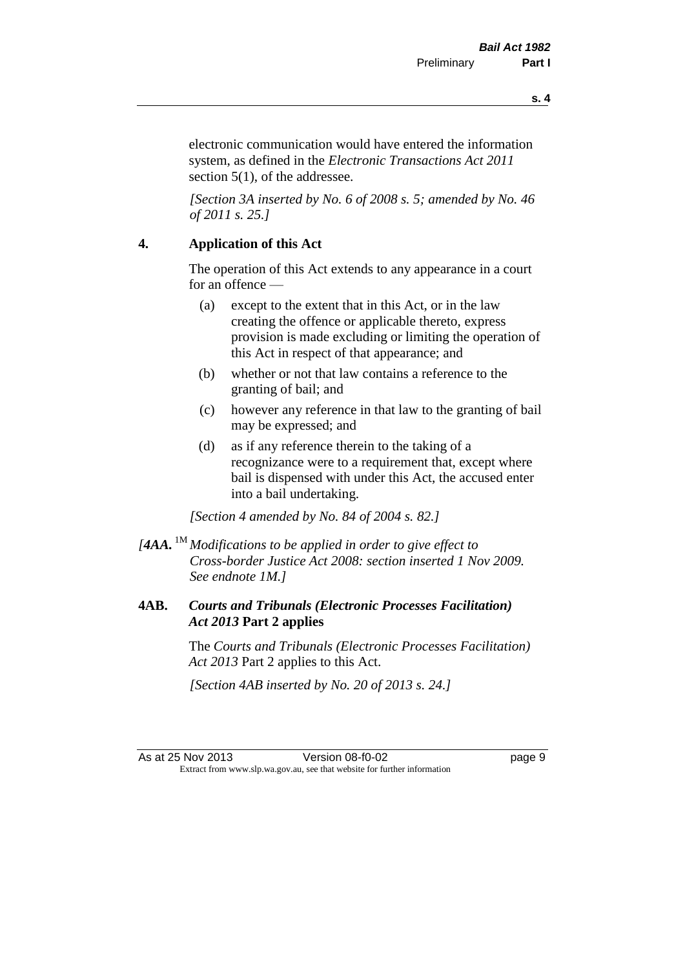**s. 4**

electronic communication would have entered the information system, as defined in the *Electronic Transactions Act 2011* section 5(1), of the addressee.

*[Section 3A inserted by No. 6 of 2008 s. 5; amended by No. 46 of 2011 s. 25.]*

#### **4. Application of this Act**

The operation of this Act extends to any appearance in a court for an offence —

- (a) except to the extent that in this Act, or in the law creating the offence or applicable thereto, express provision is made excluding or limiting the operation of this Act in respect of that appearance; and
- (b) whether or not that law contains a reference to the granting of bail; and
- (c) however any reference in that law to the granting of bail may be expressed; and
- (d) as if any reference therein to the taking of a recognizance were to a requirement that, except where bail is dispensed with under this Act, the accused enter into a bail undertaking.

*[Section 4 amended by No. 84 of 2004 s. 82.]*

*[4AA.* 1M *Modifications to be applied in order to give effect to Cross-border Justice Act 2008: section inserted 1 Nov 2009. See endnote 1M.]*

#### **4AB.** *Courts and Tribunals (Electronic Processes Facilitation) Act 2013* **Part 2 applies**

The *Courts and Tribunals (Electronic Processes Facilitation) Act 2013* Part 2 applies to this Act.

*[Section 4AB inserted by No. 20 of 2013 s. 24.]*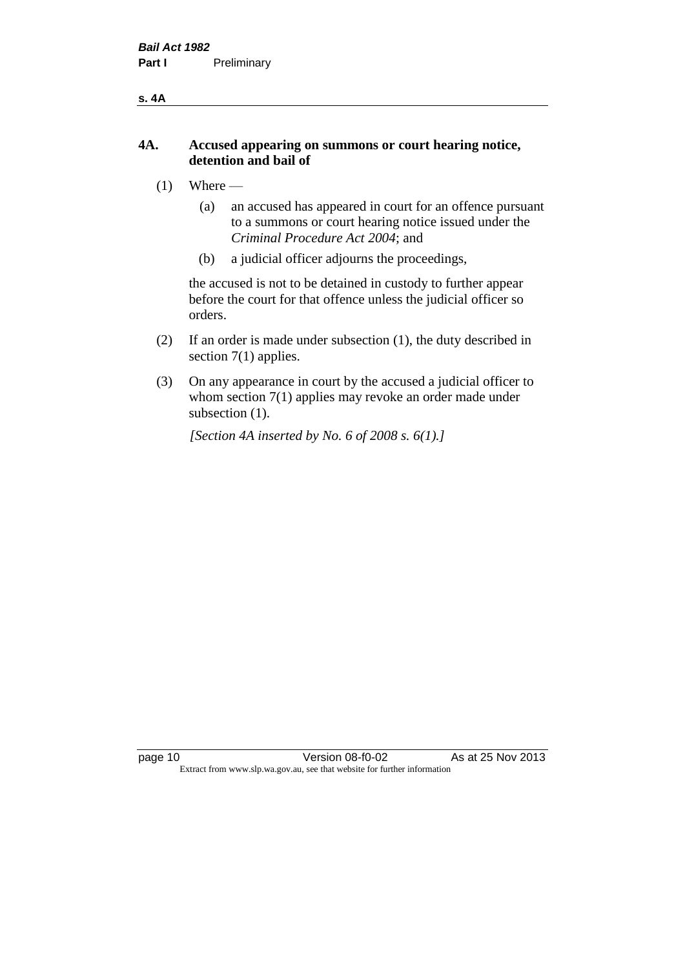#### **s. 4A**

#### **4A. Accused appearing on summons or court hearing notice, detention and bail of**

- $(1)$  Where
	- (a) an accused has appeared in court for an offence pursuant to a summons or court hearing notice issued under the *Criminal Procedure Act 2004*; and
	- (b) a judicial officer adjourns the proceedings,

the accused is not to be detained in custody to further appear before the court for that offence unless the judicial officer so orders.

- (2) If an order is made under subsection (1), the duty described in section 7(1) applies.
- (3) On any appearance in court by the accused a judicial officer to whom section 7(1) applies may revoke an order made under subsection  $(1)$ .

*[Section 4A inserted by No. 6 of 2008 s. 6(1).]*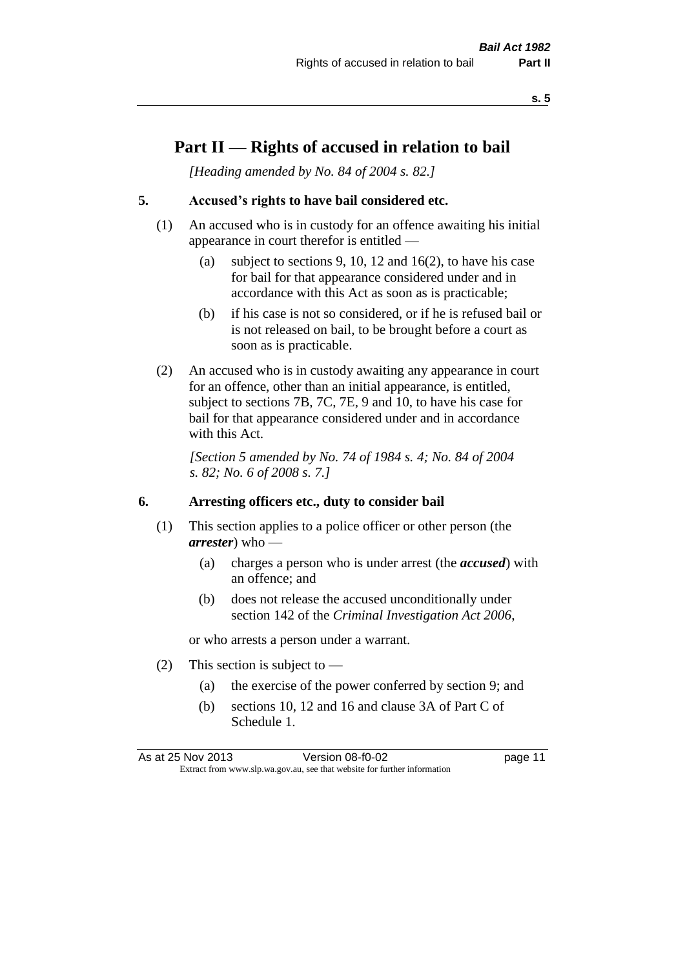### **Part II — Rights of accused in relation to bail**

*[Heading amended by No. 84 of 2004 s. 82.]* 

#### **5. Accused's rights to have bail considered etc.**

- (1) An accused who is in custody for an offence awaiting his initial appearance in court therefor is entitled —
	- (a) subject to sections 9, 10, 12 and 16(2), to have his case for bail for that appearance considered under and in accordance with this Act as soon as is practicable;
	- (b) if his case is not so considered, or if he is refused bail or is not released on bail, to be brought before a court as soon as is practicable.
- (2) An accused who is in custody awaiting any appearance in court for an offence, other than an initial appearance, is entitled, subject to sections 7B, 7C, 7E, 9 and 10, to have his case for bail for that appearance considered under and in accordance with this Act.

*[Section 5 amended by No. 74 of 1984 s. 4; No. 84 of 2004 s. 82; No. 6 of 2008 s. 7.]* 

#### **6. Arresting officers etc., duty to consider bail**

- (1) This section applies to a police officer or other person (the *arrester*) who —
	- (a) charges a person who is under arrest (the *accused*) with an offence; and
	- (b) does not release the accused unconditionally under section 142 of the *Criminal Investigation Act 2006*,

or who arrests a person under a warrant.

- (2) This section is subject to  $-$ 
	- (a) the exercise of the power conferred by section 9; and
	- (b) sections 10, 12 and 16 and clause 3A of Part C of Schedule 1.

As at 25 Nov 2013 **Version 08-f0-02 page 11** Extract from www.slp.wa.gov.au, see that website for further information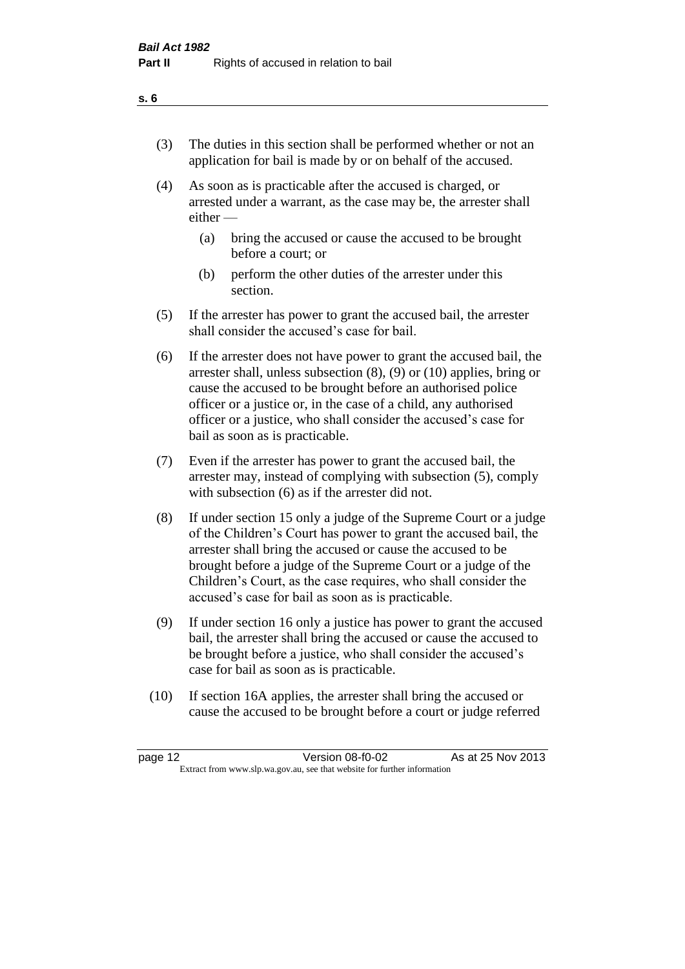- (3) The duties in this section shall be performed whether or not an application for bail is made by or on behalf of the accused.
- (4) As soon as is practicable after the accused is charged, or arrested under a warrant, as the case may be, the arrester shall either —
	- (a) bring the accused or cause the accused to be brought before a court; or
	- (b) perform the other duties of the arrester under this section.
- (5) If the arrester has power to grant the accused bail, the arrester shall consider the accused's case for bail.
- (6) If the arrester does not have power to grant the accused bail, the arrester shall, unless subsection (8), (9) or (10) applies, bring or cause the accused to be brought before an authorised police officer or a justice or, in the case of a child, any authorised officer or a justice, who shall consider the accused's case for bail as soon as is practicable.
- (7) Even if the arrester has power to grant the accused bail, the arrester may, instead of complying with subsection (5), comply with subsection (6) as if the arrester did not.
- (8) If under section 15 only a judge of the Supreme Court or a judge of the Children's Court has power to grant the accused bail, the arrester shall bring the accused or cause the accused to be brought before a judge of the Supreme Court or a judge of the Children's Court, as the case requires, who shall consider the accused's case for bail as soon as is practicable.
- (9) If under section 16 only a justice has power to grant the accused bail, the arrester shall bring the accused or cause the accused to be brought before a justice, who shall consider the accused's case for bail as soon as is practicable.
- (10) If section 16A applies, the arrester shall bring the accused or cause the accused to be brought before a court or judge referred

| page 12 | Version 08-f0-02                                                         | As at 25 Nov 2013 |
|---------|--------------------------------------------------------------------------|-------------------|
|         | Extract from www.slp.wa.gov.au, see that website for further information |                   |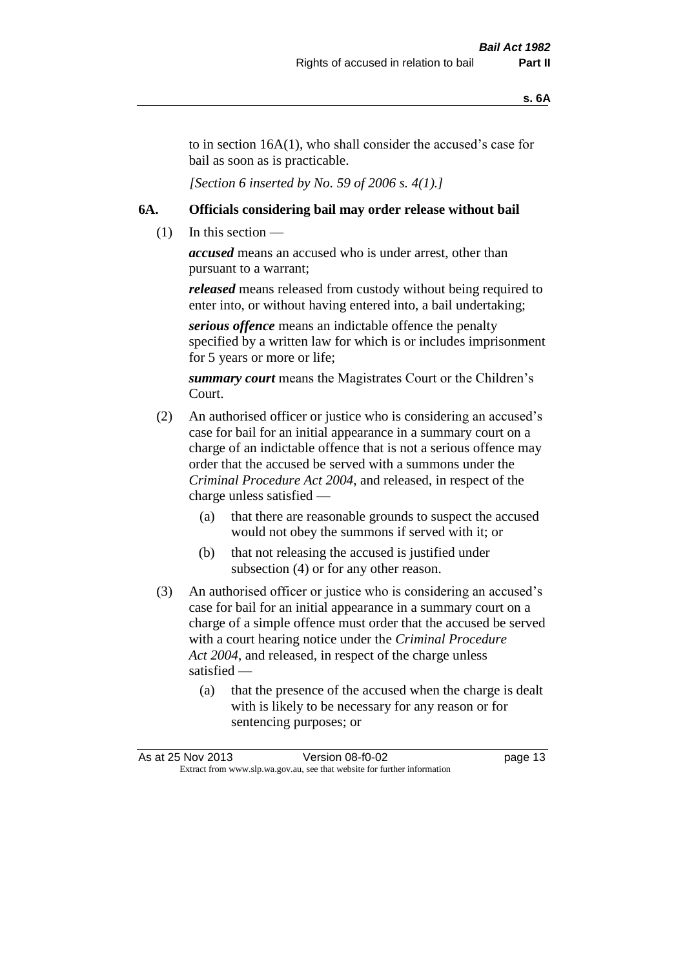to in section 16A(1), who shall consider the accused's case for bail as soon as is practicable.

*[Section 6 inserted by No. 59 of 2006 s. 4(1).]* 

#### **6A. Officials considering bail may order release without bail**

 $(1)$  In this section —

*accused* means an accused who is under arrest, other than pursuant to a warrant;

*released* means released from custody without being required to enter into, or without having entered into, a bail undertaking;

*serious offence* means an indictable offence the penalty specified by a written law for which is or includes imprisonment for 5 years or more or life;

*summary court* means the Magistrates Court or the Children's Court.

- (2) An authorised officer or justice who is considering an accused's case for bail for an initial appearance in a summary court on a charge of an indictable offence that is not a serious offence may order that the accused be served with a summons under the *Criminal Procedure Act 2004*, and released, in respect of the charge unless satisfied —
	- (a) that there are reasonable grounds to suspect the accused would not obey the summons if served with it; or
	- (b) that not releasing the accused is justified under subsection (4) or for any other reason.
- (3) An authorised officer or justice who is considering an accused's case for bail for an initial appearance in a summary court on a charge of a simple offence must order that the accused be served with a court hearing notice under the *Criminal Procedure Act 2004*, and released, in respect of the charge unless satisfied —
	- (a) that the presence of the accused when the charge is dealt with is likely to be necessary for any reason or for sentencing purposes; or

| As at 25 Nov 2013 | Version 08-f0-02                                                         | page 13 |  |
|-------------------|--------------------------------------------------------------------------|---------|--|
|                   | Extract from www.slp.wa.gov.au, see that website for further information |         |  |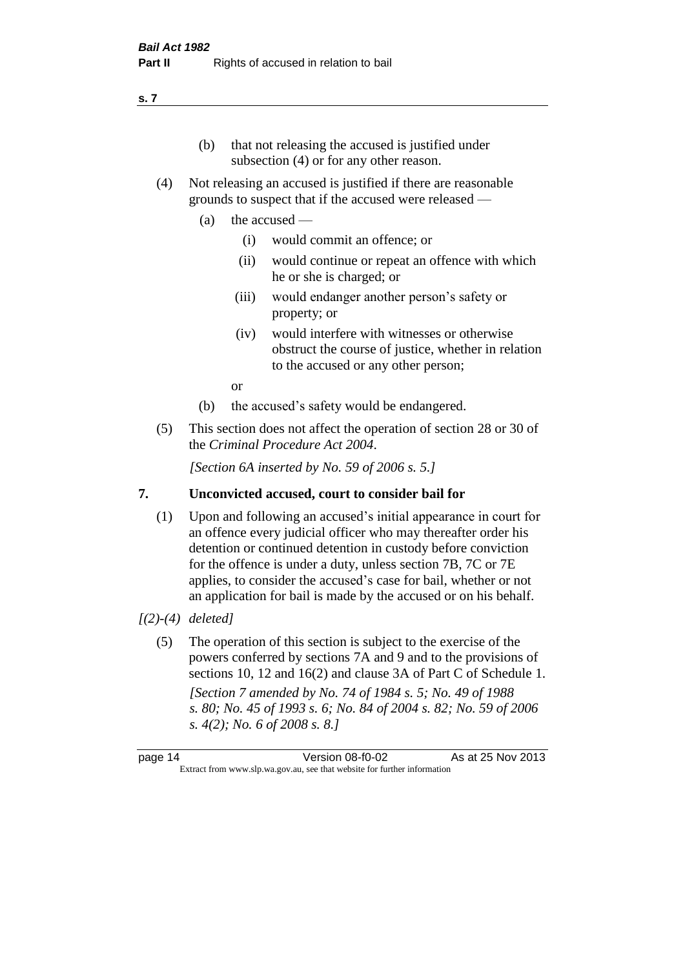#### (b) that not releasing the accused is justified under subsection (4) or for any other reason.

- (4) Not releasing an accused is justified if there are reasonable grounds to suspect that if the accused were released —
	- (a) the accused
		- (i) would commit an offence; or
		- (ii) would continue or repeat an offence with which he or she is charged; or
		- (iii) would endanger another person's safety or property; or
		- (iv) would interfere with witnesses or otherwise obstruct the course of justice, whether in relation to the accused or any other person;

or

- (b) the accused's safety would be endangered.
- (5) This section does not affect the operation of section 28 or 30 of the *Criminal Procedure Act 2004*.

*[Section 6A inserted by No. 59 of 2006 s. 5.]* 

#### **7. Unconvicted accused, court to consider bail for**

(1) Upon and following an accused's initial appearance in court for an offence every judicial officer who may thereafter order his detention or continued detention in custody before conviction for the offence is under a duty, unless section 7B, 7C or 7E applies, to consider the accused's case for bail, whether or not an application for bail is made by the accused or on his behalf.

#### *[(2)-(4) deleted]*

(5) The operation of this section is subject to the exercise of the powers conferred by sections 7A and 9 and to the provisions of sections 10, 12 and 16(2) and clause 3A of Part C of Schedule 1. *[Section 7 amended by No. 74 of 1984 s. 5; No. 49 of 1988 s. 80; No. 45 of 1993 s. 6; No. 84 of 2004 s. 82; No. 59 of 2006 s. 4(2); No. 6 of 2008 s. 8.]* 

page 14 Version 08-f0-02 As at 25 Nov 2013 Extract from www.slp.wa.gov.au, see that website for further information

#### **s. 7**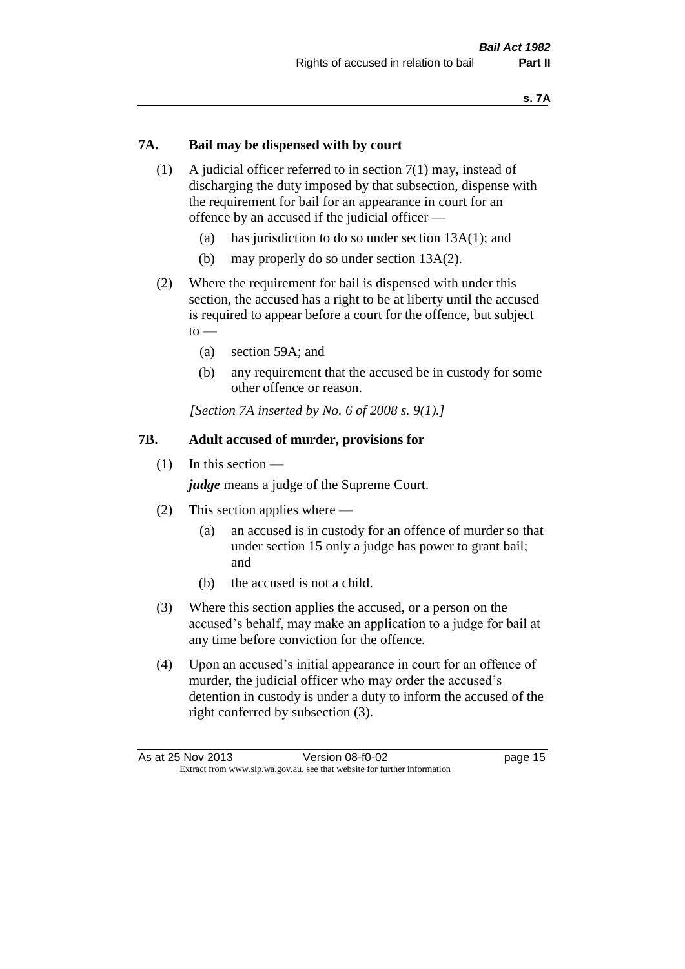#### **7A. Bail may be dispensed with by court**

- (1) A judicial officer referred to in section 7(1) may, instead of discharging the duty imposed by that subsection, dispense with the requirement for bail for an appearance in court for an offence by an accused if the judicial officer —
	- (a) has jurisdiction to do so under section 13A(1); and
	- (b) may properly do so under section 13A(2).
- (2) Where the requirement for bail is dispensed with under this section, the accused has a right to be at liberty until the accused is required to appear before a court for the offence, but subject  $to -$ 
	- (a) section 59A; and
	- (b) any requirement that the accused be in custody for some other offence or reason.

*[Section 7A inserted by No. 6 of 2008 s. 9(1).]*

#### **7B. Adult accused of murder, provisions for**

(1) In this section —

*judge* means a judge of the Supreme Court.

- (2) This section applies where
	- (a) an accused is in custody for an offence of murder so that under section 15 only a judge has power to grant bail; and
	- (b) the accused is not a child.
- (3) Where this section applies the accused, or a person on the accused's behalf, may make an application to a judge for bail at any time before conviction for the offence.
- (4) Upon an accused's initial appearance in court for an offence of murder, the judicial officer who may order the accused's detention in custody is under a duty to inform the accused of the right conferred by subsection (3).

| As at 25 Nov 2013 | Version 08-f0-02                                                         | page 15 |
|-------------------|--------------------------------------------------------------------------|---------|
|                   | Extract from www.slp.wa.gov.au, see that website for further information |         |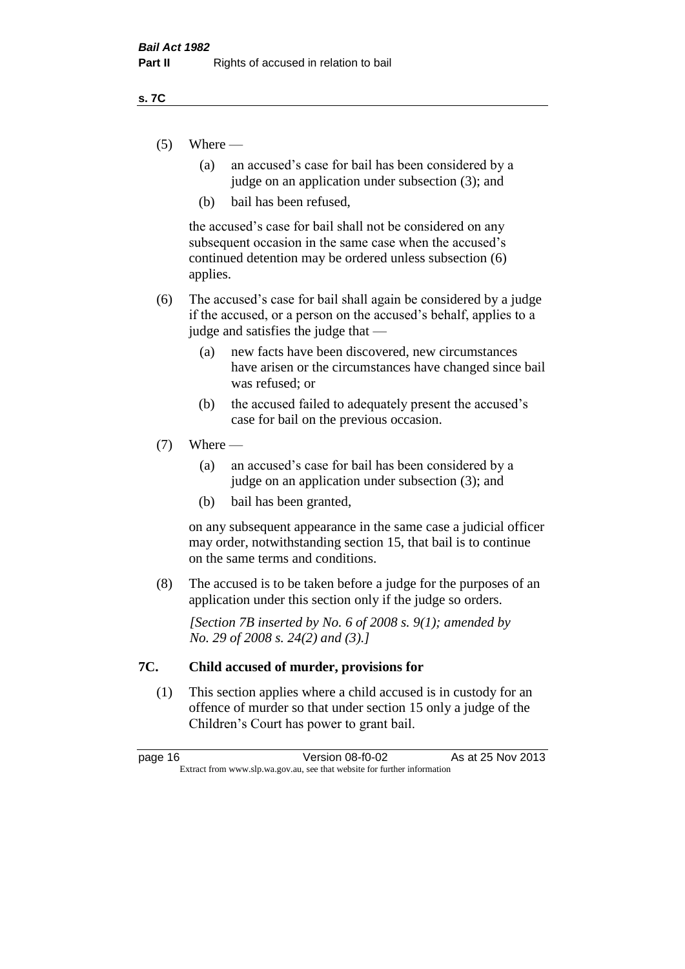#### **s. 7C**

- $(5)$  Where
	- (a) an accused's case for bail has been considered by a judge on an application under subsection (3); and
	- (b) bail has been refused,

the accused's case for bail shall not be considered on any subsequent occasion in the same case when the accused's continued detention may be ordered unless subsection (6) applies.

- (6) The accused's case for bail shall again be considered by a judge if the accused, or a person on the accused's behalf, applies to a judge and satisfies the judge that —
	- (a) new facts have been discovered, new circumstances have arisen or the circumstances have changed since bail was refused; or
	- (b) the accused failed to adequately present the accused's case for bail on the previous occasion.

#### $(7)$  Where —

- (a) an accused's case for bail has been considered by a judge on an application under subsection (3); and
- (b) bail has been granted,

on any subsequent appearance in the same case a judicial officer may order, notwithstanding section 15, that bail is to continue on the same terms and conditions.

(8) The accused is to be taken before a judge for the purposes of an application under this section only if the judge so orders.

*[Section 7B inserted by No. 6 of 2008 s. 9(1); amended by No. 29 of 2008 s. 24(2) and (3).]*

#### **7C. Child accused of murder, provisions for**

(1) This section applies where a child accused is in custody for an offence of murder so that under section 15 only a judge of the Children's Court has power to grant bail.

page 16 **Version 08-f0-02** As at 25 Nov 2013 Extract from www.slp.wa.gov.au, see that website for further information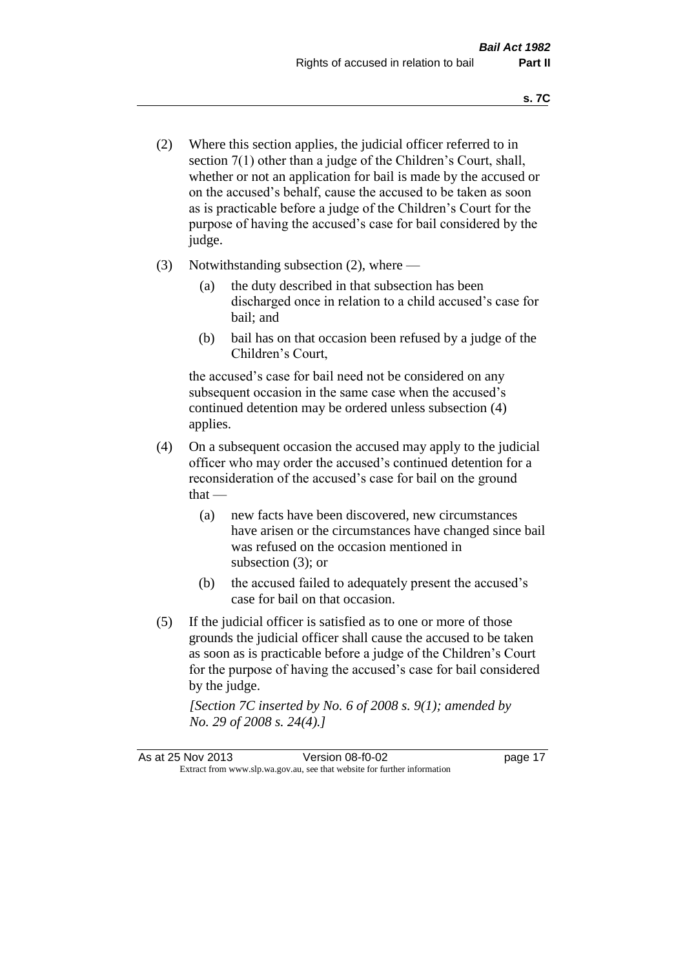- (2) Where this section applies, the judicial officer referred to in section 7(1) other than a judge of the Children's Court, shall, whether or not an application for bail is made by the accused or on the accused's behalf, cause the accused to be taken as soon as is practicable before a judge of the Children's Court for the purpose of having the accused's case for bail considered by the judge.
- (3) Notwithstanding subsection (2), where
	- (a) the duty described in that subsection has been discharged once in relation to a child accused's case for bail; and
	- (b) bail has on that occasion been refused by a judge of the Children's Court,

the accused's case for bail need not be considered on any subsequent occasion in the same case when the accused's continued detention may be ordered unless subsection (4) applies.

- (4) On a subsequent occasion the accused may apply to the judicial officer who may order the accused's continued detention for a reconsideration of the accused's case for bail on the ground  $that -$ 
	- (a) new facts have been discovered, new circumstances have arisen or the circumstances have changed since bail was refused on the occasion mentioned in subsection (3); or
	- (b) the accused failed to adequately present the accused's case for bail on that occasion.
- (5) If the judicial officer is satisfied as to one or more of those grounds the judicial officer shall cause the accused to be taken as soon as is practicable before a judge of the Children's Court for the purpose of having the accused's case for bail considered by the judge.

*[Section 7C inserted by No. 6 of 2008 s. 9(1); amended by No. 29 of 2008 s. 24(4).]*

As at 25 Nov 2013 **Version 08-f0-02** page 17 Extract from www.slp.wa.gov.au, see that website for further information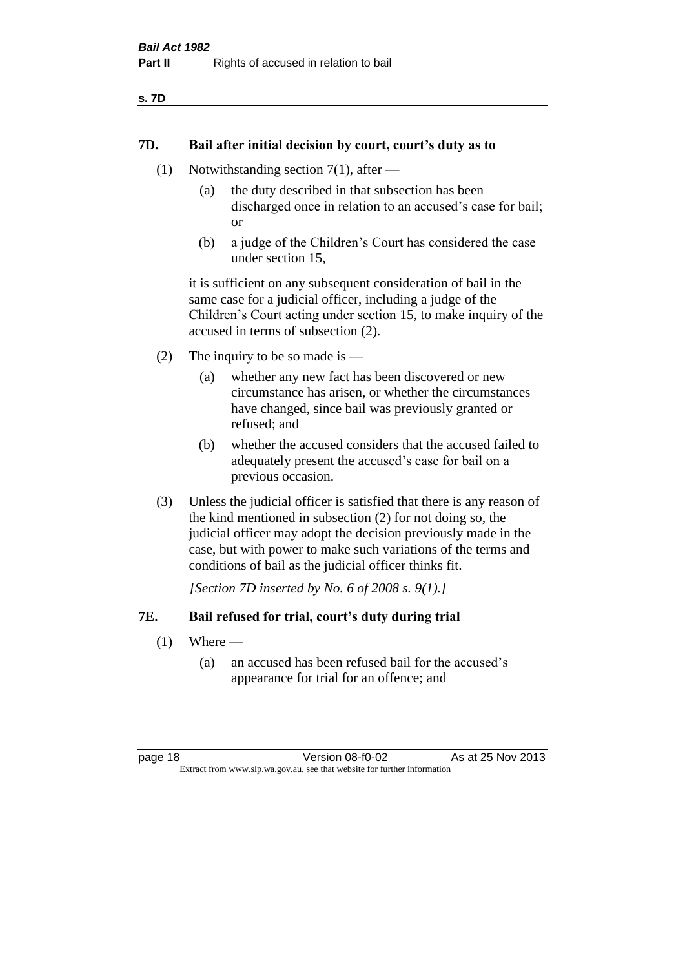| ×<br>۰. | ۰. |  |
|---------|----|--|
|---------|----|--|

#### **7D. Bail after initial decision by court, court's duty as to**

- (1) Notwithstanding section 7(1), after
	- (a) the duty described in that subsection has been discharged once in relation to an accused's case for bail; or
	- (b) a judge of the Children's Court has considered the case under section 15,

it is sufficient on any subsequent consideration of bail in the same case for a judicial officer, including a judge of the Children's Court acting under section 15, to make inquiry of the accused in terms of subsection (2).

- (2) The inquiry to be so made is  $-$ 
	- (a) whether any new fact has been discovered or new circumstance has arisen, or whether the circumstances have changed, since bail was previously granted or refused; and
	- (b) whether the accused considers that the accused failed to adequately present the accused's case for bail on a previous occasion.
- (3) Unless the judicial officer is satisfied that there is any reason of the kind mentioned in subsection (2) for not doing so, the judicial officer may adopt the decision previously made in the case, but with power to make such variations of the terms and conditions of bail as the judicial officer thinks fit.

*[Section 7D inserted by No. 6 of 2008 s. 9(1).]*

#### **7E. Bail refused for trial, court's duty during trial**

- $(1)$  Where
	- (a) an accused has been refused bail for the accused's appearance for trial for an offence; and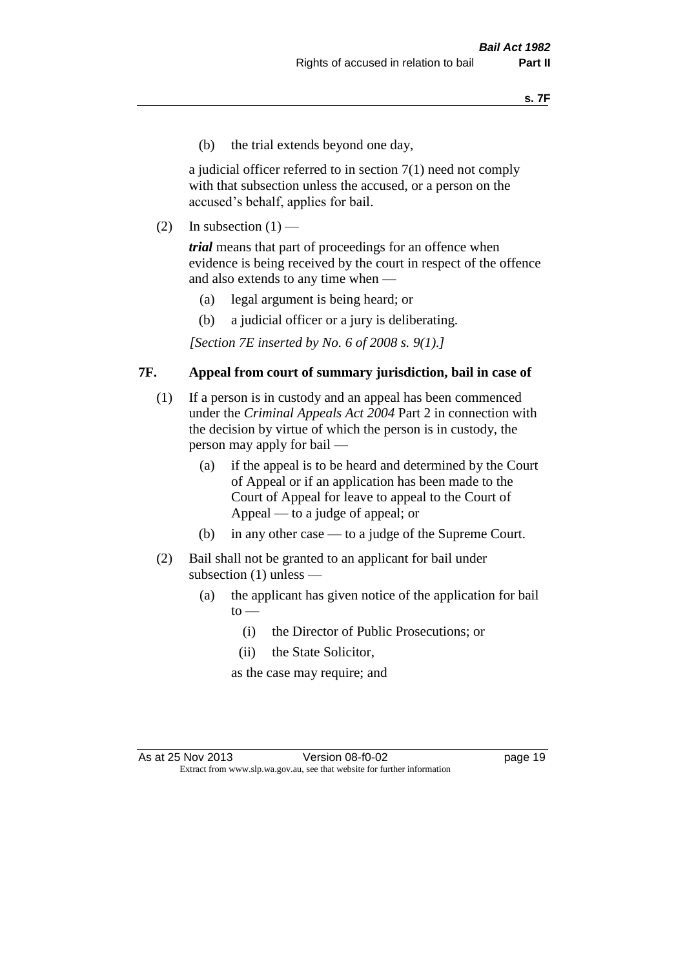(b) the trial extends beyond one day,

a judicial officer referred to in section 7(1) need not comply with that subsection unless the accused, or a person on the accused's behalf, applies for bail.

(2) In subsection  $(1)$  —

*trial* means that part of proceedings for an offence when evidence is being received by the court in respect of the offence and also extends to any time when —

- (a) legal argument is being heard; or
- (b) a judicial officer or a jury is deliberating.

*[Section 7E inserted by No. 6 of 2008 s. 9(1).]*

#### **7F. Appeal from court of summary jurisdiction, bail in case of**

- (1) If a person is in custody and an appeal has been commenced under the *Criminal Appeals Act 2004* Part 2 in connection with the decision by virtue of which the person is in custody, the person may apply for bail —
	- (a) if the appeal is to be heard and determined by the Court of Appeal or if an application has been made to the Court of Appeal for leave to appeal to the Court of Appeal — to a judge of appeal; or
	- (b) in any other case to a judge of the Supreme Court.
- (2) Bail shall not be granted to an applicant for bail under subsection (1) unless —
	- (a) the applicant has given notice of the application for bail  $to -$ 
		- (i) the Director of Public Prosecutions; or
		- (ii) the State Solicitor,

as the case may require; and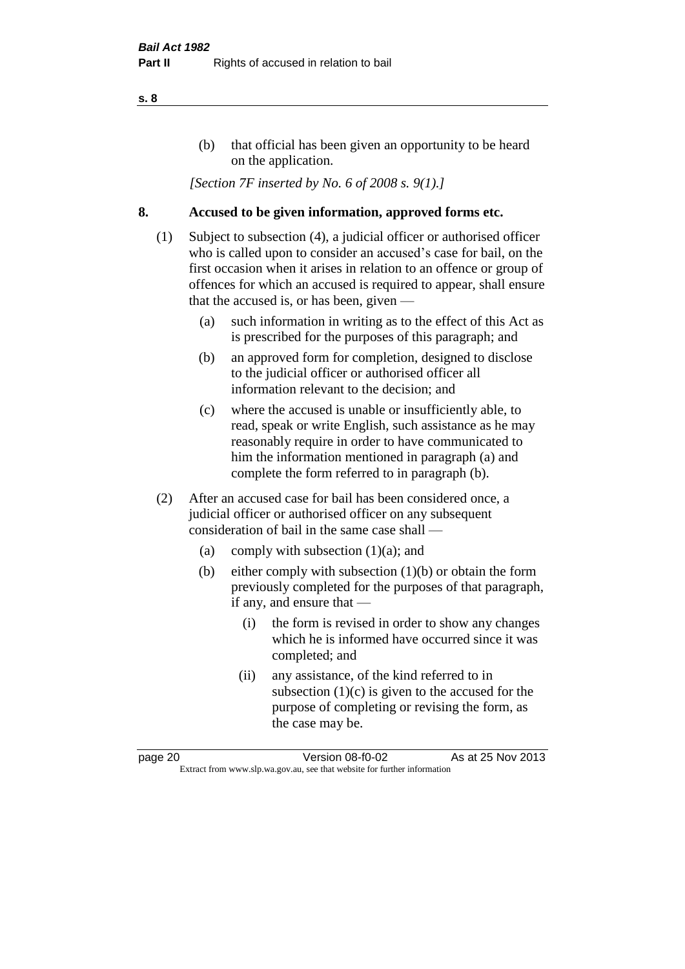#### (b) that official has been given an opportunity to be heard on the application.

*[Section 7F inserted by No. 6 of 2008 s. 9(1).]*

#### **8. Accused to be given information, approved forms etc.**

- (1) Subject to subsection (4), a judicial officer or authorised officer who is called upon to consider an accused's case for bail, on the first occasion when it arises in relation to an offence or group of offences for which an accused is required to appear, shall ensure that the accused is, or has been, given —
	- (a) such information in writing as to the effect of this Act as is prescribed for the purposes of this paragraph; and
	- (b) an approved form for completion, designed to disclose to the judicial officer or authorised officer all information relevant to the decision; and
	- (c) where the accused is unable or insufficiently able, to read, speak or write English, such assistance as he may reasonably require in order to have communicated to him the information mentioned in paragraph (a) and complete the form referred to in paragraph (b).
- (2) After an accused case for bail has been considered once, a judicial officer or authorised officer on any subsequent consideration of bail in the same case shall —
	- (a) comply with subsection (1)(a); and
	- (b) either comply with subsection (1)(b) or obtain the form previously completed for the purposes of that paragraph, if any, and ensure that —
		- (i) the form is revised in order to show any changes which he is informed have occurred since it was completed; and
		- (ii) any assistance, of the kind referred to in subsection  $(1)(c)$  is given to the accused for the purpose of completing or revising the form, as the case may be.

page 20 Version 08-f0-02 As at 25 Nov 2013 Extract from www.slp.wa.gov.au, see that website for further information

#### **s. 8**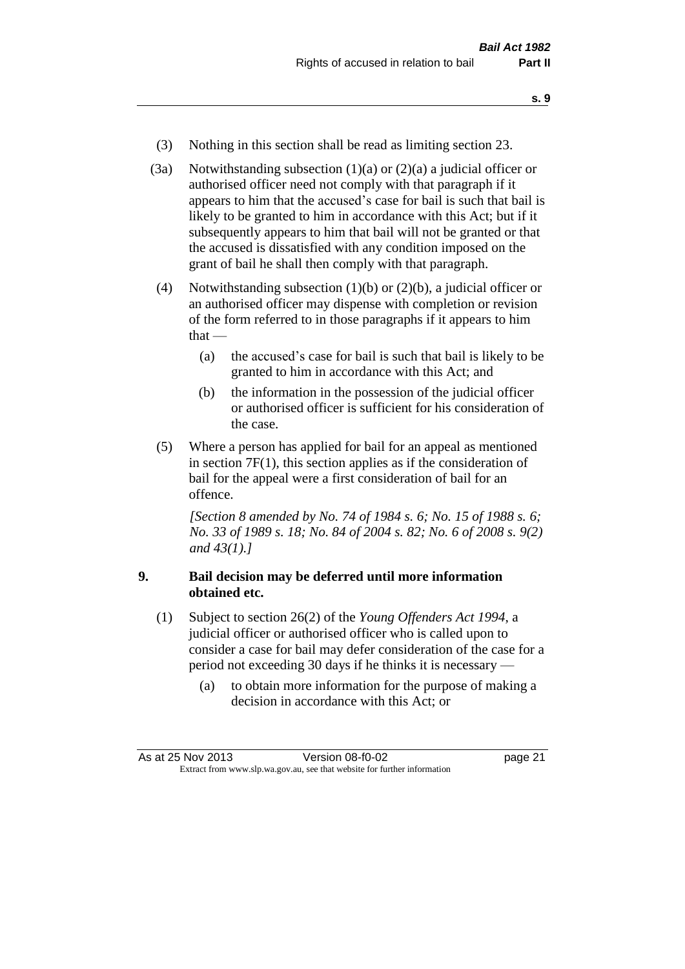- **s. 9**
- (3) Nothing in this section shall be read as limiting section 23.
- (3a) Notwithstanding subsection  $(1)(a)$  or  $(2)(a)$  a judicial officer or authorised officer need not comply with that paragraph if it appears to him that the accused's case for bail is such that bail is likely to be granted to him in accordance with this Act; but if it subsequently appears to him that bail will not be granted or that the accused is dissatisfied with any condition imposed on the grant of bail he shall then comply with that paragraph.
- (4) Notwithstanding subsection (1)(b) or (2)(b), a judicial officer or an authorised officer may dispense with completion or revision of the form referred to in those paragraphs if it appears to him that —
	- (a) the accused's case for bail is such that bail is likely to be granted to him in accordance with this Act; and
	- (b) the information in the possession of the judicial officer or authorised officer is sufficient for his consideration of the case.
- (5) Where a person has applied for bail for an appeal as mentioned in section 7F(1), this section applies as if the consideration of bail for the appeal were a first consideration of bail for an offence.

*[Section 8 amended by No. 74 of 1984 s. 6; No. 15 of 1988 s. 6; No. 33 of 1989 s. 18; No. 84 of 2004 s. 82; No. 6 of 2008 s. 9(2) and 43(1).]* 

#### **9. Bail decision may be deferred until more information obtained etc.**

- (1) Subject to section 26(2) of the *Young Offenders Act 1994*, a judicial officer or authorised officer who is called upon to consider a case for bail may defer consideration of the case for a period not exceeding 30 days if he thinks it is necessary —
	- (a) to obtain more information for the purpose of making a decision in accordance with this Act; or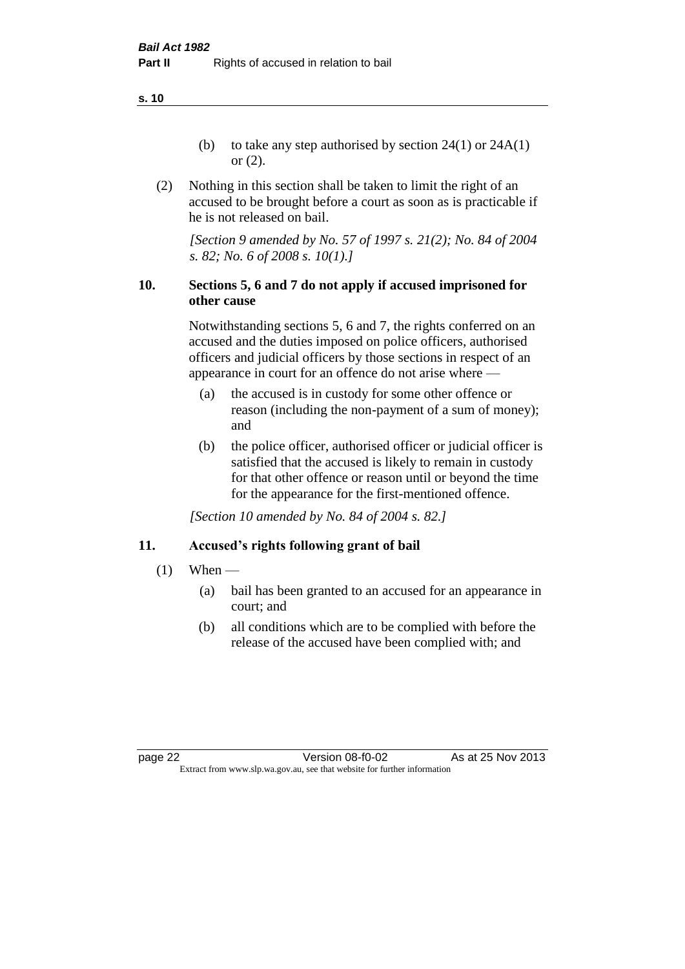**s. 10**

- (b) to take any step authorised by section  $24(1)$  or  $24A(1)$ or (2).
- (2) Nothing in this section shall be taken to limit the right of an accused to be brought before a court as soon as is practicable if he is not released on bail.

*[Section 9 amended by No. 57 of 1997 s. 21(2); No. 84 of 2004 s. 82; No. 6 of 2008 s. 10(1).]*

#### **10. Sections 5, 6 and 7 do not apply if accused imprisoned for other cause**

Notwithstanding sections 5, 6 and 7, the rights conferred on an accused and the duties imposed on police officers, authorised officers and judicial officers by those sections in respect of an appearance in court for an offence do not arise where —

- (a) the accused is in custody for some other offence or reason (including the non-payment of a sum of money); and
- (b) the police officer, authorised officer or judicial officer is satisfied that the accused is likely to remain in custody for that other offence or reason until or beyond the time for the appearance for the first-mentioned offence.

*[Section 10 amended by No. 84 of 2004 s. 82.]*

#### **11. Accused's rights following grant of bail**

- $(1)$  When
	- (a) bail has been granted to an accused for an appearance in court; and
	- (b) all conditions which are to be complied with before the release of the accused have been complied with; and

page 22 Version 08-f0-02 As at 25 Nov 2013 Extract from www.slp.wa.gov.au, see that website for further information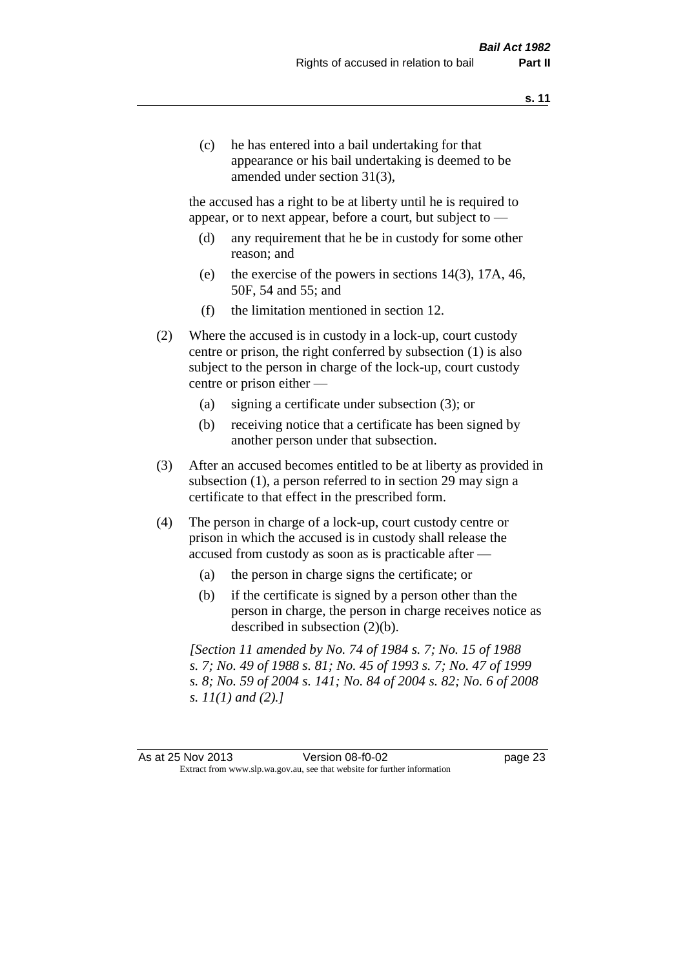(c) he has entered into a bail undertaking for that appearance or his bail undertaking is deemed to be amended under section 31(3),

the accused has a right to be at liberty until he is required to appear, or to next appear, before a court, but subject to —

- (d) any requirement that he be in custody for some other reason; and
- (e) the exercise of the powers in sections 14(3), 17A, 46, 50F, 54 and 55; and
- (f) the limitation mentioned in section 12.
- (2) Where the accused is in custody in a lock-up, court custody centre or prison, the right conferred by subsection (1) is also subject to the person in charge of the lock-up, court custody centre or prison either —
	- (a) signing a certificate under subsection (3); or
	- (b) receiving notice that a certificate has been signed by another person under that subsection.
- (3) After an accused becomes entitled to be at liberty as provided in subsection (1), a person referred to in section 29 may sign a certificate to that effect in the prescribed form.
- (4) The person in charge of a lock-up, court custody centre or prison in which the accused is in custody shall release the accused from custody as soon as is practicable after —
	- (a) the person in charge signs the certificate; or
	- (b) if the certificate is signed by a person other than the person in charge, the person in charge receives notice as described in subsection (2)(b).

*[Section 11 amended by No. 74 of 1984 s. 7; No. 15 of 1988 s. 7; No. 49 of 1988 s. 81; No. 45 of 1993 s. 7; No. 47 of 1999 s. 8; No. 59 of 2004 s. 141; No. 84 of 2004 s. 82; No. 6 of 2008 s. 11(1) and (2).]* 

As at 25 Nov 2013 Version 08-f0-02 page 23 Extract from www.slp.wa.gov.au, see that website for further information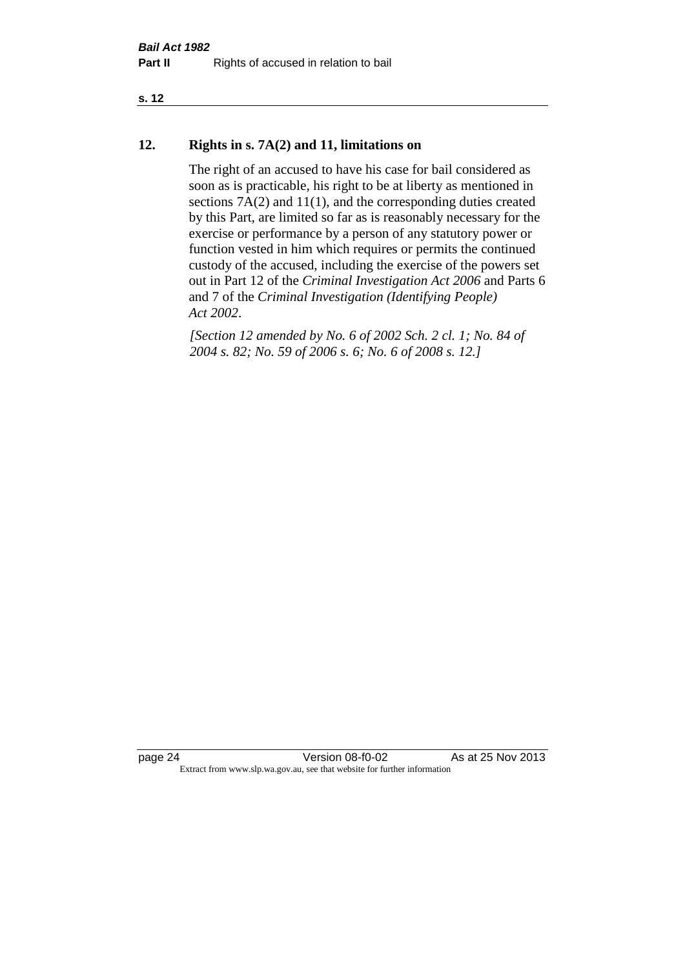#### **s. 12**

#### **12. Rights in s. 7A(2) and 11, limitations on**

The right of an accused to have his case for bail considered as soon as is practicable, his right to be at liberty as mentioned in sections 7A(2) and 11(1), and the corresponding duties created by this Part, are limited so far as is reasonably necessary for the exercise or performance by a person of any statutory power or function vested in him which requires or permits the continued custody of the accused, including the exercise of the powers set out in Part 12 of the *Criminal Investigation Act 2006* and Parts 6 and 7 of the *Criminal Investigation (Identifying People) Act 2002*.

*[Section 12 amended by No. 6 of 2002 Sch. 2 cl. 1; No. 84 of 2004 s. 82; No. 59 of 2006 s. 6; No. 6 of 2008 s. 12.]*

page 24 Version 08-f0-02 As at 25 Nov 2013 Extract from www.slp.wa.gov.au, see that website for further information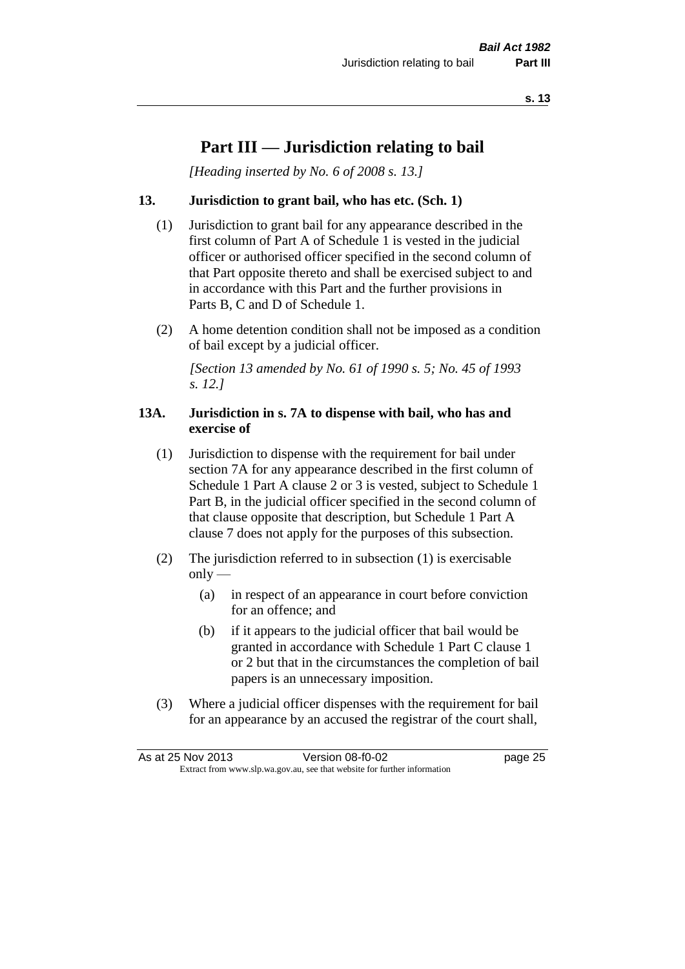### **Part III — Jurisdiction relating to bail**

*[Heading inserted by No. 6 of 2008 s. 13.]*

#### **13. Jurisdiction to grant bail, who has etc. (Sch. 1)**

- (1) Jurisdiction to grant bail for any appearance described in the first column of Part A of Schedule 1 is vested in the judicial officer or authorised officer specified in the second column of that Part opposite thereto and shall be exercised subject to and in accordance with this Part and the further provisions in Parts B, C and D of Schedule 1.
- (2) A home detention condition shall not be imposed as a condition of bail except by a judicial officer.

*[Section 13 amended by No. 61 of 1990 s. 5; No. 45 of 1993 s. 12.]* 

#### **13A. Jurisdiction in s. 7A to dispense with bail, who has and exercise of**

- (1) Jurisdiction to dispense with the requirement for bail under section 7A for any appearance described in the first column of Schedule 1 Part A clause 2 or 3 is vested, subject to Schedule 1 Part B, in the judicial officer specified in the second column of that clause opposite that description, but Schedule 1 Part A clause 7 does not apply for the purposes of this subsection.
- (2) The jurisdiction referred to in subsection (1) is exercisable  $only$ —
	- (a) in respect of an appearance in court before conviction for an offence; and
	- (b) if it appears to the judicial officer that bail would be granted in accordance with Schedule 1 Part C clause 1 or 2 but that in the circumstances the completion of bail papers is an unnecessary imposition.
- (3) Where a judicial officer dispenses with the requirement for bail for an appearance by an accused the registrar of the court shall,

| As at 25 Nov 2013                                                        |  | Version 08-f0-02 | page 25 |
|--------------------------------------------------------------------------|--|------------------|---------|
| Extract from www.slp.wa.gov.au, see that website for further information |  |                  |         |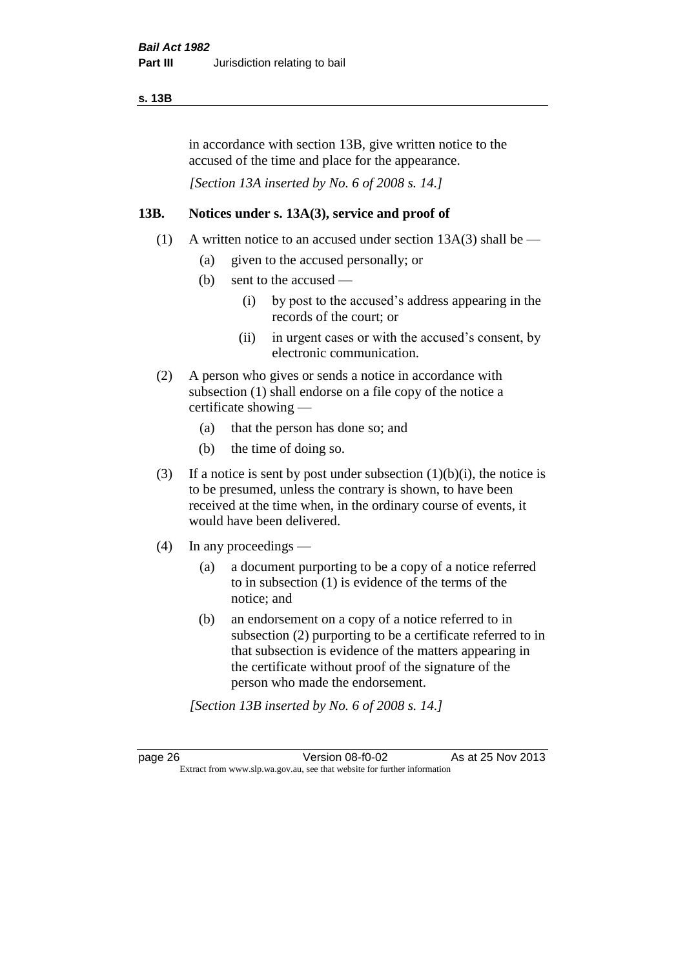#### **s. 13B**

in accordance with section 13B, give written notice to the accused of the time and place for the appearance.

*[Section 13A inserted by No. 6 of 2008 s. 14.]*

#### **13B. Notices under s. 13A(3), service and proof of**

- (1) A written notice to an accused under section  $13A(3)$  shall be
	- (a) given to the accused personally; or
	- (b) sent to the accused
		- (i) by post to the accused's address appearing in the records of the court; or
		- (ii) in urgent cases or with the accused's consent, by electronic communication.
- (2) A person who gives or sends a notice in accordance with subsection (1) shall endorse on a file copy of the notice a certificate showing —
	- (a) that the person has done so; and
	- (b) the time of doing so.
- (3) If a notice is sent by post under subsection  $(1)(b)(i)$ , the notice is to be presumed, unless the contrary is shown, to have been received at the time when, in the ordinary course of events, it would have been delivered.
- (4) In any proceedings
	- (a) a document purporting to be a copy of a notice referred to in subsection (1) is evidence of the terms of the notice; and
	- (b) an endorsement on a copy of a notice referred to in subsection (2) purporting to be a certificate referred to in that subsection is evidence of the matters appearing in the certificate without proof of the signature of the person who made the endorsement.

*[Section 13B inserted by No. 6 of 2008 s. 14.]*

page 26 Version 08-f0-02 As at 25 Nov 2013 Extract from www.slp.wa.gov.au, see that website for further information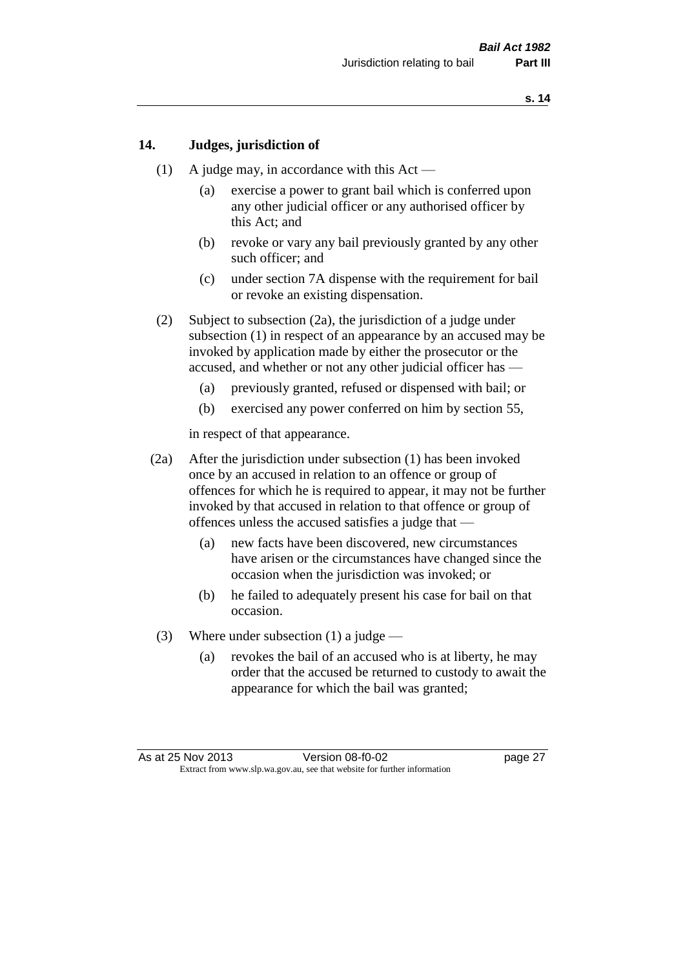#### **14. Judges, jurisdiction of**

- (1) A judge may, in accordance with this  $Act -$ 
	- (a) exercise a power to grant bail which is conferred upon any other judicial officer or any authorised officer by this Act; and
	- (b) revoke or vary any bail previously granted by any other such officer; and
	- (c) under section 7A dispense with the requirement for bail or revoke an existing dispensation.
- (2) Subject to subsection (2a), the jurisdiction of a judge under subsection (1) in respect of an appearance by an accused may be invoked by application made by either the prosecutor or the accused, and whether or not any other judicial officer has —
	- (a) previously granted, refused or dispensed with bail; or
	- (b) exercised any power conferred on him by section 55,

in respect of that appearance.

- (2a) After the jurisdiction under subsection (1) has been invoked once by an accused in relation to an offence or group of offences for which he is required to appear, it may not be further invoked by that accused in relation to that offence or group of offences unless the accused satisfies a judge that —
	- (a) new facts have been discovered, new circumstances have arisen or the circumstances have changed since the occasion when the jurisdiction was invoked; or
	- (b) he failed to adequately present his case for bail on that occasion.
- (3) Where under subsection (1) a judge
	- (a) revokes the bail of an accused who is at liberty, he may order that the accused be returned to custody to await the appearance for which the bail was granted;

As at 25 Nov 2013 Version 08-f0-02 page 27 Extract from www.slp.wa.gov.au, see that website for further information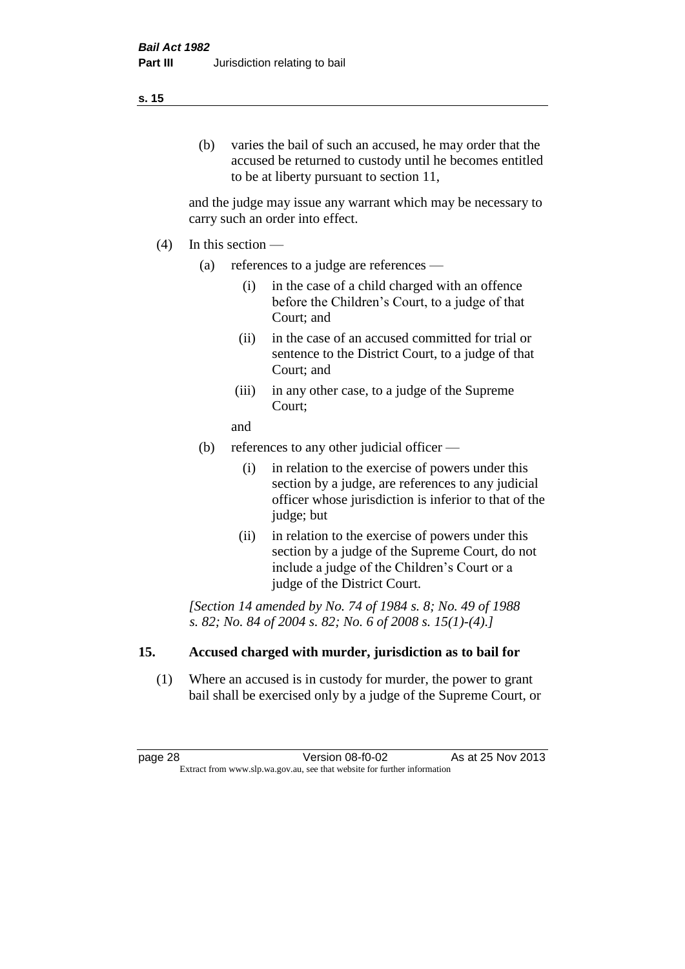#### (b) varies the bail of such an accused, he may order that the accused be returned to custody until he becomes entitled to be at liberty pursuant to section 11,

and the judge may issue any warrant which may be necessary to carry such an order into effect.

- (4) In this section
	- (a) references to a judge are references
		- (i) in the case of a child charged with an offence before the Children's Court, to a judge of that Court; and
		- (ii) in the case of an accused committed for trial or sentence to the District Court, to a judge of that Court; and
		- (iii) in any other case, to a judge of the Supreme Court;
		- and
	- (b) references to any other judicial officer
		- (i) in relation to the exercise of powers under this section by a judge, are references to any judicial officer whose jurisdiction is inferior to that of the judge; but
		- (ii) in relation to the exercise of powers under this section by a judge of the Supreme Court, do not include a judge of the Children's Court or a judge of the District Court.

*[Section 14 amended by No. 74 of 1984 s. 8; No. 49 of 1988 s. 82; No. 84 of 2004 s. 82; No. 6 of 2008 s. 15(1)-(4).]* 

#### **15. Accused charged with murder, jurisdiction as to bail for**

(1) Where an accused is in custody for murder, the power to grant bail shall be exercised only by a judge of the Supreme Court, or

page 28 **Version 08-f0-02** As at 25 Nov 2013 Extract from www.slp.wa.gov.au, see that website for further information

#### **s. 15**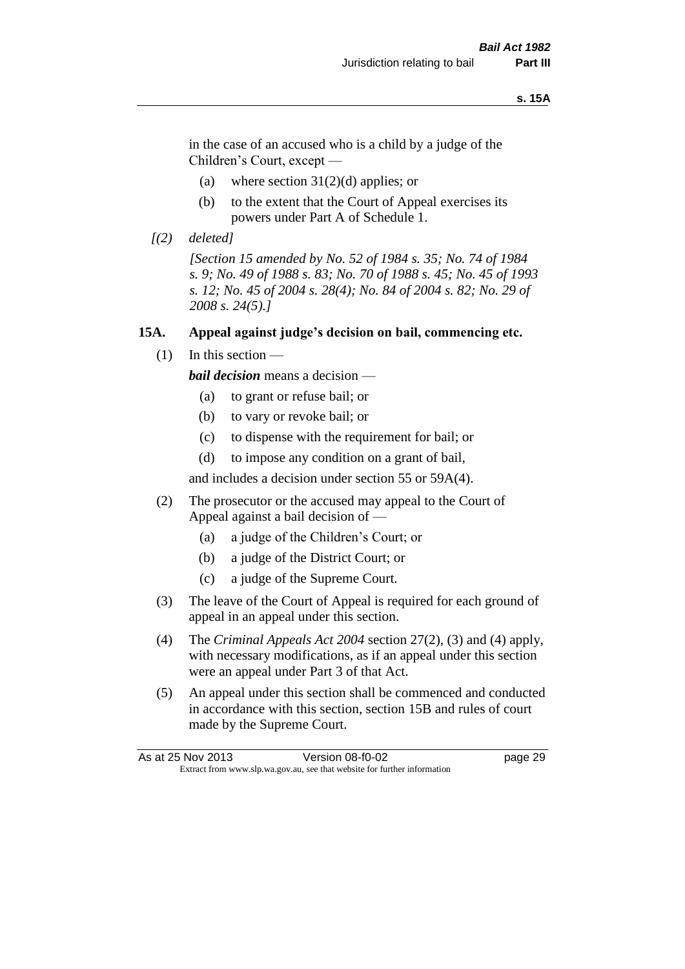#### **s. 15A**

in the case of an accused who is a child by a judge of the Children's Court, except —

- (a) where section  $31(2)(d)$  applies; or
- (b) to the extent that the Court of Appeal exercises its powers under Part A of Schedule 1.
- *[(2) deleted]*

*[Section 15 amended by No. 52 of 1984 s. 35; No. 74 of 1984 s. 9; No. 49 of 1988 s. 83; No. 70 of 1988 s. 45; No. 45 of 1993 s. 12; No. 45 of 2004 s. 28(4); No. 84 of 2004 s. 82; No. 29 of 2008 s. 24(5).]* 

#### **15A. Appeal against judge's decision on bail, commencing etc.**

 $(1)$  In this section —

*bail decision* means a decision —

- (a) to grant or refuse bail; or
- (b) to vary or revoke bail; or
- (c) to dispense with the requirement for bail; or
- (d) to impose any condition on a grant of bail,

and includes a decision under section 55 or 59A(4).

- (2) The prosecutor or the accused may appeal to the Court of Appeal against a bail decision of —
	- (a) a judge of the Children's Court; or
	- (b) a judge of the District Court; or
	- (c) a judge of the Supreme Court.
- (3) The leave of the Court of Appeal is required for each ground of appeal in an appeal under this section.
- (4) The *Criminal Appeals Act 2004* section 27(2), (3) and (4) apply, with necessary modifications, as if an appeal under this section were an appeal under Part 3 of that Act.
- (5) An appeal under this section shall be commenced and conducted in accordance with this section, section 15B and rules of court made by the Supreme Court.

| As at 25 Nov 2013 | Version 08-f0-02                                                         | page 29 |
|-------------------|--------------------------------------------------------------------------|---------|
|                   | Extract from www.slp.wa.gov.au, see that website for further information |         |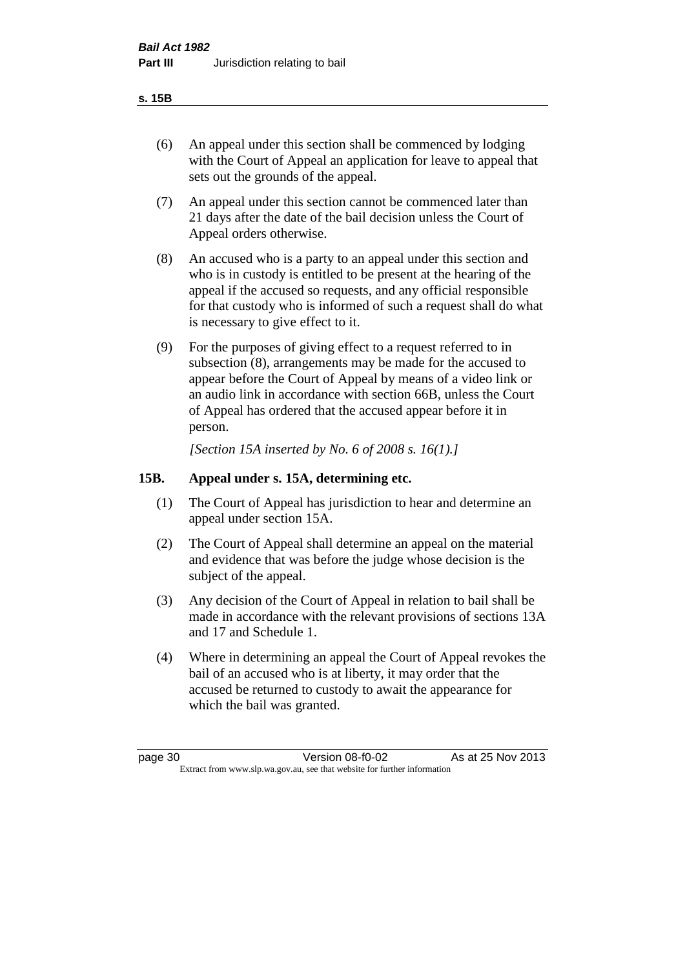#### **s. 15B**

- (6) An appeal under this section shall be commenced by lodging with the Court of Appeal an application for leave to appeal that sets out the grounds of the appeal.
- (7) An appeal under this section cannot be commenced later than 21 days after the date of the bail decision unless the Court of Appeal orders otherwise.
- (8) An accused who is a party to an appeal under this section and who is in custody is entitled to be present at the hearing of the appeal if the accused so requests, and any official responsible for that custody who is informed of such a request shall do what is necessary to give effect to it.
- (9) For the purposes of giving effect to a request referred to in subsection (8), arrangements may be made for the accused to appear before the Court of Appeal by means of a video link or an audio link in accordance with section 66B, unless the Court of Appeal has ordered that the accused appear before it in person.

*[Section 15A inserted by No. 6 of 2008 s. 16(1).]*

#### **15B. Appeal under s. 15A, determining etc.**

- (1) The Court of Appeal has jurisdiction to hear and determine an appeal under section 15A.
- (2) The Court of Appeal shall determine an appeal on the material and evidence that was before the judge whose decision is the subject of the appeal.
- (3) Any decision of the Court of Appeal in relation to bail shall be made in accordance with the relevant provisions of sections 13A and 17 and Schedule 1.
- (4) Where in determining an appeal the Court of Appeal revokes the bail of an accused who is at liberty, it may order that the accused be returned to custody to await the appearance for which the bail was granted.

page 30 Version 08-f0-02 As at 25 Nov 2013 Extract from www.slp.wa.gov.au, see that website for further information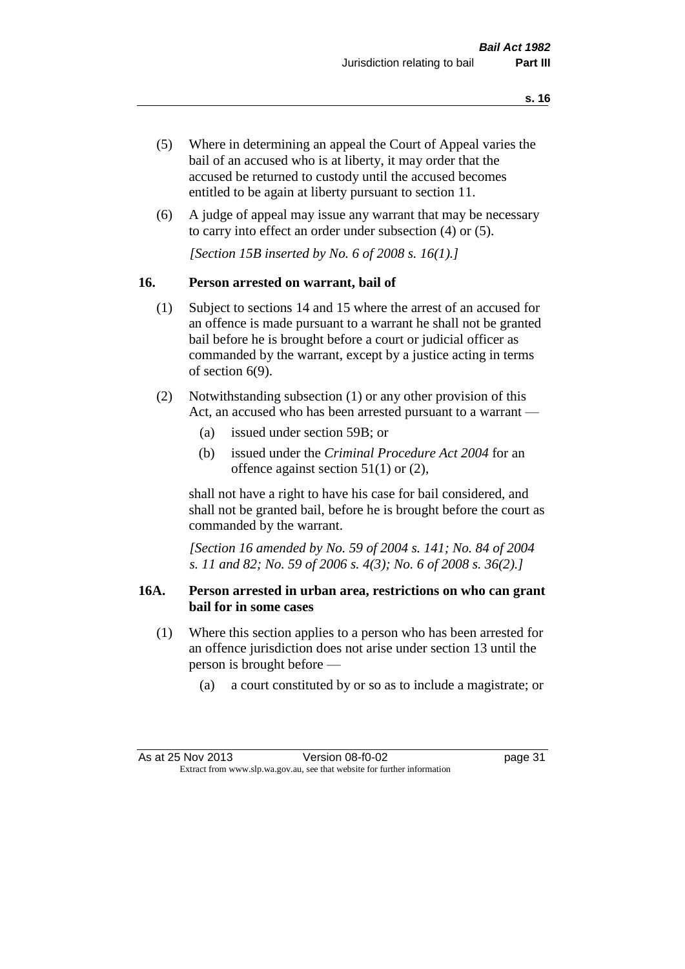- (5) Where in determining an appeal the Court of Appeal varies the bail of an accused who is at liberty, it may order that the accused be returned to custody until the accused becomes entitled to be again at liberty pursuant to section 11.
- (6) A judge of appeal may issue any warrant that may be necessary to carry into effect an order under subsection (4) or (5).

*[Section 15B inserted by No. 6 of 2008 s. 16(1).]*

#### **16. Person arrested on warrant, bail of**

- (1) Subject to sections 14 and 15 where the arrest of an accused for an offence is made pursuant to a warrant he shall not be granted bail before he is brought before a court or judicial officer as commanded by the warrant, except by a justice acting in terms of section 6(9).
- (2) Notwithstanding subsection (1) or any other provision of this Act, an accused who has been arrested pursuant to a warrant —
	- (a) issued under section 59B; or
	- (b) issued under the *Criminal Procedure Act 2004* for an offence against section 51(1) or (2),

shall not have a right to have his case for bail considered, and shall not be granted bail, before he is brought before the court as commanded by the warrant.

*[Section 16 amended by No. 59 of 2004 s. 141; No. 84 of 2004 s. 11 and 82; No. 59 of 2006 s. 4(3); No. 6 of 2008 s. 36(2).]*

#### **16A. Person arrested in urban area, restrictions on who can grant bail for in some cases**

- (1) Where this section applies to a person who has been arrested for an offence jurisdiction does not arise under section 13 until the person is brought before —
	- (a) a court constituted by or so as to include a magistrate; or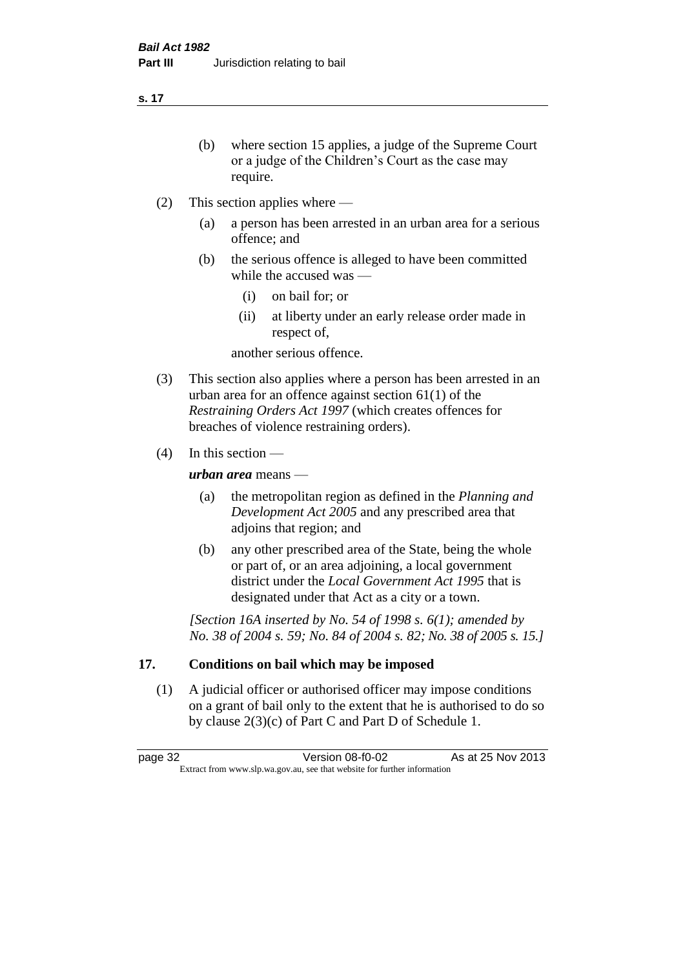**s. 17**

- (b) where section 15 applies, a judge of the Supreme Court or a judge of the Children's Court as the case may require.
- (2) This section applies where
	- (a) a person has been arrested in an urban area for a serious offence; and
	- (b) the serious offence is alleged to have been committed while the accused was —
		- (i) on bail for; or
		- (ii) at liberty under an early release order made in respect of,

another serious offence.

- (3) This section also applies where a person has been arrested in an urban area for an offence against section 61(1) of the *Restraining Orders Act 1997* (which creates offences for breaches of violence restraining orders).
- (4) In this section —

*urban area* means —

- (a) the metropolitan region as defined in the *Planning and Development Act 2005* and any prescribed area that adjoins that region; and
- (b) any other prescribed area of the State, being the whole or part of, or an area adjoining, a local government district under the *Local Government Act 1995* that is designated under that Act as a city or a town.

*[Section 16A inserted by No. 54 of 1998 s. 6(1); amended by No. 38 of 2004 s. 59; No. 84 of 2004 s. 82; No. 38 of 2005 s. 15.]*

## **17. Conditions on bail which may be imposed**

(1) A judicial officer or authorised officer may impose conditions on a grant of bail only to the extent that he is authorised to do so by clause 2(3)(c) of Part C and Part D of Schedule 1.

page 32 Version 08-f0-02 As at 25 Nov 2013 Extract from www.slp.wa.gov.au, see that website for further information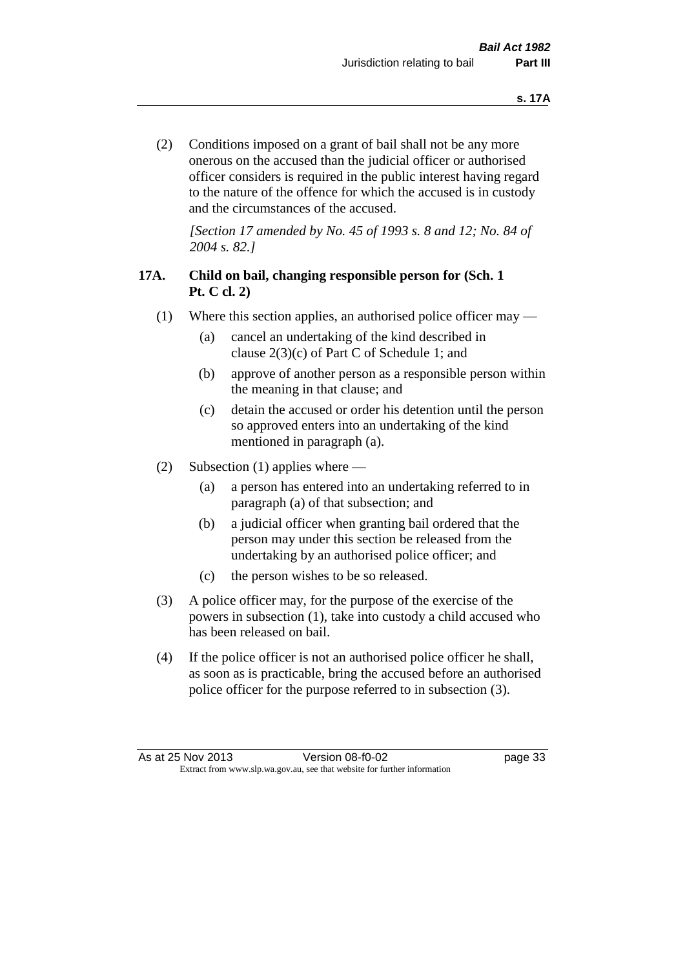(2) Conditions imposed on a grant of bail shall not be any more onerous on the accused than the judicial officer or authorised officer considers is required in the public interest having regard to the nature of the offence for which the accused is in custody and the circumstances of the accused.

*[Section 17 amended by No. 45 of 1993 s. 8 and 12; No. 84 of 2004 s. 82.]* 

## **17A. Child on bail, changing responsible person for (Sch. 1 Pt. C cl. 2)**

- (1) Where this section applies, an authorised police officer may
	- (a) cancel an undertaking of the kind described in clause 2(3)(c) of Part C of Schedule 1; and
	- (b) approve of another person as a responsible person within the meaning in that clause; and
	- (c) detain the accused or order his detention until the person so approved enters into an undertaking of the kind mentioned in paragraph (a).
- (2) Subsection (1) applies where
	- (a) a person has entered into an undertaking referred to in paragraph (a) of that subsection; and
	- (b) a judicial officer when granting bail ordered that the person may under this section be released from the undertaking by an authorised police officer; and
	- (c) the person wishes to be so released.
- (3) A police officer may, for the purpose of the exercise of the powers in subsection (1), take into custody a child accused who has been released on bail.
- (4) If the police officer is not an authorised police officer he shall, as soon as is practicable, bring the accused before an authorised police officer for the purpose referred to in subsection (3).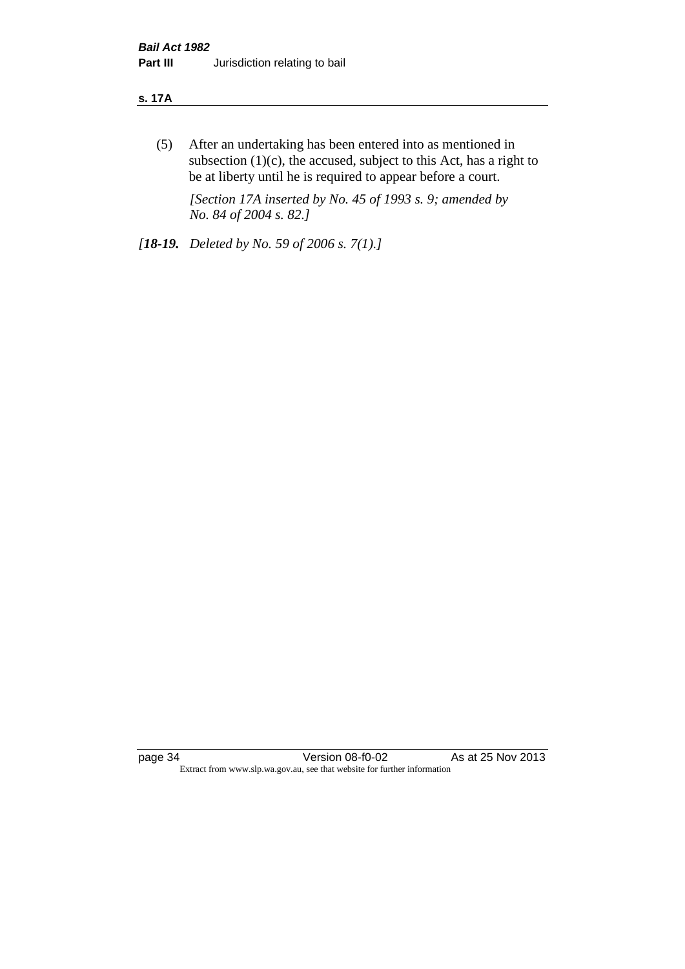#### **s. 17A**

(5) After an undertaking has been entered into as mentioned in subsection  $(1)(c)$ , the accused, subject to this Act, has a right to be at liberty until he is required to appear before a court.

*[Section 17A inserted by No. 45 of 1993 s. 9; amended by No. 84 of 2004 s. 82.]* 

*[18-19. Deleted by No. 59 of 2006 s. 7(1).]*

page 34 Version 08-f0-02 As at 25 Nov 2013 Extract from www.slp.wa.gov.au, see that website for further information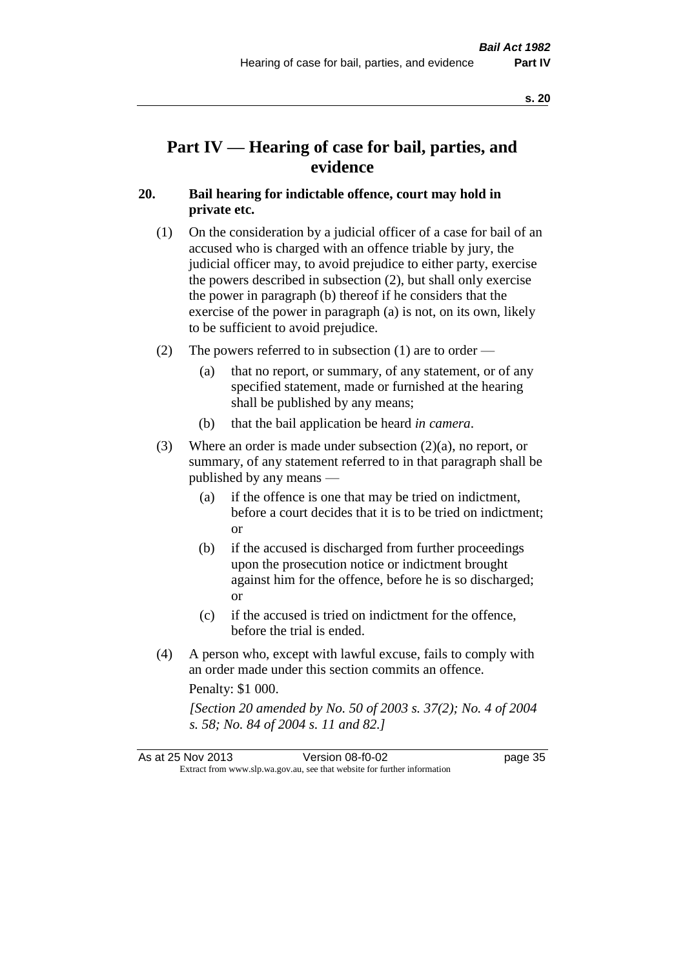## **Part IV — Hearing of case for bail, parties, and evidence**

#### **20. Bail hearing for indictable offence, court may hold in private etc.**

- (1) On the consideration by a judicial officer of a case for bail of an accused who is charged with an offence triable by jury, the judicial officer may, to avoid prejudice to either party, exercise the powers described in subsection (2), but shall only exercise the power in paragraph (b) thereof if he considers that the exercise of the power in paragraph (a) is not, on its own, likely to be sufficient to avoid prejudice.
- (2) The powers referred to in subsection (1) are to order
	- (a) that no report, or summary, of any statement, or of any specified statement, made or furnished at the hearing shall be published by any means;
	- (b) that the bail application be heard *in camera*.
- (3) Where an order is made under subsection (2)(a), no report, or summary, of any statement referred to in that paragraph shall be published by any means —
	- (a) if the offence is one that may be tried on indictment, before a court decides that it is to be tried on indictment; or
	- (b) if the accused is discharged from further proceedings upon the prosecution notice or indictment brought against him for the offence, before he is so discharged; or
	- (c) if the accused is tried on indictment for the offence, before the trial is ended.
- (4) A person who, except with lawful excuse, fails to comply with an order made under this section commits an offence.

Penalty: \$1 000.

*[Section 20 amended by No. 50 of 2003 s. 37(2); No. 4 of 2004 s. 58; No. 84 of 2004 s. 11 and 82.]*

| As at 25 Nov 2013 | Version 08-f0-02                                                         | page 35 |
|-------------------|--------------------------------------------------------------------------|---------|
|                   | Extract from www.slp.wa.gov.au, see that website for further information |         |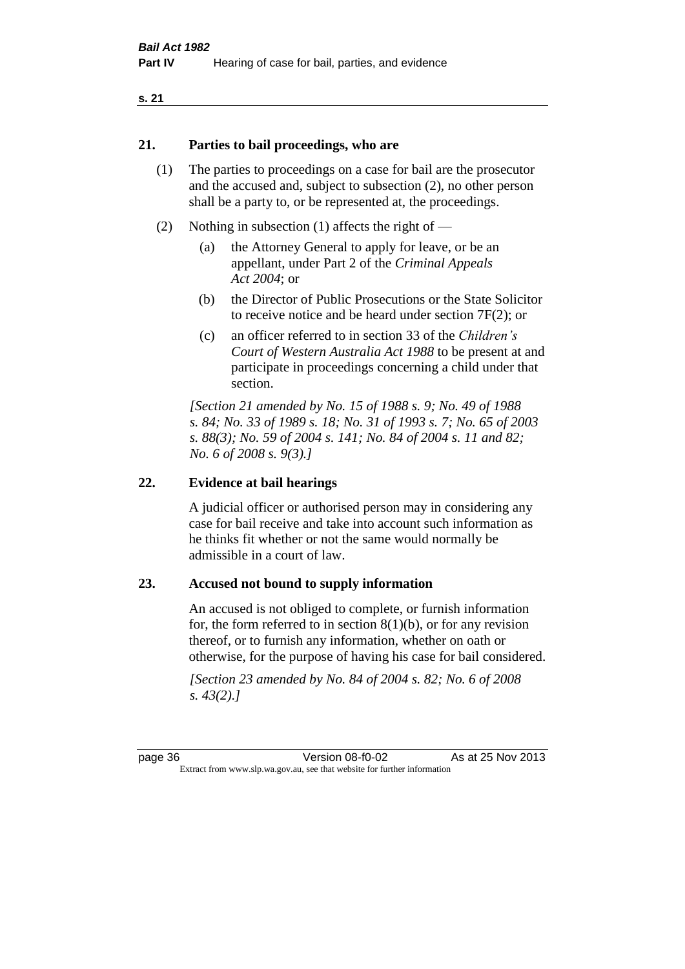#### **21. Parties to bail proceedings, who are**

- (1) The parties to proceedings on a case for bail are the prosecutor and the accused and, subject to subsection (2), no other person shall be a party to, or be represented at, the proceedings.
- (2) Nothing in subsection (1) affects the right of
	- (a) the Attorney General to apply for leave, or be an appellant, under Part 2 of the *Criminal Appeals Act 2004*; or
	- (b) the Director of Public Prosecutions or the State Solicitor to receive notice and be heard under section 7F(2); or
	- (c) an officer referred to in section 33 of the *Children's Court of Western Australia Act 1988* to be present at and participate in proceedings concerning a child under that section.

*[Section 21 amended by No. 15 of 1988 s. 9; No. 49 of 1988 s. 84; No. 33 of 1989 s. 18; No. 31 of 1993 s. 7; No. 65 of 2003 s. 88(3); No. 59 of 2004 s. 141; No. 84 of 2004 s. 11 and 82; No. 6 of 2008 s. 9(3).]* 

#### **22. Evidence at bail hearings**

A judicial officer or authorised person may in considering any case for bail receive and take into account such information as he thinks fit whether or not the same would normally be admissible in a court of law.

#### **23. Accused not bound to supply information**

An accused is not obliged to complete, or furnish information for, the form referred to in section  $8(1)(b)$ , or for any revision thereof, or to furnish any information, whether on oath or otherwise, for the purpose of having his case for bail considered.

*[Section 23 amended by No. 84 of 2004 s. 82; No. 6 of 2008 s. 43(2).]*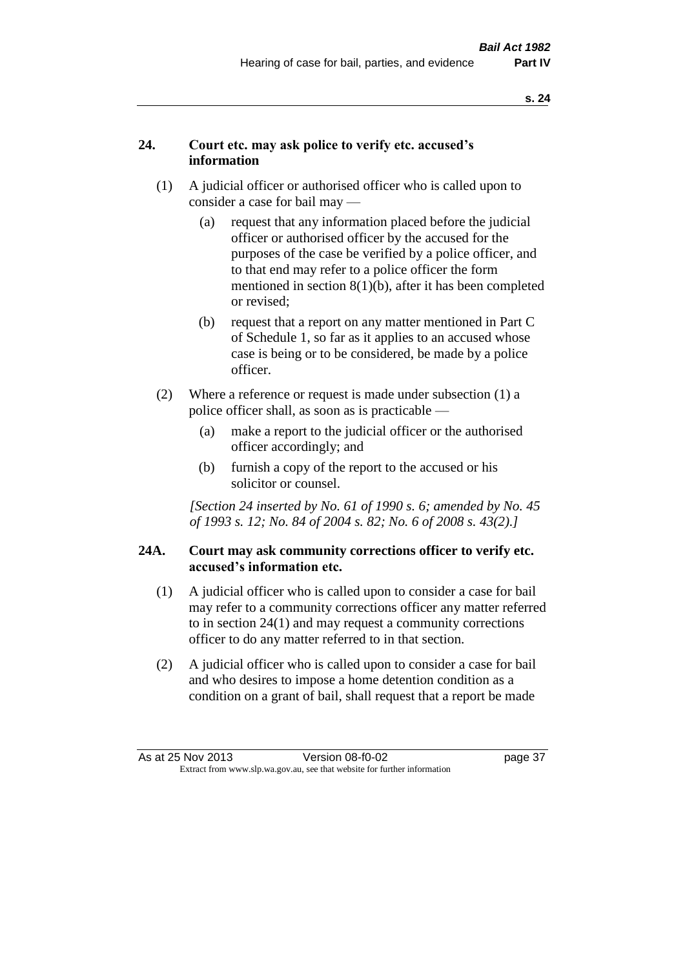## **24. Court etc. may ask police to verify etc. accused's information**

- (1) A judicial officer or authorised officer who is called upon to consider a case for bail may —
	- (a) request that any information placed before the judicial officer or authorised officer by the accused for the purposes of the case be verified by a police officer, and to that end may refer to a police officer the form mentioned in section 8(1)(b), after it has been completed or revised;
	- (b) request that a report on any matter mentioned in Part C of Schedule 1, so far as it applies to an accused whose case is being or to be considered, be made by a police officer.
- (2) Where a reference or request is made under subsection (1) a police officer shall, as soon as is practicable —
	- (a) make a report to the judicial officer or the authorised officer accordingly; and
	- (b) furnish a copy of the report to the accused or his solicitor or counsel.

*[Section 24 inserted by No. 61 of 1990 s. 6; amended by No. 45 of 1993 s. 12; No. 84 of 2004 s. 82; No. 6 of 2008 s. 43(2).]* 

## **24A. Court may ask community corrections officer to verify etc. accused's information etc.**

- (1) A judicial officer who is called upon to consider a case for bail may refer to a community corrections officer any matter referred to in section 24(1) and may request a community corrections officer to do any matter referred to in that section.
- (2) A judicial officer who is called upon to consider a case for bail and who desires to impose a home detention condition as a condition on a grant of bail, shall request that a report be made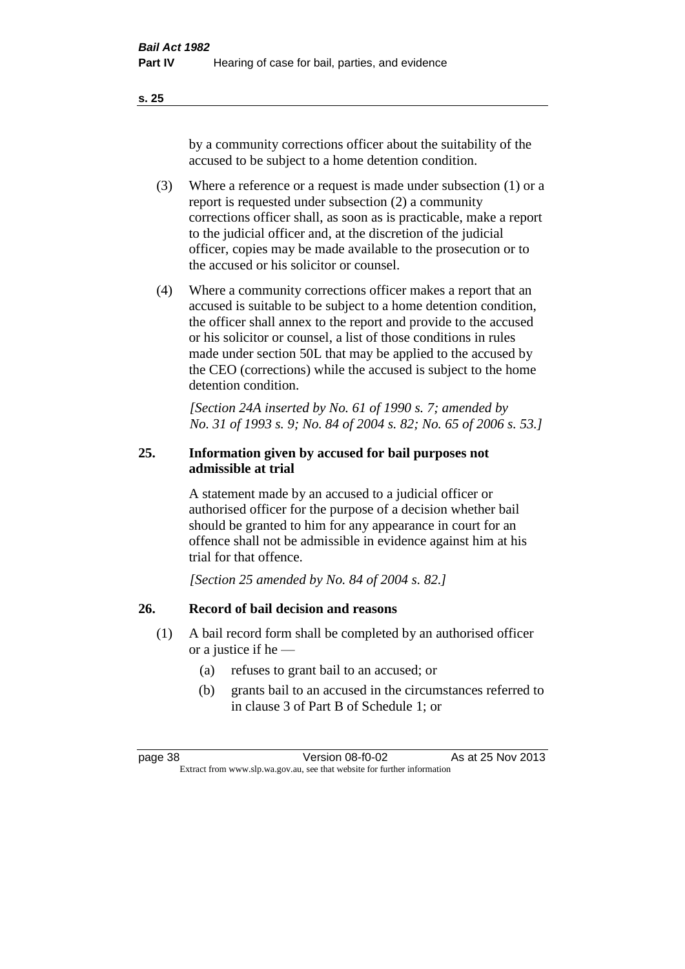**s. 25**

by a community corrections officer about the suitability of the accused to be subject to a home detention condition.

- (3) Where a reference or a request is made under subsection (1) or a report is requested under subsection (2) a community corrections officer shall, as soon as is practicable, make a report to the judicial officer and, at the discretion of the judicial officer, copies may be made available to the prosecution or to the accused or his solicitor or counsel.
- (4) Where a community corrections officer makes a report that an accused is suitable to be subject to a home detention condition, the officer shall annex to the report and provide to the accused or his solicitor or counsel, a list of those conditions in rules made under section 50L that may be applied to the accused by the CEO (corrections) while the accused is subject to the home detention condition.

*[Section 24A inserted by No. 61 of 1990 s. 7; amended by No. 31 of 1993 s. 9; No. 84 of 2004 s. 82; No. 65 of 2006 s. 53.]* 

## **25. Information given by accused for bail purposes not admissible at trial**

A statement made by an accused to a judicial officer or authorised officer for the purpose of a decision whether bail should be granted to him for any appearance in court for an offence shall not be admissible in evidence against him at his trial for that offence.

*[Section 25 amended by No. 84 of 2004 s. 82.]* 

## **26. Record of bail decision and reasons**

- (1) A bail record form shall be completed by an authorised officer or a justice if he —
	- (a) refuses to grant bail to an accused; or
	- (b) grants bail to an accused in the circumstances referred to in clause 3 of Part B of Schedule 1; or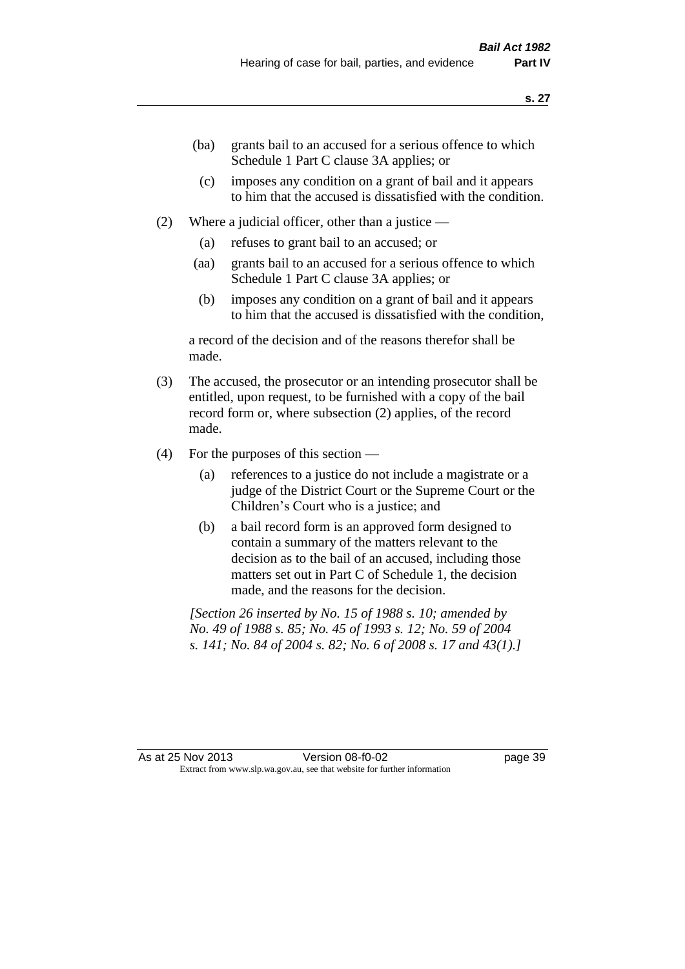- (ba) grants bail to an accused for a serious offence to which Schedule 1 Part C clause 3A applies; or
	- (c) imposes any condition on a grant of bail and it appears to him that the accused is dissatisfied with the condition.
- (2) Where a judicial officer, other than a justice
	- (a) refuses to grant bail to an accused; or
	- (aa) grants bail to an accused for a serious offence to which Schedule 1 Part C clause 3A applies; or
	- (b) imposes any condition on a grant of bail and it appears to him that the accused is dissatisfied with the condition,

a record of the decision and of the reasons therefor shall be made.

- (3) The accused, the prosecutor or an intending prosecutor shall be entitled, upon request, to be furnished with a copy of the bail record form or, where subsection (2) applies, of the record made.
- (4) For the purposes of this section
	- (a) references to a justice do not include a magistrate or a judge of the District Court or the Supreme Court or the Children's Court who is a justice; and
	- (b) a bail record form is an approved form designed to contain a summary of the matters relevant to the decision as to the bail of an accused, including those matters set out in Part C of Schedule 1, the decision made, and the reasons for the decision.

*[Section 26 inserted by No. 15 of 1988 s. 10; amended by No. 49 of 1988 s. 85; No. 45 of 1993 s. 12; No. 59 of 2004 s. 141; No. 84 of 2004 s. 82; No. 6 of 2008 s. 17 and 43(1).]*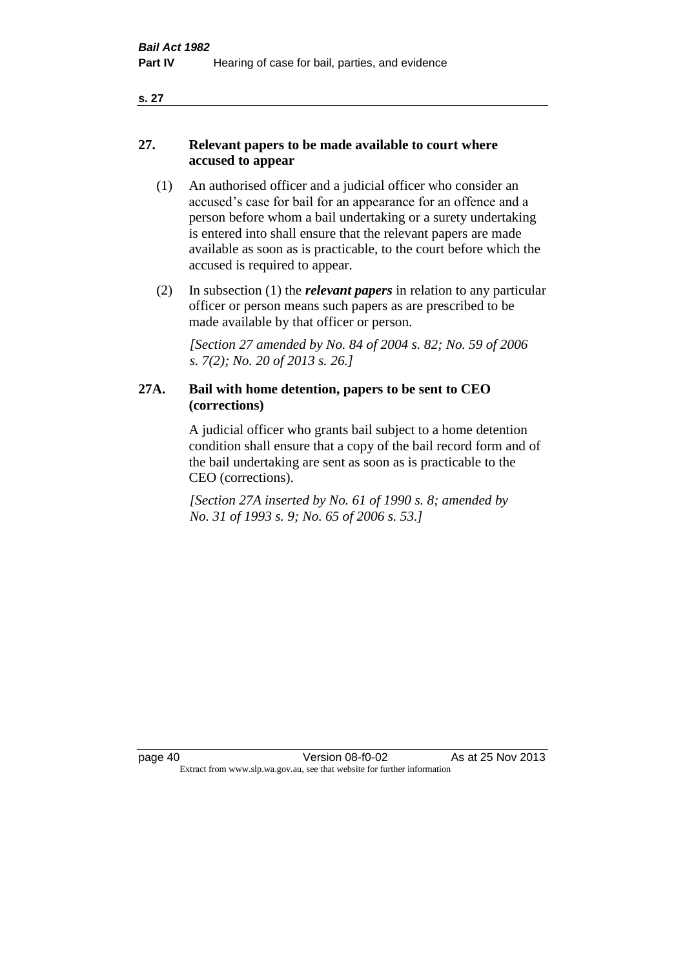#### **s. 27**

## **27. Relevant papers to be made available to court where accused to appear**

- (1) An authorised officer and a judicial officer who consider an accused's case for bail for an appearance for an offence and a person before whom a bail undertaking or a surety undertaking is entered into shall ensure that the relevant papers are made available as soon as is practicable, to the court before which the accused is required to appear.
- (2) In subsection (1) the *relevant papers* in relation to any particular officer or person means such papers as are prescribed to be made available by that officer or person.

*[Section 27 amended by No. 84 of 2004 s. 82; No. 59 of 2006 s. 7(2); No. 20 of 2013 s. 26.]* 

## **27A. Bail with home detention, papers to be sent to CEO (corrections)**

A judicial officer who grants bail subject to a home detention condition shall ensure that a copy of the bail record form and of the bail undertaking are sent as soon as is practicable to the CEO (corrections).

*[Section 27A inserted by No. 61 of 1990 s. 8; amended by No. 31 of 1993 s. 9; No. 65 of 2006 s. 53.]*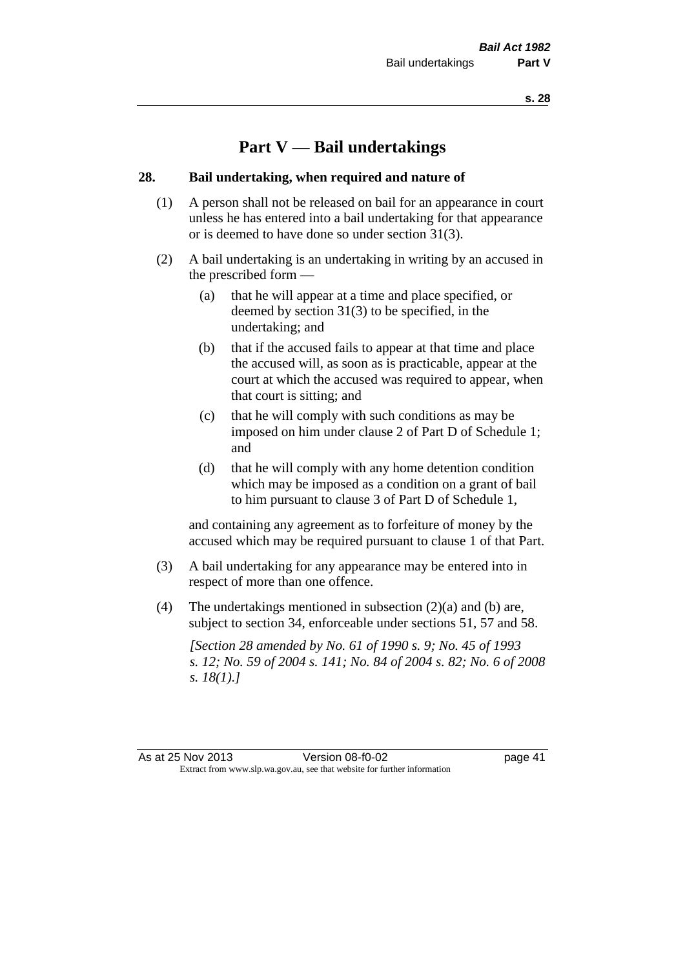# **Part V — Bail undertakings**

#### **28. Bail undertaking, when required and nature of**

- (1) A person shall not be released on bail for an appearance in court unless he has entered into a bail undertaking for that appearance or is deemed to have done so under section 31(3).
- (2) A bail undertaking is an undertaking in writing by an accused in the prescribed form —
	- (a) that he will appear at a time and place specified, or deemed by section 31(3) to be specified, in the undertaking; and
	- (b) that if the accused fails to appear at that time and place the accused will, as soon as is practicable, appear at the court at which the accused was required to appear, when that court is sitting; and
	- (c) that he will comply with such conditions as may be imposed on him under clause 2 of Part D of Schedule 1; and
	- (d) that he will comply with any home detention condition which may be imposed as a condition on a grant of bail to him pursuant to clause 3 of Part D of Schedule 1,

and containing any agreement as to forfeiture of money by the accused which may be required pursuant to clause 1 of that Part.

- (3) A bail undertaking for any appearance may be entered into in respect of more than one offence.
- (4) The undertakings mentioned in subsection (2)(a) and (b) are, subject to section 34, enforceable under sections 51, 57 and 58.

*[Section 28 amended by No. 61 of 1990 s. 9; No. 45 of 1993 s. 12; No. 59 of 2004 s. 141; No. 84 of 2004 s. 82; No. 6 of 2008 s. 18(1).]*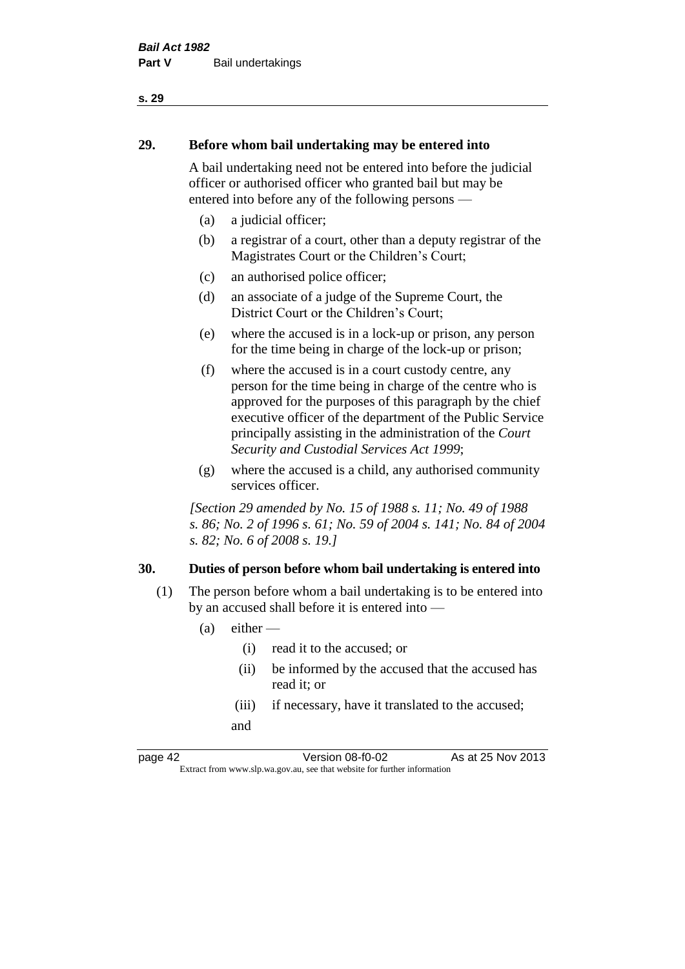# **29. Before whom bail undertaking may be entered into**

A bail undertaking need not be entered into before the judicial officer or authorised officer who granted bail but may be entered into before any of the following persons —

- (a) a judicial officer;
- (b) a registrar of a court, other than a deputy registrar of the Magistrates Court or the Children's Court;
- (c) an authorised police officer;
- (d) an associate of a judge of the Supreme Court, the District Court or the Children's Court;
- (e) where the accused is in a lock-up or prison, any person for the time being in charge of the lock-up or prison;
- (f) where the accused is in a court custody centre, any person for the time being in charge of the centre who is approved for the purposes of this paragraph by the chief executive officer of the department of the Public Service principally assisting in the administration of the *Court Security and Custodial Services Act 1999*;
- (g) where the accused is a child, any authorised community services officer.

*[Section 29 amended by No. 15 of 1988 s. 11; No. 49 of 1988 s. 86; No. 2 of 1996 s. 61; No. 59 of 2004 s. 141; No. 84 of 2004 s. 82; No. 6 of 2008 s. 19.]* 

## **30. Duties of person before whom bail undertaking is entered into**

- (1) The person before whom a bail undertaking is to be entered into by an accused shall before it is entered into —
	- $(a)$  either
		- (i) read it to the accused; or
		- (ii) be informed by the accused that the accused has read it; or
		- (iii) if necessary, have it translated to the accused; and

page 42 Version 08-f0-02 As at 25 Nov 2013 Extract from www.slp.wa.gov.au, see that website for further information

#### **s. 29**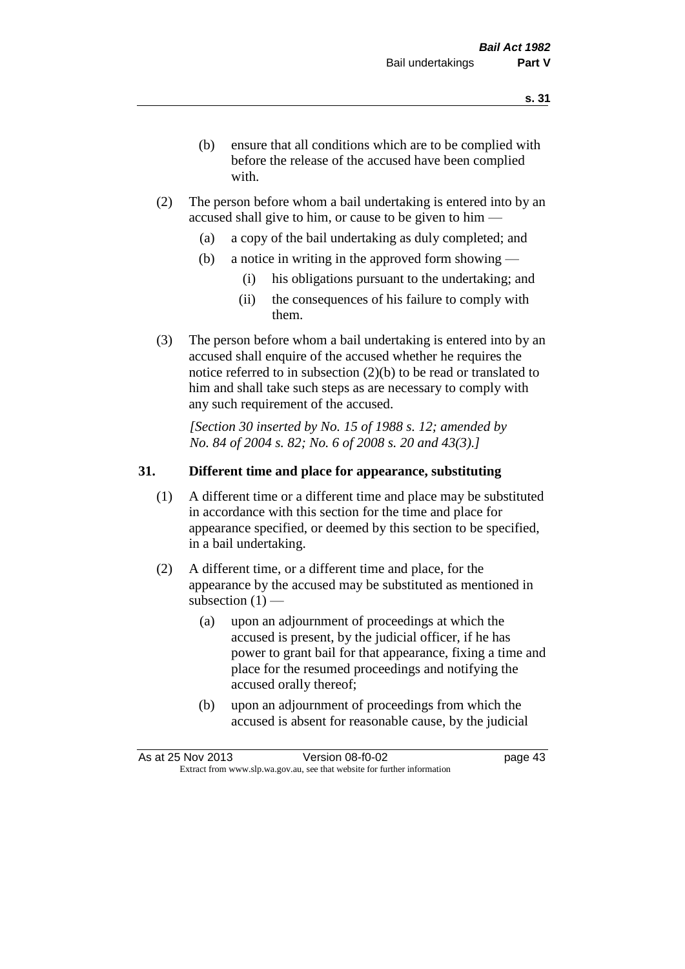- (b) ensure that all conditions which are to be complied with before the release of the accused have been complied with.
- (2) The person before whom a bail undertaking is entered into by an accused shall give to him, or cause to be given to him —
	- (a) a copy of the bail undertaking as duly completed; and
	- (b) a notice in writing in the approved form showing
		- (i) his obligations pursuant to the undertaking; and
		- (ii) the consequences of his failure to comply with them.
- (3) The person before whom a bail undertaking is entered into by an accused shall enquire of the accused whether he requires the notice referred to in subsection (2)(b) to be read or translated to him and shall take such steps as are necessary to comply with any such requirement of the accused.

*[Section 30 inserted by No. 15 of 1988 s. 12; amended by No. 84 of 2004 s. 82; No. 6 of 2008 s. 20 and 43(3).]* 

## **31. Different time and place for appearance, substituting**

- (1) A different time or a different time and place may be substituted in accordance with this section for the time and place for appearance specified, or deemed by this section to be specified, in a bail undertaking.
- (2) A different time, or a different time and place, for the appearance by the accused may be substituted as mentioned in subsection  $(1)$  —
	- (a) upon an adjournment of proceedings at which the accused is present, by the judicial officer, if he has power to grant bail for that appearance, fixing a time and place for the resumed proceedings and notifying the accused orally thereof;
	- (b) upon an adjournment of proceedings from which the accused is absent for reasonable cause, by the judicial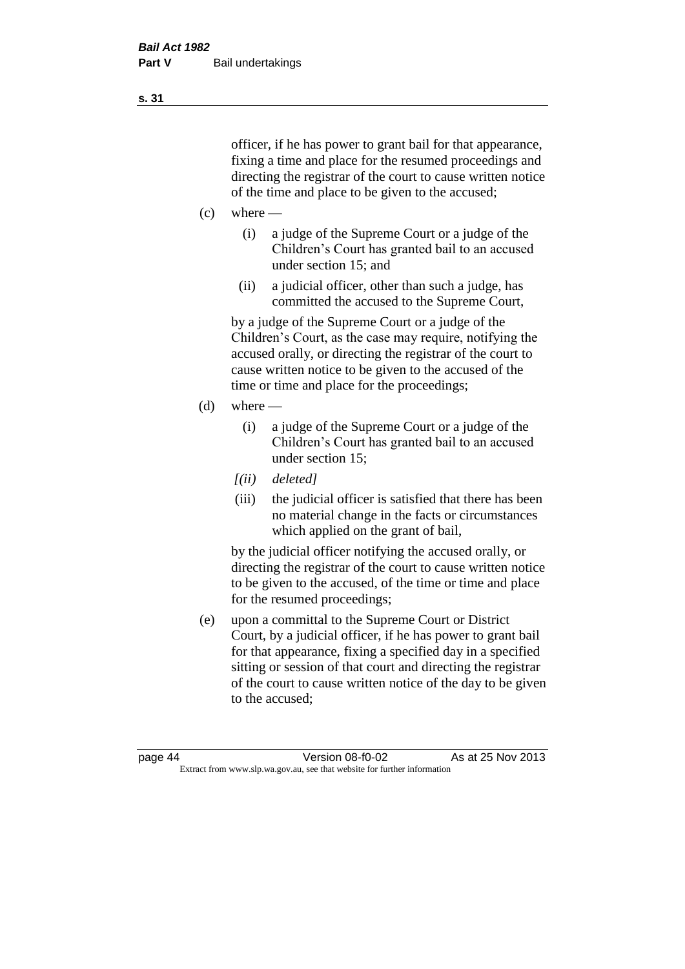officer, if he has power to grant bail for that appearance, fixing a time and place for the resumed proceedings and directing the registrar of the court to cause written notice of the time and place to be given to the accused;

- $(c)$  where
	- (i) a judge of the Supreme Court or a judge of the Children's Court has granted bail to an accused under section 15; and
	- (ii) a judicial officer, other than such a judge, has committed the accused to the Supreme Court,

by a judge of the Supreme Court or a judge of the Children's Court, as the case may require, notifying the accused orally, or directing the registrar of the court to cause written notice to be given to the accused of the time or time and place for the proceedings;

- $(d)$  where
	- (i) a judge of the Supreme Court or a judge of the Children's Court has granted bail to an accused under section 15;
	- *[(ii) deleted]*
	- (iii) the judicial officer is satisfied that there has been no material change in the facts or circumstances which applied on the grant of bail,

by the judicial officer notifying the accused orally, or directing the registrar of the court to cause written notice to be given to the accused, of the time or time and place for the resumed proceedings;

(e) upon a committal to the Supreme Court or District Court, by a judicial officer, if he has power to grant bail for that appearance, fixing a specified day in a specified sitting or session of that court and directing the registrar of the court to cause written notice of the day to be given to the accused;

**s. 31**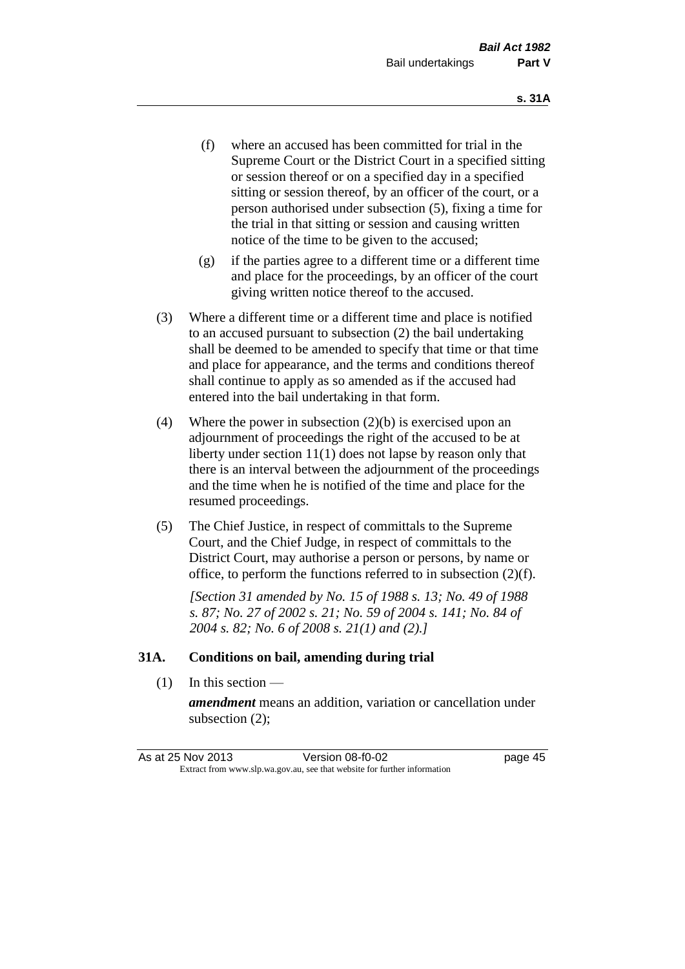- (f) where an accused has been committed for trial in the Supreme Court or the District Court in a specified sitting or session thereof or on a specified day in a specified sitting or session thereof, by an officer of the court, or a person authorised under subsection (5), fixing a time for the trial in that sitting or session and causing written notice of the time to be given to the accused;
- (g) if the parties agree to a different time or a different time and place for the proceedings, by an officer of the court giving written notice thereof to the accused.
- (3) Where a different time or a different time and place is notified to an accused pursuant to subsection (2) the bail undertaking shall be deemed to be amended to specify that time or that time and place for appearance, and the terms and conditions thereof shall continue to apply as so amended as if the accused had entered into the bail undertaking in that form.
- (4) Where the power in subsection (2)(b) is exercised upon an adjournment of proceedings the right of the accused to be at liberty under section 11(1) does not lapse by reason only that there is an interval between the adjournment of the proceedings and the time when he is notified of the time and place for the resumed proceedings.
- (5) The Chief Justice, in respect of committals to the Supreme Court, and the Chief Judge, in respect of committals to the District Court, may authorise a person or persons, by name or office, to perform the functions referred to in subsection (2)(f).

*[Section 31 amended by No. 15 of 1988 s. 13; No. 49 of 1988 s. 87; No. 27 of 2002 s. 21; No. 59 of 2004 s. 141; No. 84 of 2004 s. 82; No. 6 of 2008 s. 21(1) and (2).]* 

#### **31A. Conditions on bail, amending during trial**

(1) In this section —

*amendment* means an addition, variation or cancellation under subsection (2);

As at 25 Nov 2013 Version 08-f0-02 page 45 Extract from www.slp.wa.gov.au, see that website for further information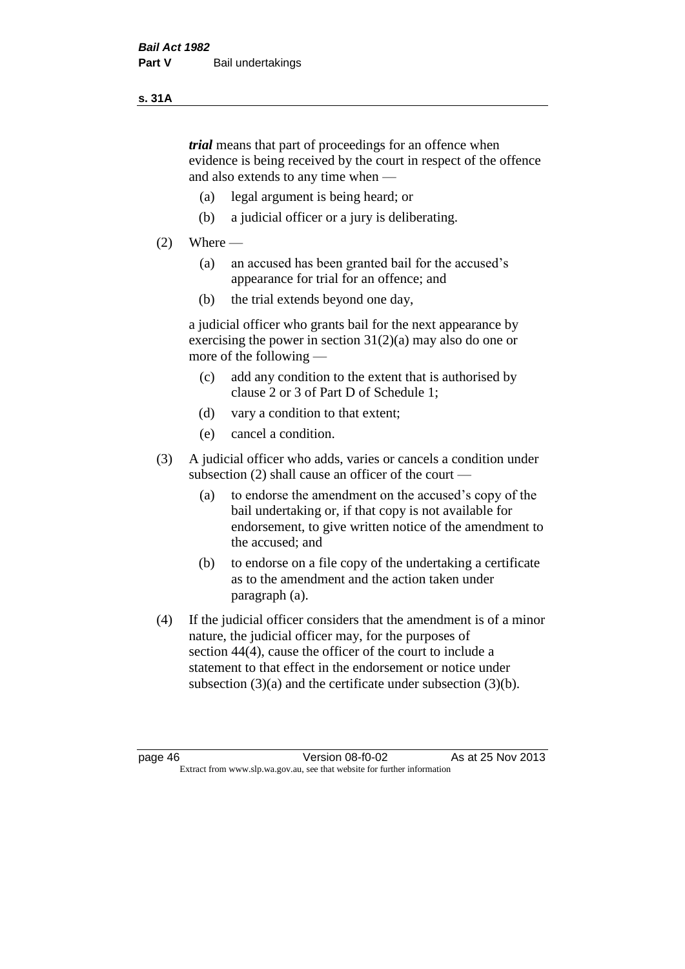#### **s. 31A**

*trial* means that part of proceedings for an offence when evidence is being received by the court in respect of the offence and also extends to any time when —

- (a) legal argument is being heard; or
- (b) a judicial officer or a jury is deliberating.

#### $(2)$  Where —

- (a) an accused has been granted bail for the accused's appearance for trial for an offence; and
- (b) the trial extends beyond one day,

a judicial officer who grants bail for the next appearance by exercising the power in section  $31(2)(a)$  may also do one or more of the following —

- (c) add any condition to the extent that is authorised by clause 2 or 3 of Part D of Schedule 1;
- (d) vary a condition to that extent;
- (e) cancel a condition.
- (3) A judicial officer who adds, varies or cancels a condition under subsection (2) shall cause an officer of the court —
	- (a) to endorse the amendment on the accused's copy of the bail undertaking or, if that copy is not available for endorsement, to give written notice of the amendment to the accused; and
	- (b) to endorse on a file copy of the undertaking a certificate as to the amendment and the action taken under paragraph (a).
- (4) If the judicial officer considers that the amendment is of a minor nature, the judicial officer may, for the purposes of section 44(4), cause the officer of the court to include a statement to that effect in the endorsement or notice under subsection (3)(a) and the certificate under subsection (3)(b).

page 46 Version 08-f0-02 As at 25 Nov 2013 Extract from www.slp.wa.gov.au, see that website for further information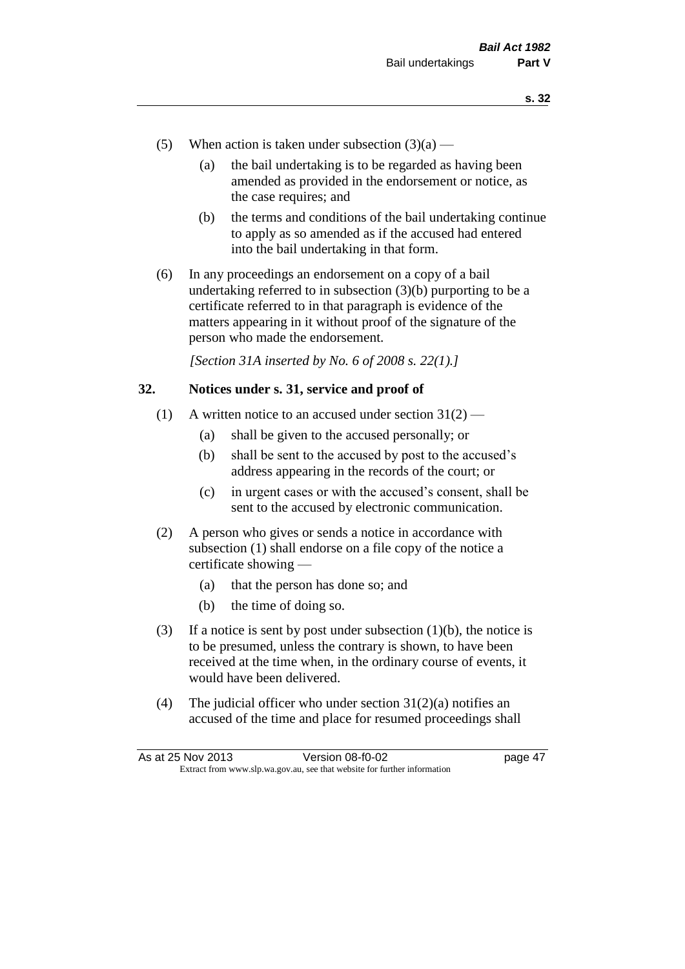- (5) When action is taken under subsection  $(3)(a)$ 
	- (a) the bail undertaking is to be regarded as having been amended as provided in the endorsement or notice, as the case requires; and
	- (b) the terms and conditions of the bail undertaking continue to apply as so amended as if the accused had entered into the bail undertaking in that form.
- (6) In any proceedings an endorsement on a copy of a bail undertaking referred to in subsection (3)(b) purporting to be a certificate referred to in that paragraph is evidence of the matters appearing in it without proof of the signature of the person who made the endorsement.

*[Section 31A inserted by No. 6 of 2008 s. 22(1).]*

#### **32. Notices under s. 31, service and proof of**

- (1) A written notice to an accused under section  $31(2)$ 
	- (a) shall be given to the accused personally; or
	- (b) shall be sent to the accused by post to the accused's address appearing in the records of the court; or
	- (c) in urgent cases or with the accused's consent, shall be sent to the accused by electronic communication.
- (2) A person who gives or sends a notice in accordance with subsection (1) shall endorse on a file copy of the notice a certificate showing —
	- (a) that the person has done so; and
	- (b) the time of doing so.
- (3) If a notice is sent by post under subsection  $(1)(b)$ , the notice is to be presumed, unless the contrary is shown, to have been received at the time when, in the ordinary course of events, it would have been delivered.
- (4) The judicial officer who under section  $31(2)(a)$  notifies an accused of the time and place for resumed proceedings shall

As at 25 Nov 2013 Version 08-f0-02 page 47 Extract from www.slp.wa.gov.au, see that website for further information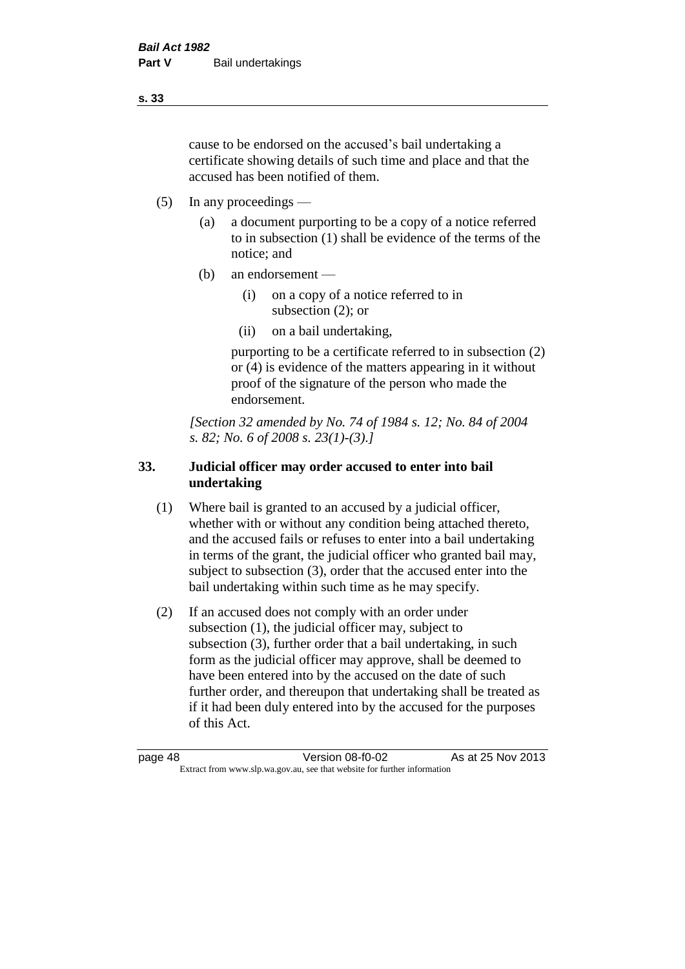cause to be endorsed on the accused's bail undertaking a certificate showing details of such time and place and that the accused has been notified of them.

- (5) In any proceedings
	- (a) a document purporting to be a copy of a notice referred to in subsection (1) shall be evidence of the terms of the notice; and
	- (b) an endorsement
		- (i) on a copy of a notice referred to in subsection (2); or
		- (ii) on a bail undertaking,

purporting to be a certificate referred to in subsection (2) or (4) is evidence of the matters appearing in it without proof of the signature of the person who made the endorsement.

*[Section 32 amended by No. 74 of 1984 s. 12; No. 84 of 2004 s. 82; No. 6 of 2008 s. 23(1)-(3).]* 

## **33. Judicial officer may order accused to enter into bail undertaking**

- (1) Where bail is granted to an accused by a judicial officer, whether with or without any condition being attached thereto, and the accused fails or refuses to enter into a bail undertaking in terms of the grant, the judicial officer who granted bail may, subject to subsection (3), order that the accused enter into the bail undertaking within such time as he may specify.
- (2) If an accused does not comply with an order under subsection (1), the judicial officer may, subject to subsection (3), further order that a bail undertaking, in such form as the judicial officer may approve, shall be deemed to have been entered into by the accused on the date of such further order, and thereupon that undertaking shall be treated as if it had been duly entered into by the accused for the purposes of this Act.

page 48 Version 08-f0-02 As at 25 Nov 2013 Extract from www.slp.wa.gov.au, see that website for further information

**s. 33**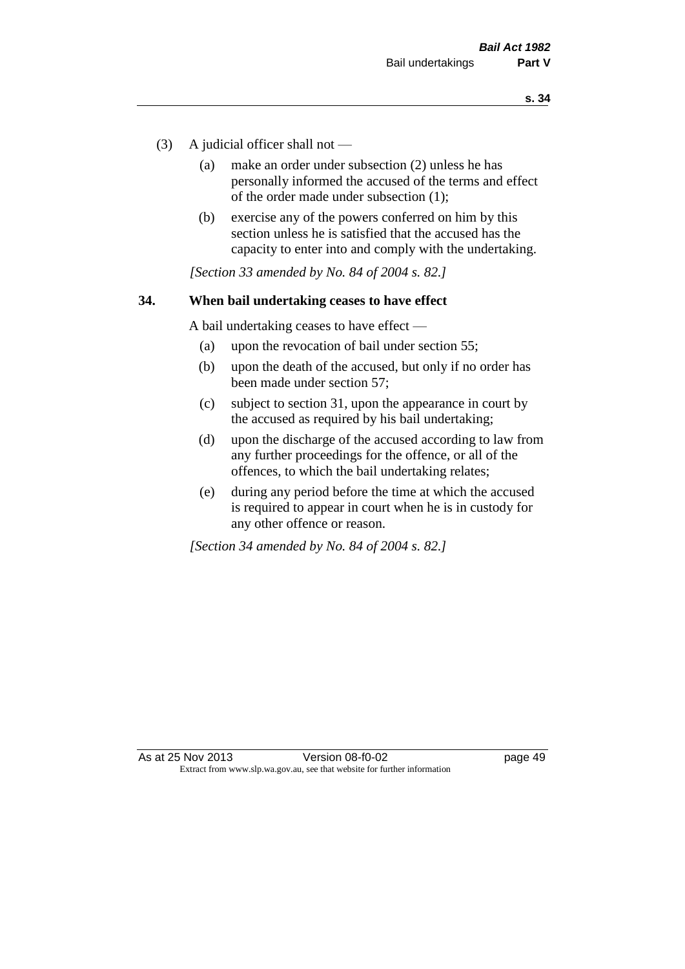- (3) A judicial officer shall not
	- (a) make an order under subsection (2) unless he has personally informed the accused of the terms and effect of the order made under subsection (1);
	- (b) exercise any of the powers conferred on him by this section unless he is satisfied that the accused has the capacity to enter into and comply with the undertaking.

*[Section 33 amended by No. 84 of 2004 s. 82.]* 

#### **34. When bail undertaking ceases to have effect**

A bail undertaking ceases to have effect —

- (a) upon the revocation of bail under section 55;
- (b) upon the death of the accused, but only if no order has been made under section 57;
- (c) subject to section 31, upon the appearance in court by the accused as required by his bail undertaking;
- (d) upon the discharge of the accused according to law from any further proceedings for the offence, or all of the offences, to which the bail undertaking relates;
- (e) during any period before the time at which the accused is required to appear in court when he is in custody for any other offence or reason.

*[Section 34 amended by No. 84 of 2004 s. 82.]*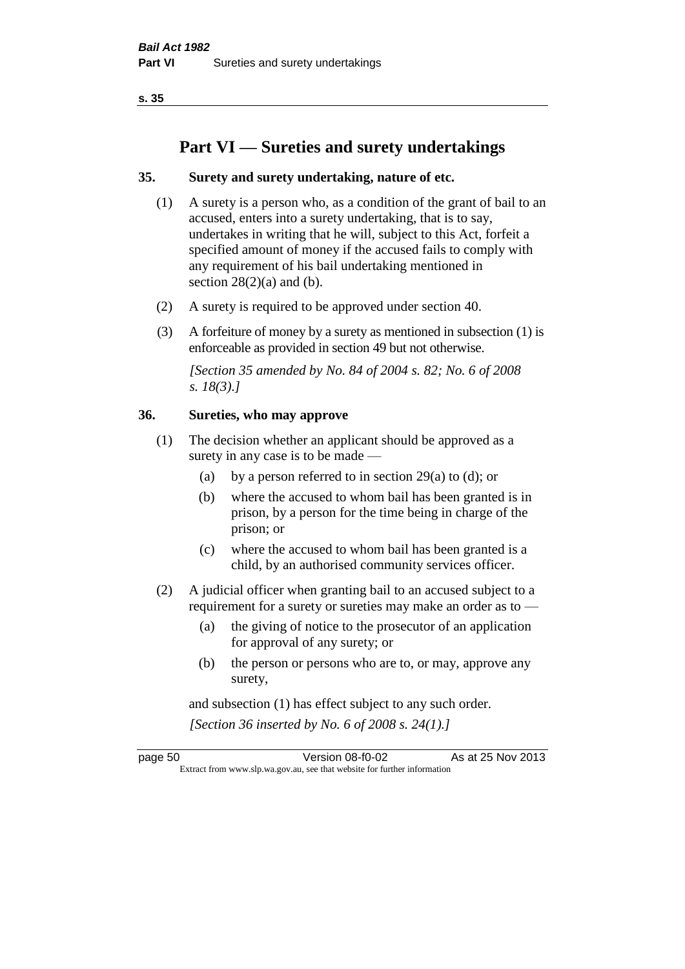**s. 35**

# **Part VI — Sureties and surety undertakings**

#### **35. Surety and surety undertaking, nature of etc.**

- (1) A surety is a person who, as a condition of the grant of bail to an accused, enters into a surety undertaking, that is to say, undertakes in writing that he will, subject to this Act, forfeit a specified amount of money if the accused fails to comply with any requirement of his bail undertaking mentioned in section  $28(2)(a)$  and (b).
- (2) A surety is required to be approved under section 40.
- (3) A forfeiture of money by a surety as mentioned in subsection (1) is enforceable as provided in section 49 but not otherwise.

*[Section 35 amended by No. 84 of 2004 s. 82; No. 6 of 2008 s. 18(3).]* 

#### **36. Sureties, who may approve**

- (1) The decision whether an applicant should be approved as a surety in any case is to be made —
	- (a) by a person referred to in section 29(a) to (d); or
	- (b) where the accused to whom bail has been granted is in prison, by a person for the time being in charge of the prison; or
	- (c) where the accused to whom bail has been granted is a child, by an authorised community services officer.
- (2) A judicial officer when granting bail to an accused subject to a requirement for a surety or sureties may make an order as to —
	- (a) the giving of notice to the prosecutor of an application for approval of any surety; or
	- (b) the person or persons who are to, or may, approve any surety,

and subsection (1) has effect subject to any such order. *[Section 36 inserted by No. 6 of 2008 s. 24(1).]*

page 50 Version 08-f0-02 As at 25 Nov 2013 Extract from www.slp.wa.gov.au, see that website for further information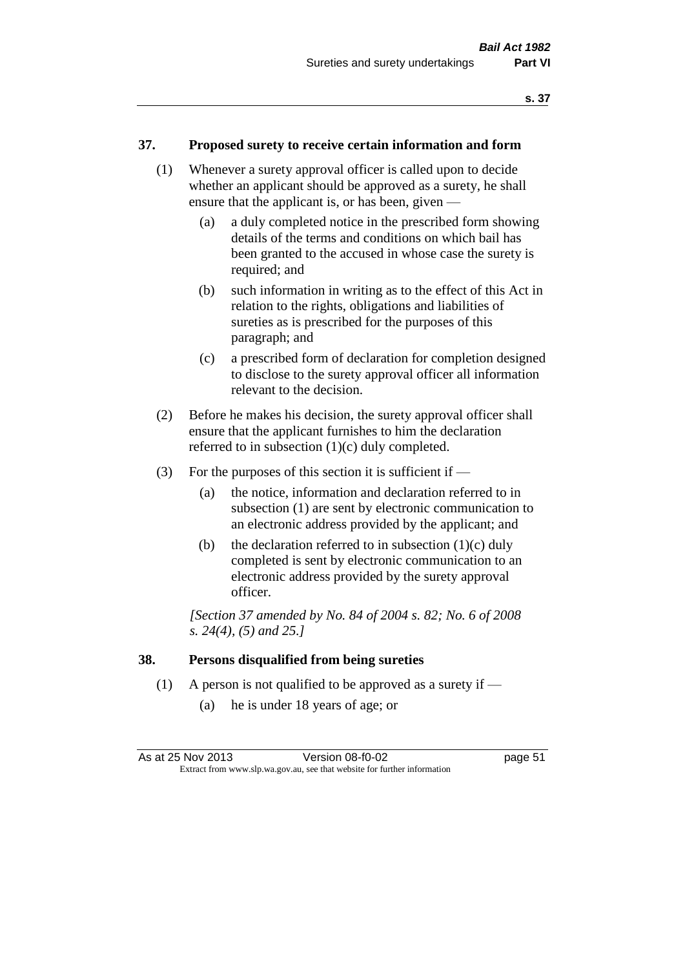#### **37. Proposed surety to receive certain information and form**

- (1) Whenever a surety approval officer is called upon to decide whether an applicant should be approved as a surety, he shall ensure that the applicant is, or has been, given —
	- (a) a duly completed notice in the prescribed form showing details of the terms and conditions on which bail has been granted to the accused in whose case the surety is required; and
	- (b) such information in writing as to the effect of this Act in relation to the rights, obligations and liabilities of sureties as is prescribed for the purposes of this paragraph; and
	- (c) a prescribed form of declaration for completion designed to disclose to the surety approval officer all information relevant to the decision.
- (2) Before he makes his decision, the surety approval officer shall ensure that the applicant furnishes to him the declaration referred to in subsection (1)(c) duly completed.
- (3) For the purposes of this section it is sufficient if  $-$ 
	- (a) the notice, information and declaration referred to in subsection (1) are sent by electronic communication to an electronic address provided by the applicant; and
	- (b) the declaration referred to in subsection  $(1)(c)$  duly completed is sent by electronic communication to an electronic address provided by the surety approval officer.

*[Section 37 amended by No. 84 of 2004 s. 82; No. 6 of 2008 s. 24(4), (5) and 25.]* 

#### **38. Persons disqualified from being sureties**

- (1) A person is not qualified to be approved as a surety if
	- (a) he is under 18 years of age; or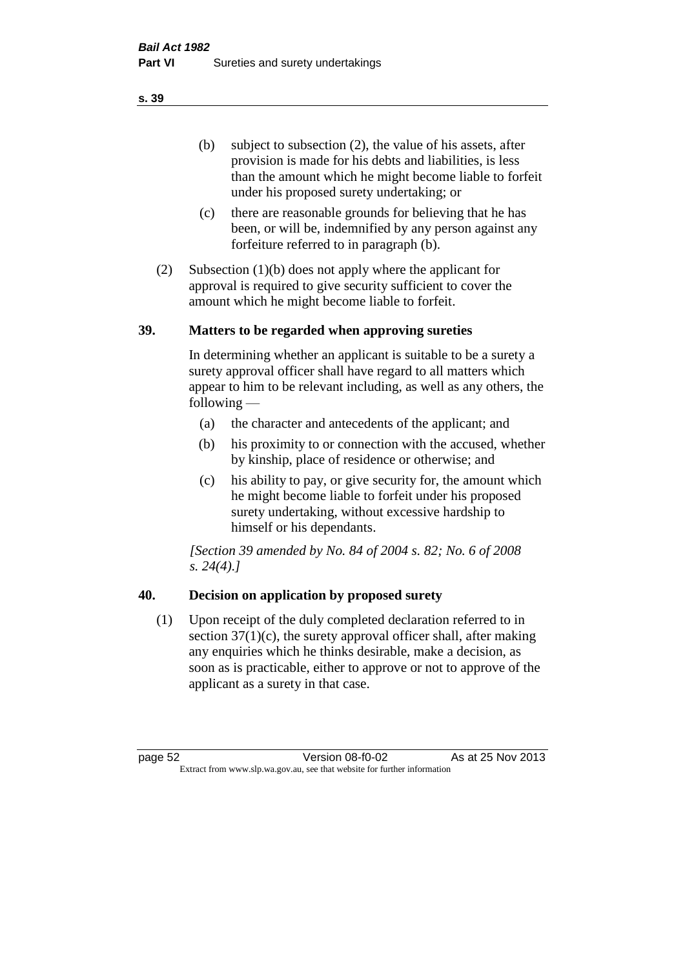(b) subject to subsection (2), the value of his assets, after provision is made for his debts and liabilities, is less than the amount which he might become liable to forfeit under his proposed surety undertaking; or

- (c) there are reasonable grounds for believing that he has been, or will be, indemnified by any person against any forfeiture referred to in paragraph (b).
- (2) Subsection (1)(b) does not apply where the applicant for approval is required to give security sufficient to cover the amount which he might become liable to forfeit.

#### **39. Matters to be regarded when approving sureties**

In determining whether an applicant is suitable to be a surety a surety approval officer shall have regard to all matters which appear to him to be relevant including, as well as any others, the following —

- (a) the character and antecedents of the applicant; and
- (b) his proximity to or connection with the accused, whether by kinship, place of residence or otherwise; and
- (c) his ability to pay, or give security for, the amount which he might become liable to forfeit under his proposed surety undertaking, without excessive hardship to himself or his dependants.

*[Section 39 amended by No. 84 of 2004 s. 82; No. 6 of 2008 s. 24(4).]* 

## **40. Decision on application by proposed surety**

(1) Upon receipt of the duly completed declaration referred to in section  $37(1)(c)$ , the surety approval officer shall, after making any enquiries which he thinks desirable, make a decision, as soon as is practicable, either to approve or not to approve of the applicant as a surety in that case.

page 52 Version 08-f0-02 As at 25 Nov 2013 Extract from www.slp.wa.gov.au, see that website for further information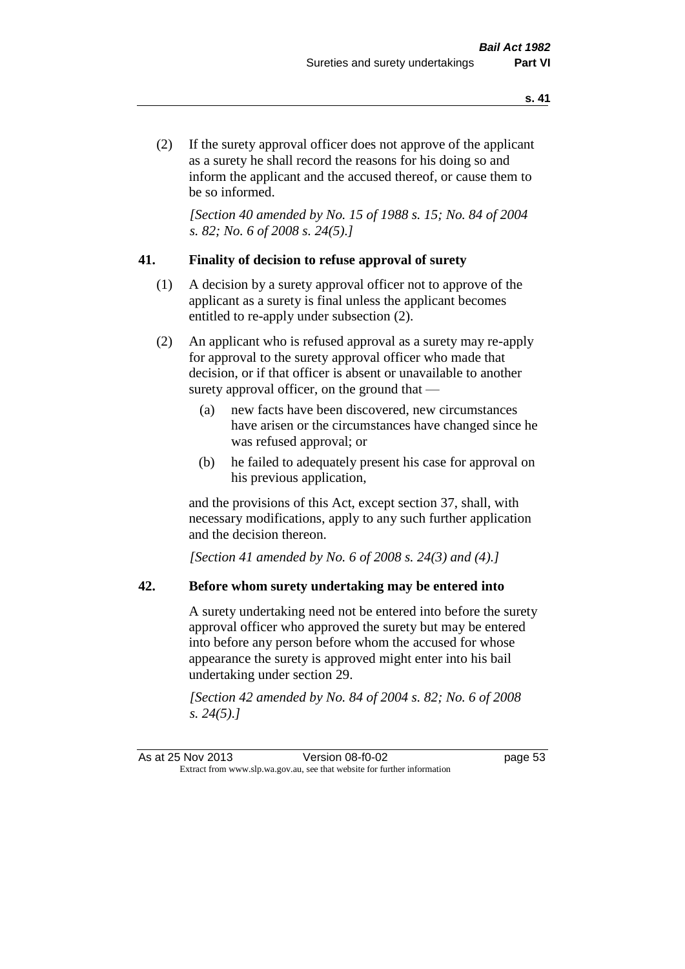(2) If the surety approval officer does not approve of the applicant as a surety he shall record the reasons for his doing so and inform the applicant and the accused thereof, or cause them to be so informed.

*[Section 40 amended by No. 15 of 1988 s. 15; No. 84 of 2004 s. 82; No. 6 of 2008 s. 24(5).]* 

#### **41. Finality of decision to refuse approval of surety**

- (1) A decision by a surety approval officer not to approve of the applicant as a surety is final unless the applicant becomes entitled to re-apply under subsection (2).
- (2) An applicant who is refused approval as a surety may re-apply for approval to the surety approval officer who made that decision, or if that officer is absent or unavailable to another surety approval officer, on the ground that —
	- (a) new facts have been discovered, new circumstances have arisen or the circumstances have changed since he was refused approval; or
	- (b) he failed to adequately present his case for approval on his previous application,

and the provisions of this Act, except section 37, shall, with necessary modifications, apply to any such further application and the decision thereon.

*[Section 41 amended by No. 6 of 2008 s. 24(3) and (4).]*

#### **42. Before whom surety undertaking may be entered into**

A surety undertaking need not be entered into before the surety approval officer who approved the surety but may be entered into before any person before whom the accused for whose appearance the surety is approved might enter into his bail undertaking under section 29.

*[Section 42 amended by No. 84 of 2004 s. 82; No. 6 of 2008 s. 24(5).]*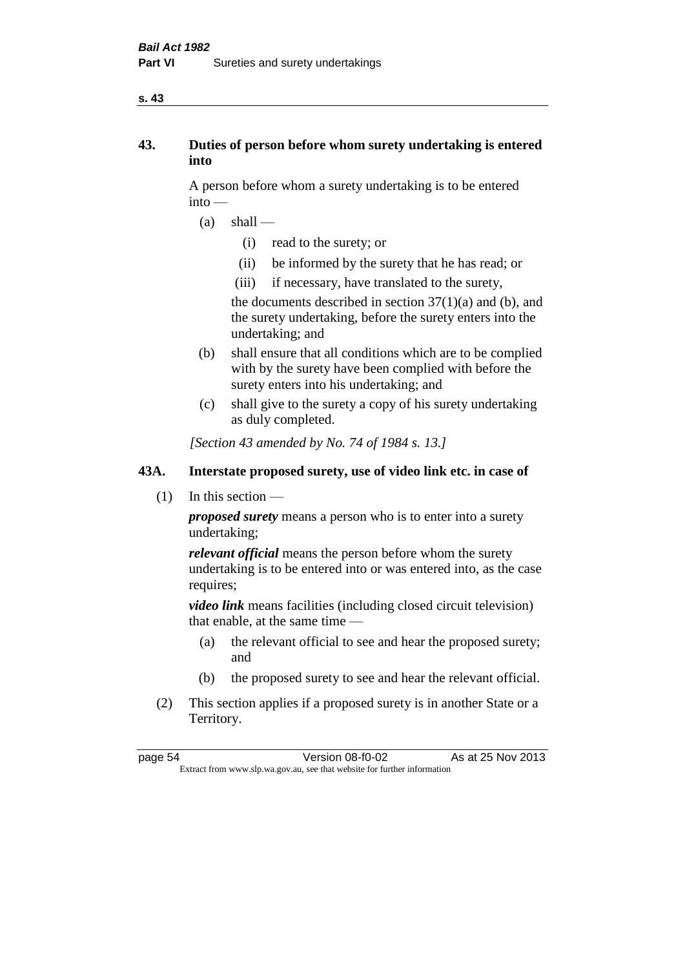#### **s. 43**

## **43. Duties of person before whom surety undertaking is entered into**

A person before whom a surety undertaking is to be entered into —

- $(a)$  shall
	- (i) read to the surety; or
	- (ii) be informed by the surety that he has read; or
	- (iii) if necessary, have translated to the surety,

the documents described in section  $37(1)(a)$  and (b), and the surety undertaking, before the surety enters into the undertaking; and

- (b) shall ensure that all conditions which are to be complied with by the surety have been complied with before the surety enters into his undertaking; and
- (c) shall give to the surety a copy of his surety undertaking as duly completed.

*[Section 43 amended by No. 74 of 1984 s. 13.]* 

## **43A. Interstate proposed surety, use of video link etc. in case of**

(1) In this section —

*proposed surety* means a person who is to enter into a surety undertaking;

*relevant official* means the person before whom the surety undertaking is to be entered into or was entered into, as the case requires;

*video link* means facilities (including closed circuit television) that enable, at the same time —

- (a) the relevant official to see and hear the proposed surety; and
- (b) the proposed surety to see and hear the relevant official.
- (2) This section applies if a proposed surety is in another State or a Territory.

page 54 Version 08-f0-02 As at 25 Nov 2013 Extract from www.slp.wa.gov.au, see that website for further information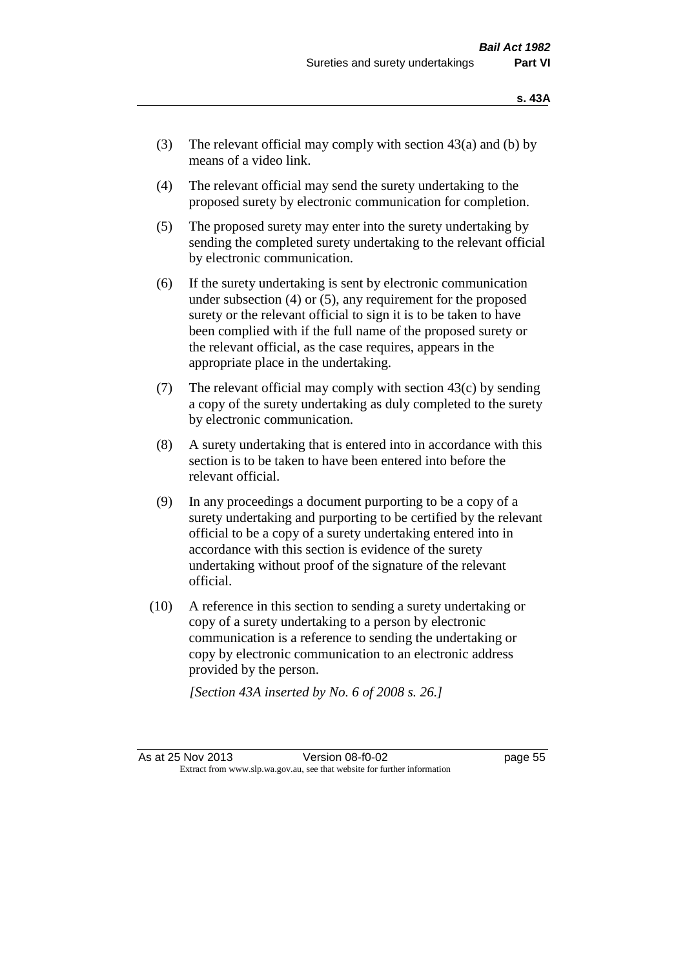- (3) The relevant official may comply with section  $43(a)$  and (b) by means of a video link.
- (4) The relevant official may send the surety undertaking to the proposed surety by electronic communication for completion.
- (5) The proposed surety may enter into the surety undertaking by sending the completed surety undertaking to the relevant official by electronic communication.
- (6) If the surety undertaking is sent by electronic communication under subsection (4) or (5), any requirement for the proposed surety or the relevant official to sign it is to be taken to have been complied with if the full name of the proposed surety or the relevant official, as the case requires, appears in the appropriate place in the undertaking.
- (7) The relevant official may comply with section 43(c) by sending a copy of the surety undertaking as duly completed to the surety by electronic communication.
- (8) A surety undertaking that is entered into in accordance with this section is to be taken to have been entered into before the relevant official.
- (9) In any proceedings a document purporting to be a copy of a surety undertaking and purporting to be certified by the relevant official to be a copy of a surety undertaking entered into in accordance with this section is evidence of the surety undertaking without proof of the signature of the relevant official.
- (10) A reference in this section to sending a surety undertaking or copy of a surety undertaking to a person by electronic communication is a reference to sending the undertaking or copy by electronic communication to an electronic address provided by the person.

*[Section 43A inserted by No. 6 of 2008 s. 26.]*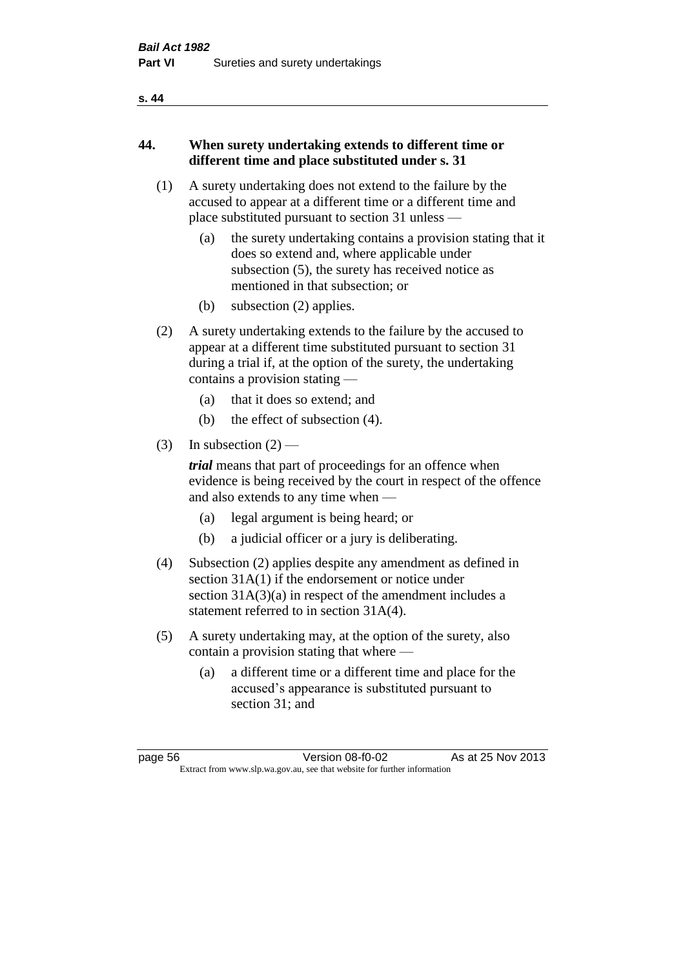#### **s. 44**

## **44. When surety undertaking extends to different time or different time and place substituted under s. 31**

- (1) A surety undertaking does not extend to the failure by the accused to appear at a different time or a different time and place substituted pursuant to section 31 unless —
	- (a) the surety undertaking contains a provision stating that it does so extend and, where applicable under subsection (5), the surety has received notice as mentioned in that subsection; or
	- (b) subsection (2) applies.
- (2) A surety undertaking extends to the failure by the accused to appear at a different time substituted pursuant to section 31 during a trial if, at the option of the surety, the undertaking contains a provision stating —
	- (a) that it does so extend; and
	- (b) the effect of subsection (4).
- (3) In subsection  $(2)$  —

*trial* means that part of proceedings for an offence when evidence is being received by the court in respect of the offence and also extends to any time when —

- (a) legal argument is being heard; or
- (b) a judicial officer or a jury is deliberating.
- (4) Subsection (2) applies despite any amendment as defined in section 31A(1) if the endorsement or notice under section 31A(3)(a) in respect of the amendment includes a statement referred to in section 31A(4).
- (5) A surety undertaking may, at the option of the surety, also contain a provision stating that where —
	- (a) a different time or a different time and place for the accused's appearance is substituted pursuant to section 31; and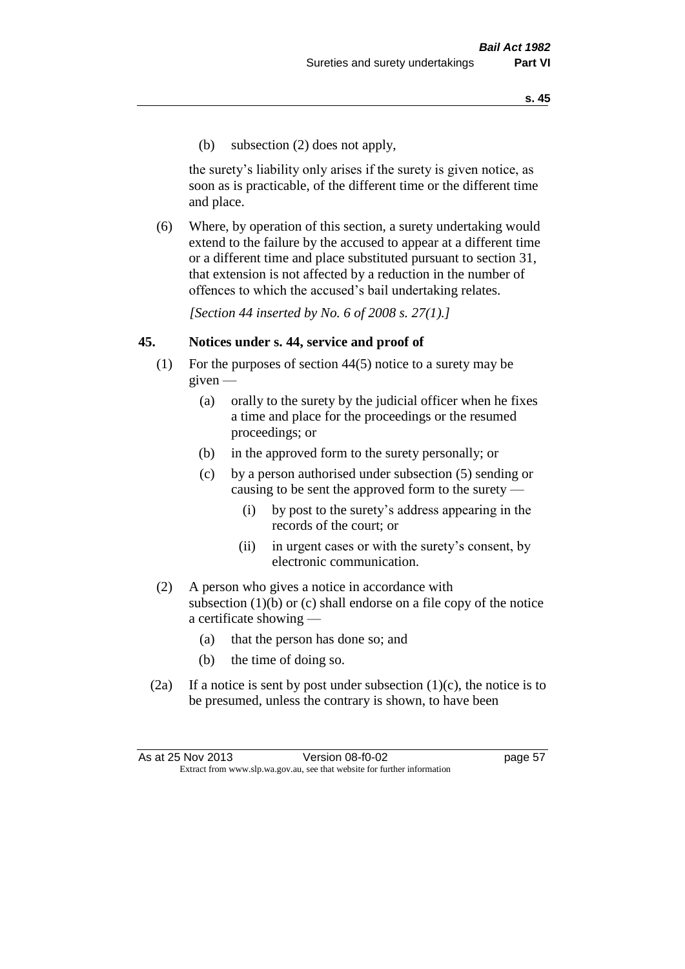(b) subsection (2) does not apply,

the surety's liability only arises if the surety is given notice, as soon as is practicable, of the different time or the different time and place.

(6) Where, by operation of this section, a surety undertaking would extend to the failure by the accused to appear at a different time or a different time and place substituted pursuant to section 31, that extension is not affected by a reduction in the number of offences to which the accused's bail undertaking relates.

*[Section 44 inserted by No. 6 of 2008 s. 27(1).]*

#### **45. Notices under s. 44, service and proof of**

- (1) For the purposes of section 44(5) notice to a surety may be given —
	- (a) orally to the surety by the judicial officer when he fixes a time and place for the proceedings or the resumed proceedings; or
	- (b) in the approved form to the surety personally; or
	- (c) by a person authorised under subsection (5) sending or causing to be sent the approved form to the surety —
		- (i) by post to the surety's address appearing in the records of the court; or
		- (ii) in urgent cases or with the surety's consent, by electronic communication.
- (2) A person who gives a notice in accordance with subsection  $(1)(b)$  or  $(c)$  shall endorse on a file copy of the notice a certificate showing —
	- (a) that the person has done so; and
	- (b) the time of doing so.
- (2a) If a notice is sent by post under subsection  $(1)(c)$ , the notice is to be presumed, unless the contrary is shown, to have been

As at 25 Nov 2013 **Version 08-f0-02 Page 57** Extract from www.slp.wa.gov.au, see that website for further information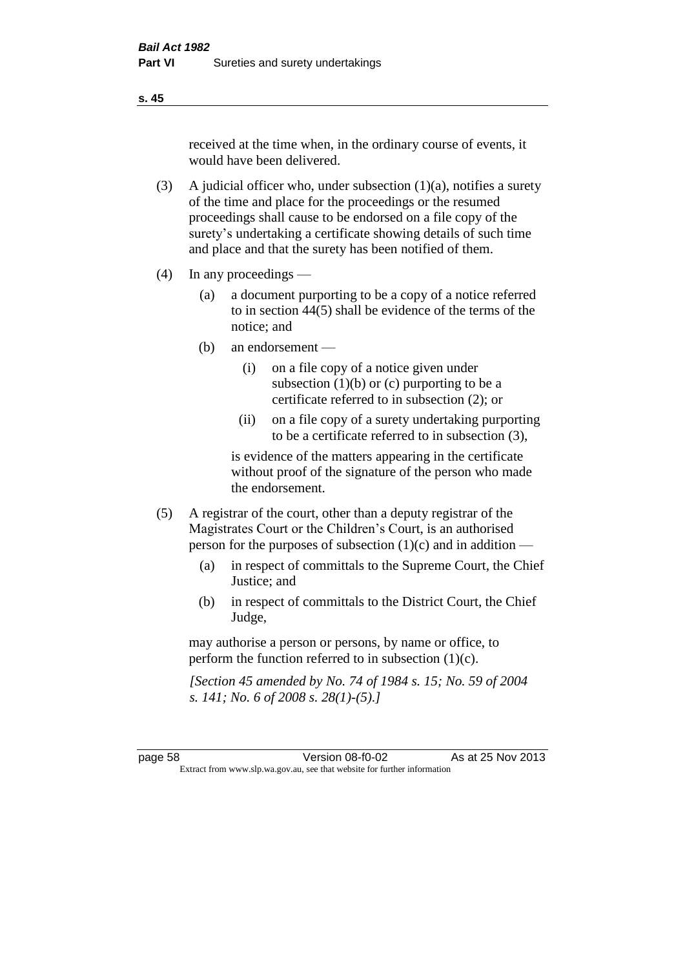received at the time when, in the ordinary course of events, it would have been delivered.

- (3) A judicial officer who, under subsection  $(1)(a)$ , notifies a surety of the time and place for the proceedings or the resumed proceedings shall cause to be endorsed on a file copy of the surety's undertaking a certificate showing details of such time and place and that the surety has been notified of them.
- (4) In any proceedings
	- (a) a document purporting to be a copy of a notice referred to in section 44(5) shall be evidence of the terms of the notice; and
	- (b) an endorsement
		- (i) on a file copy of a notice given under subsection  $(1)(b)$  or  $(c)$  purporting to be a certificate referred to in subsection (2); or
		- (ii) on a file copy of a surety undertaking purporting to be a certificate referred to in subsection (3),

is evidence of the matters appearing in the certificate without proof of the signature of the person who made the endorsement.

- (5) A registrar of the court, other than a deputy registrar of the Magistrates Court or the Children's Court, is an authorised person for the purposes of subsection (1)(c) and in addition —
	- (a) in respect of committals to the Supreme Court, the Chief Justice; and
	- (b) in respect of committals to the District Court, the Chief Judge,

may authorise a person or persons, by name or office, to perform the function referred to in subsection (1)(c).

*[Section 45 amended by No. 74 of 1984 s. 15; No. 59 of 2004 s. 141; No. 6 of 2008 s. 28(1)-(5).]* 

page 58 Version 08-f0-02 As at 25 Nov 2013 Extract from www.slp.wa.gov.au, see that website for further information

**s. 45**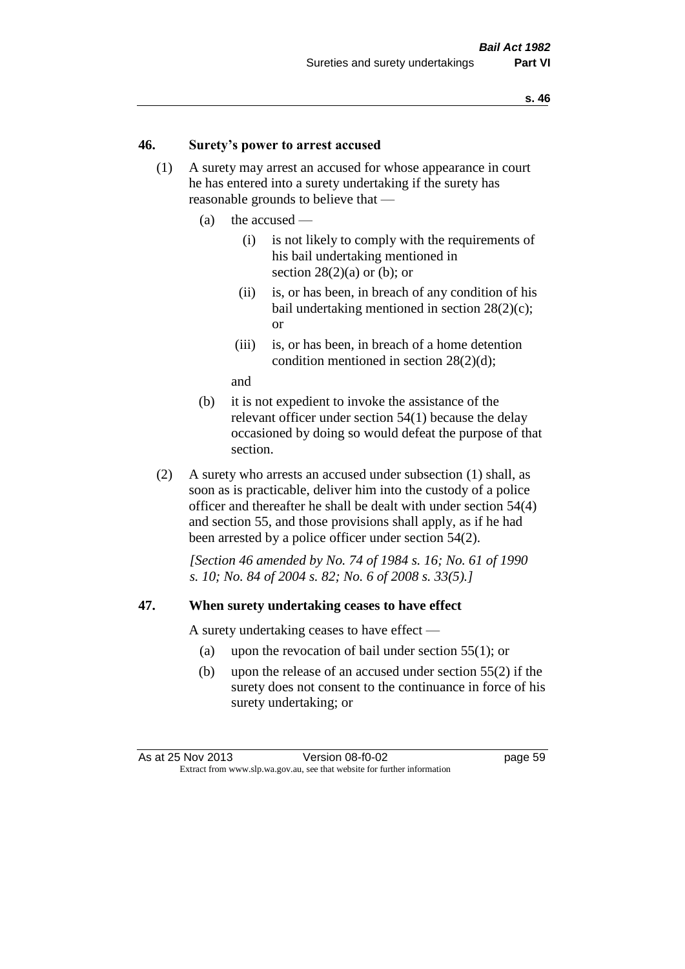#### **46. Surety's power to arrest accused**

- (1) A surety may arrest an accused for whose appearance in court he has entered into a surety undertaking if the surety has reasonable grounds to believe that —
	- (a) the accused
		- (i) is not likely to comply with the requirements of his bail undertaking mentioned in section  $28(2)(a)$  or (b); or
		- (ii) is, or has been, in breach of any condition of his bail undertaking mentioned in section 28(2)(c); or
		- (iii) is, or has been, in breach of a home detention condition mentioned in section 28(2)(d);

and

- (b) it is not expedient to invoke the assistance of the relevant officer under section 54(1) because the delay occasioned by doing so would defeat the purpose of that section.
- (2) A surety who arrests an accused under subsection (1) shall, as soon as is practicable, deliver him into the custody of a police officer and thereafter he shall be dealt with under section 54(4) and section 55, and those provisions shall apply, as if he had been arrested by a police officer under section 54(2).

*[Section 46 amended by No. 74 of 1984 s. 16; No. 61 of 1990 s. 10; No. 84 of 2004 s. 82; No. 6 of 2008 s. 33(5).]* 

#### **47. When surety undertaking ceases to have effect**

A surety undertaking ceases to have effect —

- (a) upon the revocation of bail under section 55(1); or
- (b) upon the release of an accused under section 55(2) if the surety does not consent to the continuance in force of his surety undertaking; or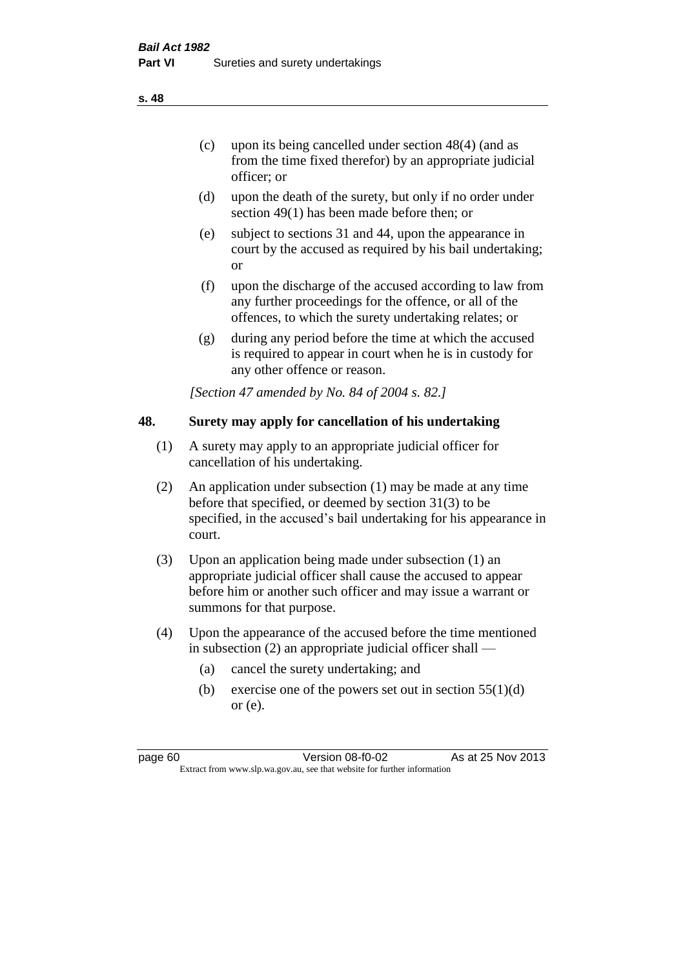- (d) upon the death of the surety, but only if no order under section 49(1) has been made before then; or
- (e) subject to sections 31 and 44, upon the appearance in court by the accused as required by his bail undertaking; or
- (f) upon the discharge of the accused according to law from any further proceedings for the offence, or all of the offences, to which the surety undertaking relates; or
- (g) during any period before the time at which the accused is required to appear in court when he is in custody for any other offence or reason.

*[Section 47 amended by No. 84 of 2004 s. 82.]* 

## **48. Surety may apply for cancellation of his undertaking**

- (1) A surety may apply to an appropriate judicial officer for cancellation of his undertaking.
- (2) An application under subsection (1) may be made at any time before that specified, or deemed by section 31(3) to be specified, in the accused's bail undertaking for his appearance in court.
- (3) Upon an application being made under subsection (1) an appropriate judicial officer shall cause the accused to appear before him or another such officer and may issue a warrant or summons for that purpose.
- (4) Upon the appearance of the accused before the time mentioned in subsection (2) an appropriate judicial officer shall —
	- (a) cancel the surety undertaking; and
	- (b) exercise one of the powers set out in section  $55(1)(d)$ or (e).

page 60 Version 08-f0-02 As at 25 Nov 2013 Extract from www.slp.wa.gov.au, see that website for further information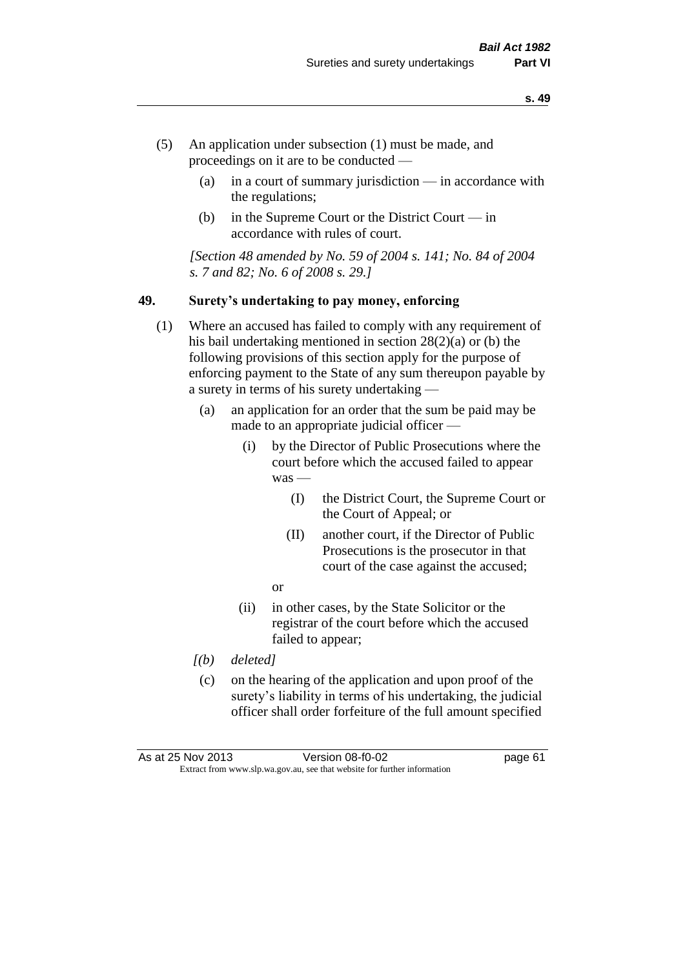- (5) An application under subsection (1) must be made, and proceedings on it are to be conducted —
	- (a) in a court of summary jurisdiction in accordance with the regulations;
	- (b) in the Supreme Court or the District Court in accordance with rules of court.

*[Section 48 amended by No. 59 of 2004 s. 141; No. 84 of 2004 s. 7 and 82; No. 6 of 2008 s. 29.]* 

#### **49. Surety's undertaking to pay money, enforcing**

- (1) Where an accused has failed to comply with any requirement of his bail undertaking mentioned in section 28(2)(a) or (b) the following provisions of this section apply for the purpose of enforcing payment to the State of any sum thereupon payable by a surety in terms of his surety undertaking —
	- (a) an application for an order that the sum be paid may be made to an appropriate judicial officer —
		- (i) by the Director of Public Prosecutions where the court before which the accused failed to appear was —
			- (I) the District Court, the Supreme Court or the Court of Appeal; or
			- (II) another court, if the Director of Public Prosecutions is the prosecutor in that court of the case against the accused;
			- or
		- (ii) in other cases, by the State Solicitor or the registrar of the court before which the accused failed to appear;
	- *[(b) deleted]*
	- (c) on the hearing of the application and upon proof of the surety's liability in terms of his undertaking, the judicial officer shall order forfeiture of the full amount specified

| As at 25 Nov 2013 | Version 08-f0-02                                                         | page 61 |
|-------------------|--------------------------------------------------------------------------|---------|
|                   | Extract from www.slp.wa.gov.au, see that website for further information |         |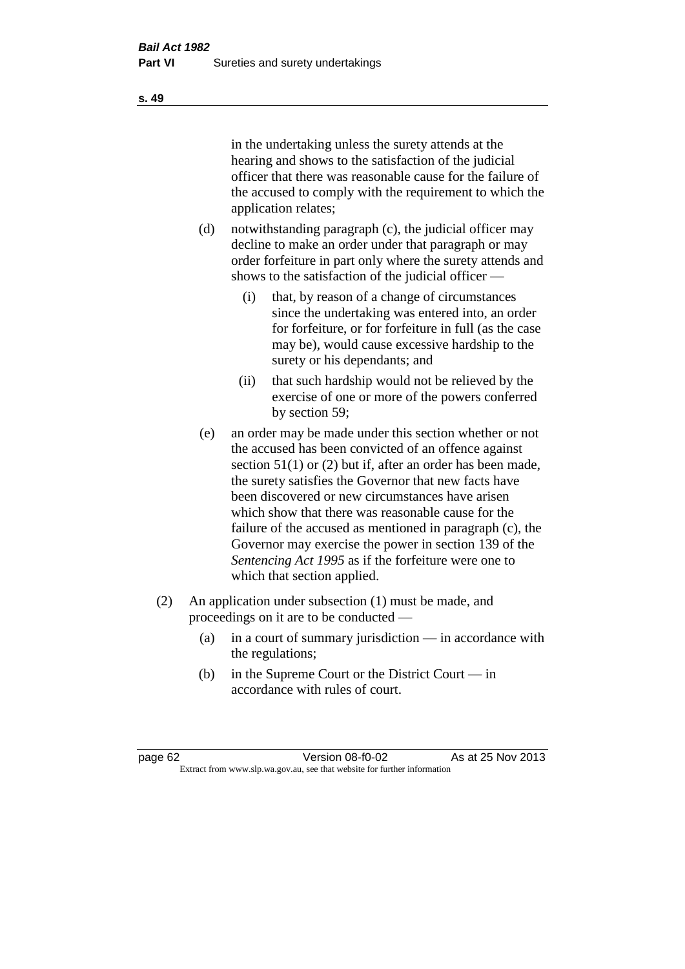in the undertaking unless the surety attends at the hearing and shows to the satisfaction of the judicial officer that there was reasonable cause for the failure of the accused to comply with the requirement to which the application relates;

- (d) notwithstanding paragraph (c), the judicial officer may decline to make an order under that paragraph or may order forfeiture in part only where the surety attends and shows to the satisfaction of the judicial officer —
	- (i) that, by reason of a change of circumstances since the undertaking was entered into, an order for forfeiture, or for forfeiture in full (as the case may be), would cause excessive hardship to the surety or his dependants; and
	- (ii) that such hardship would not be relieved by the exercise of one or more of the powers conferred by section 59;
- (e) an order may be made under this section whether or not the accused has been convicted of an offence against section 51(1) or (2) but if, after an order has been made, the surety satisfies the Governor that new facts have been discovered or new circumstances have arisen which show that there was reasonable cause for the failure of the accused as mentioned in paragraph (c), the Governor may exercise the power in section 139 of the *Sentencing Act 1995* as if the forfeiture were one to which that section applied.
- (2) An application under subsection (1) must be made, and proceedings on it are to be conducted —
	- (a) in a court of summary jurisdiction in accordance with the regulations;
	- (b) in the Supreme Court or the District Court in accordance with rules of court.

page 62 Version 08-f0-02 As at 25 Nov 2013 Extract from www.slp.wa.gov.au, see that website for further information

**s. 49**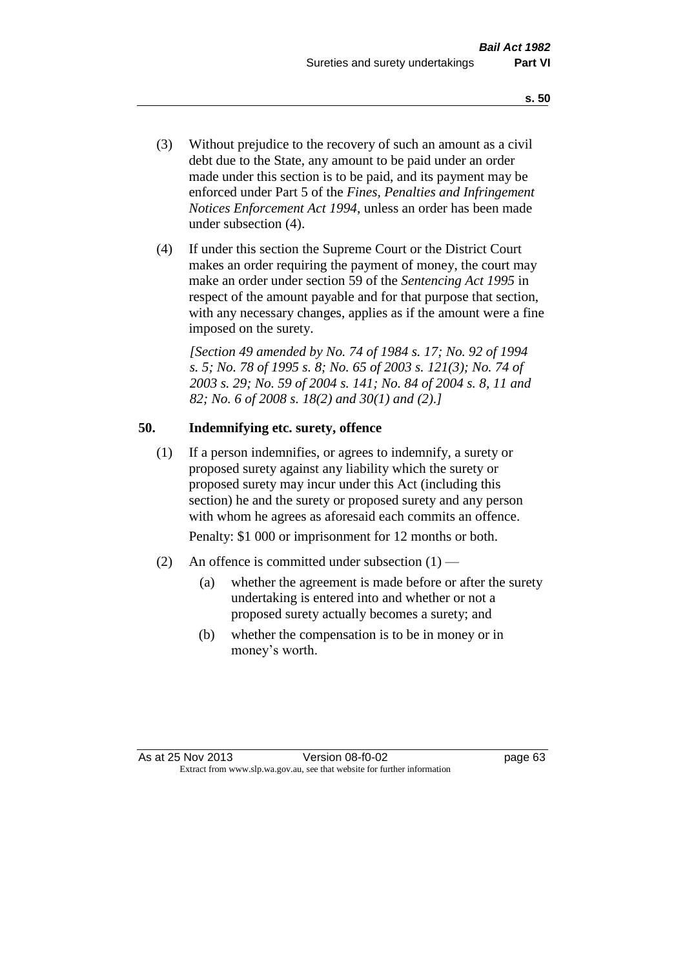- (3) Without prejudice to the recovery of such an amount as a civil debt due to the State, any amount to be paid under an order made under this section is to be paid, and its payment may be enforced under Part 5 of the *Fines, Penalties and Infringement Notices Enforcement Act 1994*, unless an order has been made under subsection (4).
- (4) If under this section the Supreme Court or the District Court makes an order requiring the payment of money, the court may make an order under section 59 of the *Sentencing Act 1995* in respect of the amount payable and for that purpose that section, with any necessary changes, applies as if the amount were a fine imposed on the surety.

*[Section 49 amended by No. 74 of 1984 s. 17; No. 92 of 1994 s. 5; No. 78 of 1995 s. 8; No. 65 of 2003 s. 121(3); No. 74 of 2003 s. 29; No. 59 of 2004 s. 141; No. 84 of 2004 s. 8, 11 and 82; No. 6 of 2008 s. 18(2) and 30(1) and (2).]* 

## **50. Indemnifying etc. surety, offence**

(1) If a person indemnifies, or agrees to indemnify, a surety or proposed surety against any liability which the surety or proposed surety may incur under this Act (including this section) he and the surety or proposed surety and any person with whom he agrees as aforesaid each commits an offence.

Penalty: \$1 000 or imprisonment for 12 months or both.

- (2) An offence is committed under subsection  $(1)$ 
	- (a) whether the agreement is made before or after the surety undertaking is entered into and whether or not a proposed surety actually becomes a surety; and
	- (b) whether the compensation is to be in money or in money's worth.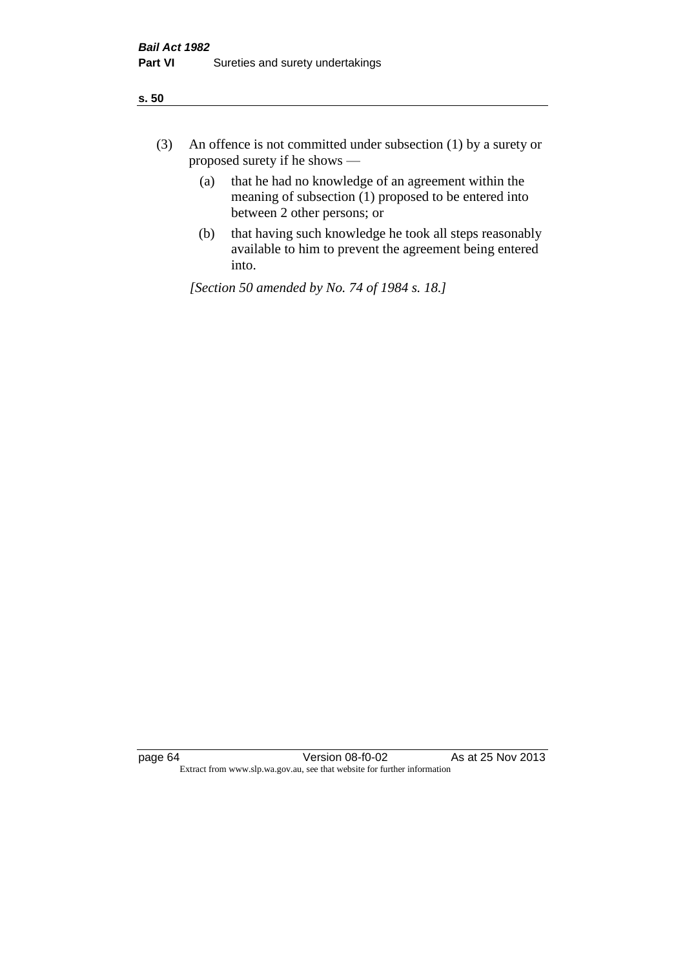| ÷<br>×<br>I<br>. .<br>×<br>۰.<br>×<br>۰.<br>v |
|-----------------------------------------------|
|-----------------------------------------------|

- (3) An offence is not committed under subsection (1) by a surety or proposed surety if he shows —
	- (a) that he had no knowledge of an agreement within the meaning of subsection  $(1)$  proposed to be entered into between 2 other persons; or
	- (b) that having such knowledge he took all steps reasonably available to him to prevent the agreement being entered into.

*[Section 50 amended by No. 74 of 1984 s. 18.]*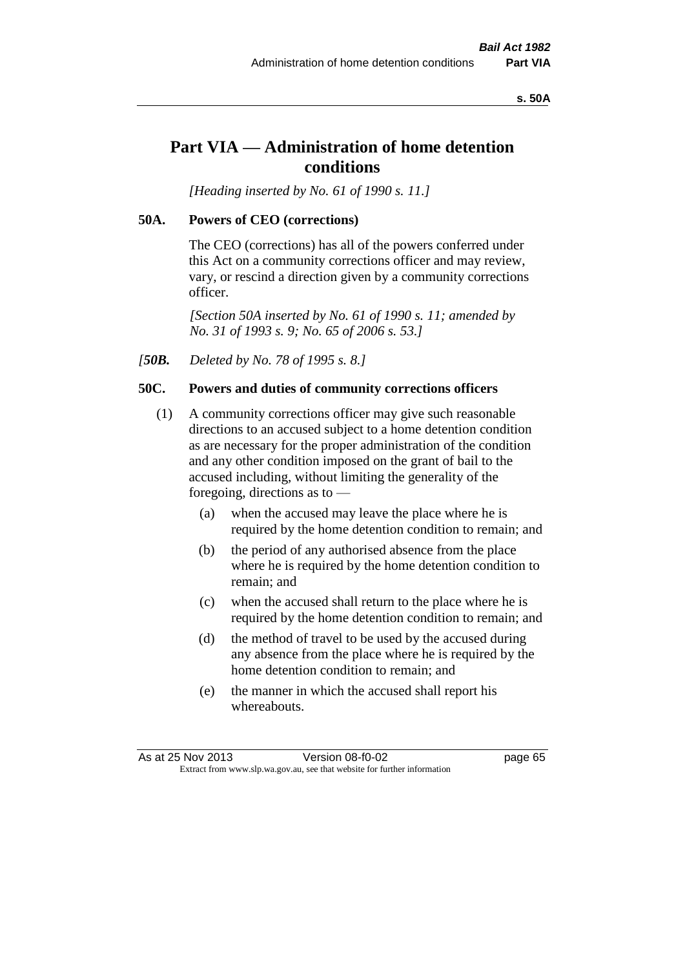#### **s. 50A**

# **Part VIA — Administration of home detention conditions**

*[Heading inserted by No. 61 of 1990 s. 11.]* 

## **50A. Powers of CEO (corrections)**

The CEO (corrections) has all of the powers conferred under this Act on a community corrections officer and may review, vary, or rescind a direction given by a community corrections officer.

*[Section 50A inserted by No. 61 of 1990 s. 11; amended by No. 31 of 1993 s. 9; No. 65 of 2006 s. 53.]* 

*[50B. Deleted by No. 78 of 1995 s. 8.]* 

## **50C. Powers and duties of community corrections officers**

- (1) A community corrections officer may give such reasonable directions to an accused subject to a home detention condition as are necessary for the proper administration of the condition and any other condition imposed on the grant of bail to the accused including, without limiting the generality of the foregoing, directions as to —
	- (a) when the accused may leave the place where he is required by the home detention condition to remain; and
	- (b) the period of any authorised absence from the place where he is required by the home detention condition to remain; and
	- (c) when the accused shall return to the place where he is required by the home detention condition to remain; and
	- (d) the method of travel to be used by the accused during any absence from the place where he is required by the home detention condition to remain; and
	- (e) the manner in which the accused shall report his whereabouts.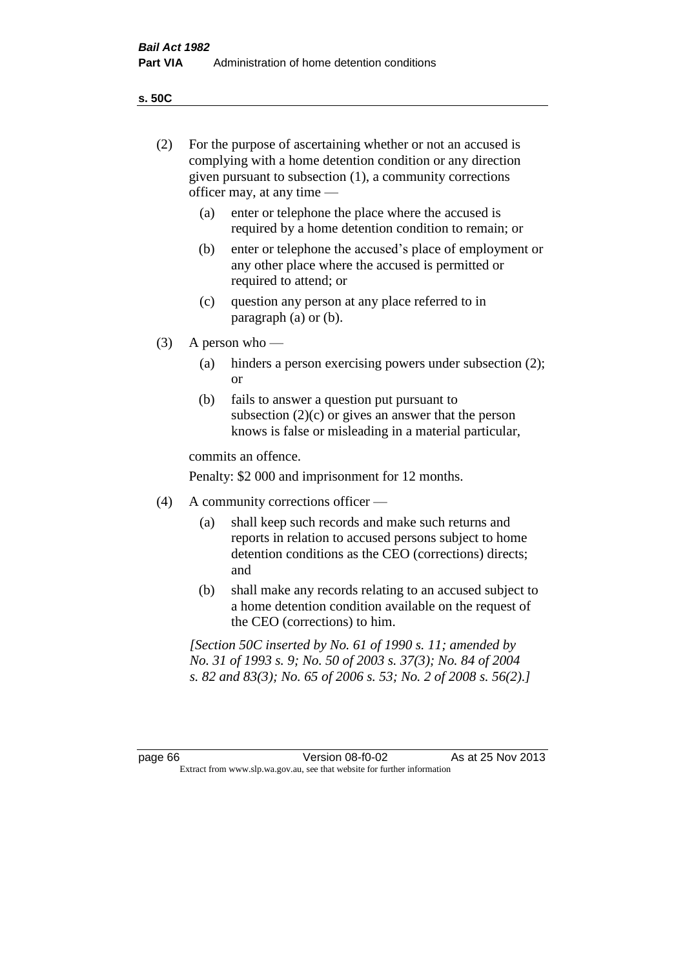**s. 50C**

| (2)     |     | For the purpose of ascertaining whether or not an accused is<br>complying with a home detention condition or any direction<br>given pursuant to subsection (1), a community corrections<br>officer may, at any time — |
|---------|-----|-----------------------------------------------------------------------------------------------------------------------------------------------------------------------------------------------------------------------|
|         | (a) | enter or telephone the place where the accused is<br>required by a home detention condition to remain; or                                                                                                             |
|         | (b) | enter or telephone the accused's place of employment or<br>any other place where the accused is permitted or<br>required to attend; or                                                                                |
|         | (c) | question any person at any place referred to in<br>paragraph $(a)$ or $(b)$ .                                                                                                                                         |
| (3)     |     | A person who $-$                                                                                                                                                                                                      |
|         | (a) | hinders a person exercising powers under subsection (2);<br><sub>or</sub>                                                                                                                                             |
|         | (b) | fails to answer a question put pursuant to<br>subsection $(2)(c)$ or gives an answer that the person<br>knows is false or misleading in a material particular,                                                        |
|         |     | commits an offence.                                                                                                                                                                                                   |
|         |     | Penalty: \$2 000 and imprisonment for 12 months.                                                                                                                                                                      |
| (4)     |     | A community corrections officer —                                                                                                                                                                                     |
|         | (a) | shall keep such records and make such returns and<br>reports in relation to accused persons subject to home<br>detention conditions as the CEO (corrections) directs;<br>and                                          |
|         | (b) | shall make any records relating to an accused subject to<br>a home detention condition available on the request of<br>the CEO (corrections) to him.                                                                   |
|         |     | [Section 50C inserted by No. 61 of 1990 s. 11; amended by<br>No. 31 of 1993 s. 9; No. 50 of 2003 s. 37(3); No. 84 of 2004<br>s. 82 and 83(3); No. 65 of 2006 s. 53; No. 2 of 2008 s. 56(2).]                          |
|         |     |                                                                                                                                                                                                                       |
| page 66 |     | Version 08-f0-02<br>As at 25 Nov 2013<br>Extract from www.slp.wa.gov.au, see that website for further information                                                                                                     |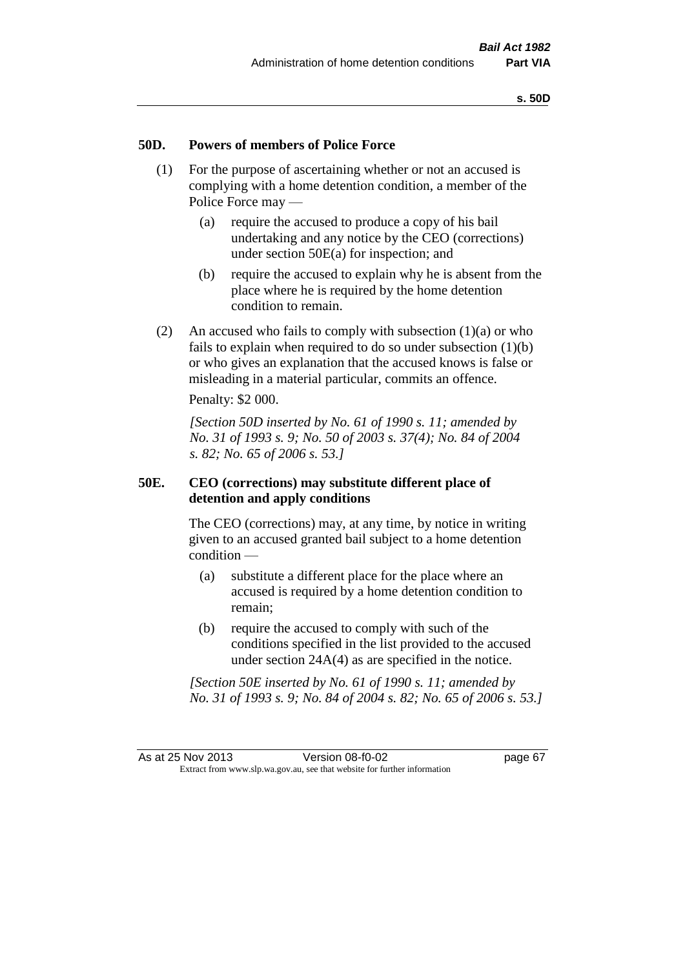## **50D. Powers of members of Police Force**

- (1) For the purpose of ascertaining whether or not an accused is complying with a home detention condition, a member of the Police Force may —
	- (a) require the accused to produce a copy of his bail undertaking and any notice by the CEO (corrections) under section 50E(a) for inspection; and
	- (b) require the accused to explain why he is absent from the place where he is required by the home detention condition to remain.
- (2) An accused who fails to comply with subsection  $(1)(a)$  or who fails to explain when required to do so under subsection  $(1)(b)$ or who gives an explanation that the accused knows is false or misleading in a material particular, commits an offence.

Penalty: \$2 000.

*[Section 50D inserted by No. 61 of 1990 s. 11; amended by No. 31 of 1993 s. 9; No. 50 of 2003 s. 37(4); No. 84 of 2004 s. 82; No. 65 of 2006 s. 53.]* 

## **50E. CEO (corrections) may substitute different place of detention and apply conditions**

The CEO (corrections) may, at any time, by notice in writing given to an accused granted bail subject to a home detention condition —

- (a) substitute a different place for the place where an accused is required by a home detention condition to remain;
- (b) require the accused to comply with such of the conditions specified in the list provided to the accused under section 24A(4) as are specified in the notice.

*[Section 50E inserted by No. 61 of 1990 s. 11; amended by No. 31 of 1993 s. 9; No. 84 of 2004 s. 82; No. 65 of 2006 s. 53.]*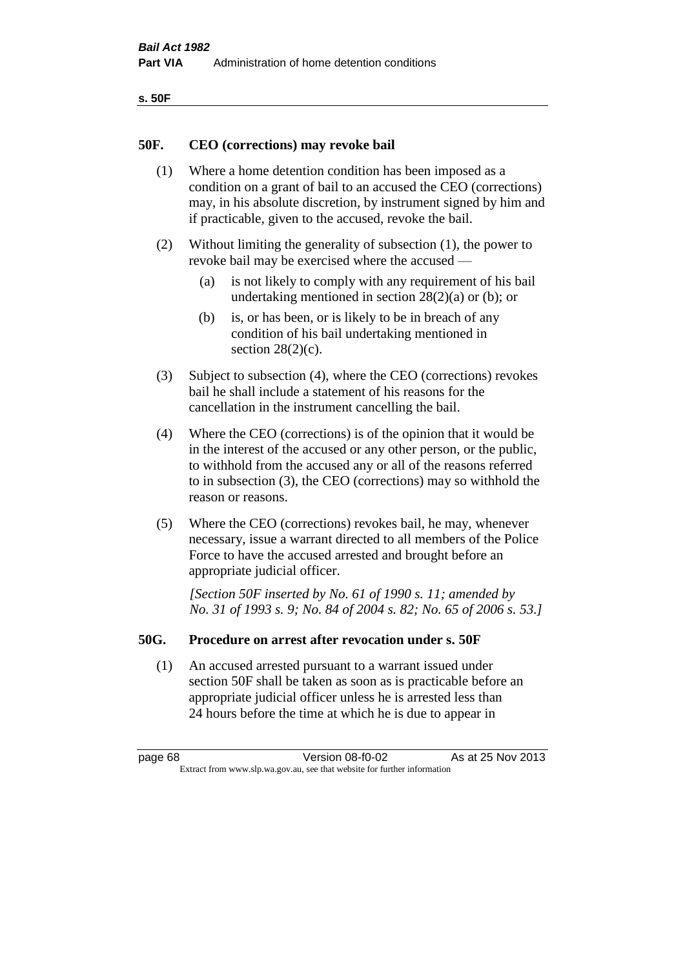| ۰.<br>×<br>-<br>۰.<br>× |  |
|-------------------------|--|
|-------------------------|--|

## **50F. CEO (corrections) may revoke bail**

- (1) Where a home detention condition has been imposed as a condition on a grant of bail to an accused the CEO (corrections) may, in his absolute discretion, by instrument signed by him and if practicable, given to the accused, revoke the bail.
- (2) Without limiting the generality of subsection (1), the power to revoke bail may be exercised where the accused —
	- (a) is not likely to comply with any requirement of his bail undertaking mentioned in section 28(2)(a) or (b); or
	- (b) is, or has been, or is likely to be in breach of any condition of his bail undertaking mentioned in section  $28(2)(c)$ .
- (3) Subject to subsection (4), where the CEO (corrections) revokes bail he shall include a statement of his reasons for the cancellation in the instrument cancelling the bail.
- (4) Where the CEO (corrections) is of the opinion that it would be in the interest of the accused or any other person, or the public, to withhold from the accused any or all of the reasons referred to in subsection (3), the CEO (corrections) may so withhold the reason or reasons.
- (5) Where the CEO (corrections) revokes bail, he may, whenever necessary, issue a warrant directed to all members of the Police Force to have the accused arrested and brought before an appropriate judicial officer.

*[Section 50F inserted by No. 61 of 1990 s. 11; amended by No. 31 of 1993 s. 9; No. 84 of 2004 s. 82; No. 65 of 2006 s. 53.]* 

## **50G. Procedure on arrest after revocation under s. 50F**

(1) An accused arrested pursuant to a warrant issued under section 50F shall be taken as soon as is practicable before an appropriate judicial officer unless he is arrested less than 24 hours before the time at which he is due to appear in

page 68 Version 08-f0-02 As at 25 Nov 2013 Extract from www.slp.wa.gov.au, see that website for further information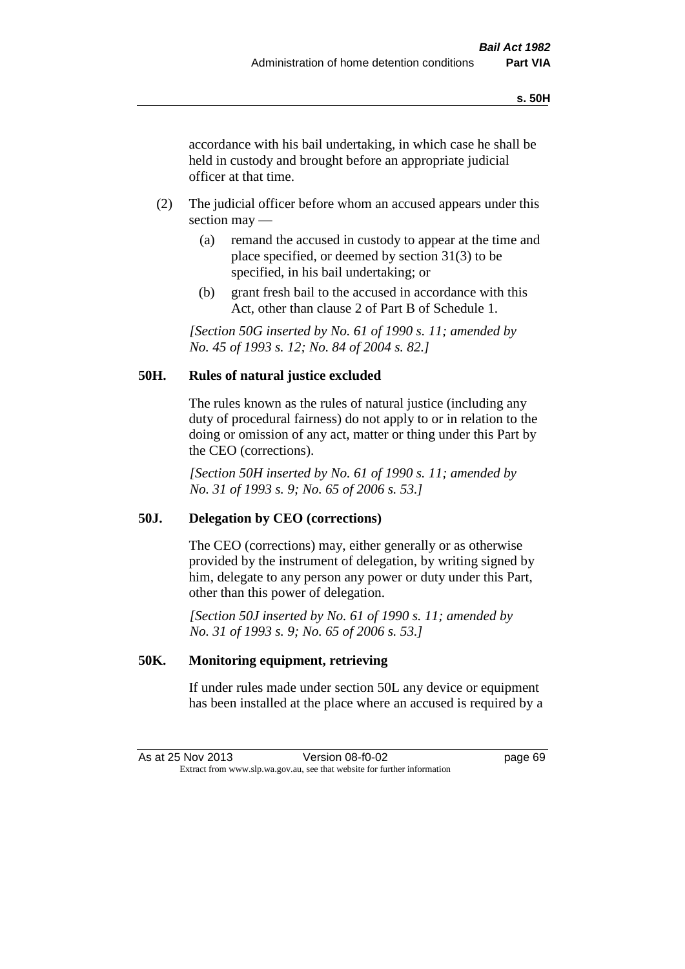accordance with his bail undertaking, in which case he shall be held in custody and brought before an appropriate judicial officer at that time.

- (2) The judicial officer before whom an accused appears under this section may —
	- (a) remand the accused in custody to appear at the time and place specified, or deemed by section 31(3) to be specified, in his bail undertaking; or
	- (b) grant fresh bail to the accused in accordance with this Act, other than clause 2 of Part B of Schedule 1.

*[Section 50G inserted by No. 61 of 1990 s. 11; amended by No. 45 of 1993 s. 12; No. 84 of 2004 s. 82.]* 

# **50H. Rules of natural justice excluded**

The rules known as the rules of natural justice (including any duty of procedural fairness) do not apply to or in relation to the doing or omission of any act, matter or thing under this Part by the CEO (corrections).

*[Section 50H inserted by No. 61 of 1990 s. 11; amended by No. 31 of 1993 s. 9; No. 65 of 2006 s. 53.]* 

## **50J. Delegation by CEO (corrections)**

The CEO (corrections) may, either generally or as otherwise provided by the instrument of delegation, by writing signed by him, delegate to any person any power or duty under this Part, other than this power of delegation.

*[Section 50J inserted by No. 61 of 1990 s. 11; amended by No. 31 of 1993 s. 9; No. 65 of 2006 s. 53.]* 

## **50K. Monitoring equipment, retrieving**

If under rules made under section 50L any device or equipment has been installed at the place where an accused is required by a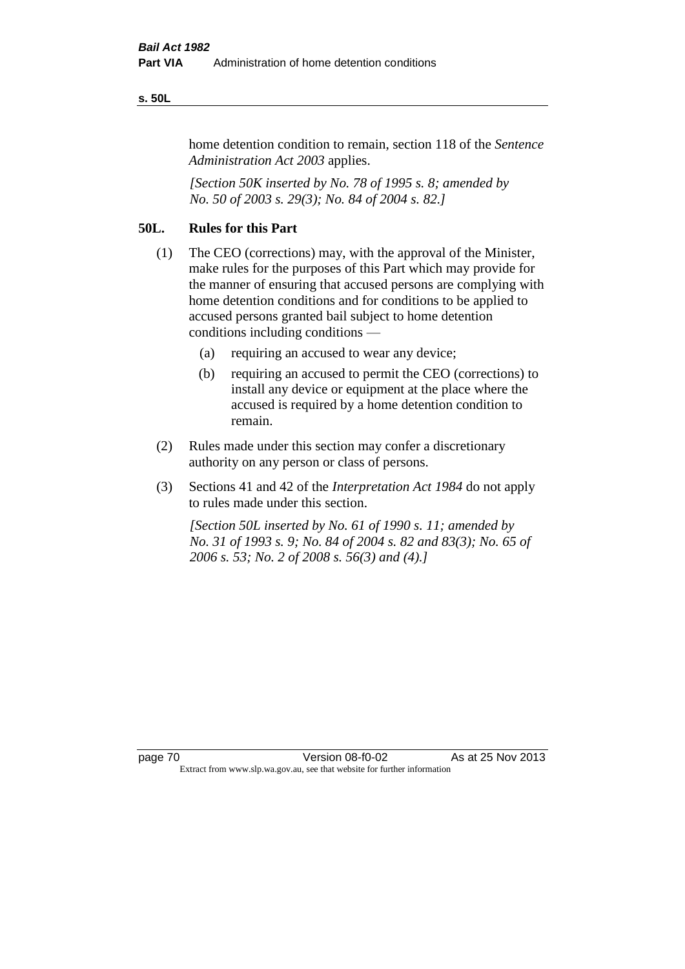#### **s. 50L**

home detention condition to remain, section 118 of the *Sentence Administration Act 2003* applies.

*[Section 50K inserted by No. 78 of 1995 s. 8; amended by No. 50 of 2003 s. 29(3); No. 84 of 2004 s. 82.]* 

# **50L. Rules for this Part**

- (1) The CEO (corrections) may, with the approval of the Minister, make rules for the purposes of this Part which may provide for the manner of ensuring that accused persons are complying with home detention conditions and for conditions to be applied to accused persons granted bail subject to home detention conditions including conditions —
	- (a) requiring an accused to wear any device;
	- (b) requiring an accused to permit the CEO (corrections) to install any device or equipment at the place where the accused is required by a home detention condition to remain.
- (2) Rules made under this section may confer a discretionary authority on any person or class of persons.
- (3) Sections 41 and 42 of the *Interpretation Act 1984* do not apply to rules made under this section.

*[Section 50L inserted by No. 61 of 1990 s. 11; amended by No. 31 of 1993 s. 9; No. 84 of 2004 s. 82 and 83(3); No. 65 of 2006 s. 53; No. 2 of 2008 s. 56(3) and (4).]*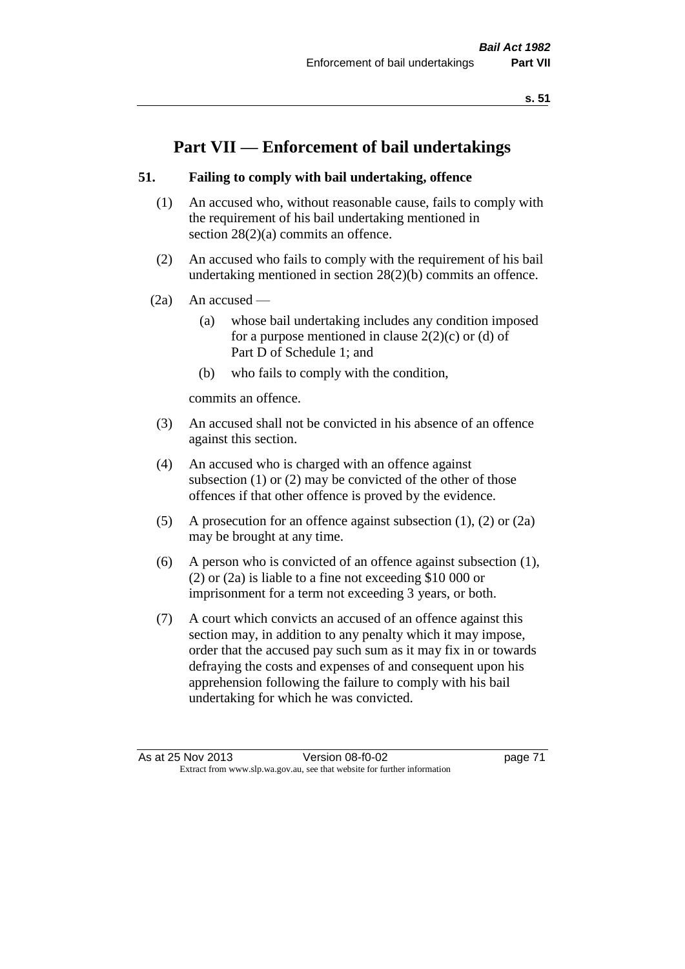# **Part VII — Enforcement of bail undertakings**

## **51. Failing to comply with bail undertaking, offence**

- (1) An accused who, without reasonable cause, fails to comply with the requirement of his bail undertaking mentioned in section 28(2)(a) commits an offence.
- (2) An accused who fails to comply with the requirement of his bail undertaking mentioned in section 28(2)(b) commits an offence.
- $(2a)$  An accused
	- (a) whose bail undertaking includes any condition imposed for a purpose mentioned in clause  $2(2)(c)$  or (d) of Part D of Schedule 1; and
	- (b) who fails to comply with the condition,

commits an offence.

- (3) An accused shall not be convicted in his absence of an offence against this section.
- (4) An accused who is charged with an offence against subsection (1) or (2) may be convicted of the other of those offences if that other offence is proved by the evidence.
- (5) A prosecution for an offence against subsection (1), (2) or (2a) may be brought at any time.
- (6) A person who is convicted of an offence against subsection (1), (2) or (2a) is liable to a fine not exceeding \$10 000 or imprisonment for a term not exceeding 3 years, or both.
- (7) A court which convicts an accused of an offence against this section may, in addition to any penalty which it may impose, order that the accused pay such sum as it may fix in or towards defraying the costs and expenses of and consequent upon his apprehension following the failure to comply with his bail undertaking for which he was convicted.

As at 25 Nov 2013 Version 08-f0-02 page 71 Extract from www.slp.wa.gov.au, see that website for further information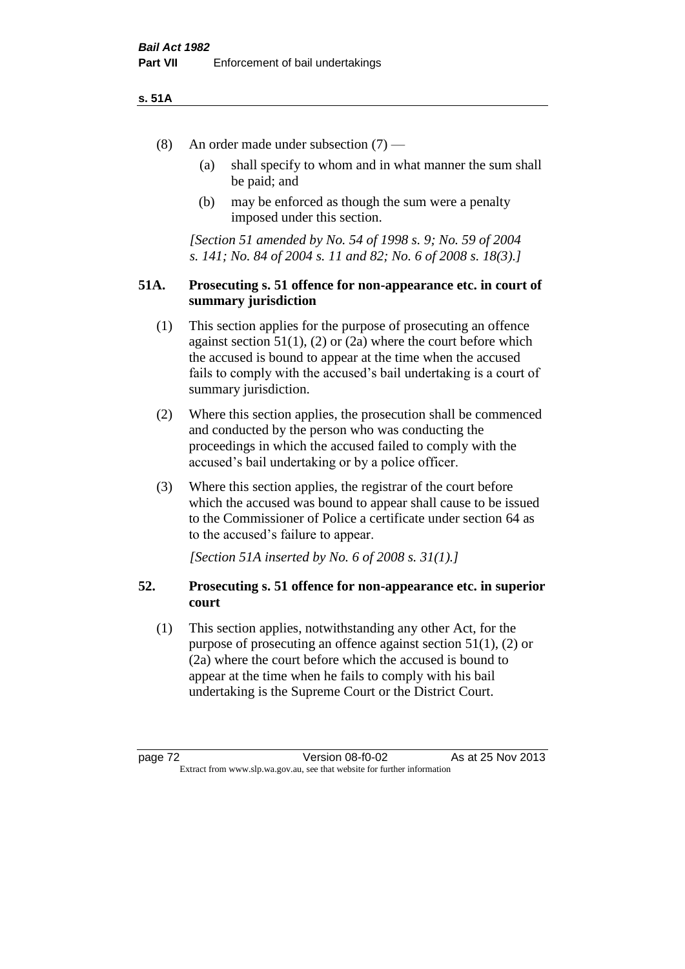### **s. 51A**

- (8) An order made under subsection (7)
	- (a) shall specify to whom and in what manner the sum shall be paid; and
	- (b) may be enforced as though the sum were a penalty imposed under this section.

*[Section 51 amended by No. 54 of 1998 s. 9; No. 59 of 2004 s. 141; No. 84 of 2004 s. 11 and 82; No. 6 of 2008 s. 18(3).]*

## **51A. Prosecuting s. 51 offence for non-appearance etc. in court of summary jurisdiction**

- (1) This section applies for the purpose of prosecuting an offence against section  $51(1)$ ,  $(2)$  or  $(2a)$  where the court before which the accused is bound to appear at the time when the accused fails to comply with the accused's bail undertaking is a court of summary jurisdiction.
- (2) Where this section applies, the prosecution shall be commenced and conducted by the person who was conducting the proceedings in which the accused failed to comply with the accused's bail undertaking or by a police officer.
- (3) Where this section applies, the registrar of the court before which the accused was bound to appear shall cause to be issued to the Commissioner of Police a certificate under section 64 as to the accused's failure to appear.

*[Section 51A inserted by No. 6 of 2008 s. 31(1).]*

## **52. Prosecuting s. 51 offence for non-appearance etc. in superior court**

(1) This section applies, notwithstanding any other Act, for the purpose of prosecuting an offence against section 51(1), (2) or (2a) where the court before which the accused is bound to appear at the time when he fails to comply with his bail undertaking is the Supreme Court or the District Court.

page 72 Version 08-f0-02 As at 25 Nov 2013 Extract from www.slp.wa.gov.au, see that website for further information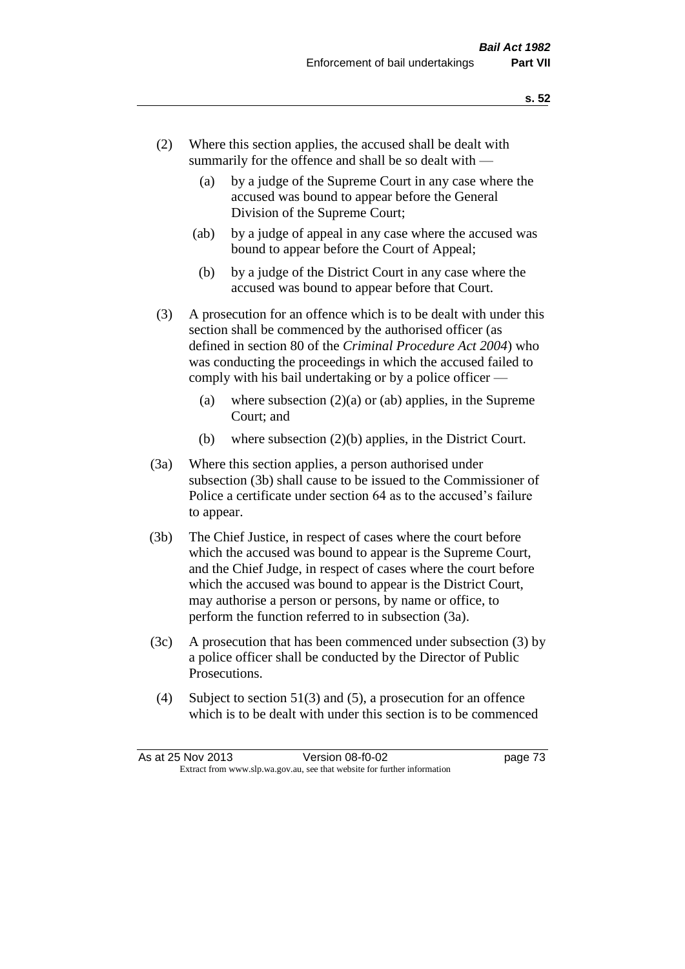- (2) Where this section applies, the accused shall be dealt with summarily for the offence and shall be so dealt with —
	- (a) by a judge of the Supreme Court in any case where the accused was bound to appear before the General Division of the Supreme Court;
	- (ab) by a judge of appeal in any case where the accused was bound to appear before the Court of Appeal;
	- (b) by a judge of the District Court in any case where the accused was bound to appear before that Court.
- (3) A prosecution for an offence which is to be dealt with under this section shall be commenced by the authorised officer (as defined in section 80 of the *Criminal Procedure Act 2004*) who was conducting the proceedings in which the accused failed to comply with his bail undertaking or by a police officer —
	- (a) where subsection  $(2)(a)$  or (ab) applies, in the Supreme Court; and
	- (b) where subsection (2)(b) applies, in the District Court.
- (3a) Where this section applies, a person authorised under subsection (3b) shall cause to be issued to the Commissioner of Police a certificate under section 64 as to the accused's failure to appear.
- (3b) The Chief Justice, in respect of cases where the court before which the accused was bound to appear is the Supreme Court, and the Chief Judge, in respect of cases where the court before which the accused was bound to appear is the District Court, may authorise a person or persons, by name or office, to perform the function referred to in subsection (3a).
- (3c) A prosecution that has been commenced under subsection (3) by a police officer shall be conducted by the Director of Public Prosecutions.
- (4) Subject to section 51(3) and (5), a prosecution for an offence which is to be dealt with under this section is to be commenced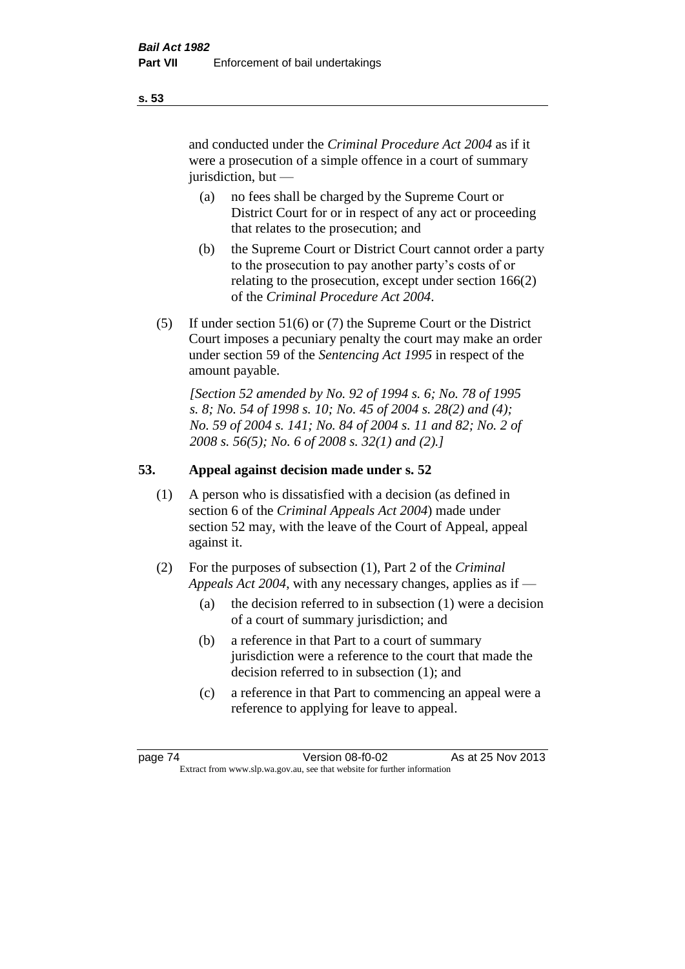and conducted under the *Criminal Procedure Act 2004* as if it were a prosecution of a simple offence in a court of summary jurisdiction, but —

- (a) no fees shall be charged by the Supreme Court or District Court for or in respect of any act or proceeding that relates to the prosecution; and
- (b) the Supreme Court or District Court cannot order a party to the prosecution to pay another party's costs of or relating to the prosecution, except under section 166(2) of the *Criminal Procedure Act 2004*.
- (5) If under section 51(6) or (7) the Supreme Court or the District Court imposes a pecuniary penalty the court may make an order under section 59 of the *Sentencing Act 1995* in respect of the amount payable.

*[Section 52 amended by No. 92 of 1994 s. 6; No. 78 of 1995 s. 8; No. 54 of 1998 s. 10; No. 45 of 2004 s. 28(2) and (4); No. 59 of 2004 s. 141; No. 84 of 2004 s. 11 and 82; No. 2 of 2008 s. 56(5); No. 6 of 2008 s. 32(1) and (2).]* 

# **53. Appeal against decision made under s. 52**

- (1) A person who is dissatisfied with a decision (as defined in section 6 of the *Criminal Appeals Act 2004*) made under section 52 may, with the leave of the Court of Appeal, appeal against it.
- (2) For the purposes of subsection (1), Part 2 of the *Criminal Appeals Act 2004*, with any necessary changes, applies as if —
	- (a) the decision referred to in subsection (1) were a decision of a court of summary jurisdiction; and
	- (b) a reference in that Part to a court of summary jurisdiction were a reference to the court that made the decision referred to in subsection (1); and
	- (c) a reference in that Part to commencing an appeal were a reference to applying for leave to appeal.

**s. 53**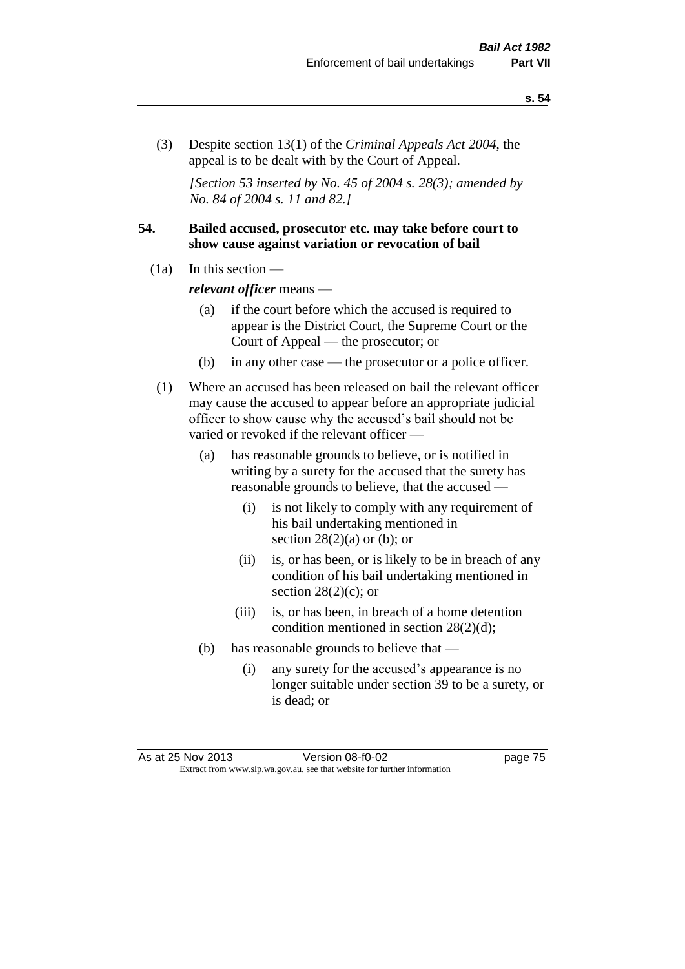(3) Despite section 13(1) of the *Criminal Appeals Act 2004*, the appeal is to be dealt with by the Court of Appeal.

*[Section 53 inserted by No. 45 of 2004 s. 28(3); amended by No. 84 of 2004 s. 11 and 82.]*

## **54. Bailed accused, prosecutor etc. may take before court to show cause against variation or revocation of bail**

 $(1a)$  In this section —

*relevant officer* means —

- (a) if the court before which the accused is required to appear is the District Court, the Supreme Court or the Court of Appeal — the prosecutor; or
- (b) in any other case the prosecutor or a police officer.
- (1) Where an accused has been released on bail the relevant officer may cause the accused to appear before an appropriate judicial officer to show cause why the accused's bail should not be varied or revoked if the relevant officer —
	- (a) has reasonable grounds to believe, or is notified in writing by a surety for the accused that the surety has reasonable grounds to believe, that the accused —
		- (i) is not likely to comply with any requirement of his bail undertaking mentioned in section  $28(2)(a)$  or (b); or
		- (ii) is, or has been, or is likely to be in breach of any condition of his bail undertaking mentioned in section  $28(2)(c)$ ; or
		- (iii) is, or has been, in breach of a home detention condition mentioned in section 28(2)(d);
	- (b) has reasonable grounds to believe that
		- (i) any surety for the accused's appearance is no longer suitable under section 39 to be a surety, or is dead; or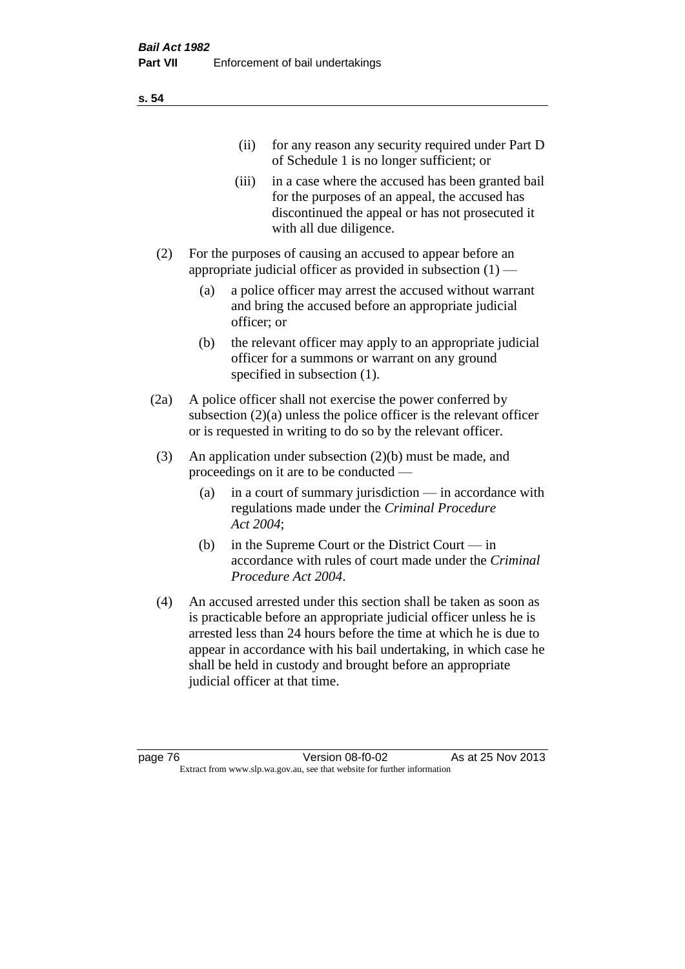| (11)  | for any reason any security required under Part D<br>of Schedule 1 is no longer sufficient; or                                                                                     |
|-------|------------------------------------------------------------------------------------------------------------------------------------------------------------------------------------|
| (111) | in a case where the accused has been granted bail<br>for the purposes of an appeal, the accused has<br>discontinued the appeal or has not prosecuted it<br>with all due diligence. |
|       | For the purposes of causing an accused to appear before an                                                                                                                         |

- appropriate judicial officer as provided in subsection  $(1)$ 
	- (a) a police officer may arrest the accused without warrant and bring the accused before an appropriate judicial officer; or
	- (b) the relevant officer may apply to an appropriate judicial officer for a summons or warrant on any ground specified in subsection  $(1)$ .
- (2a) A police officer shall not exercise the power conferred by subsection (2)(a) unless the police officer is the relevant officer or is requested in writing to do so by the relevant officer.
- (3) An application under subsection (2)(b) must be made, and proceedings on it are to be conducted —
	- (a) in a court of summary jurisdiction in accordance with regulations made under the *Criminal Procedure Act 2004*;
	- (b) in the Supreme Court or the District Court in accordance with rules of court made under the *Criminal Procedure Act 2004*.
- (4) An accused arrested under this section shall be taken as soon as is practicable before an appropriate judicial officer unless he is arrested less than 24 hours before the time at which he is due to appear in accordance with his bail undertaking, in which case he shall be held in custody and brought before an appropriate judicial officer at that time.

**s. 54**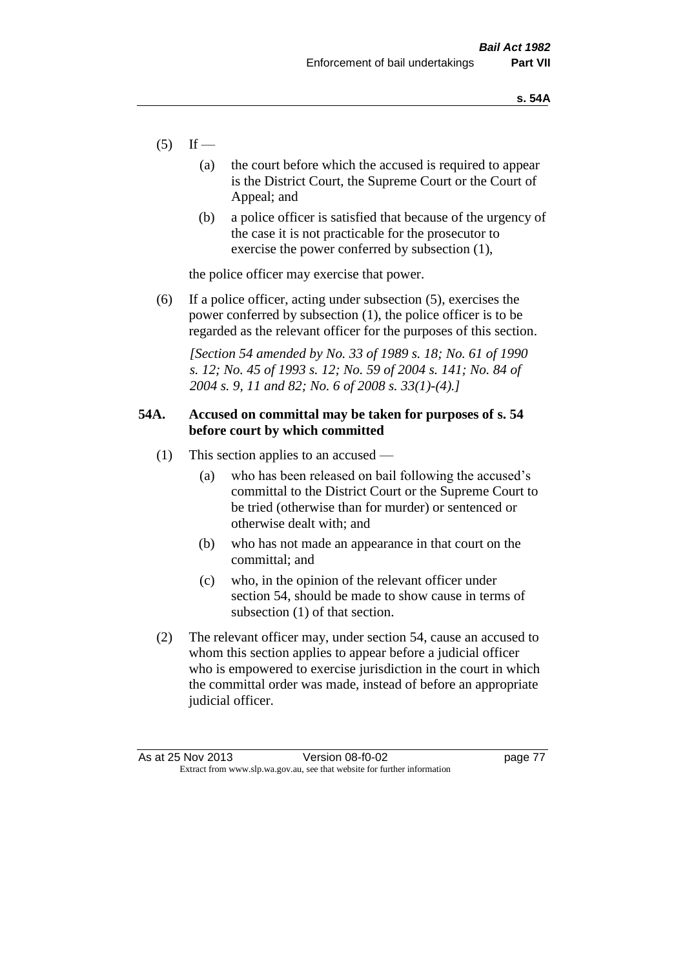- $(5)$  If
	- (a) the court before which the accused is required to appear is the District Court, the Supreme Court or the Court of Appeal; and
	- (b) a police officer is satisfied that because of the urgency of the case it is not practicable for the prosecutor to exercise the power conferred by subsection (1),

the police officer may exercise that power.

(6) If a police officer, acting under subsection (5), exercises the power conferred by subsection (1), the police officer is to be regarded as the relevant officer for the purposes of this section.

*[Section 54 amended by No. 33 of 1989 s. 18; No. 61 of 1990 s. 12; No. 45 of 1993 s. 12; No. 59 of 2004 s. 141; No. 84 of 2004 s. 9, 11 and 82; No. 6 of 2008 s. 33(1)-(4).]* 

## **54A. Accused on committal may be taken for purposes of s. 54 before court by which committed**

- (1) This section applies to an accused
	- (a) who has been released on bail following the accused's committal to the District Court or the Supreme Court to be tried (otherwise than for murder) or sentenced or otherwise dealt with; and
	- (b) who has not made an appearance in that court on the committal; and
	- (c) who, in the opinion of the relevant officer under section 54, should be made to show cause in terms of subsection (1) of that section.
- (2) The relevant officer may, under section 54, cause an accused to whom this section applies to appear before a judicial officer who is empowered to exercise jurisdiction in the court in which the committal order was made, instead of before an appropriate judicial officer.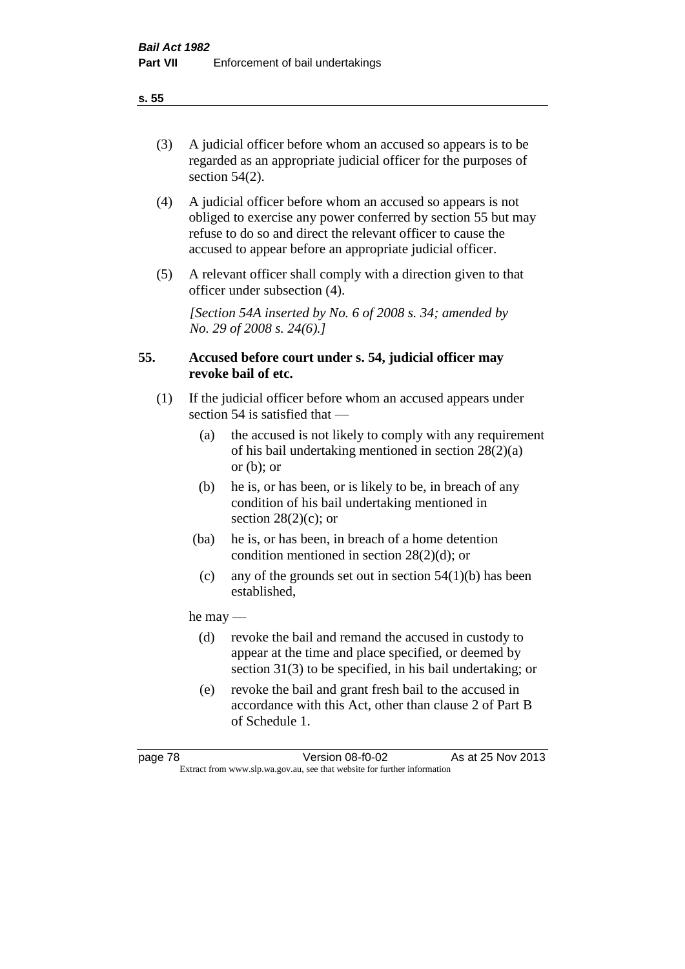(3) A judicial officer before whom an accused so appears is to be regarded as an appropriate judicial officer for the purposes of section 54(2).

- (4) A judicial officer before whom an accused so appears is not obliged to exercise any power conferred by section 55 but may refuse to do so and direct the relevant officer to cause the accused to appear before an appropriate judicial officer.
- (5) A relevant officer shall comply with a direction given to that officer under subsection (4).

*[Section 54A inserted by No. 6 of 2008 s. 34; amended by No. 29 of 2008 s. 24(6).]*

## **55. Accused before court under s. 54, judicial officer may revoke bail of etc.**

- (1) If the judicial officer before whom an accused appears under section 54 is satisfied that —
	- (a) the accused is not likely to comply with any requirement of his bail undertaking mentioned in section 28(2)(a) or  $(b)$ ; or
	- (b) he is, or has been, or is likely to be, in breach of any condition of his bail undertaking mentioned in section  $28(2)(c)$ ; or
	- (ba) he is, or has been, in breach of a home detention condition mentioned in section 28(2)(d); or
	- (c) any of the grounds set out in section  $54(1)(b)$  has been established,

he may —

- (d) revoke the bail and remand the accused in custody to appear at the time and place specified, or deemed by section 31(3) to be specified, in his bail undertaking; or
- (e) revoke the bail and grant fresh bail to the accused in accordance with this Act, other than clause 2 of Part B of Schedule 1.

**s. 55**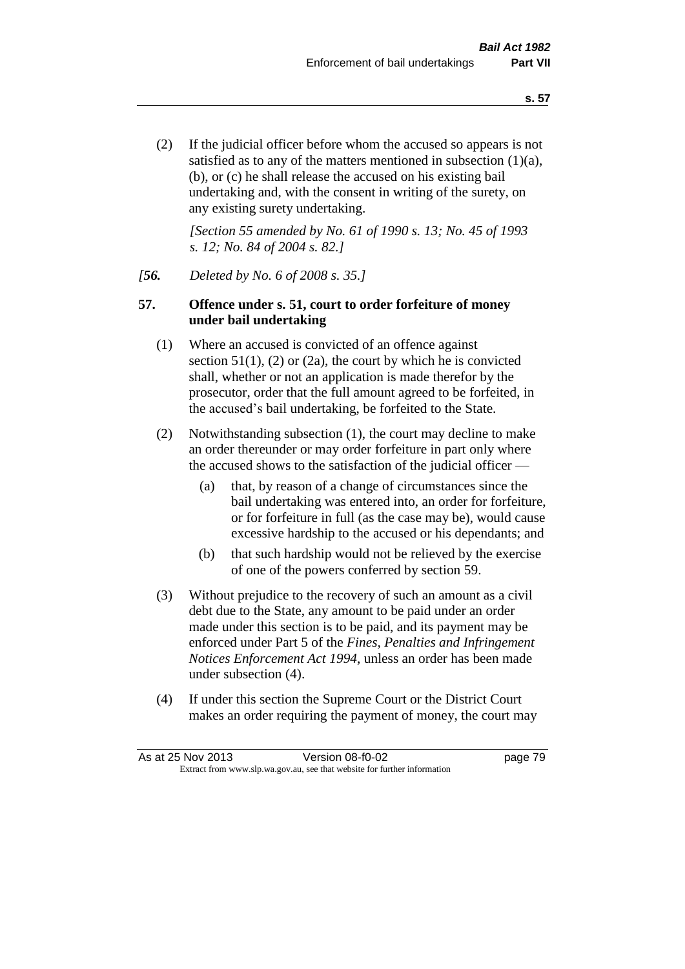(2) If the judicial officer before whom the accused so appears is not satisfied as to any of the matters mentioned in subsection (1)(a), (b), or (c) he shall release the accused on his existing bail undertaking and, with the consent in writing of the surety, on any existing surety undertaking.

*[Section 55 amended by No. 61 of 1990 s. 13; No. 45 of 1993 s. 12; No. 84 of 2004 s. 82.]* 

## *[56. Deleted by No. 6 of 2008 s. 35.]*

## **57. Offence under s. 51, court to order forfeiture of money under bail undertaking**

- (1) Where an accused is convicted of an offence against section  $51(1)$ ,  $(2)$  or  $(2a)$ , the court by which he is convicted shall, whether or not an application is made therefor by the prosecutor, order that the full amount agreed to be forfeited, in the accused's bail undertaking, be forfeited to the State.
- (2) Notwithstanding subsection (1), the court may decline to make an order thereunder or may order forfeiture in part only where the accused shows to the satisfaction of the judicial officer —
	- (a) that, by reason of a change of circumstances since the bail undertaking was entered into, an order for forfeiture, or for forfeiture in full (as the case may be), would cause excessive hardship to the accused or his dependants; and
	- (b) that such hardship would not be relieved by the exercise of one of the powers conferred by section 59.
- (3) Without prejudice to the recovery of such an amount as a civil debt due to the State, any amount to be paid under an order made under this section is to be paid, and its payment may be enforced under Part 5 of the *Fines, Penalties and Infringement Notices Enforcement Act 1994*, unless an order has been made under subsection (4).
- (4) If under this section the Supreme Court or the District Court makes an order requiring the payment of money, the court may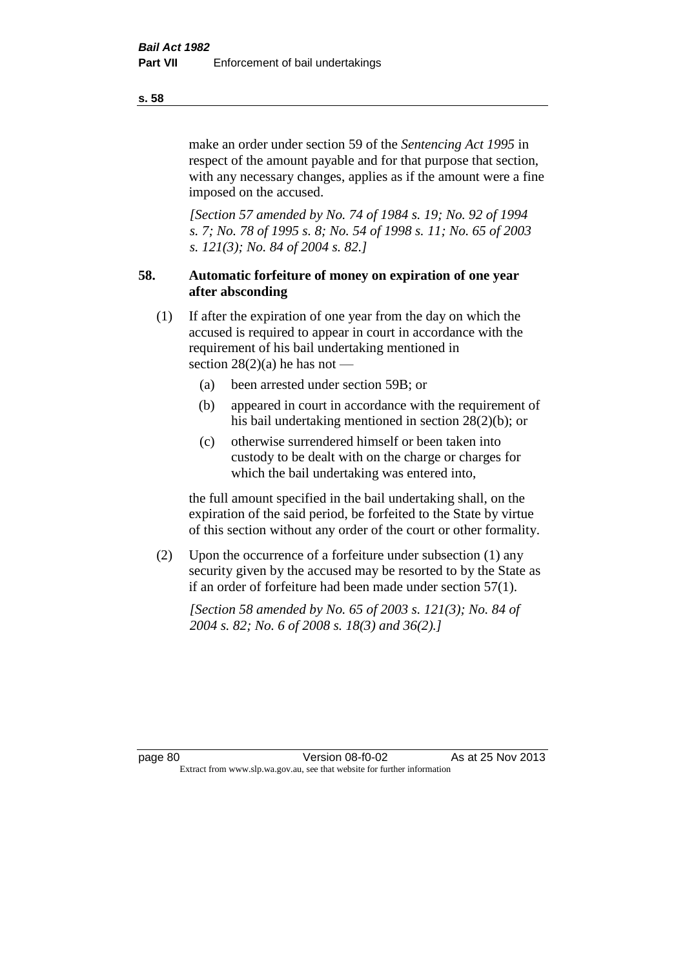make an order under section 59 of the *Sentencing Act 1995* in respect of the amount payable and for that purpose that section, with any necessary changes, applies as if the amount were a fine imposed on the accused.

*[Section 57 amended by No. 74 of 1984 s. 19; No. 92 of 1994 s. 7; No. 78 of 1995 s. 8; No. 54 of 1998 s. 11; No. 65 of 2003 s. 121(3); No. 84 of 2004 s. 82.]* 

# **58. Automatic forfeiture of money on expiration of one year after absconding**

- (1) If after the expiration of one year from the day on which the accused is required to appear in court in accordance with the requirement of his bail undertaking mentioned in section  $28(2)(a)$  he has not —
	- (a) been arrested under section 59B; or
	- (b) appeared in court in accordance with the requirement of his bail undertaking mentioned in section 28(2)(b); or
	- (c) otherwise surrendered himself or been taken into custody to be dealt with on the charge or charges for which the bail undertaking was entered into,

the full amount specified in the bail undertaking shall, on the expiration of the said period, be forfeited to the State by virtue of this section without any order of the court or other formality.

(2) Upon the occurrence of a forfeiture under subsection (1) any security given by the accused may be resorted to by the State as if an order of forfeiture had been made under section 57(1).

*[Section 58 amended by No. 65 of 2003 s. 121(3); No. 84 of 2004 s. 82; No. 6 of 2008 s. 18(3) and 36(2).]*

page 80 Version 08-f0-02 As at 25 Nov 2013 Extract from www.slp.wa.gov.au, see that website for further information

**s. 58**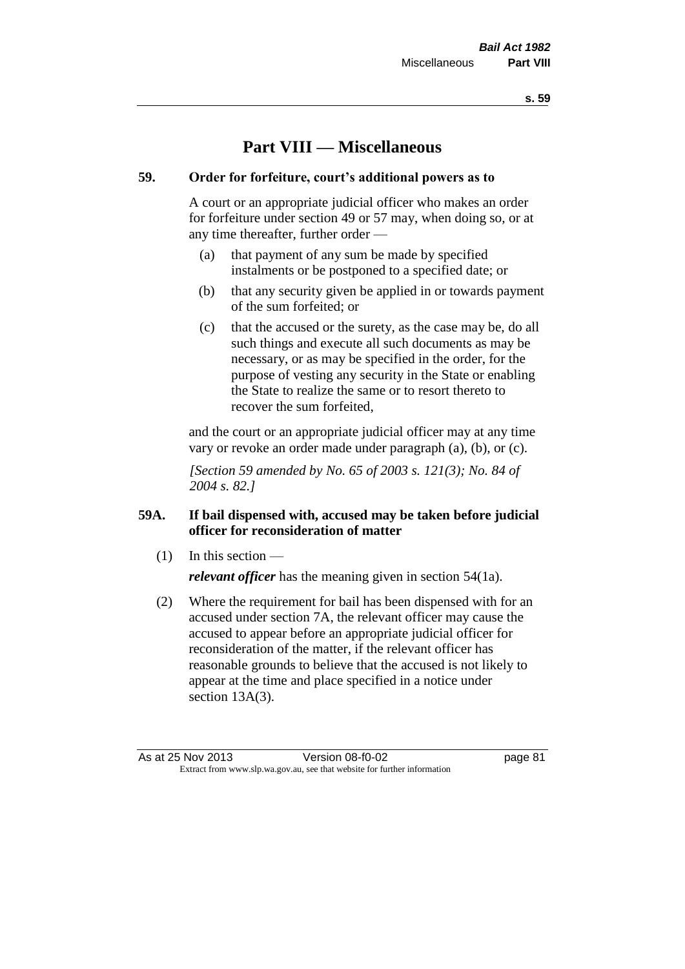# **Part VIII — Miscellaneous**

## **59. Order for forfeiture, court's additional powers as to**

A court or an appropriate judicial officer who makes an order for forfeiture under section 49 or 57 may, when doing so, or at any time thereafter, further order —

- (a) that payment of any sum be made by specified instalments or be postponed to a specified date; or
- (b) that any security given be applied in or towards payment of the sum forfeited; or
- (c) that the accused or the surety, as the case may be, do all such things and execute all such documents as may be necessary, or as may be specified in the order, for the purpose of vesting any security in the State or enabling the State to realize the same or to resort thereto to recover the sum forfeited,

and the court or an appropriate judicial officer may at any time vary or revoke an order made under paragraph (a), (b), or (c).

*[Section 59 amended by No. 65 of 2003 s. 121(3); No. 84 of 2004 s. 82.]*

# **59A. If bail dispensed with, accused may be taken before judicial officer for reconsideration of matter**

(1) In this section —

*relevant officer* has the meaning given in section 54(1a).

(2) Where the requirement for bail has been dispensed with for an accused under section 7A, the relevant officer may cause the accused to appear before an appropriate judicial officer for reconsideration of the matter, if the relevant officer has reasonable grounds to believe that the accused is not likely to appear at the time and place specified in a notice under section 13A(3).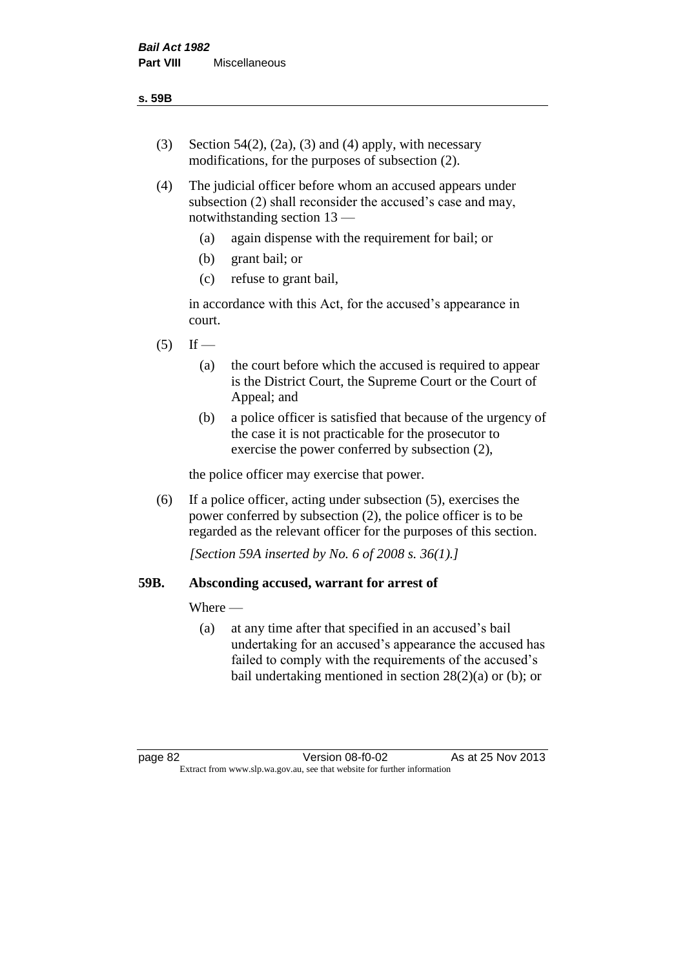- (3) Section 54(2), (2a), (3) and (4) apply, with necessary modifications, for the purposes of subsection (2).
- (4) The judicial officer before whom an accused appears under subsection (2) shall reconsider the accused's case and may, notwithstanding section 13 —
	- (a) again dispense with the requirement for bail; or
	- (b) grant bail; or
	- (c) refuse to grant bail,

in accordance with this Act, for the accused's appearance in court.

- $(5)$  If
	- (a) the court before which the accused is required to appear is the District Court, the Supreme Court or the Court of Appeal; and
	- (b) a police officer is satisfied that because of the urgency of the case it is not practicable for the prosecutor to exercise the power conferred by subsection (2),

the police officer may exercise that power.

(6) If a police officer, acting under subsection (5), exercises the power conferred by subsection (2), the police officer is to be regarded as the relevant officer for the purposes of this section.

*[Section 59A inserted by No. 6 of 2008 s. 36(1).]*

## **59B. Absconding accused, warrant for arrest of**

Where —

(a) at any time after that specified in an accused's bail undertaking for an accused's appearance the accused has failed to comply with the requirements of the accused's bail undertaking mentioned in section  $28(2)(a)$  or (b); or

page 82 Version 08-f0-02 As at 25 Nov 2013 Extract from www.slp.wa.gov.au, see that website for further information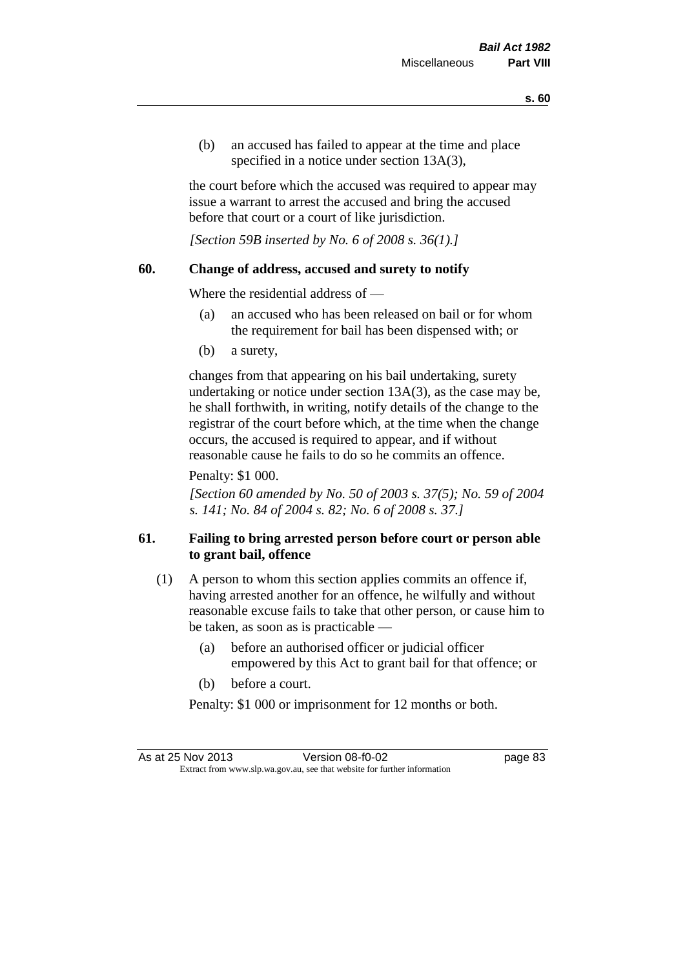(b) an accused has failed to appear at the time and place specified in a notice under section 13A(3).

the court before which the accused was required to appear may issue a warrant to arrest the accused and bring the accused before that court or a court of like jurisdiction.

*[Section 59B inserted by No. 6 of 2008 s. 36(1).]*

## **60. Change of address, accused and surety to notify**

Where the residential address of —

- (a) an accused who has been released on bail or for whom the requirement for bail has been dispensed with; or
- (b) a surety,

changes from that appearing on his bail undertaking, surety undertaking or notice under section 13A(3), as the case may be, he shall forthwith, in writing, notify details of the change to the registrar of the court before which, at the time when the change occurs, the accused is required to appear, and if without reasonable cause he fails to do so he commits an offence.

Penalty: \$1 000.

*[Section 60 amended by No. 50 of 2003 s. 37(5); No. 59 of 2004 s. 141; No. 84 of 2004 s. 82; No. 6 of 2008 s. 37.]*

# **61. Failing to bring arrested person before court or person able to grant bail, offence**

- (1) A person to whom this section applies commits an offence if, having arrested another for an offence, he wilfully and without reasonable excuse fails to take that other person, or cause him to be taken, as soon as is practicable —
	- (a) before an authorised officer or judicial officer empowered by this Act to grant bail for that offence; or
	- (b) before a court.

Penalty: \$1 000 or imprisonment for 12 months or both.

As at 25 Nov 2013 Version 08-f0-02 Page 83 Extract from www.slp.wa.gov.au, see that website for further information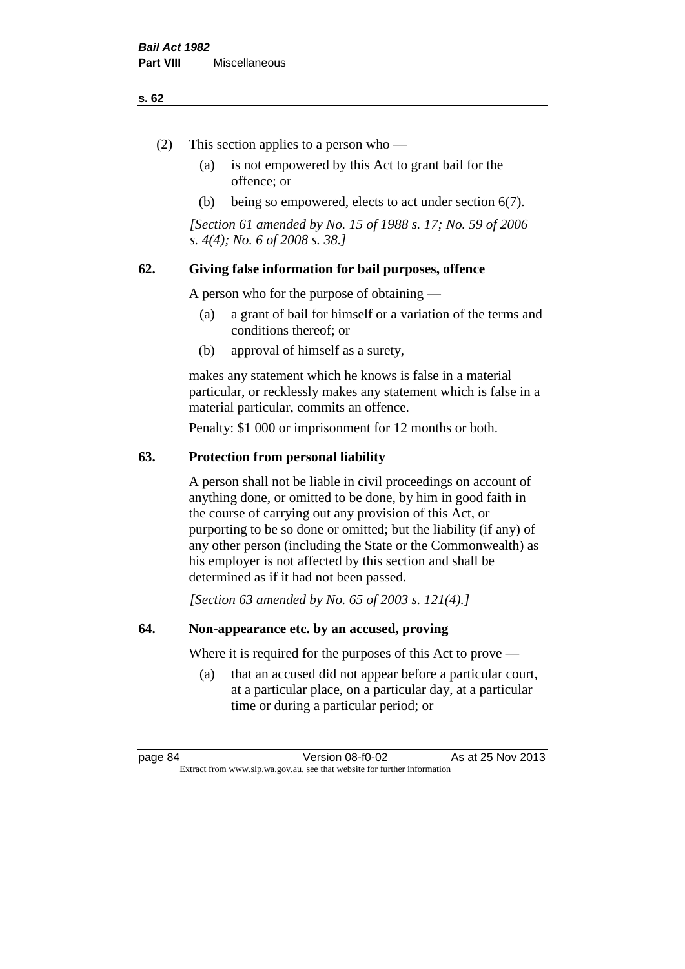#### **s. 62**

- (2) This section applies to a person who
	- (a) is not empowered by this Act to grant bail for the offence; or
	- (b) being so empowered, elects to act under section 6(7).

*[Section 61 amended by No. 15 of 1988 s. 17; No. 59 of 2006 s. 4(4); No. 6 of 2008 s. 38.]* 

## **62. Giving false information for bail purposes, offence**

A person who for the purpose of obtaining —

- (a) a grant of bail for himself or a variation of the terms and conditions thereof; or
- (b) approval of himself as a surety,

makes any statement which he knows is false in a material particular, or recklessly makes any statement which is false in a material particular, commits an offence.

Penalty: \$1 000 or imprisonment for 12 months or both.

## **63. Protection from personal liability**

A person shall not be liable in civil proceedings on account of anything done, or omitted to be done, by him in good faith in the course of carrying out any provision of this Act, or purporting to be so done or omitted; but the liability (if any) of any other person (including the State or the Commonwealth) as his employer is not affected by this section and shall be determined as if it had not been passed.

*[Section 63 amended by No. 65 of 2003 s. 121(4).]*

## **64. Non-appearance etc. by an accused, proving**

Where it is required for the purposes of this Act to prove —

(a) that an accused did not appear before a particular court, at a particular place, on a particular day, at a particular time or during a particular period; or

page 84 Version 08-f0-02 As at 25 Nov 2013 Extract from www.slp.wa.gov.au, see that website for further information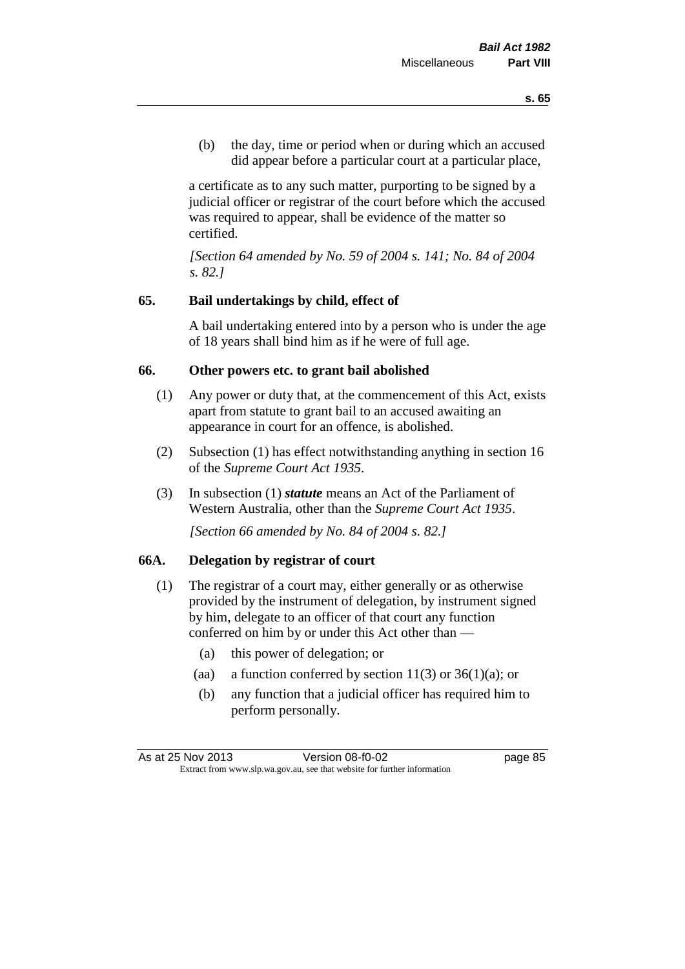(b) the day, time or period when or during which an accused did appear before a particular court at a particular place,

a certificate as to any such matter, purporting to be signed by a judicial officer or registrar of the court before which the accused was required to appear, shall be evidence of the matter so certified.

*[Section 64 amended by No. 59 of 2004 s. 141; No. 84 of 2004 s. 82.]* 

## **65. Bail undertakings by child, effect of**

A bail undertaking entered into by a person who is under the age of 18 years shall bind him as if he were of full age.

#### **66. Other powers etc. to grant bail abolished**

- (1) Any power or duty that, at the commencement of this Act, exists apart from statute to grant bail to an accused awaiting an appearance in court for an offence, is abolished.
- (2) Subsection (1) has effect notwithstanding anything in section 16 of the *Supreme Court Act 1935*.
- (3) In subsection (1) *statute* means an Act of the Parliament of Western Australia, other than the *Supreme Court Act 1935*.

*[Section 66 amended by No. 84 of 2004 s. 82.]*

## **66A. Delegation by registrar of court**

- (1) The registrar of a court may, either generally or as otherwise provided by the instrument of delegation, by instrument signed by him, delegate to an officer of that court any function conferred on him by or under this Act other than —
	- (a) this power of delegation; or
	- (aa) a function conferred by section  $11(3)$  or  $36(1)(a)$ ; or
	- (b) any function that a judicial officer has required him to perform personally.

As at 25 Nov 2013 Version 08-f0-02 page 85 Extract from www.slp.wa.gov.au, see that website for further information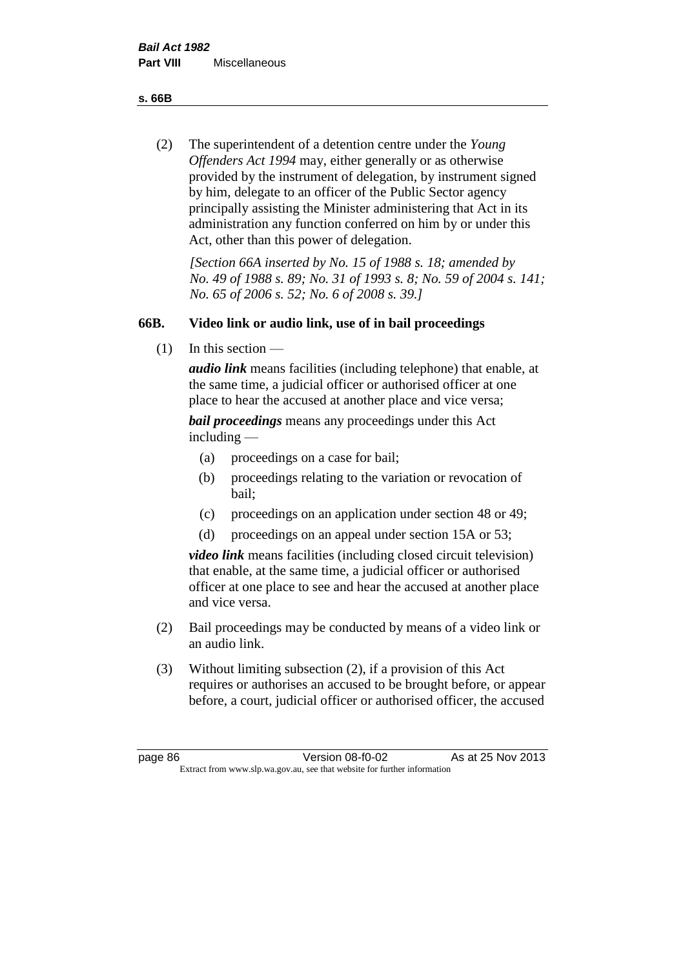**s. 66B**

(2) The superintendent of a detention centre under the *Young Offenders Act 1994* may, either generally or as otherwise provided by the instrument of delegation, by instrument signed by him, delegate to an officer of the Public Sector agency principally assisting the Minister administering that Act in its administration any function conferred on him by or under this Act, other than this power of delegation.

*[Section 66A inserted by No. 15 of 1988 s. 18; amended by No. 49 of 1988 s. 89; No. 31 of 1993 s. 8; No. 59 of 2004 s. 141; No. 65 of 2006 s. 52; No. 6 of 2008 s. 39.]* 

# **66B. Video link or audio link, use of in bail proceedings**

(1) In this section —

*audio link* means facilities (including telephone) that enable, at the same time, a judicial officer or authorised officer at one place to hear the accused at another place and vice versa;

*bail proceedings* means any proceedings under this Act including —

- (a) proceedings on a case for bail;
- (b) proceedings relating to the variation or revocation of bail;
- (c) proceedings on an application under section 48 or 49;
- (d) proceedings on an appeal under section 15A or 53;

*video link* means facilities (including closed circuit television) that enable, at the same time, a judicial officer or authorised officer at one place to see and hear the accused at another place and vice versa.

- (2) Bail proceedings may be conducted by means of a video link or an audio link.
- (3) Without limiting subsection (2), if a provision of this Act requires or authorises an accused to be brought before, or appear before, a court, judicial officer or authorised officer, the accused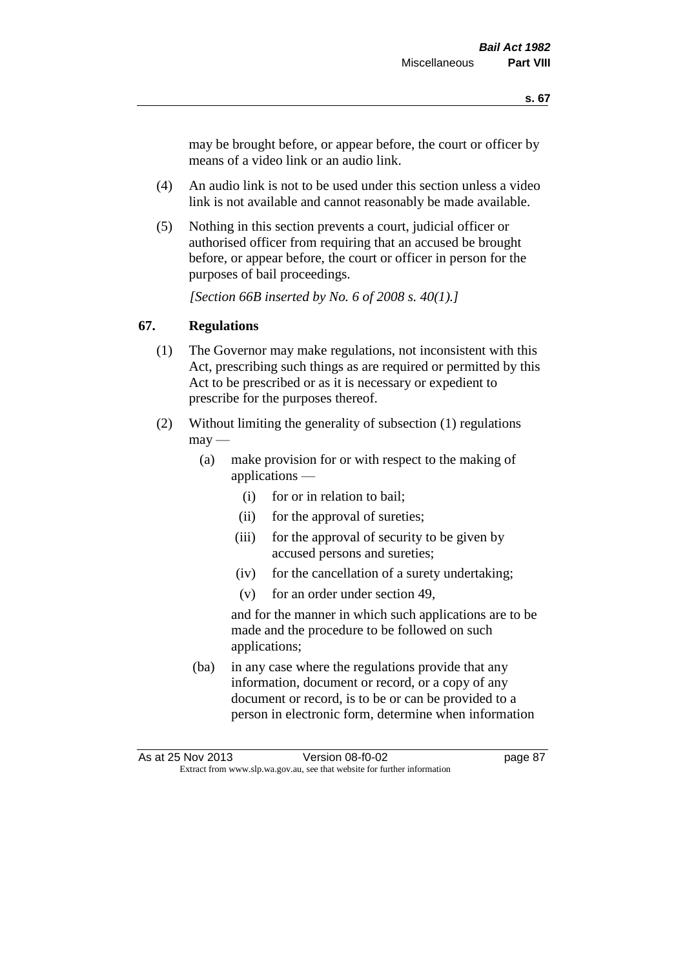may be brought before, or appear before, the court or officer by means of a video link or an audio link.

- (4) An audio link is not to be used under this section unless a video link is not available and cannot reasonably be made available.
- (5) Nothing in this section prevents a court, judicial officer or authorised officer from requiring that an accused be brought before, or appear before, the court or officer in person for the purposes of bail proceedings.

*[Section 66B inserted by No. 6 of 2008 s. 40(1).]*

## **67. Regulations**

- (1) The Governor may make regulations, not inconsistent with this Act, prescribing such things as are required or permitted by this Act to be prescribed or as it is necessary or expedient to prescribe for the purposes thereof.
- (2) Without limiting the generality of subsection (1) regulations  $\text{max}$  —
	- (a) make provision for or with respect to the making of applications —
		- (i) for or in relation to bail;
		- (ii) for the approval of sureties;
		- (iii) for the approval of security to be given by accused persons and sureties;
		- (iv) for the cancellation of a surety undertaking;
		- (v) for an order under section 49,

and for the manner in which such applications are to be made and the procedure to be followed on such applications;

(ba) in any case where the regulations provide that any information, document or record, or a copy of any document or record, is to be or can be provided to a person in electronic form, determine when information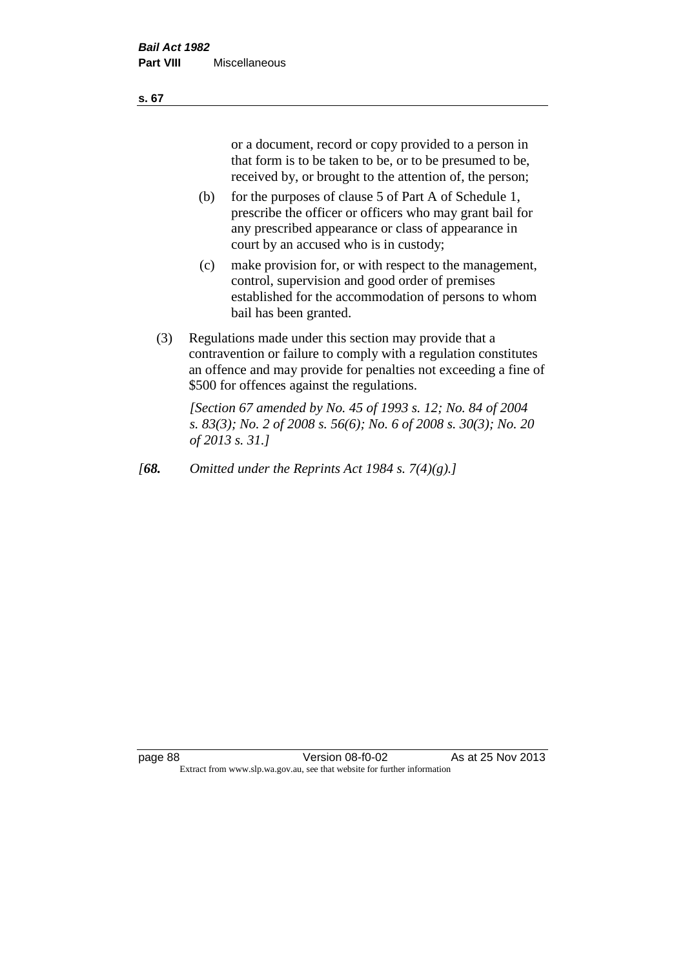or a document, record or copy provided to a person in that form is to be taken to be, or to be presumed to be, received by, or brought to the attention of, the person;

- (b) for the purposes of clause 5 of Part A of Schedule 1, prescribe the officer or officers who may grant bail for any prescribed appearance or class of appearance in court by an accused who is in custody;
- (c) make provision for, or with respect to the management, control, supervision and good order of premises established for the accommodation of persons to whom bail has been granted.
- (3) Regulations made under this section may provide that a contravention or failure to comply with a regulation constitutes an offence and may provide for penalties not exceeding a fine of \$500 for offences against the regulations.

*[Section 67 amended by No. 45 of 1993 s. 12; No. 84 of 2004 s. 83(3); No. 2 of 2008 s. 56(6); No. 6 of 2008 s. 30(3); No. 20 of 2013 s. 31.]* 

*[68. Omitted under the Reprints Act 1984 s. 7(4)(g).]*

**s. 67**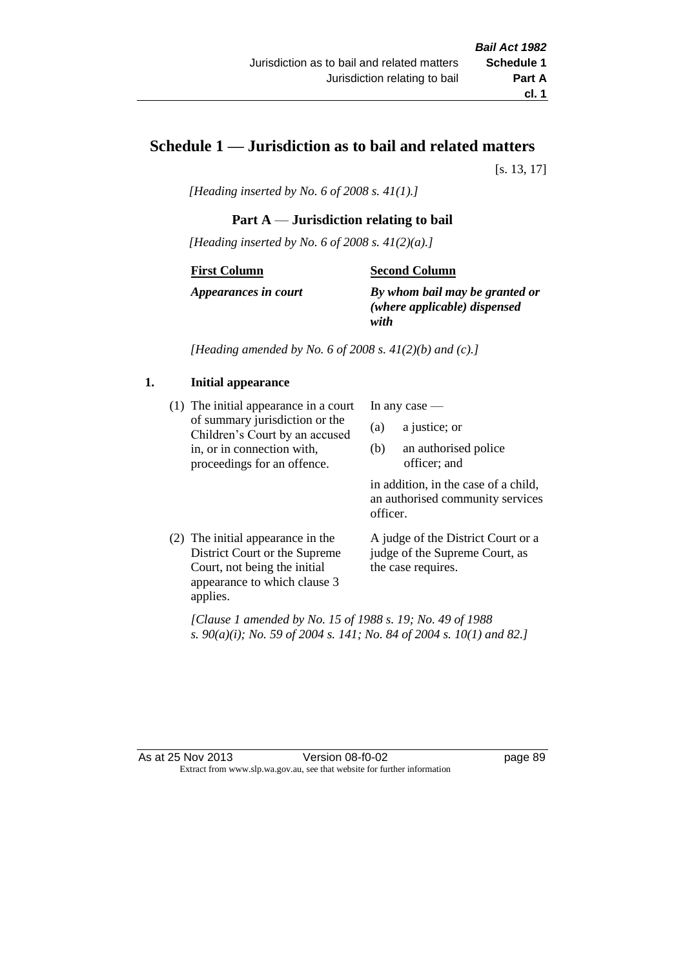# **Schedule 1 — Jurisdiction as to bail and related matters**

[s. 13, 17]

*[Heading inserted by No. 6 of 2008 s. 41(1).]*

## **Part A** — **Jurisdiction relating to bail**

*[Heading inserted by No. 6 of 2008 s. 41(2)(a).]*

#### **First Column**

#### **Second Column**

*Appearances in court*

*By whom bail may be granted or (where applicable) dispensed with*

*[Heading amended by No. 6 of 2008 s. 41(2)(b) and (c).]*

## **1. Initial appearance**

(1) The initial appearance in a court of summary jurisdiction or the Children's Court by an accused in, or in connection with, proceedings for an offence.

In any case —

- (a) a justice; or
- (b) an authorised police officer; and

in addition, in the case of a child, an authorised community services officer.

(2) The initial appearance in the District Court or the Supreme Court, not being the initial appearance to which clause 3 applies.

A judge of the District Court or a judge of the Supreme Court, as the case requires.

*[Clause 1 amended by No. 15 of 1988 s. 19; No. 49 of 1988 s. 90(a)(i); No. 59 of 2004 s. 141; No. 84 of 2004 s. 10(1) and 82.]*

As at 25 Nov 2013 Version 08-f0-02 page 89 Extract from www.slp.wa.gov.au, see that website for further information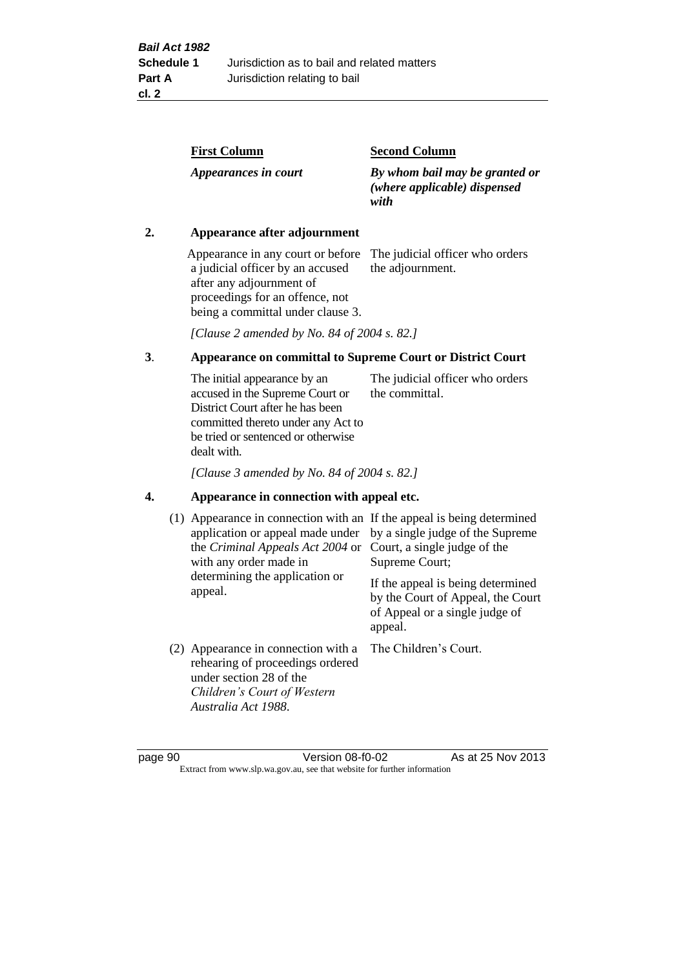| <b>First Column</b>  | <b>Second Column</b>                                                   |
|----------------------|------------------------------------------------------------------------|
| Appearances in court | By whom bail may be granted or<br>(where applicable) dispensed<br>with |

## **2. Appearance after adjournment**

Appearance in any court or before The judicial officer who orders a judicial officer by an accused after any adjournment of proceedings for an offence, not being a committal under clause 3.

the adjournment.

*[Clause 2 amended by No. 84 of 2004 s. 82.]*

## **3**. **Appearance on committal to Supreme Court or District Court**

The initial appearance by an accused in the Supreme Court or District Court after he has been committed thereto under any Act to be tried or sentenced or otherwise dealt with. The judicial officer who orders the committal.

*[Clause 3 amended by No. 84 of 2004 s. 82.]*

#### **4. Appearance in connection with appeal etc.**

| (1) Appearance in connection with an If the appeal is being determined<br>application or appeal made under<br>the Criminal Appeals Act 2004 or<br>with any order made in<br>determining the application or<br>appeal. | by a single judge of the Supreme<br>Court, a single judge of the<br>Supreme Court;<br>If the appeal is being determined<br>by the Court of Appeal, the Court<br>of Appeal or a single judge of<br>appeal. |
|-----------------------------------------------------------------------------------------------------------------------------------------------------------------------------------------------------------------------|-----------------------------------------------------------------------------------------------------------------------------------------------------------------------------------------------------------|
| (2) Appearance in connection with a<br>rehearing of proceedings ordered<br>under section 28 of the<br>Children's Court of Western<br>Australia Act 1988.                                                              | The Children's Court.                                                                                                                                                                                     |

page 90 Version 08-f0-02 As at 25 Nov 2013 Extract from www.slp.wa.gov.au, see that website for further information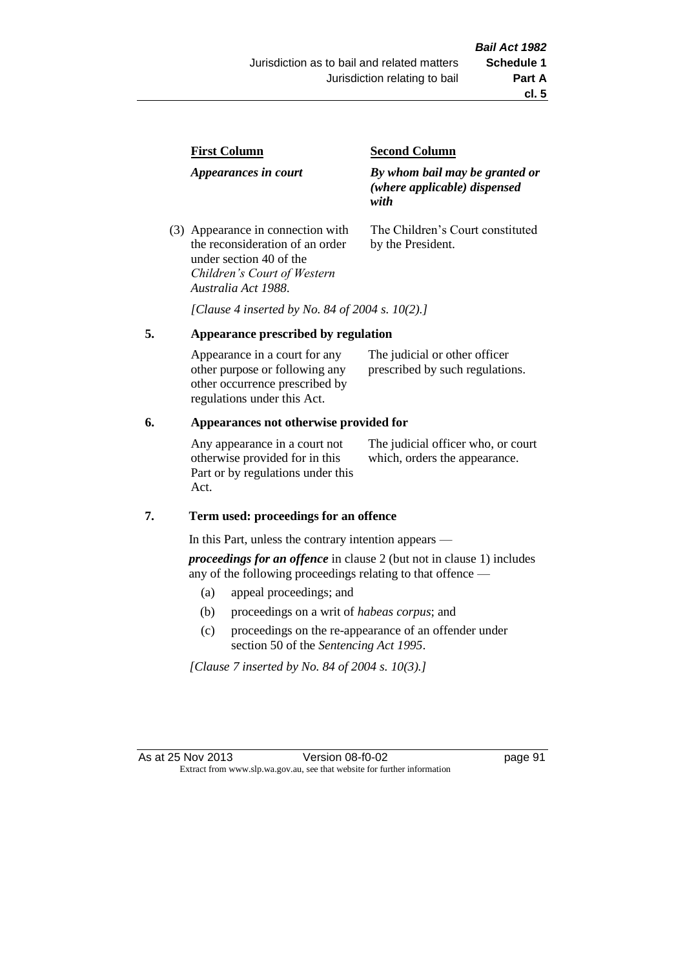| <b>First Column</b>                                                  | <b>Second Column</b>                                                   |  |
|----------------------------------------------------------------------|------------------------------------------------------------------------|--|
| Appearances in court                                                 | By whom bail may be granted or<br>(where applicable) dispensed<br>with |  |
| (3) Appearance in connection with<br>the reconsideration of an order | The Children's Court constituted<br>by the President.                  |  |

*[Clause 4 inserted by No. 84 of 2004 s. 10(2).]*

## **5. Appearance prescribed by regulation**

under section 40 of the *Children's Court of Western* 

*Australia Act 1988*.

| Appearance in a court for any  | The judicial or other officer   |
|--------------------------------|---------------------------------|
| other purpose or following any | prescribed by such regulations. |
| other occurrence prescribed by |                                 |
| regulations under this Act.    |                                 |

## **6. Appearances not otherwise provided for**

Any appearance in a court not otherwise provided for in this Part or by regulations under this Act.

The judicial officer who, or court which, orders the appearance.

#### **7. Term used: proceedings for an offence**

In this Part, unless the contrary intention appears —

*proceedings for an offence* in clause 2 (but not in clause 1) includes any of the following proceedings relating to that offence —

- (a) appeal proceedings; and
- (b) proceedings on a writ of *habeas corpus*; and
- (c) proceedings on the re-appearance of an offender under section 50 of the *Sentencing Act 1995*.

*[Clause 7 inserted by No. 84 of 2004 s. 10(3).]*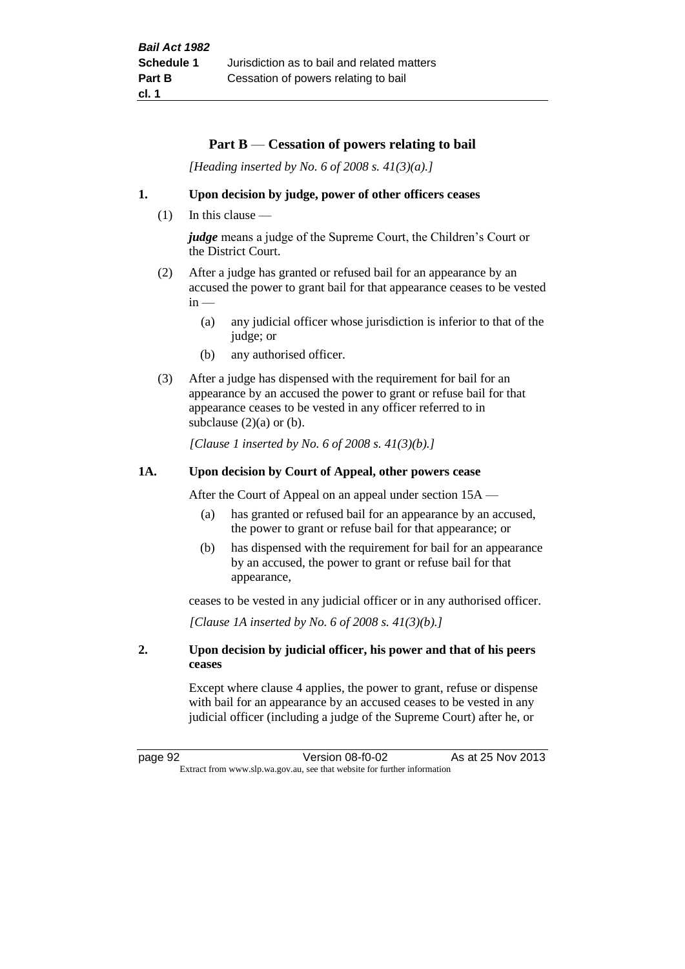## **Part B** — **Cessation of powers relating to bail**

*[Heading inserted by No. 6 of 2008 s. 41(3)(a).]*

#### **1. Upon decision by judge, power of other officers ceases**

 $(1)$  In this clause —

*judge* means a judge of the Supreme Court, the Children's Court or the District Court.

- (2) After a judge has granted or refused bail for an appearance by an accused the power to grant bail for that appearance ceases to be vested  $in -$ 
	- (a) any judicial officer whose jurisdiction is inferior to that of the judge; or
	- (b) any authorised officer.
- (3) After a judge has dispensed with the requirement for bail for an appearance by an accused the power to grant or refuse bail for that appearance ceases to be vested in any officer referred to in subclause  $(2)(a)$  or  $(b)$ .

*[Clause 1 inserted by No. 6 of 2008 s. 41(3)(b).]*

#### **1A. Upon decision by Court of Appeal, other powers cease**

After the Court of Appeal on an appeal under section 15A —

- (a) has granted or refused bail for an appearance by an accused, the power to grant or refuse bail for that appearance; or
- (b) has dispensed with the requirement for bail for an appearance by an accused, the power to grant or refuse bail for that appearance,

ceases to be vested in any judicial officer or in any authorised officer.

*[Clause 1A inserted by No. 6 of 2008 s. 41(3)(b).]*

### **2. Upon decision by judicial officer, his power and that of his peers ceases**

Except where clause 4 applies, the power to grant, refuse or dispense with bail for an appearance by an accused ceases to be vested in any judicial officer (including a judge of the Supreme Court) after he, or

page 92 Version 08-f0-02 As at 25 Nov 2013 Extract from www.slp.wa.gov.au, see that website for further information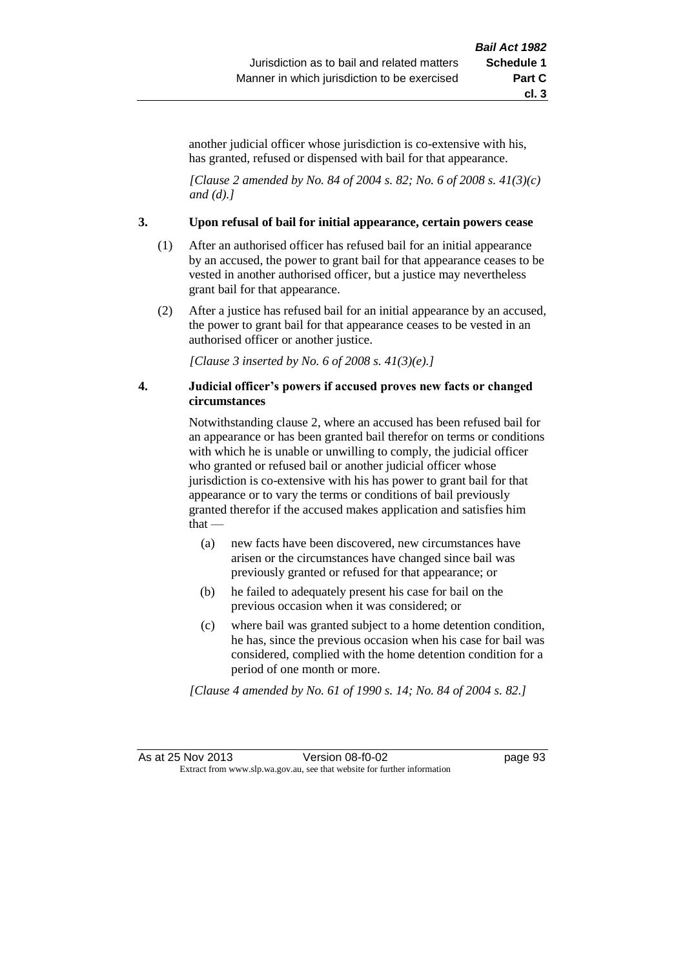another judicial officer whose jurisdiction is co-extensive with his, has granted, refused or dispensed with bail for that appearance.

*[Clause 2 amended by No. 84 of 2004 s. 82; No. 6 of 2008 s. 41(3)(c) and (d).]*

#### **3. Upon refusal of bail for initial appearance, certain powers cease**

- (1) After an authorised officer has refused bail for an initial appearance by an accused, the power to grant bail for that appearance ceases to be vested in another authorised officer, but a justice may nevertheless grant bail for that appearance.
- (2) After a justice has refused bail for an initial appearance by an accused, the power to grant bail for that appearance ceases to be vested in an authorised officer or another justice.

*[Clause 3 inserted by No. 6 of 2008 s. 41(3)(e).]*

### **4. Judicial officer's powers if accused proves new facts or changed circumstances**

Notwithstanding clause 2, where an accused has been refused bail for an appearance or has been granted bail therefor on terms or conditions with which he is unable or unwilling to comply, the judicial officer who granted or refused bail or another judicial officer whose jurisdiction is co-extensive with his has power to grant bail for that appearance or to vary the terms or conditions of bail previously granted therefor if the accused makes application and satisfies him that —

- (a) new facts have been discovered, new circumstances have arisen or the circumstances have changed since bail was previously granted or refused for that appearance; or
- (b) he failed to adequately present his case for bail on the previous occasion when it was considered; or
- (c) where bail was granted subject to a home detention condition, he has, since the previous occasion when his case for bail was considered, complied with the home detention condition for a period of one month or more.

*[Clause 4 amended by No. 61 of 1990 s. 14; No. 84 of 2004 s. 82.]*

As at 25 Nov 2013 Version 08-f0-02 page 93 Extract from www.slp.wa.gov.au, see that website for further information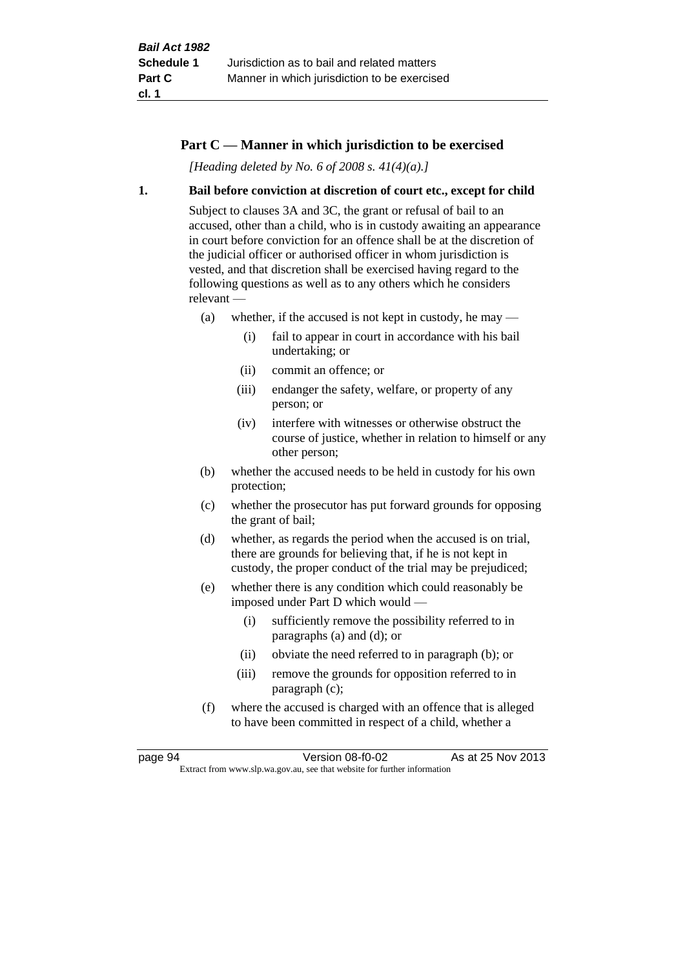## **Part C — Manner in which jurisdiction to be exercised**

*[Heading deleted by No. 6 of 2008 s. 41(4)(a).]*

#### **1. Bail before conviction at discretion of court etc., except for child**

Subject to clauses 3A and 3C, the grant or refusal of bail to an accused, other than a child, who is in custody awaiting an appearance in court before conviction for an offence shall be at the discretion of the judicial officer or authorised officer in whom jurisdiction is vested, and that discretion shall be exercised having regard to the following questions as well as to any others which he considers relevant —

- (a) whether, if the accused is not kept in custody, he may
	- (i) fail to appear in court in accordance with his bail undertaking; or
	- (ii) commit an offence; or
	- (iii) endanger the safety, welfare, or property of any person; or
	- (iv) interfere with witnesses or otherwise obstruct the course of justice, whether in relation to himself or any other person;
- (b) whether the accused needs to be held in custody for his own protection;
- (c) whether the prosecutor has put forward grounds for opposing the grant of bail;
- (d) whether, as regards the period when the accused is on trial, there are grounds for believing that, if he is not kept in custody, the proper conduct of the trial may be prejudiced;
- (e) whether there is any condition which could reasonably be imposed under Part D which would —
	- (i) sufficiently remove the possibility referred to in paragraphs (a) and (d); or
	- (ii) obviate the need referred to in paragraph (b); or
	- (iii) remove the grounds for opposition referred to in paragraph (c);
- (f) where the accused is charged with an offence that is alleged to have been committed in respect of a child, whether a

page 94 Version 08-f0-02 As at 25 Nov 2013 Extract from www.slp.wa.gov.au, see that website for further information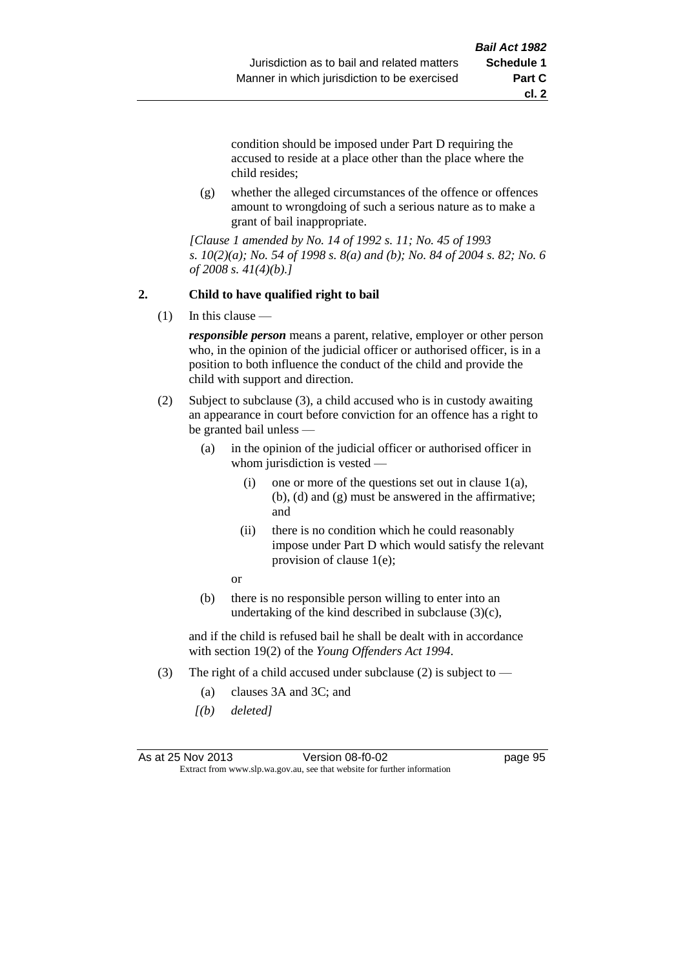**cl. 2**

condition should be imposed under Part D requiring the accused to reside at a place other than the place where the child resides;

(g) whether the alleged circumstances of the offence or offences amount to wrongdoing of such a serious nature as to make a grant of bail inappropriate.

*[Clause 1 amended by No. 14 of 1992 s. 11; No. 45 of 1993 s. 10(2)(a); No. 54 of 1998 s. 8(a) and (b); No. 84 of 2004 s. 82; No. 6 of 2008 s. 41(4)(b).]*

## **2. Child to have qualified right to bail**

(1) In this clause —

*responsible person* means a parent, relative, employer or other person who, in the opinion of the judicial officer or authorised officer, is in a position to both influence the conduct of the child and provide the child with support and direction.

- (2) Subject to subclause (3), a child accused who is in custody awaiting an appearance in court before conviction for an offence has a right to be granted bail unless —
	- (a) in the opinion of the judicial officer or authorised officer in whom jurisdiction is vested —
		- (i) one or more of the questions set out in clause 1(a), (b), (d) and (g) must be answered in the affirmative; and
		- (ii) there is no condition which he could reasonably impose under Part D which would satisfy the relevant provision of clause 1(e);

or

(b) there is no responsible person willing to enter into an undertaking of the kind described in subclause  $(3)(c)$ ,

and if the child is refused bail he shall be dealt with in accordance with section 19(2) of the *Young Offenders Act 1994*.

- (3) The right of a child accused under subclause (2) is subject to  $-$ 
	- (a) clauses 3A and 3C; and
	- *[(b) deleted]*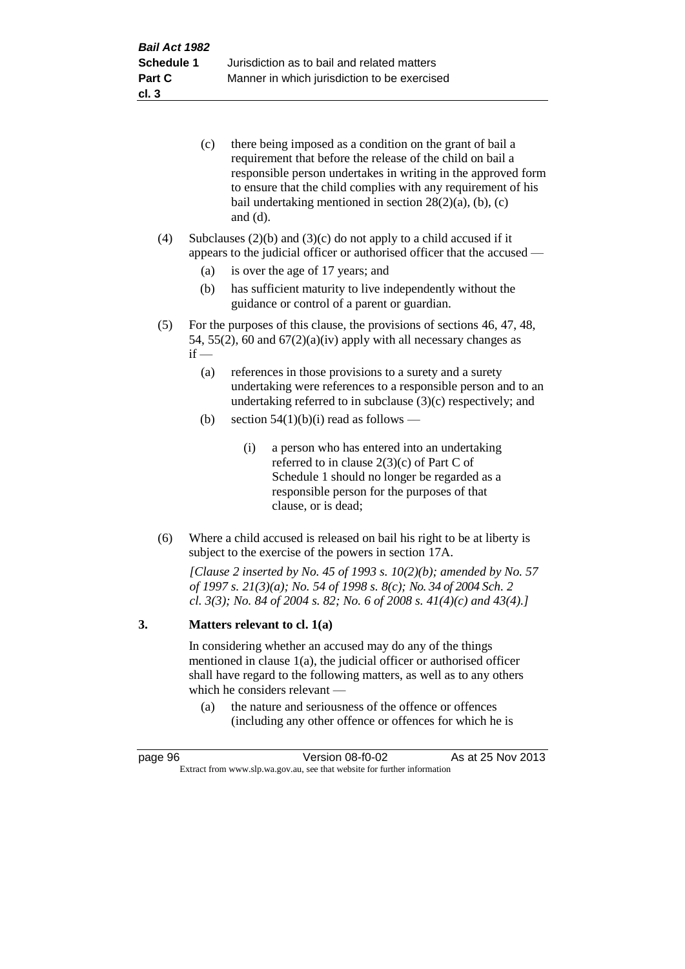| (c) | there being imposed as a condition on the grant of bail a     |
|-----|---------------------------------------------------------------|
|     | requirement that before the release of the child on bail a    |
|     | responsible person undertakes in writing in the approved form |
|     | to ensure that the child complies with any requirement of his |
|     | bail undertaking mentioned in section $28(2)(a)$ , (b), (c)   |
|     | and $(d)$ .                                                   |

(4) Subclauses  $(2)(b)$  and  $(3)(c)$  do not apply to a child accused if it appears to the judicial officer or authorised officer that the accused —

- (a) is over the age of 17 years; and
- (b) has sufficient maturity to live independently without the guidance or control of a parent or guardian.
- (5) For the purposes of this clause, the provisions of sections 46, 47, 48, 54, 55(2), 60 and  $67(2)(a)(iv)$  apply with all necessary changes as  $if -$ 
	- (a) references in those provisions to a surety and a surety undertaking were references to a responsible person and to an undertaking referred to in subclause (3)(c) respectively; and
	- (b) section  $54(1)(b)(i)$  read as follows
		- (i) a person who has entered into an undertaking referred to in clause 2(3)(c) of Part C of Schedule 1 should no longer be regarded as a responsible person for the purposes of that clause, or is dead;
- (6) Where a child accused is released on bail his right to be at liberty is subject to the exercise of the powers in section 17A.

*[Clause 2 inserted by No. 45 of 1993 s. 10(2)(b); amended by No. 57 of 1997 s. 21(3)(a); No. 54 of 1998 s. 8(c); No. 34 of 2004 Sch. 2 cl. 3(3); No. 84 of 2004 s. 82; No. 6 of 2008 s. 41(4)(c) and 43(4).]*

#### **3. Matters relevant to cl. 1(a)**

In considering whether an accused may do any of the things mentioned in clause 1(a), the judicial officer or authorised officer shall have regard to the following matters, as well as to any others which he considers relevant —

(a) the nature and seriousness of the offence or offences (including any other offence or offences for which he is

| page 96 | Version 08-f0-02                                                         | As at 25 Nov 2013 |
|---------|--------------------------------------------------------------------------|-------------------|
|         | Extract from www.slp.wa.gov.au, see that website for further information |                   |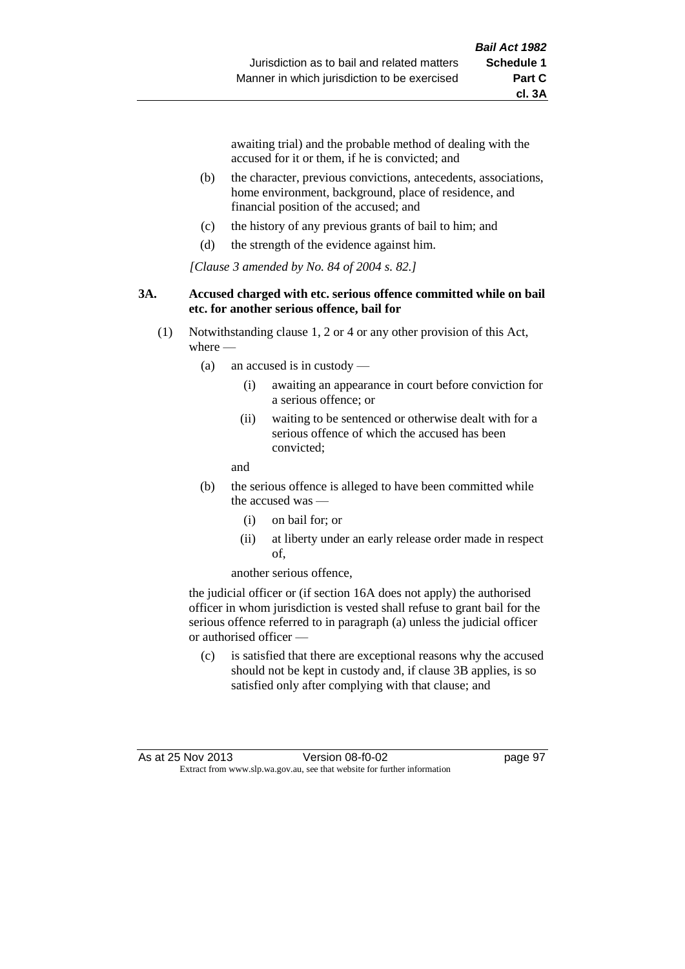awaiting trial) and the probable method of dealing with the accused for it or them, if he is convicted; and

- (b) the character, previous convictions, antecedents, associations, home environment, background, place of residence, and financial position of the accused; and
- (c) the history of any previous grants of bail to him; and
- (d) the strength of the evidence against him.

*[Clause 3 amended by No. 84 of 2004 s. 82.]*

#### **3A. Accused charged with etc. serious offence committed while on bail etc. for another serious offence, bail for**

- (1) Notwithstanding clause 1, 2 or 4 or any other provision of this Act, where -
	- (a) an accused is in custody
		- (i) awaiting an appearance in court before conviction for a serious offence; or
		- (ii) waiting to be sentenced or otherwise dealt with for a serious offence of which the accused has been convicted;

and

- (b) the serious offence is alleged to have been committed while the accused was
	- (i) on bail for; or
	- (ii) at liberty under an early release order made in respect of,

another serious offence,

the judicial officer or (if section 16A does not apply) the authorised officer in whom jurisdiction is vested shall refuse to grant bail for the serious offence referred to in paragraph (a) unless the judicial officer or authorised officer —

(c) is satisfied that there are exceptional reasons why the accused should not be kept in custody and, if clause 3B applies, is so satisfied only after complying with that clause; and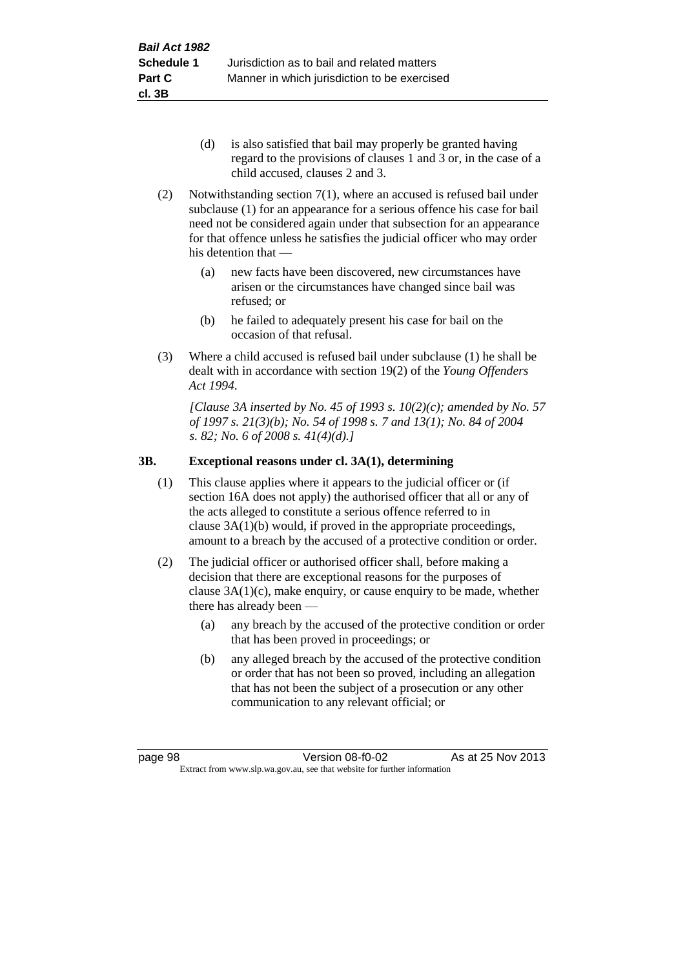- (d) is also satisfied that bail may properly be granted having regard to the provisions of clauses 1 and 3 or, in the case of a child accused, clauses 2 and 3.
- (2) Notwithstanding section 7(1), where an accused is refused bail under subclause (1) for an appearance for a serious offence his case for bail need not be considered again under that subsection for an appearance for that offence unless he satisfies the judicial officer who may order his detention that —
	- (a) new facts have been discovered, new circumstances have arisen or the circumstances have changed since bail was refused; or
	- (b) he failed to adequately present his case for bail on the occasion of that refusal.
- (3) Where a child accused is refused bail under subclause (1) he shall be dealt with in accordance with section 19(2) of the *Young Offenders Act 1994*.

*[Clause 3A inserted by No. 45 of 1993 s. 10(2)(c); amended by No. 57 of 1997 s. 21(3)(b); No. 54 of 1998 s. 7 and 13(1); No. 84 of 2004 s. 82; No. 6 of 2008 s. 41(4)(d).]*

## **3B. Exceptional reasons under cl. 3A(1), determining**

- (1) This clause applies where it appears to the judicial officer or (if section 16A does not apply) the authorised officer that all or any of the acts alleged to constitute a serious offence referred to in clause 3A(1)(b) would, if proved in the appropriate proceedings, amount to a breach by the accused of a protective condition or order.
- (2) The judicial officer or authorised officer shall, before making a decision that there are exceptional reasons for the purposes of clause  $3A(1)(c)$ , make enquiry, or cause enquiry to be made, whether there has already been —
	- (a) any breach by the accused of the protective condition or order that has been proved in proceedings; or
	- (b) any alleged breach by the accused of the protective condition or order that has not been so proved, including an allegation that has not been the subject of a prosecution or any other communication to any relevant official; or

page 98 Version 08-f0-02 As at 25 Nov 2013 Extract from www.slp.wa.gov.au, see that website for further information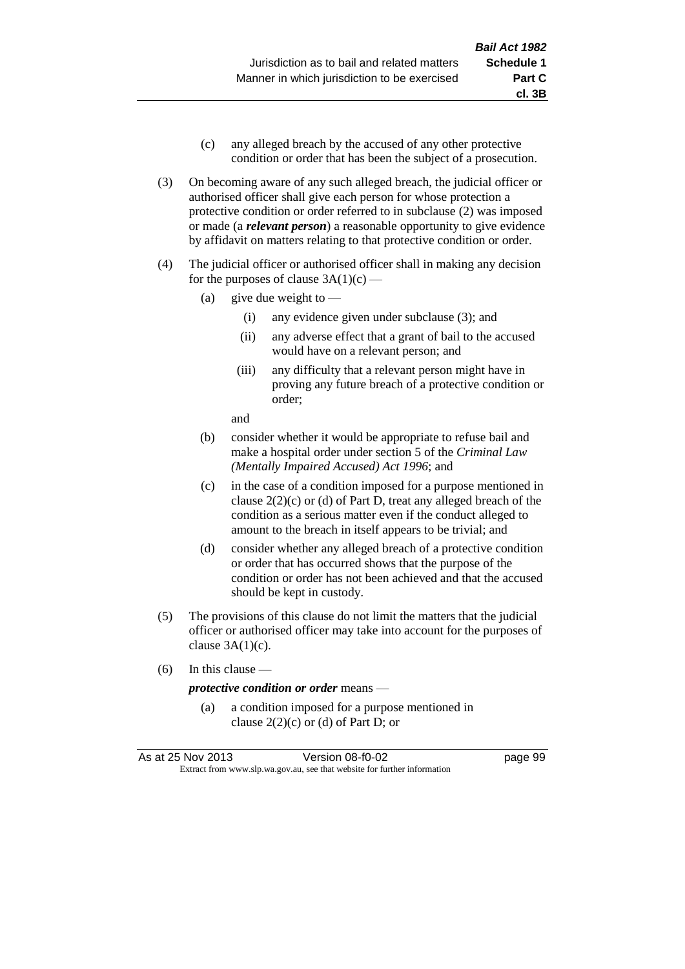- (c) any alleged breach by the accused of any other protective condition or order that has been the subject of a prosecution.
- (3) On becoming aware of any such alleged breach, the judicial officer or authorised officer shall give each person for whose protection a protective condition or order referred to in subclause (2) was imposed or made (a *relevant person*) a reasonable opportunity to give evidence by affidavit on matters relating to that protective condition or order.
- (4) The judicial officer or authorised officer shall in making any decision for the purposes of clause  $3A(1)(c)$  —
	- (a) give due weight to  $-$ 
		- (i) any evidence given under subclause (3); and
		- (ii) any adverse effect that a grant of bail to the accused would have on a relevant person; and
		- (iii) any difficulty that a relevant person might have in proving any future breach of a protective condition or order;

and

- (b) consider whether it would be appropriate to refuse bail and make a hospital order under section 5 of the *Criminal Law (Mentally Impaired Accused) Act 1996*; and
- (c) in the case of a condition imposed for a purpose mentioned in clause 2(2)(c) or (d) of Part D, treat any alleged breach of the condition as a serious matter even if the conduct alleged to amount to the breach in itself appears to be trivial; and
- (d) consider whether any alleged breach of a protective condition or order that has occurred shows that the purpose of the condition or order has not been achieved and that the accused should be kept in custody.
- (5) The provisions of this clause do not limit the matters that the judicial officer or authorised officer may take into account for the purposes of clause  $3A(1)(c)$ .
- (6) In this clause —

#### *protective condition or order* means —

(a) a condition imposed for a purpose mentioned in clause  $2(2)(c)$  or (d) of Part D; or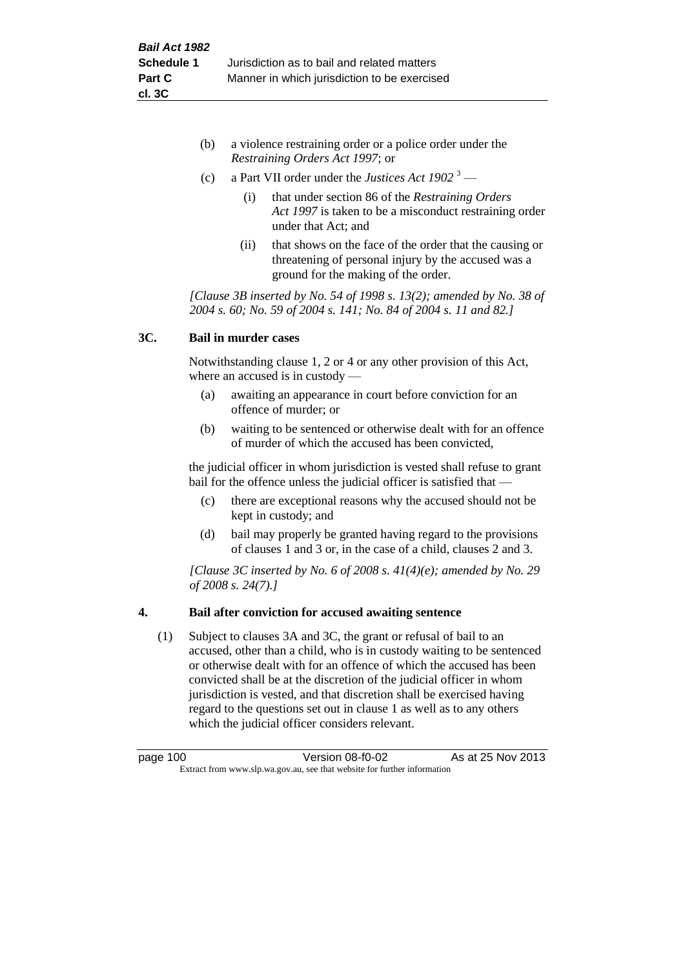- (b) a violence restraining order or a police order under the *Restraining Orders Act 1997*; or
- (c) a Part VII order under the *Justices Act 1902* <sup>3</sup>
	- (i) that under section 86 of the *Restraining Orders Act 1997* is taken to be a misconduct restraining order under that Act; and
	- (ii) that shows on the face of the order that the causing or threatening of personal injury by the accused was a ground for the making of the order.

*[Clause 3B inserted by No. 54 of 1998 s. 13(2); amended by No. 38 of 2004 s. 60; No. 59 of 2004 s. 141; No. 84 of 2004 s. 11 and 82.]*

## **3C. Bail in murder cases**

Notwithstanding clause 1, 2 or 4 or any other provision of this Act, where an accused is in custody —

- (a) awaiting an appearance in court before conviction for an offence of murder; or
- (b) waiting to be sentenced or otherwise dealt with for an offence of murder of which the accused has been convicted,

the judicial officer in whom jurisdiction is vested shall refuse to grant bail for the offence unless the judicial officer is satisfied that —

- (c) there are exceptional reasons why the accused should not be kept in custody; and
- (d) bail may properly be granted having regard to the provisions of clauses 1 and 3 or, in the case of a child, clauses 2 and 3.

*[Clause 3C inserted by No. 6 of 2008 s. 41(4)(e); amended by No. 29 of 2008 s. 24(7).]*

## **4. Bail after conviction for accused awaiting sentence**

(1) Subject to clauses 3A and 3C, the grant or refusal of bail to an accused, other than a child, who is in custody waiting to be sentenced or otherwise dealt with for an offence of which the accused has been convicted shall be at the discretion of the judicial officer in whom jurisdiction is vested, and that discretion shall be exercised having regard to the questions set out in clause 1 as well as to any others which the judicial officer considers relevant.

page 100 Version 08-f0-02 As at 25 Nov 2013 Extract from www.slp.wa.gov.au, see that website for further information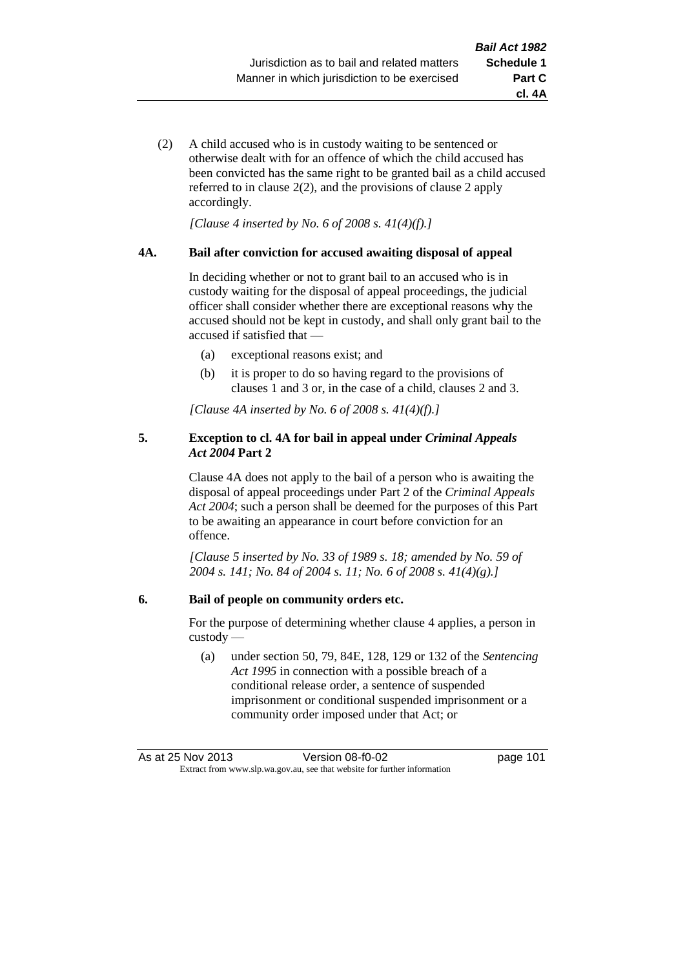**cl. 4A**

(2) A child accused who is in custody waiting to be sentenced or otherwise dealt with for an offence of which the child accused has been convicted has the same right to be granted bail as a child accused referred to in clause 2(2), and the provisions of clause 2 apply accordingly.

*[Clause 4 inserted by No. 6 of 2008 s. 41(4)(f).]*

### **4A. Bail after conviction for accused awaiting disposal of appeal**

In deciding whether or not to grant bail to an accused who is in custody waiting for the disposal of appeal proceedings, the judicial officer shall consider whether there are exceptional reasons why the accused should not be kept in custody, and shall only grant bail to the accused if satisfied that —

- (a) exceptional reasons exist; and
- (b) it is proper to do so having regard to the provisions of clauses 1 and 3 or, in the case of a child, clauses 2 and 3.

*[Clause 4A inserted by No. 6 of 2008 s. 41(4)(f).]*

## **5. Exception to cl. 4A for bail in appeal under** *Criminal Appeals Act 2004* **Part 2**

Clause 4A does not apply to the bail of a person who is awaiting the disposal of appeal proceedings under Part 2 of the *Criminal Appeals Act 2004*; such a person shall be deemed for the purposes of this Part to be awaiting an appearance in court before conviction for an offence.

*[Clause 5 inserted by No. 33 of 1989 s. 18; amended by No. 59 of 2004 s. 141; No. 84 of 2004 s. 11; No. 6 of 2008 s. 41(4)(g).]*

## **6. Bail of people on community orders etc.**

For the purpose of determining whether clause 4 applies, a person in custody —

(a) under section 50, 79, 84E, 128, 129 or 132 of the *Sentencing Act 1995* in connection with a possible breach of a conditional release order, a sentence of suspended imprisonment or conditional suspended imprisonment or a community order imposed under that Act; or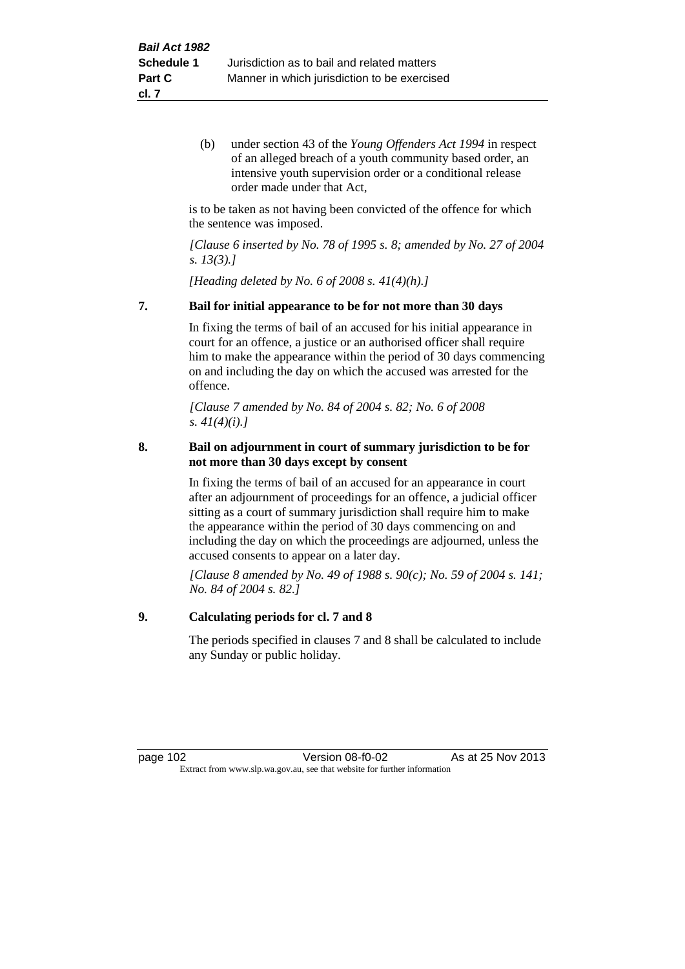(b) under section 43 of the *Young Offenders Act 1994* in respect of an alleged breach of a youth community based order, an intensive youth supervision order or a conditional release order made under that Act,

is to be taken as not having been convicted of the offence for which the sentence was imposed.

*[Clause 6 inserted by No. 78 of 1995 s. 8; amended by No. 27 of 2004 s. 13(3).]*

*[Heading deleted by No. 6 of 2008 s. 41(4)(h).]*

### **7. Bail for initial appearance to be for not more than 30 days**

In fixing the terms of bail of an accused for his initial appearance in court for an offence, a justice or an authorised officer shall require him to make the appearance within the period of 30 days commencing on and including the day on which the accused was arrested for the offence.

*[Clause 7 amended by No. 84 of 2004 s. 82; No. 6 of 2008 s. 41(4)(i).]*

## **8. Bail on adjournment in court of summary jurisdiction to be for not more than 30 days except by consent**

In fixing the terms of bail of an accused for an appearance in court after an adjournment of proceedings for an offence, a judicial officer sitting as a court of summary jurisdiction shall require him to make the appearance within the period of 30 days commencing on and including the day on which the proceedings are adjourned, unless the accused consents to appear on a later day.

*[Clause 8 amended by No. 49 of 1988 s. 90(c); No. 59 of 2004 s. 141; No. 84 of 2004 s. 82.]*

## **9. Calculating periods for cl. 7 and 8**

The periods specified in clauses 7 and 8 shall be calculated to include any Sunday or public holiday.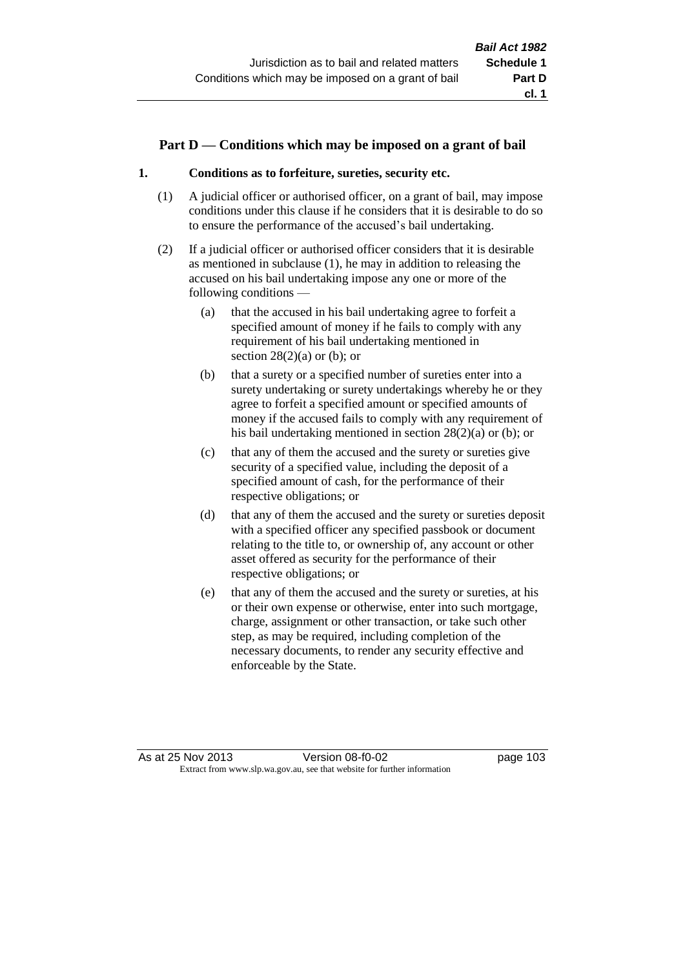## **Part D — Conditions which may be imposed on a grant of bail**

## **1. Conditions as to forfeiture, sureties, security etc.**

- (1) A judicial officer or authorised officer, on a grant of bail, may impose conditions under this clause if he considers that it is desirable to do so to ensure the performance of the accused's bail undertaking.
- (2) If a judicial officer or authorised officer considers that it is desirable as mentioned in subclause (1), he may in addition to releasing the accused on his bail undertaking impose any one or more of the following conditions —
	- (a) that the accused in his bail undertaking agree to forfeit a specified amount of money if he fails to comply with any requirement of his bail undertaking mentioned in section  $28(2)(a)$  or (b); or
	- (b) that a surety or a specified number of sureties enter into a surety undertaking or surety undertakings whereby he or they agree to forfeit a specified amount or specified amounts of money if the accused fails to comply with any requirement of his bail undertaking mentioned in section 28(2)(a) or (b); or
	- (c) that any of them the accused and the surety or sureties give security of a specified value, including the deposit of a specified amount of cash, for the performance of their respective obligations; or
	- (d) that any of them the accused and the surety or sureties deposit with a specified officer any specified passbook or document relating to the title to, or ownership of, any account or other asset offered as security for the performance of their respective obligations; or
	- (e) that any of them the accused and the surety or sureties, at his or their own expense or otherwise, enter into such mortgage, charge, assignment or other transaction, or take such other step, as may be required, including completion of the necessary documents, to render any security effective and enforceable by the State.

As at 25 Nov 2013 Version 08-f0-02 page 103 Extract from www.slp.wa.gov.au, see that website for further information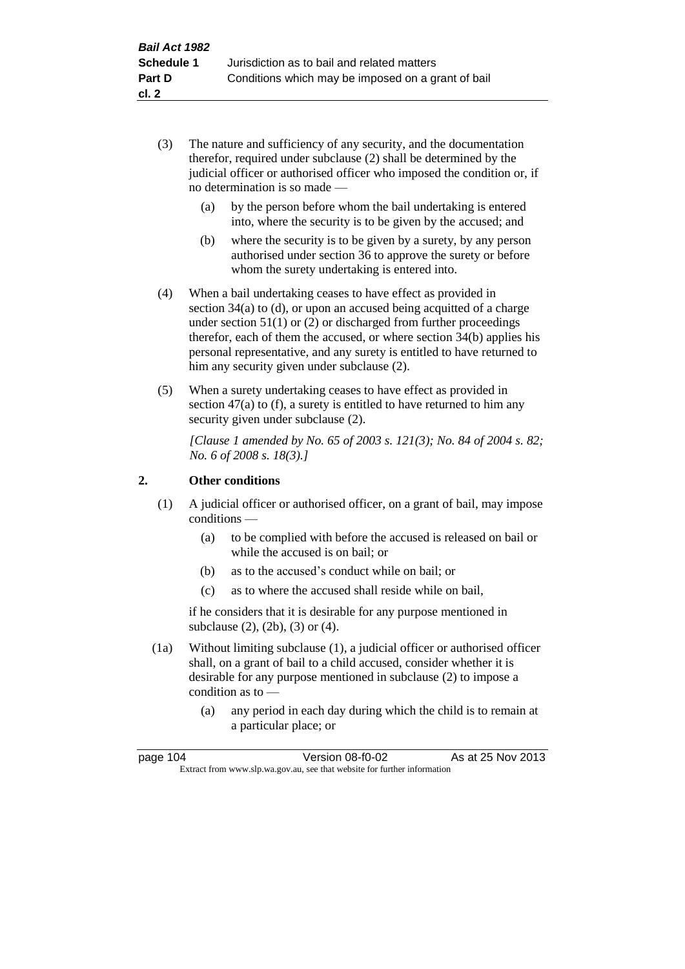- (3) The nature and sufficiency of any security, and the documentation therefor, required under subclause (2) shall be determined by the judicial officer or authorised officer who imposed the condition or, if no determination is so made —
	- (a) by the person before whom the bail undertaking is entered into, where the security is to be given by the accused; and
	- (b) where the security is to be given by a surety, by any person authorised under section 36 to approve the surety or before whom the surety undertaking is entered into.
- (4) When a bail undertaking ceases to have effect as provided in section  $34(a)$  to (d), or upon an accused being acquitted of a charge under section 51(1) or (2) or discharged from further proceedings therefor, each of them the accused, or where section 34(b) applies his personal representative, and any surety is entitled to have returned to him any security given under subclause (2).
- (5) When a surety undertaking ceases to have effect as provided in section 47(a) to (f), a surety is entitled to have returned to him any security given under subclause  $(2)$ .

*[Clause 1 amended by No. 65 of 2003 s. 121(3); No. 84 of 2004 s. 82; No. 6 of 2008 s. 18(3).]*

## **2. Other conditions**

- (1) A judicial officer or authorised officer, on a grant of bail, may impose conditions —
	- (a) to be complied with before the accused is released on bail or while the accused is on bail; or
	- (b) as to the accused's conduct while on bail; or
	- (c) as to where the accused shall reside while on bail,

if he considers that it is desirable for any purpose mentioned in subclause (2), (2b), (3) or (4).

- (1a) Without limiting subclause (1), a judicial officer or authorised officer shall, on a grant of bail to a child accused, consider whether it is desirable for any purpose mentioned in subclause (2) to impose a condition as to —
	- (a) any period in each day during which the child is to remain at a particular place; or

| page 104 | Version 08-f0-02                                                         | As at 25 Nov 2013 |
|----------|--------------------------------------------------------------------------|-------------------|
|          | Extract from www.slp.wa.gov.au, see that website for further information |                   |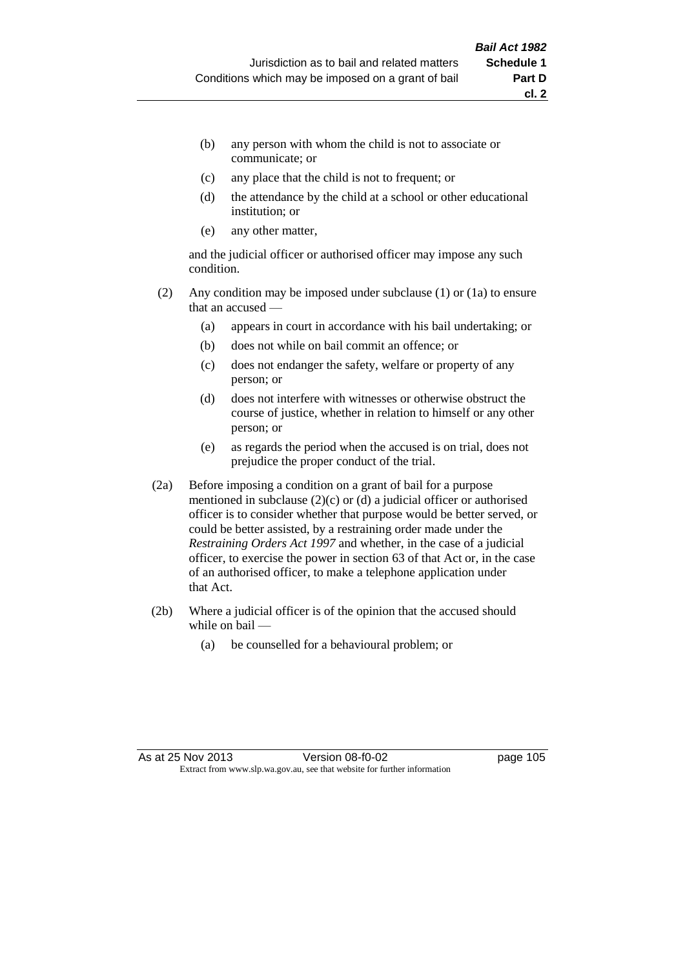- (b) any person with whom the child is not to associate or communicate; or
- (c) any place that the child is not to frequent; or
- (d) the attendance by the child at a school or other educational institution; or
- (e) any other matter,

and the judicial officer or authorised officer may impose any such condition.

- (2) Any condition may be imposed under subclause (1) or (1a) to ensure that an accused —
	- (a) appears in court in accordance with his bail undertaking; or
	- (b) does not while on bail commit an offence; or
	- (c) does not endanger the safety, welfare or property of any person; or
	- (d) does not interfere with witnesses or otherwise obstruct the course of justice, whether in relation to himself or any other person; or
	- (e) as regards the period when the accused is on trial, does not prejudice the proper conduct of the trial.
- (2a) Before imposing a condition on a grant of bail for a purpose mentioned in subclause (2)(c) or (d) a judicial officer or authorised officer is to consider whether that purpose would be better served, or could be better assisted, by a restraining order made under the *Restraining Orders Act 1997* and whether, in the case of a judicial officer, to exercise the power in section 63 of that Act or, in the case of an authorised officer, to make a telephone application under that Act.
- (2b) Where a judicial officer is of the opinion that the accused should while on bail —
	- (a) be counselled for a behavioural problem; or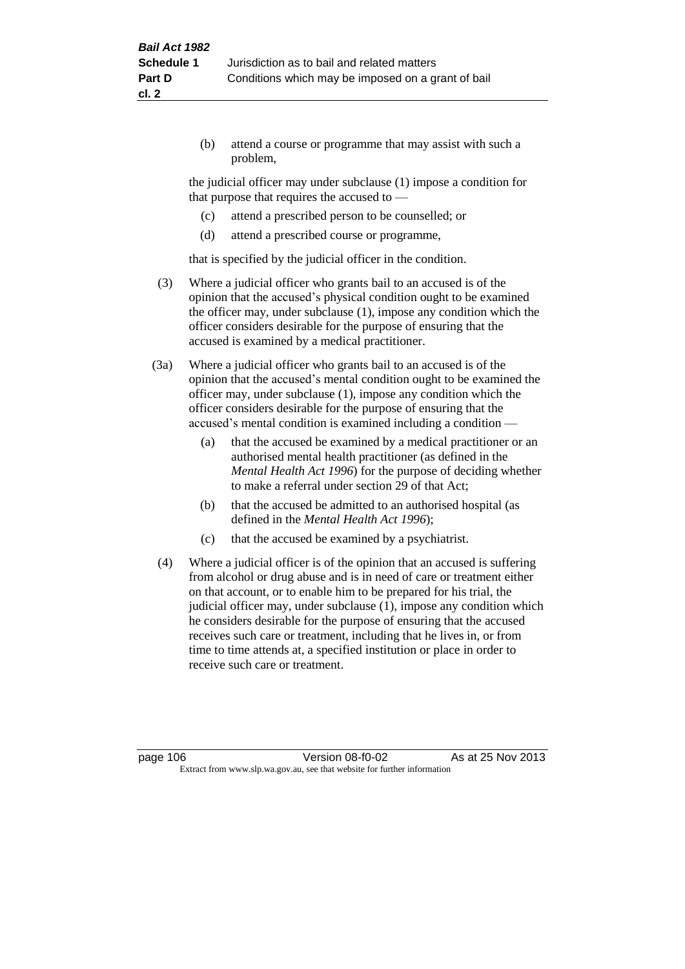(b) attend a course or programme that may assist with such a problem,

the judicial officer may under subclause (1) impose a condition for that purpose that requires the accused to —

- (c) attend a prescribed person to be counselled; or
- (d) attend a prescribed course or programme,

that is specified by the judicial officer in the condition.

- (3) Where a judicial officer who grants bail to an accused is of the opinion that the accused's physical condition ought to be examined the officer may, under subclause (1), impose any condition which the officer considers desirable for the purpose of ensuring that the accused is examined by a medical practitioner.
- (3a) Where a judicial officer who grants bail to an accused is of the opinion that the accused's mental condition ought to be examined the officer may, under subclause (1), impose any condition which the officer considers desirable for the purpose of ensuring that the accused's mental condition is examined including a condition —
	- (a) that the accused be examined by a medical practitioner or an authorised mental health practitioner (as defined in the *Mental Health Act 1996*) for the purpose of deciding whether to make a referral under section 29 of that Act;
	- (b) that the accused be admitted to an authorised hospital (as defined in the *Mental Health Act 1996*);
	- (c) that the accused be examined by a psychiatrist.
- (4) Where a judicial officer is of the opinion that an accused is suffering from alcohol or drug abuse and is in need of care or treatment either on that account, or to enable him to be prepared for his trial, the judicial officer may, under subclause (1), impose any condition which he considers desirable for the purpose of ensuring that the accused receives such care or treatment, including that he lives in, or from time to time attends at, a specified institution or place in order to receive such care or treatment.

page 106 **Version 08-f0-02** As at 25 Nov 2013 Extract from www.slp.wa.gov.au, see that website for further information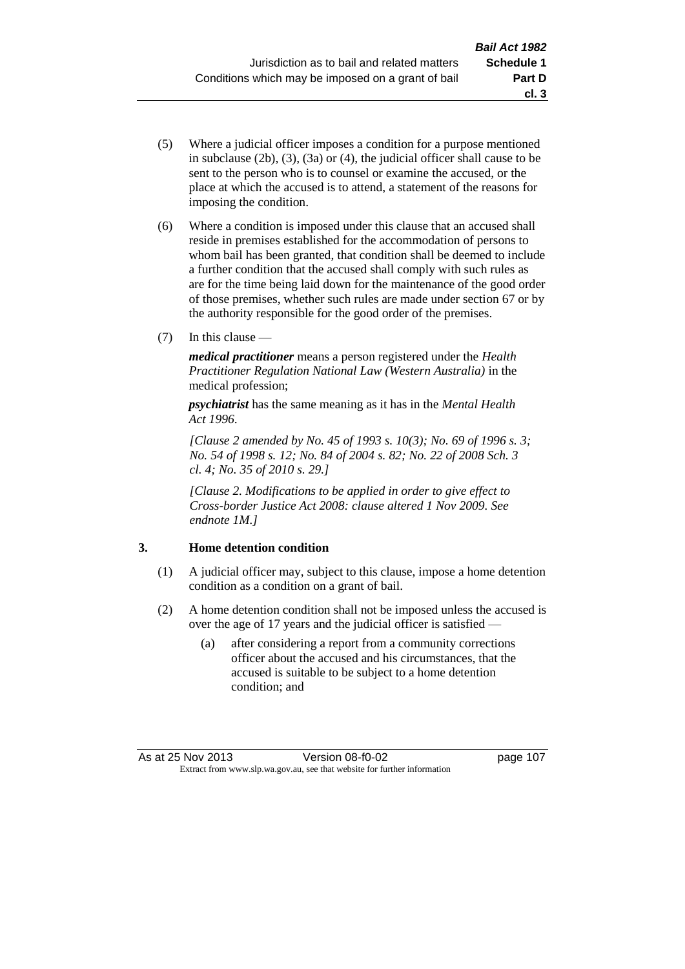- (5) Where a judicial officer imposes a condition for a purpose mentioned in subclause (2b), (3), (3a) or (4), the judicial officer shall cause to be sent to the person who is to counsel or examine the accused, or the place at which the accused is to attend, a statement of the reasons for imposing the condition.
- (6) Where a condition is imposed under this clause that an accused shall reside in premises established for the accommodation of persons to whom bail has been granted, that condition shall be deemed to include a further condition that the accused shall comply with such rules as are for the time being laid down for the maintenance of the good order of those premises, whether such rules are made under section 67 or by the authority responsible for the good order of the premises.
- (7) In this clause —

*medical practitioner* means a person registered under the *Health Practitioner Regulation National Law (Western Australia)* in the medical profession;

*psychiatrist* has the same meaning as it has in the *Mental Health Act 1996*.

*[Clause 2 amended by No. 45 of 1993 s. 10(3); No. 69 of 1996 s. 3; No. 54 of 1998 s. 12; No. 84 of 2004 s. 82; No. 22 of 2008 Sch. 3 cl. 4; No. 35 of 2010 s. 29.]*

*[Clause 2. Modifications to be applied in order to give effect to Cross-border Justice Act 2008: clause altered 1 Nov 2009. See endnote 1M.]*

## **3. Home detention condition**

- (1) A judicial officer may, subject to this clause, impose a home detention condition as a condition on a grant of bail.
- (2) A home detention condition shall not be imposed unless the accused is over the age of 17 years and the judicial officer is satisfied —
	- (a) after considering a report from a community corrections officer about the accused and his circumstances, that the accused is suitable to be subject to a home detention condition; and

**cl. 3**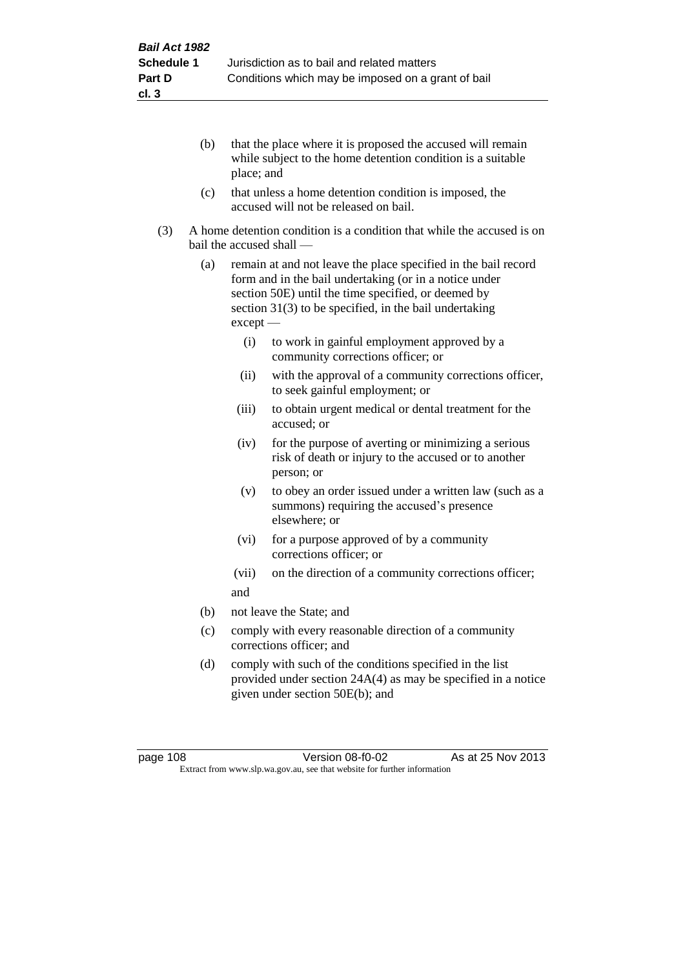- (b) that the place where it is proposed the accused will remain while subject to the home detention condition is a suitable place; and
- (c) that unless a home detention condition is imposed, the accused will not be released on bail.
- (3) A home detention condition is a condition that while the accused is on bail the accused shall —
	- (a) remain at and not leave the place specified in the bail record form and in the bail undertaking (or in a notice under section 50E) until the time specified, or deemed by section 31(3) to be specified, in the bail undertaking except —
		- (i) to work in gainful employment approved by a community corrections officer; or
		- (ii) with the approval of a community corrections officer, to seek gainful employment; or
		- (iii) to obtain urgent medical or dental treatment for the accused; or
		- (iv) for the purpose of averting or minimizing a serious risk of death or injury to the accused or to another person; or
		- (v) to obey an order issued under a written law (such as a summons) requiring the accused's presence elsewhere; or
		- (vi) for a purpose approved of by a community corrections officer; or
		- (vii) on the direction of a community corrections officer; and
	- (b) not leave the State; and
	- (c) comply with every reasonable direction of a community corrections officer; and
	- (d) comply with such of the conditions specified in the list provided under section 24A(4) as may be specified in a notice given under section 50E(b); and

page 108 **Version 08-f0-02** As at 25 Nov 2013 Extract from www.slp.wa.gov.au, see that website for further information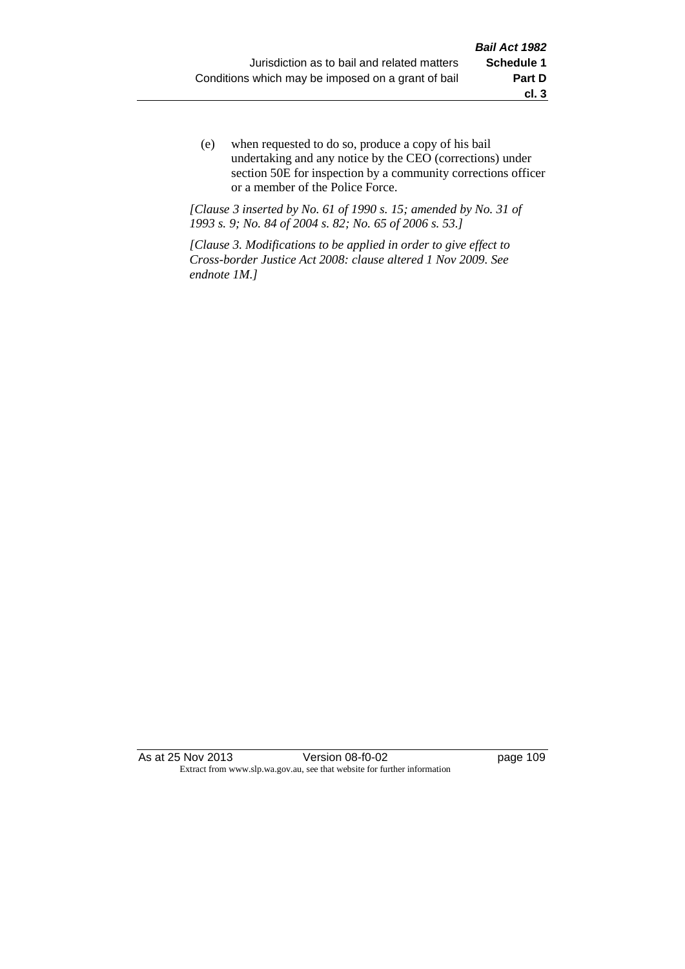(e) when requested to do so, produce a copy of his bail undertaking and any notice by the CEO (corrections) under section 50E for inspection by a community corrections officer or a member of the Police Force.

*[Clause 3 inserted by No. 61 of 1990 s. 15; amended by No. 31 of 1993 s. 9; No. 84 of 2004 s. 82; No. 65 of 2006 s. 53.]*

*[Clause 3. Modifications to be applied in order to give effect to Cross-border Justice Act 2008: clause altered 1 Nov 2009. See endnote 1M.]*

As at 25 Nov 2013 Version 08-f0-02 page 109 Extract from www.slp.wa.gov.au, see that website for further information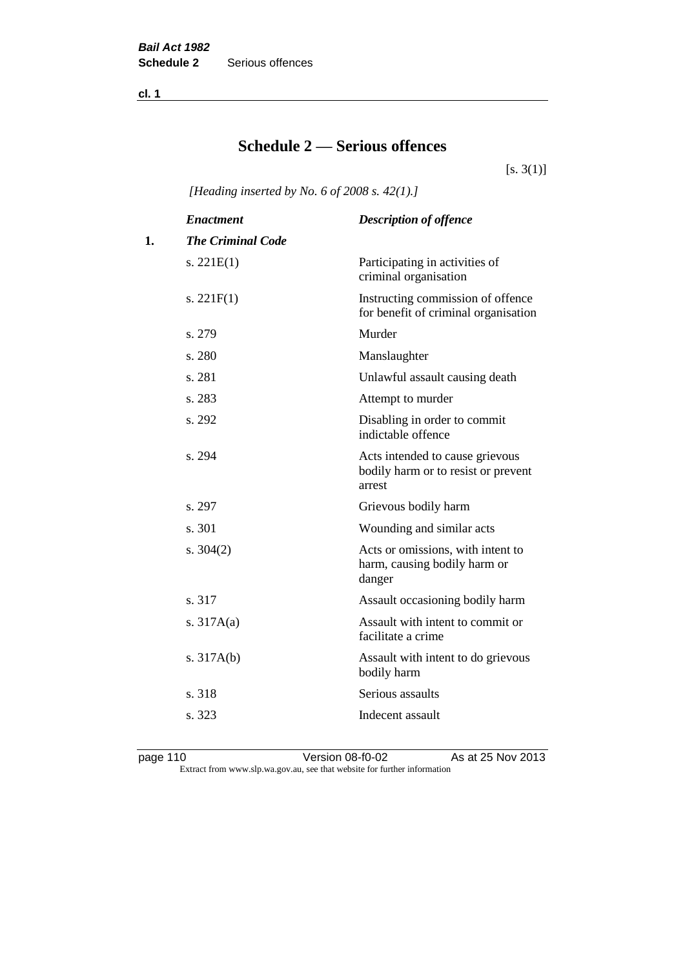**cl. 1**

# **Schedule 2 — Serious offences**

 $[s. 3(1)]$ 

*[Heading inserted by No. 6 of 2008 s. 42(1).]*

|    | <b>Enactment</b>         | <b>Description of offence</b>                                                    |
|----|--------------------------|----------------------------------------------------------------------------------|
| 1. | <b>The Criminal Code</b> |                                                                                  |
|    | s. $221E(1)$             | Participating in activities of<br>criminal organisation                          |
|    | s. $221F(1)$             | Instructing commission of offence<br>for benefit of criminal organisation        |
|    | s. 279                   | Murder                                                                           |
|    | s. 280                   | Manslaughter                                                                     |
|    | s. 281                   | Unlawful assault causing death                                                   |
|    | s. 283                   | Attempt to murder                                                                |
|    | s. 292                   | Disabling in order to commit<br>indictable offence                               |
|    | s. 294                   | Acts intended to cause grievous<br>bodily harm or to resist or prevent<br>arrest |
|    | s. 297                   | Grievous bodily harm                                                             |
|    | s. 301                   | Wounding and similar acts                                                        |
|    | s. $304(2)$              | Acts or omissions, with intent to<br>harm, causing bodily harm or<br>danger      |
|    | s. 317                   | Assault occasioning bodily harm                                                  |
|    | s. $317A(a)$             | Assault with intent to commit or<br>facilitate a crime                           |
|    | s. $317A(b)$             | Assault with intent to do grievous<br>bodily harm                                |
|    | s. 318                   | Serious assaults                                                                 |
|    | s. 323                   | Indecent assault                                                                 |
|    |                          |                                                                                  |

page 110 Version 08-f0-02 As at 25 Nov 2013 Extract from www.slp.wa.gov.au, see that website for further information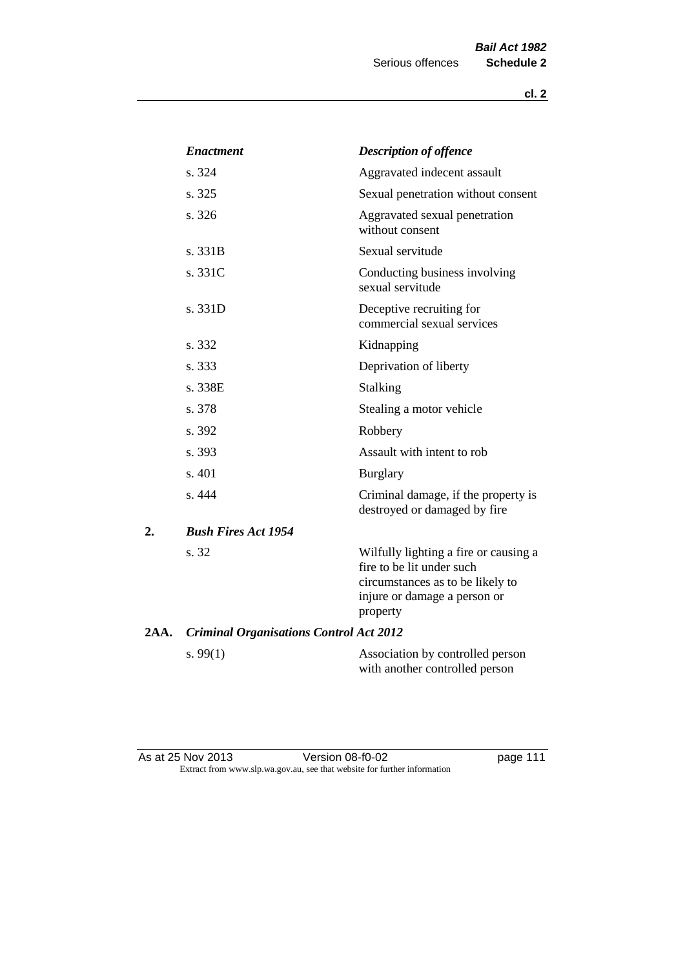|      | <b>Enactment</b>                               | <b>Description of offence</b>                                                                                                                      |
|------|------------------------------------------------|----------------------------------------------------------------------------------------------------------------------------------------------------|
|      | s. 324                                         | Aggravated indecent assault                                                                                                                        |
|      | s. 325                                         | Sexual penetration without consent                                                                                                                 |
|      | s. 326                                         | Aggravated sexual penetration<br>without consent                                                                                                   |
|      | s. 331B                                        | Sexual servitude                                                                                                                                   |
|      | s. 331C                                        | Conducting business involving<br>sexual servitude                                                                                                  |
|      | s. 331D                                        | Deceptive recruiting for<br>commercial sexual services                                                                                             |
|      | s. 332                                         | Kidnapping                                                                                                                                         |
|      | s. 333                                         | Deprivation of liberty                                                                                                                             |
|      | s. 338E                                        | Stalking                                                                                                                                           |
|      | s. 378                                         | Stealing a motor vehicle                                                                                                                           |
|      | s. 392                                         | Robbery                                                                                                                                            |
|      | s. 393                                         | Assault with intent to rob                                                                                                                         |
|      | s. 401                                         | <b>Burglary</b>                                                                                                                                    |
|      | s. 444                                         | Criminal damage, if the property is<br>destroyed or damaged by fire                                                                                |
| 2.   | <b>Bush Fires Act 1954</b>                     |                                                                                                                                                    |
|      | s. 32                                          | Wilfully lighting a fire or causing a<br>fire to be lit under such<br>circumstances as to be likely to<br>injure or damage a person or<br>property |
| 2AA. | <b>Criminal Organisations Control Act 2012</b> |                                                                                                                                                    |
|      | s. $99(1)$                                     | Association by controlled person<br>with another controlled person                                                                                 |

As at 25 Nov 2013 **Details University Contract Page 111** page 111 Extract from www.slp.wa.gov.au, see that website for further information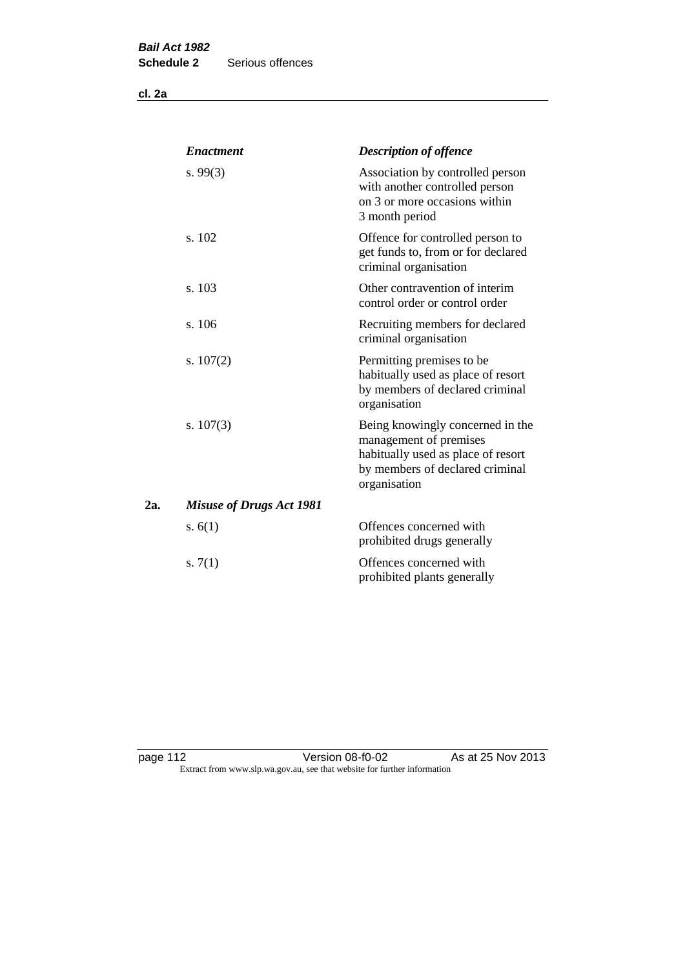**cl. 2a**

|     | <b>Enactment</b>                | <b>Description of offence</b>                                                                                                                       |
|-----|---------------------------------|-----------------------------------------------------------------------------------------------------------------------------------------------------|
|     | s. $99(3)$                      | Association by controlled person<br>with another controlled person<br>on 3 or more occasions within<br>3 month period                               |
|     | s. 102                          | Offence for controlled person to<br>get funds to, from or for declared<br>criminal organisation                                                     |
|     | s. 103                          | Other contravention of interim<br>control order or control order                                                                                    |
|     | s. 106                          | Recruiting members for declared<br>criminal organisation                                                                                            |
|     | s. $107(2)$                     | Permitting premises to be<br>habitually used as place of resort<br>by members of declared criminal<br>organisation                                  |
|     | s. $107(3)$                     | Being knowingly concerned in the<br>management of premises<br>habitually used as place of resort<br>by members of declared criminal<br>organisation |
| 2а. | <b>Misuse of Drugs Act 1981</b> |                                                                                                                                                     |
|     | s. $6(1)$                       | Offences concerned with<br>prohibited drugs generally                                                                                               |
|     | s. $7(1)$                       | Offences concerned with<br>prohibited plants generally                                                                                              |

page 112 **Detail Contract Version 08-f0-02** As at 25 Nov 2013 Extract from www.slp.wa.gov.au, see that website for further information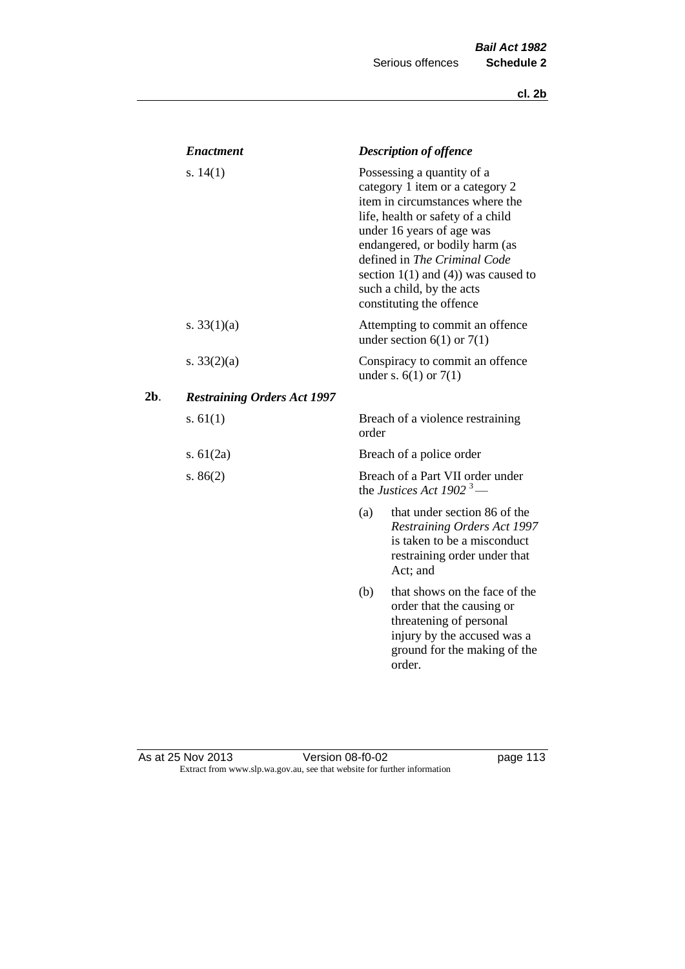|     | <b>Enactment</b>                   |       | <b>Description of offence</b>                                                                                                                                                                                                                                                                                                             |
|-----|------------------------------------|-------|-------------------------------------------------------------------------------------------------------------------------------------------------------------------------------------------------------------------------------------------------------------------------------------------------------------------------------------------|
|     | s. $14(1)$                         |       | Possessing a quantity of a<br>category 1 item or a category 2<br>item in circumstances where the<br>life, health or safety of a child<br>under 16 years of age was<br>endangered, or bodily harm (as<br>defined in The Criminal Code<br>section $1(1)$ and $(4)$ ) was caused to<br>such a child, by the acts<br>constituting the offence |
|     | s. $33(1)(a)$                      |       | Attempting to commit an offence<br>under section $6(1)$ or $7(1)$                                                                                                                                                                                                                                                                         |
|     | s. $33(2)(a)$                      |       | Conspiracy to commit an offence<br>under s. $6(1)$ or $7(1)$                                                                                                                                                                                                                                                                              |
| 2b. | <b>Restraining Orders Act 1997</b> |       |                                                                                                                                                                                                                                                                                                                                           |
|     | s. $61(1)$                         | order | Breach of a violence restraining                                                                                                                                                                                                                                                                                                          |
|     | s. $61(2a)$                        |       | Breach of a police order                                                                                                                                                                                                                                                                                                                  |
|     | s. $86(2)$                         |       | Breach of a Part VII order under<br>the Justices Act 1902 <sup>3</sup> —                                                                                                                                                                                                                                                                  |
|     |                                    | (a)   | that under section 86 of the<br><b>Restraining Orders Act 1997</b><br>is taken to be a misconduct<br>restraining order under that<br>Act; and                                                                                                                                                                                             |
|     |                                    | (b)   | that shows on the face of the<br>order that the causing or<br>threatening of personal<br>injury by the accused was a<br>ground for the making of the<br>order.                                                                                                                                                                            |

#### As at 25 Nov 2013 **Details Access 12 October 12 October 123** page 113 Extract from www.slp.wa.gov.au, see that website for further information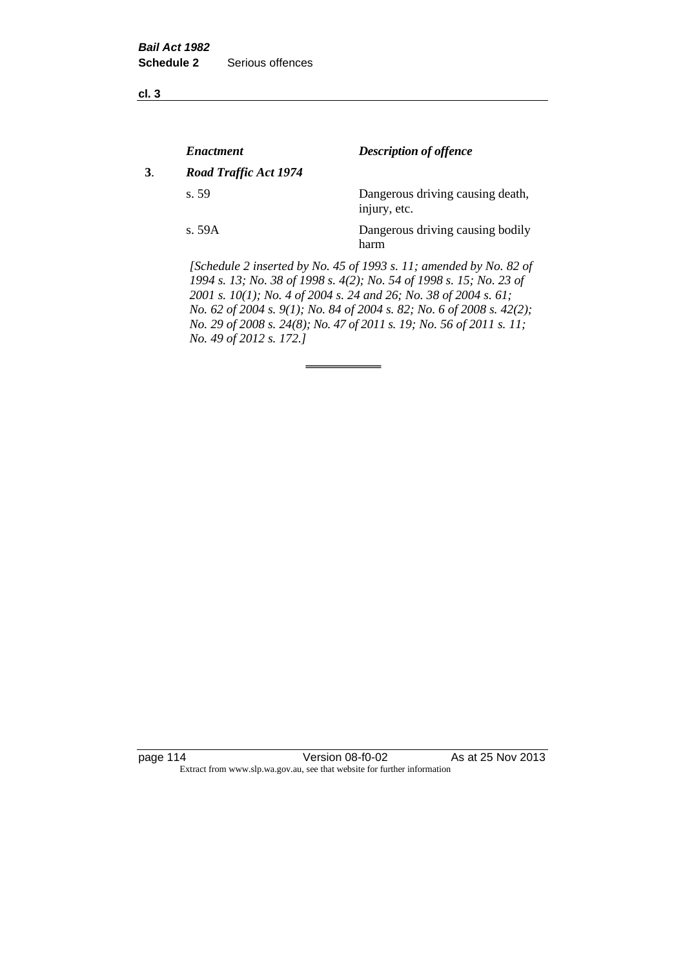**cl. 3**

|    | <b>Enactment</b>      | <b>Description of offence</b>                                                                                                             |
|----|-----------------------|-------------------------------------------------------------------------------------------------------------------------------------------|
| 3. | Road Traffic Act 1974 |                                                                                                                                           |
|    | s.59                  | Dangerous driving causing death,<br>injury, etc.                                                                                          |
|    | s. 59A                | Dangerous driving causing bodily<br>harm                                                                                                  |
|    |                       | [Schedule 2 inserted by No. 45 of 1993 s. 11; amended by No. 82 of<br>1994 s. 13; No. 38 of 1998 s. 4(2); No. 54 of 1998 s. 15; No. 23 of |

*2001 s. 10(1); No. 4 of 2004 s. 24 and 26; No. 38 of 2004 s. 61; No. 62 of 2004 s. 9(1); No. 84 of 2004 s. 82; No. 6 of 2008 s. 42(2); No. 29 of 2008 s. 24(8); No. 47 of 2011 s. 19; No. 56 of 2011 s. 11; No. 49 of 2012 s. 172.]* 

page 114 Version 08-f0-02 As at 25 Nov 2013 Extract from www.slp.wa.gov.au, see that website for further information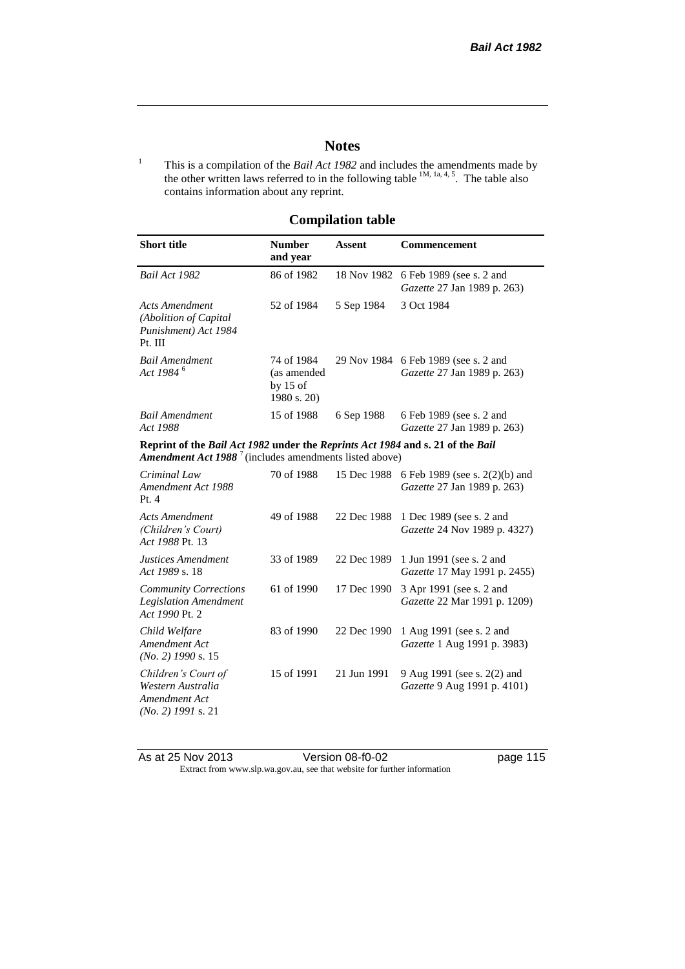## **Notes**

<sup>1</sup> This is a compilation of the *Bail Act 1982* and includes the amendments made by the other written laws referred to in the following table  $^{1M, 1a, 4, 5}$ . The table also contains information about any reprint.

## **Compilation table**

| <b>Short title</b>                                                                                                                                  | <b>Number</b><br>and year                              | <b>Assent</b> | <b>Commencement</b>                                           |  |
|-----------------------------------------------------------------------------------------------------------------------------------------------------|--------------------------------------------------------|---------------|---------------------------------------------------------------|--|
| Bail Act 1982                                                                                                                                       | 86 of 1982                                             | 18 Nov 1982   | 6 Feb 1989 (see s. 2 and<br>Gazette 27 Jan 1989 p. 263)       |  |
| <b>Acts Amendment</b><br>(Abolition of Capital<br>Punishment) Act 1984<br>Pt. III                                                                   | 52 of 1984                                             | 5 Sep 1984    | 3 Oct 1984                                                    |  |
| <b>Bail Amendment</b><br>Act 1984 <sup>6</sup>                                                                                                      | 74 of 1984<br>(as amended<br>by $15$ of<br>1980 s. 20) | 29 Nov 1984   | 6 Feb 1989 (see s. 2 and<br>Gazette 27 Jan 1989 p. 263)       |  |
| <b>Bail Amendment</b><br>Act 1988                                                                                                                   | 15 of 1988                                             | 6 Sep 1988    | 6 Feb 1989 (see s. 2 and<br>Gazette 27 Jan 1989 p. 263)       |  |
| Reprint of the Bail Act 1982 under the Reprints Act 1984 and s. 21 of the Bail<br><b>Amendment Act 1988</b> $^7$ (includes amendments listed above) |                                                        |               |                                                               |  |
| Criminal Law<br>Amendment Act 1988<br>Pt.4                                                                                                          | 70 of 1988                                             | 15 Dec 1988   | 6 Feb 1989 (see s. 2(2)(b) and<br>Gazette 27 Jan 1989 p. 263) |  |
| <b>Acts Amendment</b><br>(Children's Court)<br>Act 1988 Pt. 13                                                                                      | 49 of 1988                                             | 22 Dec 1988   | 1 Dec 1989 (see s. 2 and<br>Gazette 24 Nov 1989 p. 4327)      |  |
| Justices Amendment<br>Act 1989 s. 18                                                                                                                | 33 of 1989                                             | 22 Dec 1989   | 1 Jun 1991 (see s. 2 and<br>Gazette 17 May 1991 p. 2455)      |  |
| <b>Community Corrections</b><br><b>Legislation Amendment</b><br>Act 1990 Pt. 2                                                                      | 61 of 1990                                             | 17 Dec 1990   | 3 Apr 1991 (see s. 2 and<br>Gazette 22 Mar 1991 p. 1209)      |  |
| Child Welfare<br>Amendment Act<br>$(No. 2)$ 1990 s. 15                                                                                              | 83 of 1990                                             | 22 Dec 1990   | 1 Aug 1991 (see s. 2 and<br>Gazette 1 Aug 1991 p. 3983)       |  |
| Children's Court of<br>Western Australia<br>Amendment Act<br>$(No. 2)$ 1991 s. 21                                                                   | 15 of 1991                                             | 21 Jun 1991   | 9 Aug 1991 (see s. 2(2) and<br>Gazette 9 Aug 1991 p. 4101)    |  |

As at 25 Nov 2013 Version 08-f0-02 page 115 Extract from www.slp.wa.gov.au, see that website for further information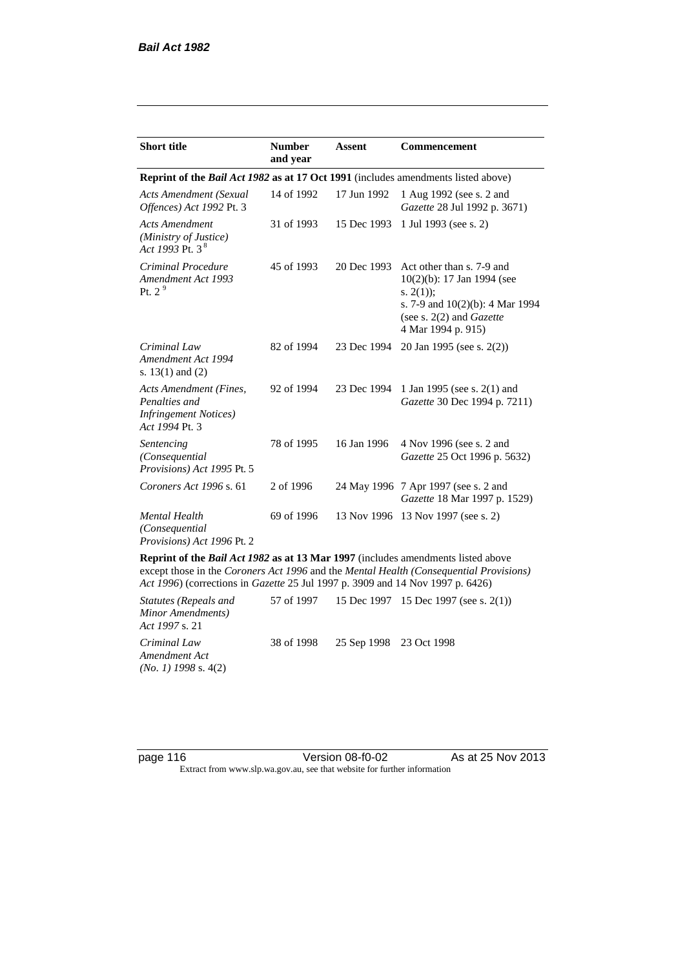| <b>Short title</b>                                                                         | <b>Number</b><br>and year | <b>Assent</b> | <b>Commencement</b>                                                                                                                                                        |
|--------------------------------------------------------------------------------------------|---------------------------|---------------|----------------------------------------------------------------------------------------------------------------------------------------------------------------------------|
| Reprint of the <i>Bail Act 1982</i> as at 17 Oct 1991 (includes amendments listed above)   |                           |               |                                                                                                                                                                            |
| <b>Acts Amendment (Sexual</b><br>Offences) Act 1992 Pt. 3                                  | 14 of 1992                | 17 Jun 1992   | 1 Aug 1992 (see s. 2 and<br>Gazette 28 Jul 1992 p. 3671)                                                                                                                   |
| <b>Acts Amendment</b><br>(Ministry of Justice)<br>Act 1993 Pt. 3 $^{8}$                    | 31 of 1993                | 15 Dec 1993   | 1 Jul 1993 (see s. 2)                                                                                                                                                      |
| Criminal Procedure<br>Amendment Act 1993<br>Pt. $2^9$                                      | 45 of 1993                | 20 Dec 1993   | Act other than s. 7-9 and<br>$10(2)(b)$ : 17 Jan 1994 (see<br>s. $2(1)$ ;<br>s. 7-9 and $10(2)(b)$ : 4 Mar 1994<br>(see s. $2(2)$ and <i>Gazette</i><br>4 Mar 1994 p. 915) |
| Criminal Law<br>Amendment Act 1994<br>s. $13(1)$ and $(2)$                                 | 82 of 1994                | 23 Dec 1994   | 20 Jan 1995 (see s. 2(2))                                                                                                                                                  |
| Acts Amendment (Fines,<br>Penalties and<br><i>Infringement Notices</i> )<br>Act 1994 Pt. 3 | 92 of 1994                | 23 Dec 1994   | 1 Jan 1995 (see s. 2(1) and<br>Gazette 30 Dec 1994 p. 7211)                                                                                                                |
| Sentencing<br>(Consequential<br>Provisions) Act 1995 Pt. 5                                 | 78 of 1995                | 16 Jan 1996   | 4 Nov 1996 (see s. 2 and<br>Gazette 25 Oct 1996 p. 5632)                                                                                                                   |
| Coroners Act 1996 s. 61                                                                    | 2 of 1996                 |               | 24 May 1996 7 Apr 1997 (see s. 2 and<br>Gazette 18 Mar 1997 p. 1529)                                                                                                       |
| <b>Mental Health</b><br>(Consequential<br>Provisions) Act 1996 Pt. 2                       | 69 of 1996                | 13 Nov 1996   | 13 Nov 1997 (see s. 2)                                                                                                                                                     |

**Reprint of the** *Bail Act 1982* **as at 13 Mar 1997** (includes amendments listed above except those in the *Coroners Act 1996* and the *Mental Health (Consequential Provisions) Act 1996*) (corrections in *Gazette* 25 Jul 1997 p. 3909 and 14 Nov 1997 p. 6426)

*Statutes (Repeals and Minor Amendments) Act 1997* s. 21 57 of 1997 15 Dec 1997 15 Dec 1997 (see s. 2(1)) *Criminal Law Amendment Act (No. 1) 1998* s. 4(2) 38 of 1998 25 Sep 1998 23 Oct 1998

page 116 Version 08-f0-02 As at 25 Nov 2013 Extract from www.slp.wa.gov.au, see that website for further information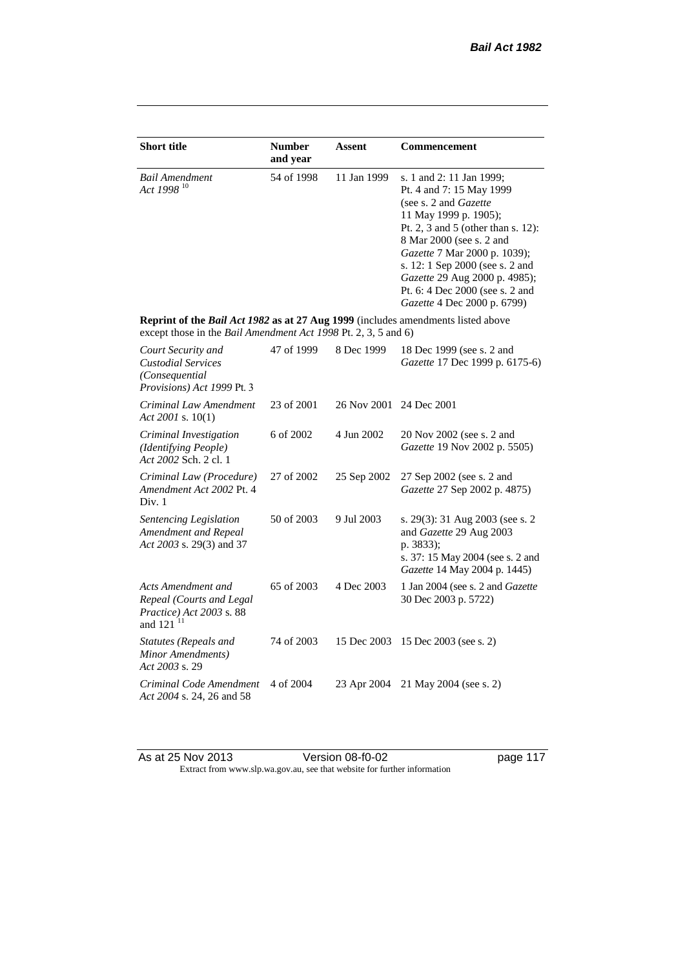| <b>Short title</b>                                                                                                                                 | <b>Number</b><br>and year | <b>Assent</b> | <b>Commencement</b>                                                                                                                                                                                                                                                                                                                                     |
|----------------------------------------------------------------------------------------------------------------------------------------------------|---------------------------|---------------|---------------------------------------------------------------------------------------------------------------------------------------------------------------------------------------------------------------------------------------------------------------------------------------------------------------------------------------------------------|
| <b>Bail Amendment</b><br>Act 1998 <sup>10</sup>                                                                                                    | 54 of 1998                | 11 Jan 1999   | s. 1 and 2: 11 Jan 1999;<br>Pt. 4 and 7: 15 May 1999<br>(see s. 2 and <i>Gazette</i> )<br>11 May 1999 p. 1905);<br>Pt. 2, 3 and 5 (other than s. 12):<br>8 Mar 2000 (see s. 2 and<br>Gazette 7 Mar 2000 p. 1039);<br>s. 12: 1 Sep 2000 (see s. 2 and<br>Gazette 29 Aug 2000 p. 4985);<br>Pt. 6: 4 Dec 2000 (see s. 2 and<br>Gazette 4 Dec 2000 p. 6799) |
| Reprint of the Bail Act 1982 as at 27 Aug 1999 (includes amendments listed above<br>except those in the Bail Amendment Act 1998 Pt. 2, 3, 5 and 6) |                           |               |                                                                                                                                                                                                                                                                                                                                                         |
| Court Security and<br><b>Custodial Services</b><br>(Consequential)<br>Provisions) Act 1999 Pt. 3                                                   | 47 of 1999                | 8 Dec 1999    | 18 Dec 1999 (see s. 2 and<br>Gazette 17 Dec 1999 p. 6175-6)                                                                                                                                                                                                                                                                                             |
| Criminal Law Amendment<br>Act 2001 s. $10(1)$                                                                                                      | 23 of 2001                | 26 Nov 2001   | 24 Dec 2001                                                                                                                                                                                                                                                                                                                                             |
| Criminal Investigation<br>(Identifying People)<br>Act 2002 Sch. 2 cl. 1                                                                            | 6 of 2002                 | 4 Jun 2002    | 20 Nov 2002 (see s. 2 and<br>Gazette 19 Nov 2002 p. 5505)                                                                                                                                                                                                                                                                                               |
| Criminal Law (Procedure)<br>Amendment Act 2002 Pt. 4<br>Div. 1                                                                                     | 27 of 2002                | 25 Sep 2002   | 27 Sep 2002 (see s. 2 and<br>Gazette 27 Sep 2002 p. 4875)                                                                                                                                                                                                                                                                                               |
| Sentencing Legislation<br>Amendment and Repeal<br>Act 2003 s. 29(3) and 37                                                                         | 50 of 2003                | 9 Jul 2003    | s. 29(3): 31 Aug 2003 (see s. 2<br>and Gazette 29 Aug 2003<br>p. 3833);<br>s. 37: 15 May 2004 (see s. 2 and<br>Gazette 14 May 2004 p. 1445)                                                                                                                                                                                                             |
| Acts Amendment and<br>Repeal (Courts and Legal<br>Practice) Act 2003 s. 88<br>and 121 <sup>11</sup>                                                | 65 of 2003                | 4 Dec 2003    | 1 Jan 2004 (see s. 2 and <i>Gazette</i><br>30 Dec 2003 p. 5722)                                                                                                                                                                                                                                                                                         |
| Statutes (Repeals and<br>Minor Amendments)<br>Act 2003 s. 29                                                                                       | 74 of 2003                | 15 Dec 2003   | 15 Dec 2003 (see s. 2)                                                                                                                                                                                                                                                                                                                                  |
| Criminal Code Amendment<br>Act 2004 s. 24, 26 and 58                                                                                               | 4 of 2004                 | 23 Apr 2004   | 21 May 2004 (see s. 2)                                                                                                                                                                                                                                                                                                                                  |

As at 25 Nov 2013 **Details Access 12 Version 08-f0-02 page 117** Extract from www.slp.wa.gov.au, see that website for further information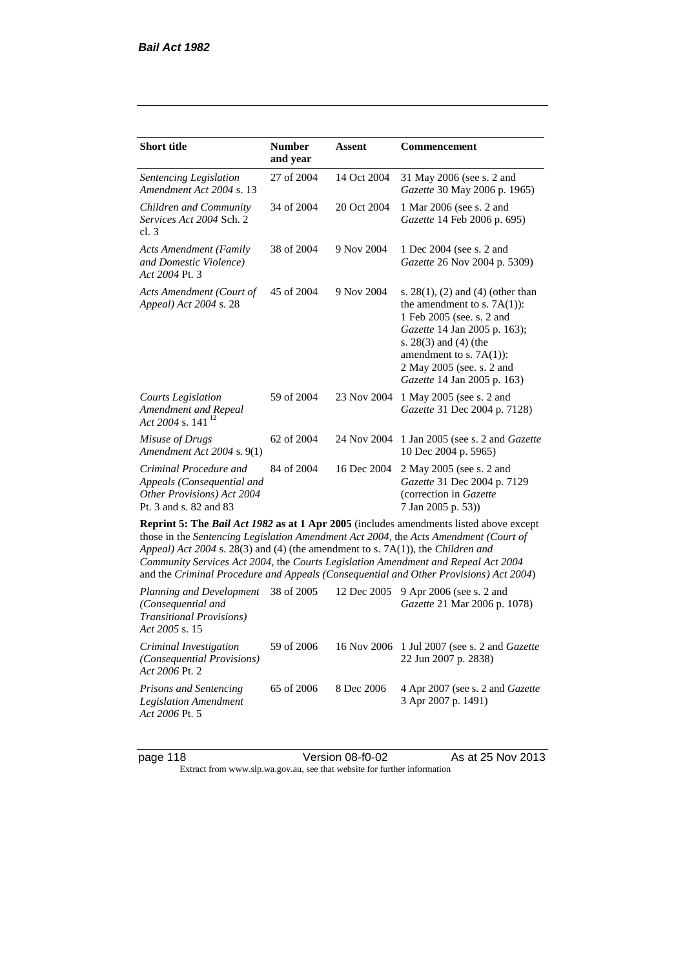| <b>Short title</b>                                                                                                                                                                                                                                                                                                                                                                                                                              | <b>Number</b><br>and year | Assent      | <b>Commencement</b>                                                                                                                                                                                                                                      |  |
|-------------------------------------------------------------------------------------------------------------------------------------------------------------------------------------------------------------------------------------------------------------------------------------------------------------------------------------------------------------------------------------------------------------------------------------------------|---------------------------|-------------|----------------------------------------------------------------------------------------------------------------------------------------------------------------------------------------------------------------------------------------------------------|--|
| Sentencing Legislation<br>Amendment Act 2004 s. 13                                                                                                                                                                                                                                                                                                                                                                                              | 27 of 2004                | 14 Oct 2004 | 31 May 2006 (see s. 2 and<br>Gazette 30 May 2006 p. 1965)                                                                                                                                                                                                |  |
| Children and Community<br>Services Act 2004 Sch. 2<br>cl.3                                                                                                                                                                                                                                                                                                                                                                                      | 34 of 2004                | 20 Oct 2004 | 1 Mar 2006 (see s. 2 and<br>Gazette 14 Feb 2006 p. 695)                                                                                                                                                                                                  |  |
| <b>Acts Amendment (Family</b><br>and Domestic Violence)<br>Act 2004 Pt. 3                                                                                                                                                                                                                                                                                                                                                                       | 38 of 2004                | 9 Nov 2004  | 1 Dec 2004 (see s. 2 and<br>Gazette 26 Nov 2004 p. 5309)                                                                                                                                                                                                 |  |
| Acts Amendment (Court of<br>Appeal) Act 2004 s. 28                                                                                                                                                                                                                                                                                                                                                                                              | 45 of 2004                | 9 Nov 2004  | s. $28(1)$ , (2) and (4) (other than<br>the amendment to s. $7A(1)$ :<br>1 Feb 2005 (see. s. 2 and<br>Gazette 14 Jan 2005 p. 163);<br>s. $28(3)$ and $(4)$ (the<br>amendment to s. $7A(1)$ :<br>2 May 2005 (see. s. 2 and<br>Gazette 14 Jan 2005 p. 163) |  |
| <b>Courts Legislation</b><br>Amendment and Repeal<br>Act 2004 s. 141 <sup>12</sup>                                                                                                                                                                                                                                                                                                                                                              | 59 of 2004                | 23 Nov 2004 | 1 May 2005 (see s. 2 and<br>Gazette 31 Dec 2004 p. 7128)                                                                                                                                                                                                 |  |
| Misuse of Drugs<br>Amendment Act 2004 s. 9(1)                                                                                                                                                                                                                                                                                                                                                                                                   | 62 of 2004                | 24 Nov 2004 | 1 Jan 2005 (see s. 2 and Gazette<br>10 Dec 2004 p. 5965)                                                                                                                                                                                                 |  |
| Criminal Procedure and<br>Appeals (Consequential and<br>Other Provisions) Act 2004<br>Pt. 3 and s. 82 and 83                                                                                                                                                                                                                                                                                                                                    | 84 of 2004                | 16 Dec 2004 | 2 May 2005 (see s. 2 and<br>Gazette 31 Dec 2004 p. 7129<br>(correction in Gazette<br>7 Jan 2005 p. 53))                                                                                                                                                  |  |
| Reprint 5: The Bail Act 1982 as at 1 Apr 2005 (includes amendments listed above except<br>those in the Sentencing Legislation Amendment Act 2004, the Acts Amendment (Court of<br>Appeal) Act 2004 s. 28(3) and (4) (the amendment to s. 7A(1)), the Children and<br>Community Services Act 2004, the Courts Legislation Amendment and Repeal Act 2004<br>and the Criminal Procedure and Appeals (Consequential and Other Provisions) Act 2004) |                           |             |                                                                                                                                                                                                                                                          |  |
| Planning and Development<br>(Consequential and<br><b>Transitional Provisions)</b><br>Act 2005 s. 15                                                                                                                                                                                                                                                                                                                                             | 38 of 2005                | 12 Dec 2005 | 9 Apr 2006 (see s. 2 and<br>Gazette 21 Mar 2006 p. 1078)                                                                                                                                                                                                 |  |
| Criminal Investigation<br>(Consequential Provisions)                                                                                                                                                                                                                                                                                                                                                                                            | 59 of 2006                | 16 Nov 2006 | 1 Jul 2007 (see s. 2 and Gazette<br>22 Jun 2007 p. 2838)                                                                                                                                                                                                 |  |

*Act 2006* Pt. 2 *Prisons and Sentencing Legislation Amendment Act 2006* Pt. 5 65 of 2006 8 Dec 2006 4 Apr 2007 (see s. 2 and *Gazette* 3 Apr 2007 p. 1491)

page 118 **Version 08-f0-02** As at 25 Nov 2013 Extract from www.slp.wa.gov.au, see that website for further information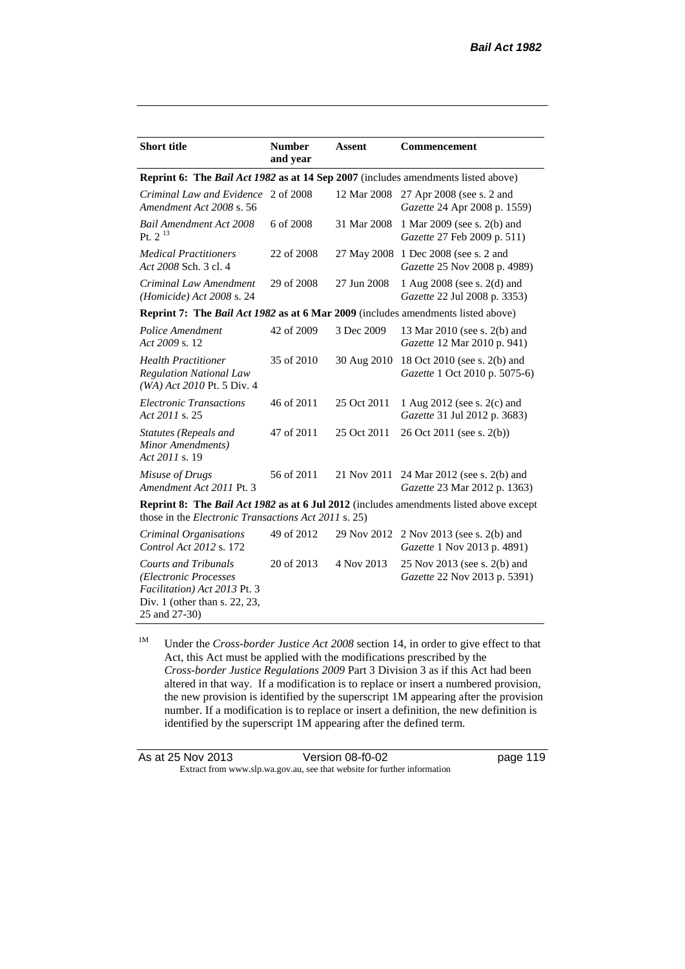| <b>Short title</b>                                                                                                                           | <b>Number</b><br>and year                                                                                                                                    | <b>Assent</b> | <b>Commencement</b>                                                  |  |  |
|----------------------------------------------------------------------------------------------------------------------------------------------|--------------------------------------------------------------------------------------------------------------------------------------------------------------|---------------|----------------------------------------------------------------------|--|--|
| Reprint 6: The Bail Act 1982 as at 14 Sep 2007 (includes amendments listed above)                                                            |                                                                                                                                                              |               |                                                                      |  |  |
| Criminal Law and Evidence<br>Amendment Act 2008 s. 56                                                                                        | 2 of 2008                                                                                                                                                    | 12 Mar 2008   | 27 Apr 2008 (see s. 2 and<br>Gazette 24 Apr 2008 p. 1559)            |  |  |
| <b>Bail Amendment Act 2008</b><br>Pt. $2^{13}$                                                                                               | 6 of 2008                                                                                                                                                    | 31 Mar 2008   | 1 Mar 2009 (see s. 2(b) and<br>Gazette 27 Feb 2009 p. 511)           |  |  |
| <b>Medical Practitioners</b><br>Act 2008 Sch. 3 cl. 4                                                                                        | 22 of 2008                                                                                                                                                   |               | 27 May 2008 1 Dec 2008 (see s. 2 and<br>Gazette 25 Nov 2008 p. 4989) |  |  |
| Criminal Law Amendment<br>(Homicide) Act 2008 s. 24                                                                                          | 29 of 2008                                                                                                                                                   | 27 Jun 2008   | 1 Aug 2008 (see s. 2(d) and<br>Gazette 22 Jul 2008 p. 3353)          |  |  |
| <b>Reprint 7: The Bail Act 1982 as at 6 Mar 2009</b> (includes amendments listed above)                                                      |                                                                                                                                                              |               |                                                                      |  |  |
| Police Amendment<br>Act 2009 s. 12                                                                                                           | 42 of 2009                                                                                                                                                   | 3 Dec 2009    | 13 Mar 2010 (see s. 2(b) and<br>Gazette 12 Mar 2010 p. 941)          |  |  |
| <b>Health Practitioner</b><br><b>Regulation National Law</b><br>$(WA)$ Act 2010 Pt. 5 Div. 4                                                 | 35 of 2010                                                                                                                                                   | 30 Aug 2010   | 18 Oct 2010 (see s. 2(b) and<br>Gazette 1 Oct 2010 p. 5075-6)        |  |  |
| <b>Electronic Transactions</b><br>Act 2011 s. 25                                                                                             | 46 of 2011                                                                                                                                                   | 25 Oct 2011   | 1 Aug 2012 (see s. 2(c) and<br>Gazette 31 Jul 2012 p. 3683)          |  |  |
| <b>Statutes (Repeals and</b><br>Minor Amendments)<br>Act 2011 s. 19                                                                          | 47 of 2011                                                                                                                                                   | 25 Oct 2011   | 26 Oct 2011 (see s. 2(b))                                            |  |  |
| Misuse of Drugs<br>Amendment Act 2011 Pt. 3                                                                                                  | 56 of 2011                                                                                                                                                   | 21 Nov 2011   | 24 Mar 2012 (see s. 2(b) and<br>Gazette 23 Mar 2012 p. 1363)         |  |  |
|                                                                                                                                              | <b>Reprint 8: The Bail Act 1982 as at 6 Jul 2012</b> (includes amendments listed above except<br>those in the <i>Electronic Transactions Act 2011</i> s. 25) |               |                                                                      |  |  |
| Criminal Organisations<br>Control Act 2012 s. 172                                                                                            | 49 of 2012                                                                                                                                                   | 29 Nov 2012   | 2 Nov 2013 (see s. 2(b) and<br>Gazette 1 Nov 2013 p. 4891)           |  |  |
| <b>Courts and Tribunals</b><br>(Electronic Processes<br>Facilitation) Act 2013 Pt. 3<br>Div. 1 (other than s. $22$ , $23$ ,<br>25 and 27-30) | 20 of 2013                                                                                                                                                   | 4 Nov 2013    | 25 Nov 2013 (see s. 2(b) and<br>Gazette 22 Nov 2013 p. 5391)         |  |  |

<sup>1M</sup> Under the *Cross-border Justice Act* 2008 section 14, in order to give effect to that Act, this Act must be applied with the modifications prescribed by the *Cross-border Justice Regulations 2009* Part 3 Division 3 as if this Act had been altered in that way. If a modification is to replace or insert a numbered provision, the new provision is identified by the superscript 1M appearing after the provision number. If a modification is to replace or insert a definition, the new definition is identified by the superscript 1M appearing after the defined term.

| As at 25 Nov 2013 | Version 08-f0-02                                                         | page 119 |
|-------------------|--------------------------------------------------------------------------|----------|
|                   | Extract from www.slp.wa.gov.au, see that website for further information |          |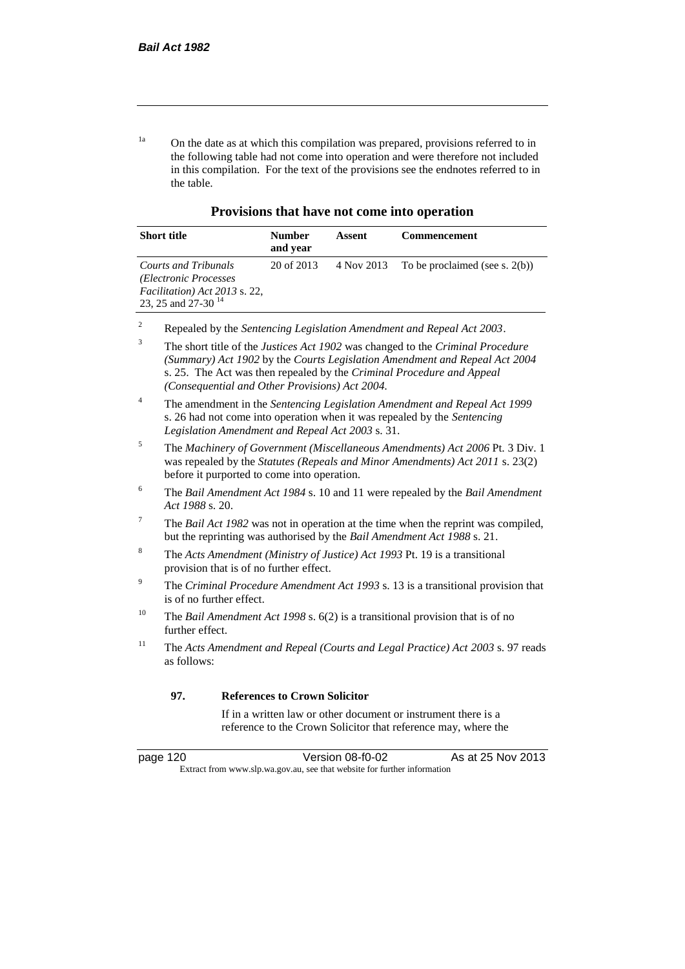<sup>1a</sup> On the date as at which this compilation was prepared, provisions referred to in the following table had not come into operation and were therefore not included in this compilation. For the text of the provisions see the endnotes referred to in the table.

**Provisions that have not come into operation**

| <b>Short title</b>                                                                                                | <b>Number</b><br>and year | Assent | <b>Commencement</b>                          |
|-------------------------------------------------------------------------------------------------------------------|---------------------------|--------|----------------------------------------------|
| Courts and Tribunals<br>(Electronic Processes)<br>Facilitation) Act 2013 s. 22,<br>23, 25 and 27-30 <sup>14</sup> | 20 of 2013                |        | 4 Nov 2013 To be proclaimed (see s. $2(b)$ ) |

- <sup>2</sup> Repealed by the *Sentencing Legislation Amendment and Repeal Act 2003*.
- <sup>3</sup> The short title of the *Justices Act 1902* was changed to the *Criminal Procedure (Summary) Act 1902* by the *Courts Legislation Amendment and Repeal Act 2004*  s. 25. The Act was then repealed by the *Criminal Procedure and Appeal (Consequential and Other Provisions) Act 2004.*
- <sup>4</sup> The amendment in the *Sentencing Legislation Amendment and Repeal Act 1999* s. 26 had not come into operation when it was repealed by the *Sentencing Legislation Amendment and Repeal Act 2003* s. 31.
- <sup>5</sup> The *Machinery of Government (Miscellaneous Amendments) Act 2006* Pt. 3 Div. 1 was repealed by the *Statutes (Repeals and Minor Amendments) Act 2011* s. 23(2) before it purported to come into operation.
- <sup>6</sup> The *Bail Amendment Act 1984* s. 10 and 11 were repealed by the *Bail Amendment Act 1988* s. 20.
- <sup>7</sup> The *Bail Act 1982* was not in operation at the time when the reprint was compiled, but the reprinting was authorised by the *Bail Amendment Act 1988* s. 21.
- <sup>8</sup> The *Acts Amendment (Ministry of Justice) Act 1993* Pt. 19 is a transitional provision that is of no further effect.
- <sup>9</sup> The *Criminal Procedure Amendment Act 1993* s. 13 is a transitional provision that is of no further effect.
- <sup>10</sup> The *Bail Amendment Act 1998* s. 6(2) is a transitional provision that is of no further effect.
- <sup>11</sup> The *Acts Amendment and Repeal (Courts and Legal Practice) Act 2003* s. 97 reads as follows:

#### **97. References to Crown Solicitor**

If in a written law or other document or instrument there is a reference to the Crown Solicitor that reference may, where the

| page | 120 |  |
|------|-----|--|
|      |     |  |

page 120 Version 08-f0-02 As at 25 Nov 2013 Extract from www.slp.wa.gov.au, see that website for further information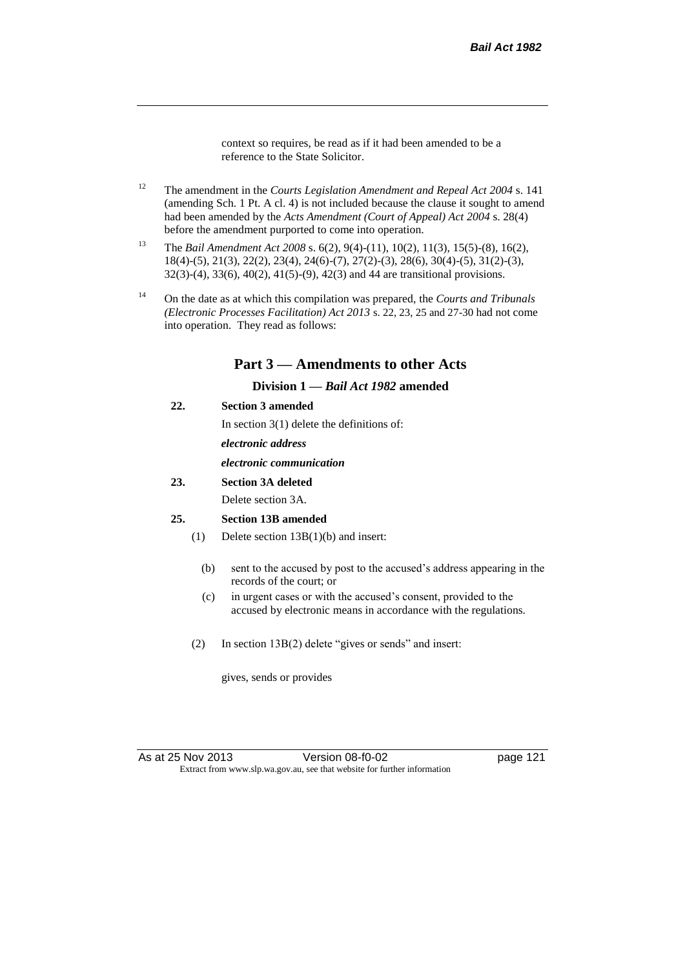context so requires, be read as if it had been amended to be a reference to the State Solicitor.

- <sup>12</sup> The amendment in the *Courts Legislation Amendment and Repeal Act 2004* s. 141 (amending Sch. 1 Pt. A cl. 4) is not included because the clause it sought to amend had been amended by the *Acts Amendment (Court of Appeal) Act 2004* s. 28(4) before the amendment purported to come into operation.
- <sup>13</sup> The *Bail Amendment Act 2008* s. 6(2), 9(4)-(11), 10(2), 11(3), 15(5)-(8), 16(2), 18(4)-(5), 21(3), 22(2), 23(4), 24(6)-(7), 27(2)-(3), 28(6), 30(4)-(5), 31(2)-(3), 32(3)-(4), 33(6), 40(2), 41(5)-(9), 42(3) and 44 are transitional provisions.
- <sup>14</sup> On the date as at which this compilation was prepared, the *Courts and Tribunals (Electronic Processes Facilitation) Act 2013* s. 22, 23, 25 and 27-30 had not come into operation. They read as follows:

## **Part 3 — Amendments to other Acts**

## **Division 1 —** *Bail Act 1982* **amended**

## **22. Section 3 amended**

In section 3(1) delete the definitions of:

*electronic address*

### *electronic communication*

**23. Section 3A deleted**

Delete section 3A.

#### **25. Section 13B amended**

- (1) Delete section 13B(1)(b) and insert:
	- (b) sent to the accused by post to the accused's address appearing in the records of the court; or
	- (c) in urgent cases or with the accused's consent, provided to the accused by electronic means in accordance with the regulations.
- (2) In section 13B(2) delete "gives or sends" and insert:

gives, sends or provides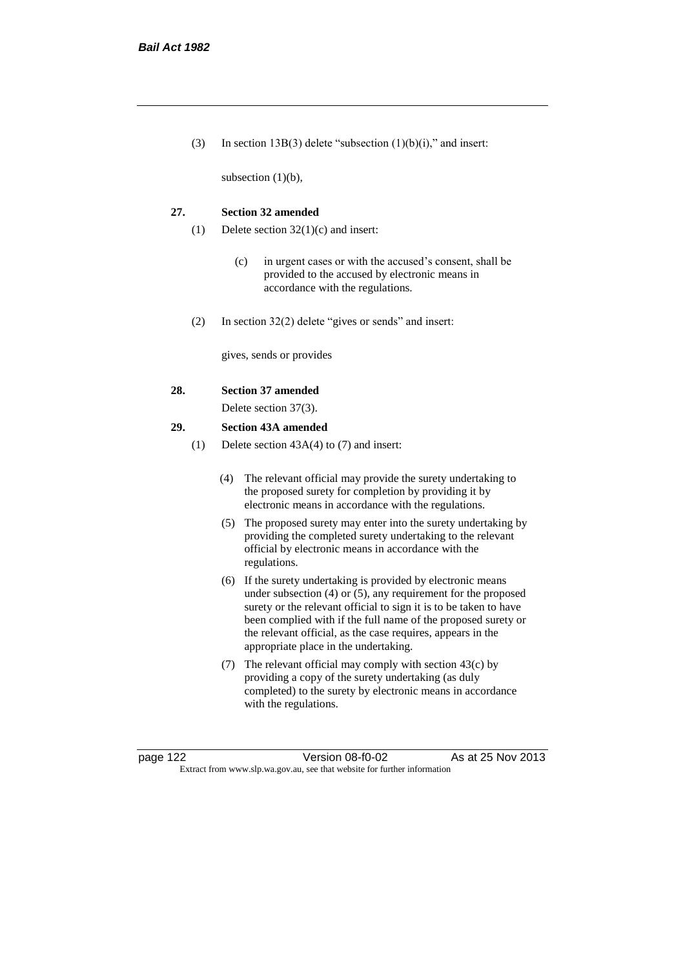(3) In section 13B(3) delete "subsection  $(1)(b)(i)$ ," and insert:

subsection (1)(b),

#### **27. Section 32 amended**

- (1) Delete section 32(1)(c) and insert:
	- (c) in urgent cases or with the accused's consent, shall be provided to the accused by electronic means in accordance with the regulations.
- (2) In section 32(2) delete "gives or sends" and insert:

gives, sends or provides

#### **28. Section 37 amended**

Delete section 37(3).

#### **29. Section 43A amended**

- (1) Delete section 43A(4) to (7) and insert:
	- (4) The relevant official may provide the surety undertaking to the proposed surety for completion by providing it by electronic means in accordance with the regulations.
	- (5) The proposed surety may enter into the surety undertaking by providing the completed surety undertaking to the relevant official by electronic means in accordance with the regulations.
	- (6) If the surety undertaking is provided by electronic means under subsection (4) or (5), any requirement for the proposed surety or the relevant official to sign it is to be taken to have been complied with if the full name of the proposed surety or the relevant official, as the case requires, appears in the appropriate place in the undertaking.
	- (7) The relevant official may comply with section 43(c) by providing a copy of the surety undertaking (as duly completed) to the surety by electronic means in accordance with the regulations.

page 122 Version 08-f0-02 As at 25 Nov 2013 Extract from www.slp.wa.gov.au, see that website for further information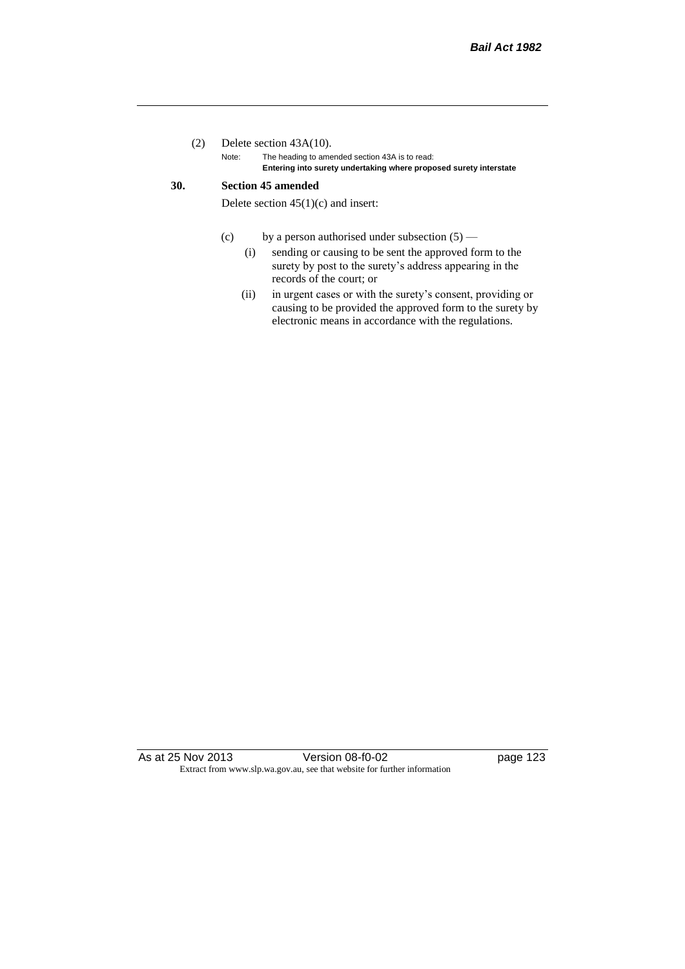## (2) Delete section 43A(10).

Note: The heading to amended section 43A is to read: **Entering into surety undertaking where proposed surety interstate**

## **30. Section 45 amended**

Delete section  $45(1)(c)$  and insert:

- (c) by a person authorised under subsection  $(5)$ 
	- (i) sending or causing to be sent the approved form to the surety by post to the surety's address appearing in the records of the court; or
	- (ii) in urgent cases or with the surety's consent, providing or causing to be provided the approved form to the surety by electronic means in accordance with the regulations.

As at 25 Nov 2013 Version 08-f0-02 Page 123 Extract from www.slp.wa.gov.au, see that website for further information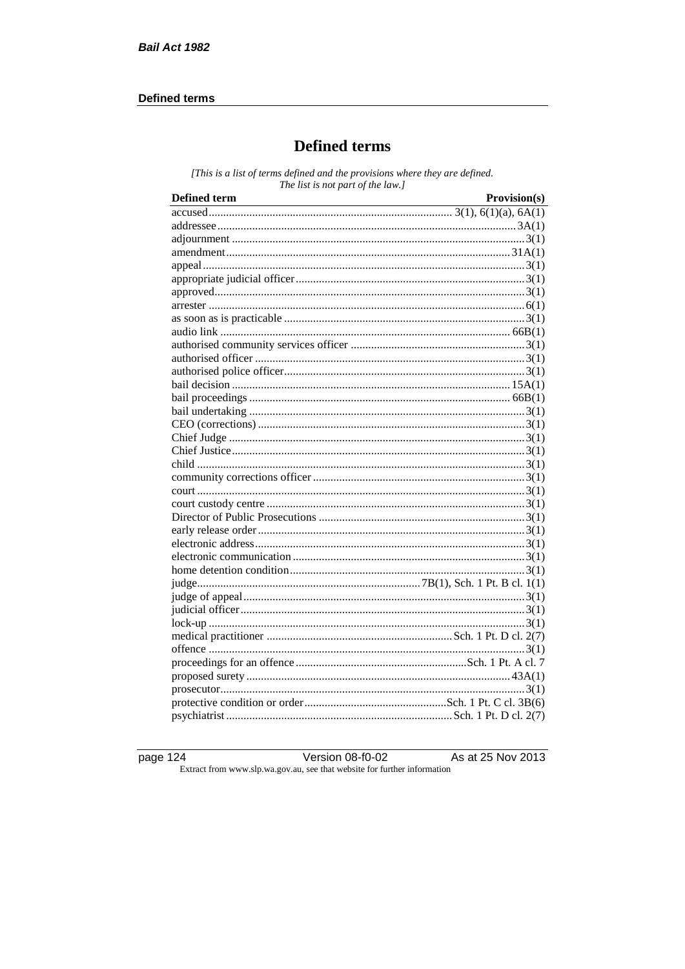## **Defined terms**

# **Defined terms**

[This is a list of terms defined and the provisions where they are defined. The list is not part of the law.]

| <b>Defined term</b> | Provision(s) |
|---------------------|--------------|
|                     |              |
|                     |              |
|                     |              |
|                     |              |
|                     |              |
|                     |              |
|                     |              |
|                     |              |
|                     |              |
|                     |              |
|                     |              |
|                     |              |
|                     |              |
|                     |              |
|                     |              |
|                     |              |
|                     |              |
|                     |              |
|                     |              |
|                     |              |
|                     |              |
|                     |              |
|                     |              |
|                     |              |
|                     |              |
|                     |              |
|                     |              |
|                     |              |
|                     |              |
|                     |              |
|                     |              |
|                     |              |
|                     |              |
|                     |              |
|                     |              |
|                     |              |
|                     |              |
|                     |              |
|                     |              |

page 124

Version  $08-10-02$ 

As at 25 Nov 2013

Extract from www.slp.wa.gov.au, see that website for further information